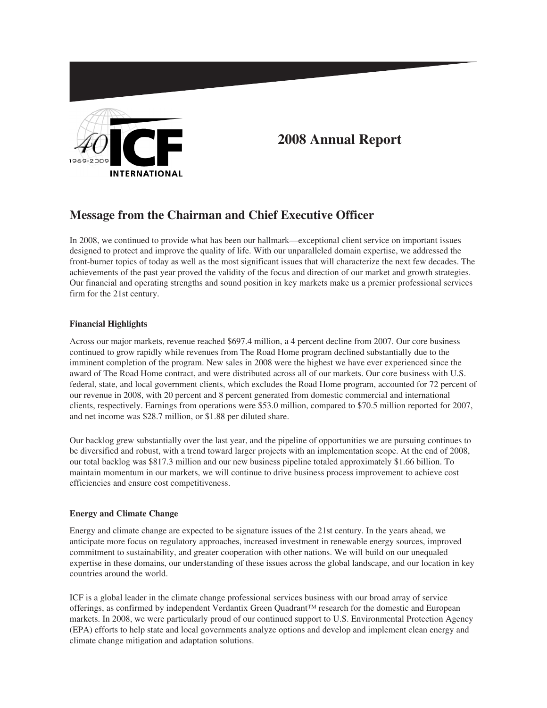

# **2008 Annual Report**

# **Message from the Chairman and Chief Executive Officer**

In 2008, we continued to provide what has been our hallmark—exceptional client service on important issues designed to protect and improve the quality of life. With our unparalleled domain expertise, we addressed the front-burner topics of today as well as the most significant issues that will characterize the next few decades. The achievements of the past year proved the validity of the focus and direction of our market and growth strategies. Our financial and operating strengths and sound position in key markets make us a premier professional services firm for the 21st century.

## **Financial Highlights**

Across our major markets, revenue reached \$697.4 million, a 4 percent decline from 2007. Our core business continued to grow rapidly while revenues from The Road Home program declined substantially due to the imminent completion of the program. New sales in 2008 were the highest we have ever experienced since the award of The Road Home contract, and were distributed across all of our markets. Our core business with U.S. federal, state, and local government clients, which excludes the Road Home program, accounted for 72 percent of our revenue in 2008, with 20 percent and 8 percent generated from domestic commercial and international clients, respectively. Earnings from operations were \$53.0 million, compared to \$70.5 million reported for 2007, and net income was \$28.7 million, or \$1.88 per diluted share.

Our backlog grew substantially over the last year, and the pipeline of opportunities we are pursuing continues to be diversified and robust, with a trend toward larger projects with an implementation scope. At the end of 2008, our total backlog was \$817.3 million and our new business pipeline totaled approximately \$1.66 billion. To maintain momentum in our markets, we will continue to drive business process improvement to achieve cost efficiencies and ensure cost competitiveness.

## **Energy and Climate Change**

Energy and climate change are expected to be signature issues of the 21st century. In the years ahead, we anticipate more focus on regulatory approaches, increased investment in renewable energy sources, improved commitment to sustainability, and greater cooperation with other nations. We will build on our unequaled expertise in these domains, our understanding of these issues across the global landscape, and our location in key countries around the world.

ICF is a global leader in the climate change professional services business with our broad array of service offerings, as confirmed by independent Verdantix Green Quadrant™ research for the domestic and European markets. In 2008, we were particularly proud of our continued support to U.S. Environmental Protection Agency (EPA) efforts to help state and local governments analyze options and develop and implement clean energy and climate change mitigation and adaptation solutions.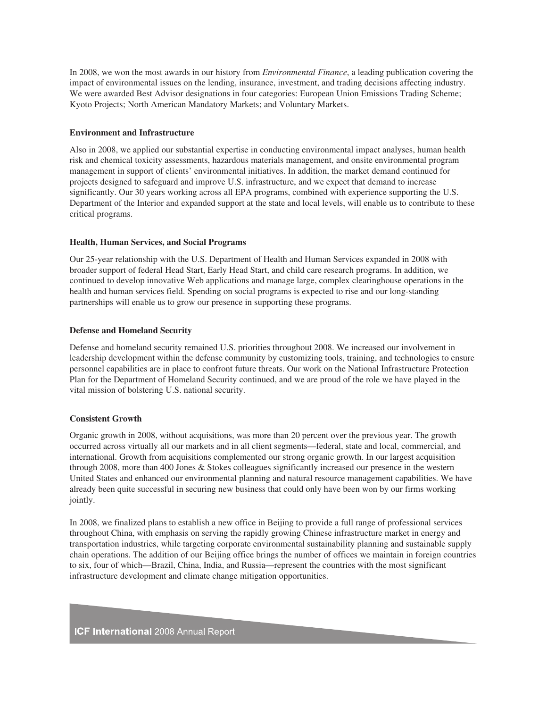In 2008, we won the most awards in our history from *Environmental Finance*, a leading publication covering the impact of environmental issues on the lending, insurance, investment, and trading decisions affecting industry. We were awarded Best Advisor designations in four categories: European Union Emissions Trading Scheme; Kyoto Projects; North American Mandatory Markets; and Voluntary Markets.

#### **Environment and Infrastructure**

Also in 2008, we applied our substantial expertise in conducting environmental impact analyses, human health risk and chemical toxicity assessments, hazardous materials management, and onsite environmental program management in support of clients' environmental initiatives. In addition, the market demand continued for projects designed to safeguard and improve U.S. infrastructure, and we expect that demand to increase significantly. Our 30 years working across all EPA programs, combined with experience supporting the U.S. Department of the Interior and expanded support at the state and local levels, will enable us to contribute to these critical programs.

#### **Health, Human Services, and Social Programs**

Our 25-year relationship with the U.S. Department of Health and Human Services expanded in 2008 with broader support of federal Head Start, Early Head Start, and child care research programs. In addition, we continued to develop innovative Web applications and manage large, complex clearinghouse operations in the health and human services field. Spending on social programs is expected to rise and our long-standing partnerships will enable us to grow our presence in supporting these programs.

#### **Defense and Homeland Security**

Defense and homeland security remained U.S. priorities throughout 2008. We increased our involvement in leadership development within the defense community by customizing tools, training, and technologies to ensure personnel capabilities are in place to confront future threats. Our work on the National Infrastructure Protection Plan for the Department of Homeland Security continued, and we are proud of the role we have played in the vital mission of bolstering U.S. national security.

#### **Consistent Growth**

Organic growth in 2008, without acquisitions, was more than 20 percent over the previous year. The growth occurred across virtually all our markets and in all client segments—federal, state and local, commercial, and international. Growth from acquisitions complemented our strong organic growth. In our largest acquisition through 2008, more than 400 Jones & Stokes colleagues significantly increased our presence in the western United States and enhanced our environmental planning and natural resource management capabilities. We have already been quite successful in securing new business that could only have been won by our firms working jointly.

In 2008, we finalized plans to establish a new office in Beijing to provide a full range of professional services throughout China, with emphasis on serving the rapidly growing Chinese infrastructure market in energy and transportation industries, while targeting corporate environmental sustainability planning and sustainable supply chain operations. The addition of our Beijing office brings the number of offices we maintain in foreign countries to six, four of which—Brazil, China, India, and Russia—represent the countries with the most significant infrastructure development and climate change mitigation opportunities.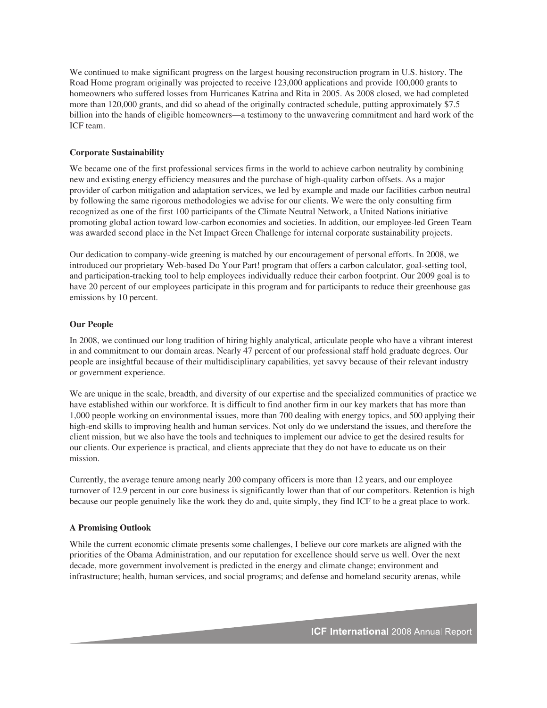We continued to make significant progress on the largest housing reconstruction program in U.S. history. The Road Home program originally was projected to receive 123,000 applications and provide 100,000 grants to homeowners who suffered losses from Hurricanes Katrina and Rita in 2005. As 2008 closed, we had completed more than 120,000 grants, and did so ahead of the originally contracted schedule, putting approximately \$7.5 billion into the hands of eligible homeowners—a testimony to the unwavering commitment and hard work of the ICF team.

## **Corporate Sustainability**

We became one of the first professional services firms in the world to achieve carbon neutrality by combining new and existing energy efficiency measures and the purchase of high-quality carbon offsets. As a major provider of carbon mitigation and adaptation services, we led by example and made our facilities carbon neutral by following the same rigorous methodologies we advise for our clients. We were the only consulting firm recognized as one of the first 100 participants of the Climate Neutral Network, a United Nations initiative promoting global action toward low-carbon economies and societies. In addition, our employee-led Green Team was awarded second place in the Net Impact Green Challenge for internal corporate sustainability projects.

Our dedication to company-wide greening is matched by our encouragement of personal efforts. In 2008, we introduced our proprietary Web-based Do Your Part! program that offers a carbon calculator, goal-setting tool, and participation-tracking tool to help employees individually reduce their carbon footprint. Our 2009 goal is to have 20 percent of our employees participate in this program and for participants to reduce their greenhouse gas emissions by 10 percent.

## **Our People**

In 2008, we continued our long tradition of hiring highly analytical, articulate people who have a vibrant interest in and commitment to our domain areas. Nearly 47 percent of our professional staff hold graduate degrees. Our people are insightful because of their multidisciplinary capabilities, yet savvy because of their relevant industry or government experience.

We are unique in the scale, breadth, and diversity of our expertise and the specialized communities of practice we have established within our workforce. It is difficult to find another firm in our key markets that has more than 1,000 people working on environmental issues, more than 700 dealing with energy topics, and 500 applying their high-end skills to improving health and human services. Not only do we understand the issues, and therefore the client mission, but we also have the tools and techniques to implement our advice to get the desired results for our clients. Our experience is practical, and clients appreciate that they do not have to educate us on their mission.

Currently, the average tenure among nearly 200 company officers is more than 12 years, and our employee turnover of 12.9 percent in our core business is significantly lower than that of our competitors. Retention is high because our people genuinely like the work they do and, quite simply, they find ICF to be a great place to work.

## **A Promising Outlook**

While the current economic climate presents some challenges, I believe our core markets are aligned with the priorities of the Obama Administration, and our reputation for excellence should serve us well. Over the next decade, more government involvement is predicted in the energy and climate change; environment and infrastructure; health, human services, and social programs; and defense and homeland security arenas, while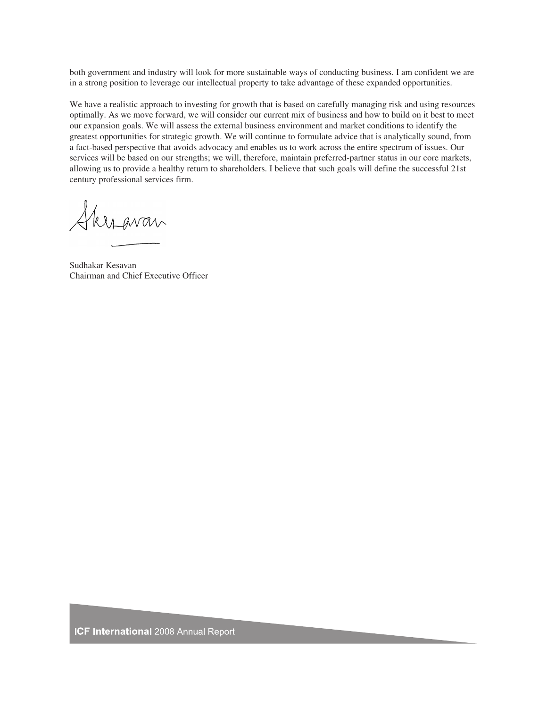both government and industry will look for more sustainable ways of conducting business. I am confident we are in a strong position to leverage our intellectual property to take advantage of these expanded opportunities.

We have a realistic approach to investing for growth that is based on carefully managing risk and using resources optimally. As we move forward, we will consider our current mix of business and how to build on it best to meet our expansion goals. We will assess the external business environment and market conditions to identify the greatest opportunities for strategic growth. We will continue to formulate advice that is analytically sound, from a fact-based perspective that avoids advocacy and enables us to work across the entire spectrum of issues. Our services will be based on our strengths; we will, therefore, maintain preferred-partner status in our core markets, allowing us to provide a healthy return to shareholders. I believe that such goals will define the successful 21st century professional services firm.

Skyavan

Sudhakar Kesavan Chairman and Chief Executive Officer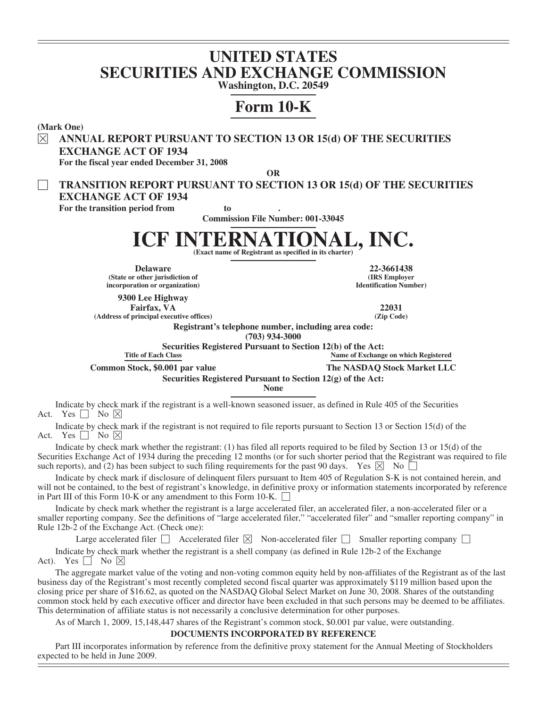## **UNITED STATES SECURITIES AND EXCHANGE COMMISSION Washington, D.C. 20549**

# **Form 10-K**

**(Mark One)**

È **ANNUAL REPORT PURSUANT TO SECTION 13 OR 15(d) OF THE SECURITIES EXCHANGE ACT OF 1934**

**For the fiscal year ended December 31, 2008**

**OR**

' **TRANSITION REPORT PURSUANT TO SECTION 13 OR 15(d) OF THE SECURITIES EXCHANGE ACT OF 1934**

For the transition period from to ...

**Commission File Number: 001-33045**

# **ICF INTERNATIONAL, INC. (Exact name of Registrant as specified in its charter)**

**Delaware 22-3661438 (State or other jurisdiction of incorporation or organization)**

**9300 Lee Highway**

**Fairfax, VA** 22031<br>
Principal executive offices and the set of the set of the set of the set of the set of the set of the set of the set of the set of the set of the set of the set of the set of the set of the set of the (Address of principal executive offices)

**(IRS Employer Identification Number)**

**Registrant's telephone number, including area code:**

**(703) 934-3000**

**Securities Registered Pursuant to Section 12(b) of the Act:**<br>Title of Each Class Name of Exchang **Name of Exchange on which Registered** 

**Common Stock, \$0.001 par value The NASDAQ Stock Market LLC** 

**Securities Registered Pursuant to Section 12(g) of the Act:**

**None**

Indicate by check mark if the registrant is a well-known seasoned issuer, as defined in Rule 405 of the Securities Act. Yes  $\Box$  No  $\boxtimes$ 

Indicate by check mark if the registrant is not required to file reports pursuant to Section 13 or Section 15(d) of the Act. Yes  $\Box$  No  $\boxtimes$ 

Indicate by check mark whether the registrant: (1) has filed all reports required to be filed by Section 13 or 15(d) of the Securities Exchange Act of 1934 during the preceding 12 months (or for such shorter period that the Registrant was required to file such reports), and (2) has been subject to such filing requirements for the past 90 days. Yes  $\boxtimes$  No  $\Box$ 

Indicate by check mark if disclosure of delinquent filers pursuant to Item 405 of Regulation S-K is not contained herein, and will not be contained, to the best of registrant's knowledge, in definitive proxy or information statements incorporated by reference in Part III of this Form 10-K or any amendment to this Form 10-K.  $\Box$ 

Indicate by check mark whether the registrant is a large accelerated filer, an accelerated filer, a non-accelerated filer or a smaller reporting company. See the definitions of "large accelerated filer," "accelerated filer" and "smaller reporting company" in Rule 12b-2 of the Exchange Act. (Check one):

Large accelerated filer  $\Box$  Accelerated filer  $\boxtimes$  Non-accelerated filer  $\Box$  Smaller reporting company  $\Box$ 

Indicate by check mark whether the registrant is a shell company (as defined in Rule 12b-2 of the Exchange Act). Yes  $\Box$  No  $\boxtimes$ 

The aggregate market value of the voting and non-voting common equity held by non-affiliates of the Registrant as of the last business day of the Registrant's most recently completed second fiscal quarter was approximately \$119 million based upon the closing price per share of \$16.62, as quoted on the NASDAQ Global Select Market on June 30, 2008. Shares of the outstanding common stock held by each executive officer and director have been excluded in that such persons may be deemed to be affiliates. This determination of affiliate status is not necessarily a conclusive determination for other purposes.

As of March 1, 2009, 15,148,447 shares of the Registrant's common stock, \$0.001 par value, were outstanding.

## **DOCUMENTS INCORPORATED BY REFERENCE**

Part III incorporates information by reference from the definitive proxy statement for the Annual Meeting of Stockholders expected to be held in June 2009.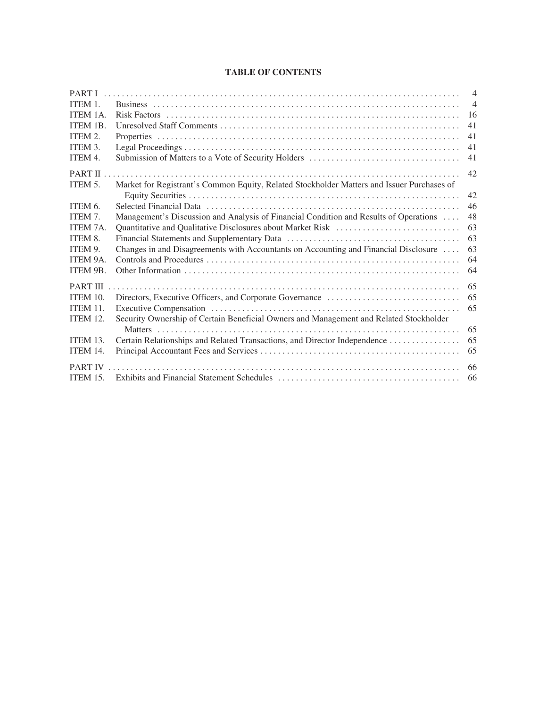## **TABLE OF CONTENTS**

|                 |                                                                                            | $\overline{4}$ |
|-----------------|--------------------------------------------------------------------------------------------|----------------|
| ITEM 1.         |                                                                                            | $\overline{4}$ |
| <b>ITEM 1A.</b> |                                                                                            | 16             |
| <b>ITEM 1B.</b> |                                                                                            | 41             |
| ITEM 2.         |                                                                                            | 41             |
| ITEM 3.         |                                                                                            | 41             |
| ITEM 4.         |                                                                                            | 41             |
| <b>PART II</b>  |                                                                                            | 42             |
| ITEM 5.         | Market for Registrant's Common Equity, Related Stockholder Matters and Issuer Purchases of |                |
|                 |                                                                                            | 42             |
| ITEM 6.         |                                                                                            | 46             |
| ITEM 7.         | Management's Discussion and Analysis of Financial Condition and Results of Operations      | 48             |
| ITEM 7A.        | Quantitative and Qualitative Disclosures about Market Risk                                 | 63             |
| ITEM 8.         |                                                                                            | 63             |
| ITEM 9.         | Changes in and Disagreements with Accountants on Accounting and Financial Disclosure       | 63             |
| ITEM 9A.        |                                                                                            | 64             |
| ITEM 9B.        |                                                                                            | 64             |
| <b>PART III</b> |                                                                                            | 65             |
| ITEM 10.        |                                                                                            | 65             |
| ITEM 11.        |                                                                                            | 65             |
| <b>ITEM 12.</b> | Security Ownership of Certain Beneficial Owners and Management and Related Stockholder     |                |
|                 |                                                                                            | 65             |
| <b>ITEM 13.</b> | Certain Relationships and Related Transactions, and Director Independence                  | 65             |
| ITEM 14.        |                                                                                            | 65             |
|                 |                                                                                            | 66             |
| <b>ITEM 15.</b> |                                                                                            | 66             |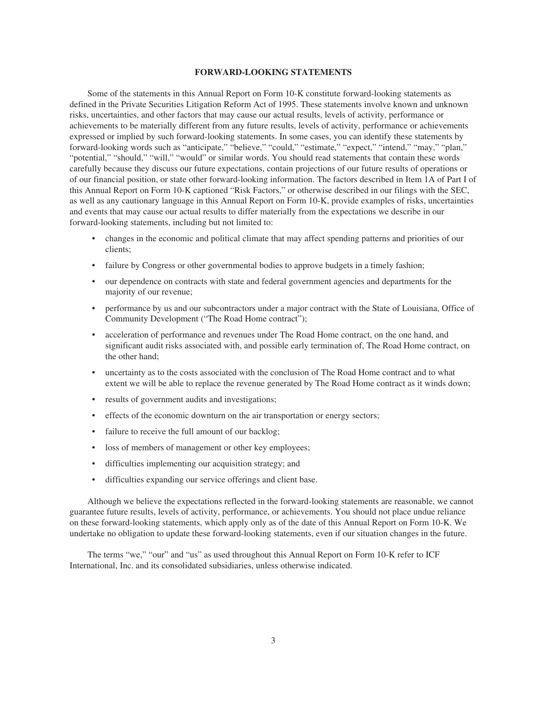#### **FORWARD-LOOKING STATEMENTS**

Some of the statements in this Annual Report on Form 10-K constitute forward-looking statements as defined in the Private Securities Litigation Reform Act of 1995. These statements involve known and unknown risks, uncertainties, and other factors that may cause our actual results, levels of activity, performance or achievements to be materially different from any future results, levels of activity, performance or achievements expressed or implied by such forward-looking statements. In some cases, you can identify these statements by forward-looking words such as "anticipate," "believe," "could," "estimate," "expect," "intend," "may," "plan," "potential," "should," "will," "would" or similar words. You should read statements that contain these words carefully because they discuss our future expectations, contain projections of our future results of operations or of our financial position, or state other forward-looking information. The factors described in Item 1A of Part I of this Annual Report on Form 10-K captioned "Risk Factors," or otherwise described in our filings with the SEC, as well as any cautionary language in this Annual Report on Form 10-K, provide examples of risks, uncertainties and events that may cause our actual results to differ materially from the expectations we describe in our forward-looking statements, including but not limited to:

- changes in the economic and political climate that may affect spending patterns and priorities of our clients;
- failure by Congress or other governmental bodies to approve budgets in a timely fashion;
- our dependence on contracts with state and federal government agencies and departments for the majority of our revenue;
- performance by us and our subcontractors under a major contract with the State of Louisiana, Office of Community Development ("The Road Home contract");
- acceleration of performance and revenues under The Road Home contract, on the one hand, and significant audit risks associated with, and possible early termination of, The Road Home contract, on the other hand;
- uncertainty as to the costs associated with the conclusion of The Road Home contract and to what extent we will be able to replace the revenue generated by The Road Home contract as it winds down;
- results of government audits and investigations;
- effects of the economic downturn on the air transportation or energy sectors;
- failure to receive the full amount of our backlog;
- loss of members of management or other key employees;
- difficulties implementing our acquisition strategy; and
- difficulties expanding our service offerings and client base.

Although we believe the expectations reflected in the forward-looking statements are reasonable, we cannot guarantee future results, levels of activity, performance, or achievements. You should not place undue reliance on these forward-looking statements, which apply only as of the date of this Annual Report on Form 10-K. We undertake no obligation to update these forward-looking statements, even if our situation changes in the future.

The terms "we," "our" and "us" as used throughout this Annual Report on Form 10-K refer to ICF International, Inc. and its consolidated subsidiaries, unless otherwise indicated.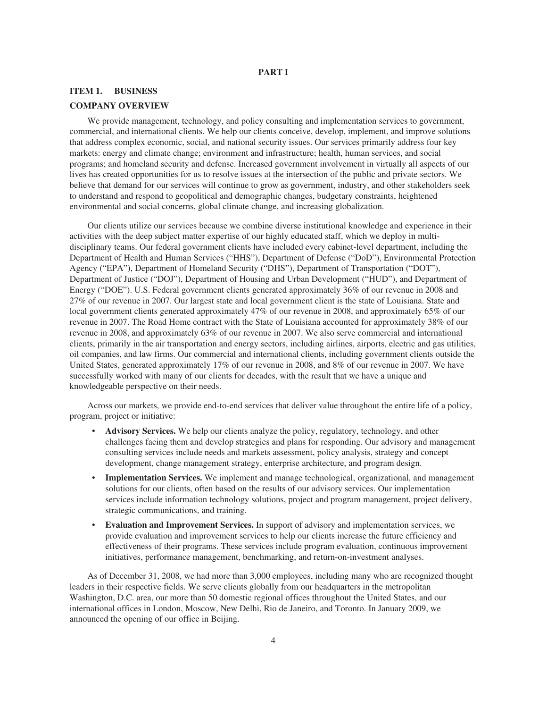#### **PART I**

## **ITEM 1. BUSINESS COMPANY OVERVIEW**

We provide management, technology, and policy consulting and implementation services to government, commercial, and international clients. We help our clients conceive, develop, implement, and improve solutions that address complex economic, social, and national security issues. Our services primarily address four key markets: energy and climate change; environment and infrastructure; health, human services, and social programs; and homeland security and defense. Increased government involvement in virtually all aspects of our lives has created opportunities for us to resolve issues at the intersection of the public and private sectors. We believe that demand for our services will continue to grow as government, industry, and other stakeholders seek to understand and respond to geopolitical and demographic changes, budgetary constraints, heightened environmental and social concerns, global climate change, and increasing globalization.

Our clients utilize our services because we combine diverse institutional knowledge and experience in their activities with the deep subject matter expertise of our highly educated staff, which we deploy in multidisciplinary teams. Our federal government clients have included every cabinet-level department, including the Department of Health and Human Services ("HHS"), Department of Defense ("DoD"), Environmental Protection Agency ("EPA"), Department of Homeland Security ("DHS"), Department of Transportation ("DOT"), Department of Justice ("DOJ"), Department of Housing and Urban Development ("HUD"), and Department of Energy ("DOE"). U.S. Federal government clients generated approximately 36% of our revenue in 2008 and 27% of our revenue in 2007. Our largest state and local government client is the state of Louisiana. State and local government clients generated approximately 47% of our revenue in 2008, and approximately 65% of our revenue in 2007. The Road Home contract with the State of Louisiana accounted for approximately 38% of our revenue in 2008, and approximately 63% of our revenue in 2007. We also serve commercial and international clients, primarily in the air transportation and energy sectors, including airlines, airports, electric and gas utilities, oil companies, and law firms. Our commercial and international clients, including government clients outside the United States, generated approximately 17% of our revenue in 2008, and 8% of our revenue in 2007. We have successfully worked with many of our clients for decades, with the result that we have a unique and knowledgeable perspective on their needs.

Across our markets, we provide end-to-end services that deliver value throughout the entire life of a policy, program, project or initiative:

- **Advisory Services.** We help our clients analyze the policy, regulatory, technology, and other challenges facing them and develop strategies and plans for responding. Our advisory and management consulting services include needs and markets assessment, policy analysis, strategy and concept development, change management strategy, enterprise architecture, and program design.
- **Implementation Services.** We implement and manage technological, organizational, and management solutions for our clients, often based on the results of our advisory services. Our implementation services include information technology solutions, project and program management, project delivery, strategic communications, and training.
- **Evaluation and Improvement Services.** In support of advisory and implementation services, we provide evaluation and improvement services to help our clients increase the future efficiency and effectiveness of their programs. These services include program evaluation, continuous improvement initiatives, performance management, benchmarking, and return-on-investment analyses.

As of December 31, 2008, we had more than 3,000 employees, including many who are recognized thought leaders in their respective fields. We serve clients globally from our headquarters in the metropolitan Washington, D.C. area, our more than 50 domestic regional offices throughout the United States, and our international offices in London, Moscow, New Delhi, Rio de Janeiro, and Toronto. In January 2009, we announced the opening of our office in Beijing.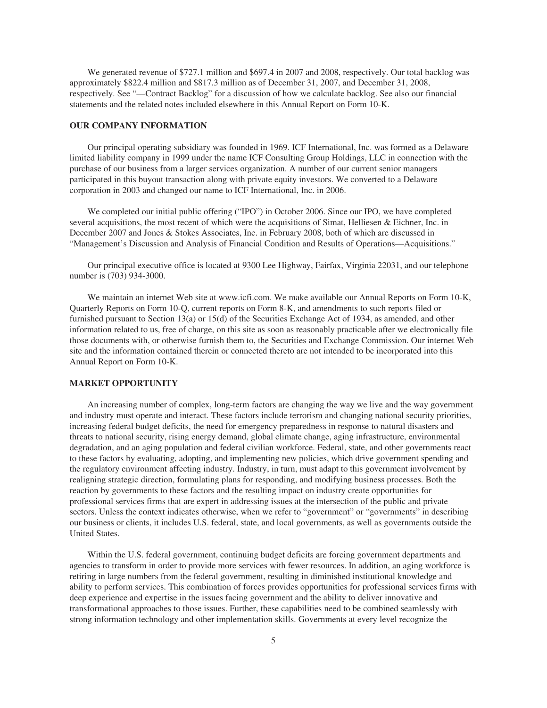We generated revenue of \$727.1 million and \$697.4 in 2007 and 2008, respectively. Our total backlog was approximately \$822.4 million and \$817.3 million as of December 31, 2007, and December 31, 2008, respectively. See "—Contract Backlog" for a discussion of how we calculate backlog. See also our financial statements and the related notes included elsewhere in this Annual Report on Form 10-K.

#### **OUR COMPANY INFORMATION**

Our principal operating subsidiary was founded in 1969. ICF International, Inc. was formed as a Delaware limited liability company in 1999 under the name ICF Consulting Group Holdings, LLC in connection with the purchase of our business from a larger services organization. A number of our current senior managers participated in this buyout transaction along with private equity investors. We converted to a Delaware corporation in 2003 and changed our name to ICF International, Inc. in 2006.

We completed our initial public offering ("IPO") in October 2006. Since our IPO, we have completed several acquisitions, the most recent of which were the acquisitions of Simat, Helliesen & Eichner, Inc. in December 2007 and Jones & Stokes Associates, Inc. in February 2008, both of which are discussed in "Management's Discussion and Analysis of Financial Condition and Results of Operations—Acquisitions."

Our principal executive office is located at 9300 Lee Highway, Fairfax, Virginia 22031, and our telephone number is (703) 934-3000.

We maintain an internet Web site at www.icfi.com. We make available our Annual Reports on Form 10-K, Quarterly Reports on Form 10-Q, current reports on Form 8-K, and amendments to such reports filed or furnished pursuant to Section 13(a) or 15(d) of the Securities Exchange Act of 1934, as amended, and other information related to us, free of charge, on this site as soon as reasonably practicable after we electronically file those documents with, or otherwise furnish them to, the Securities and Exchange Commission. Our internet Web site and the information contained therein or connected thereto are not intended to be incorporated into this Annual Report on Form 10-K.

## **MARKET OPPORTUNITY**

An increasing number of complex, long-term factors are changing the way we live and the way government and industry must operate and interact. These factors include terrorism and changing national security priorities, increasing federal budget deficits, the need for emergency preparedness in response to natural disasters and threats to national security, rising energy demand, global climate change, aging infrastructure, environmental degradation, and an aging population and federal civilian workforce. Federal, state, and other governments react to these factors by evaluating, adopting, and implementing new policies, which drive government spending and the regulatory environment affecting industry. Industry, in turn, must adapt to this government involvement by realigning strategic direction, formulating plans for responding, and modifying business processes. Both the reaction by governments to these factors and the resulting impact on industry create opportunities for professional services firms that are expert in addressing issues at the intersection of the public and private sectors. Unless the context indicates otherwise, when we refer to "government" or "governments" in describing our business or clients, it includes U.S. federal, state, and local governments, as well as governments outside the United States.

Within the U.S. federal government, continuing budget deficits are forcing government departments and agencies to transform in order to provide more services with fewer resources. In addition, an aging workforce is retiring in large numbers from the federal government, resulting in diminished institutional knowledge and ability to perform services. This combination of forces provides opportunities for professional services firms with deep experience and expertise in the issues facing government and the ability to deliver innovative and transformational approaches to those issues. Further, these capabilities need to be combined seamlessly with strong information technology and other implementation skills. Governments at every level recognize the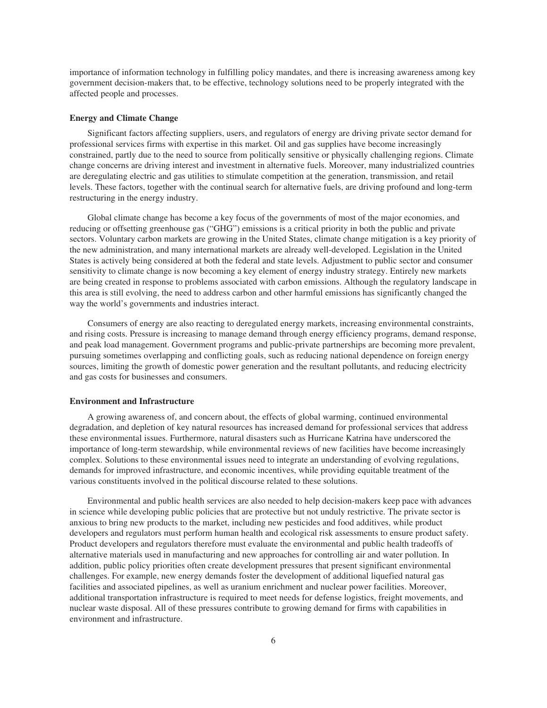importance of information technology in fulfilling policy mandates, and there is increasing awareness among key government decision-makers that, to be effective, technology solutions need to be properly integrated with the affected people and processes.

#### **Energy and Climate Change**

Significant factors affecting suppliers, users, and regulators of energy are driving private sector demand for professional services firms with expertise in this market. Oil and gas supplies have become increasingly constrained, partly due to the need to source from politically sensitive or physically challenging regions. Climate change concerns are driving interest and investment in alternative fuels. Moreover, many industrialized countries are deregulating electric and gas utilities to stimulate competition at the generation, transmission, and retail levels. These factors, together with the continual search for alternative fuels, are driving profound and long-term restructuring in the energy industry.

Global climate change has become a key focus of the governments of most of the major economies, and reducing or offsetting greenhouse gas ("GHG") emissions is a critical priority in both the public and private sectors. Voluntary carbon markets are growing in the United States, climate change mitigation is a key priority of the new administration, and many international markets are already well-developed. Legislation in the United States is actively being considered at both the federal and state levels. Adjustment to public sector and consumer sensitivity to climate change is now becoming a key element of energy industry strategy. Entirely new markets are being created in response to problems associated with carbon emissions. Although the regulatory landscape in this area is still evolving, the need to address carbon and other harmful emissions has significantly changed the way the world's governments and industries interact.

Consumers of energy are also reacting to deregulated energy markets, increasing environmental constraints, and rising costs. Pressure is increasing to manage demand through energy efficiency programs, demand response, and peak load management. Government programs and public-private partnerships are becoming more prevalent, pursuing sometimes overlapping and conflicting goals, such as reducing national dependence on foreign energy sources, limiting the growth of domestic power generation and the resultant pollutants, and reducing electricity and gas costs for businesses and consumers.

#### **Environment and Infrastructure**

A growing awareness of, and concern about, the effects of global warming, continued environmental degradation, and depletion of key natural resources has increased demand for professional services that address these environmental issues. Furthermore, natural disasters such as Hurricane Katrina have underscored the importance of long-term stewardship, while environmental reviews of new facilities have become increasingly complex. Solutions to these environmental issues need to integrate an understanding of evolving regulations, demands for improved infrastructure, and economic incentives, while providing equitable treatment of the various constituents involved in the political discourse related to these solutions.

Environmental and public health services are also needed to help decision-makers keep pace with advances in science while developing public policies that are protective but not unduly restrictive. The private sector is anxious to bring new products to the market, including new pesticides and food additives, while product developers and regulators must perform human health and ecological risk assessments to ensure product safety. Product developers and regulators therefore must evaluate the environmental and public health tradeoffs of alternative materials used in manufacturing and new approaches for controlling air and water pollution. In addition, public policy priorities often create development pressures that present significant environmental challenges. For example, new energy demands foster the development of additional liquefied natural gas facilities and associated pipelines, as well as uranium enrichment and nuclear power facilities. Moreover, additional transportation infrastructure is required to meet needs for defense logistics, freight movements, and nuclear waste disposal. All of these pressures contribute to growing demand for firms with capabilities in environment and infrastructure.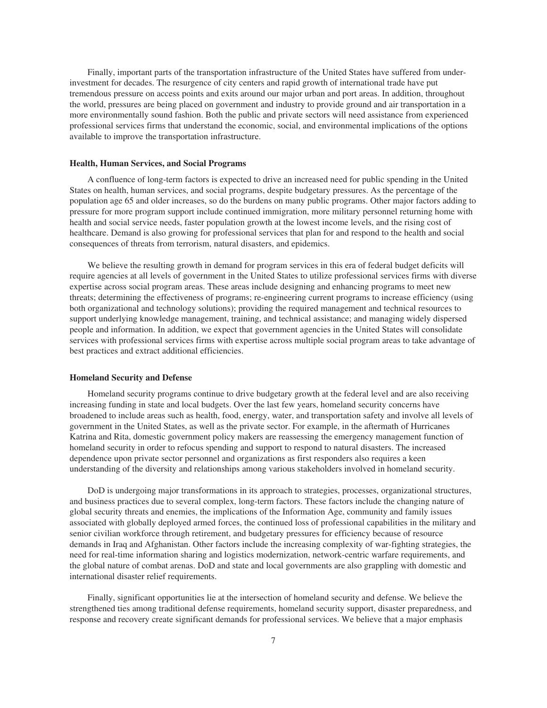Finally, important parts of the transportation infrastructure of the United States have suffered from underinvestment for decades. The resurgence of city centers and rapid growth of international trade have put tremendous pressure on access points and exits around our major urban and port areas. In addition, throughout the world, pressures are being placed on government and industry to provide ground and air transportation in a more environmentally sound fashion. Both the public and private sectors will need assistance from experienced professional services firms that understand the economic, social, and environmental implications of the options available to improve the transportation infrastructure.

#### **Health, Human Services, and Social Programs**

A confluence of long-term factors is expected to drive an increased need for public spending in the United States on health, human services, and social programs, despite budgetary pressures. As the percentage of the population age 65 and older increases, so do the burdens on many public programs. Other major factors adding to pressure for more program support include continued immigration, more military personnel returning home with health and social service needs, faster population growth at the lowest income levels, and the rising cost of healthcare. Demand is also growing for professional services that plan for and respond to the health and social consequences of threats from terrorism, natural disasters, and epidemics.

We believe the resulting growth in demand for program services in this era of federal budget deficits will require agencies at all levels of government in the United States to utilize professional services firms with diverse expertise across social program areas. These areas include designing and enhancing programs to meet new threats; determining the effectiveness of programs; re-engineering current programs to increase efficiency (using both organizational and technology solutions); providing the required management and technical resources to support underlying knowledge management, training, and technical assistance; and managing widely dispersed people and information. In addition, we expect that government agencies in the United States will consolidate services with professional services firms with expertise across multiple social program areas to take advantage of best practices and extract additional efficiencies.

## **Homeland Security and Defense**

Homeland security programs continue to drive budgetary growth at the federal level and are also receiving increasing funding in state and local budgets. Over the last few years, homeland security concerns have broadened to include areas such as health, food, energy, water, and transportation safety and involve all levels of government in the United States, as well as the private sector. For example, in the aftermath of Hurricanes Katrina and Rita, domestic government policy makers are reassessing the emergency management function of homeland security in order to refocus spending and support to respond to natural disasters. The increased dependence upon private sector personnel and organizations as first responders also requires a keen understanding of the diversity and relationships among various stakeholders involved in homeland security.

DoD is undergoing major transformations in its approach to strategies, processes, organizational structures, and business practices due to several complex, long-term factors. These factors include the changing nature of global security threats and enemies, the implications of the Information Age, community and family issues associated with globally deployed armed forces, the continued loss of professional capabilities in the military and senior civilian workforce through retirement, and budgetary pressures for efficiency because of resource demands in Iraq and Afghanistan. Other factors include the increasing complexity of war-fighting strategies, the need for real-time information sharing and logistics modernization, network-centric warfare requirements, and the global nature of combat arenas. DoD and state and local governments are also grappling with domestic and international disaster relief requirements.

Finally, significant opportunities lie at the intersection of homeland security and defense. We believe the strengthened ties among traditional defense requirements, homeland security support, disaster preparedness, and response and recovery create significant demands for professional services. We believe that a major emphasis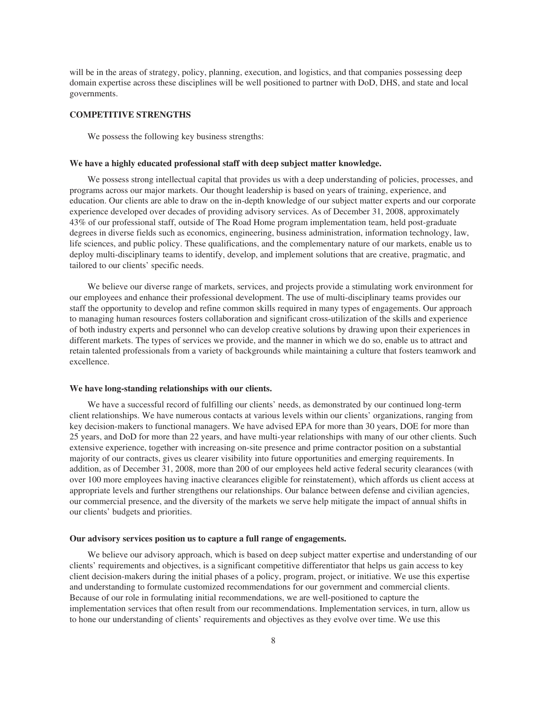will be in the areas of strategy, policy, planning, execution, and logistics, and that companies possessing deep domain expertise across these disciplines will be well positioned to partner with DoD, DHS, and state and local governments.

#### **COMPETITIVE STRENGTHS**

We possess the following key business strengths:

#### **We have a highly educated professional staff with deep subject matter knowledge.**

We possess strong intellectual capital that provides us with a deep understanding of policies, processes, and programs across our major markets. Our thought leadership is based on years of training, experience, and education. Our clients are able to draw on the in-depth knowledge of our subject matter experts and our corporate experience developed over decades of providing advisory services. As of December 31, 2008, approximately 43% of our professional staff, outside of The Road Home program implementation team, held post-graduate degrees in diverse fields such as economics, engineering, business administration, information technology, law, life sciences, and public policy. These qualifications, and the complementary nature of our markets, enable us to deploy multi-disciplinary teams to identify, develop, and implement solutions that are creative, pragmatic, and tailored to our clients' specific needs.

We believe our diverse range of markets, services, and projects provide a stimulating work environment for our employees and enhance their professional development. The use of multi-disciplinary teams provides our staff the opportunity to develop and refine common skills required in many types of engagements. Our approach to managing human resources fosters collaboration and significant cross-utilization of the skills and experience of both industry experts and personnel who can develop creative solutions by drawing upon their experiences in different markets. The types of services we provide, and the manner in which we do so, enable us to attract and retain talented professionals from a variety of backgrounds while maintaining a culture that fosters teamwork and excellence.

#### **We have long-standing relationships with our clients.**

We have a successful record of fulfilling our clients' needs, as demonstrated by our continued long-term client relationships. We have numerous contacts at various levels within our clients' organizations, ranging from key decision-makers to functional managers. We have advised EPA for more than 30 years, DOE for more than 25 years, and DoD for more than 22 years, and have multi-year relationships with many of our other clients. Such extensive experience, together with increasing on-site presence and prime contractor position on a substantial majority of our contracts, gives us clearer visibility into future opportunities and emerging requirements. In addition, as of December 31, 2008, more than 200 of our employees held active federal security clearances (with over 100 more employees having inactive clearances eligible for reinstatement), which affords us client access at appropriate levels and further strengthens our relationships. Our balance between defense and civilian agencies, our commercial presence, and the diversity of the markets we serve help mitigate the impact of annual shifts in our clients' budgets and priorities.

#### **Our advisory services position us to capture a full range of engagements.**

We believe our advisory approach, which is based on deep subject matter expertise and understanding of our clients' requirements and objectives, is a significant competitive differentiator that helps us gain access to key client decision-makers during the initial phases of a policy, program, project, or initiative. We use this expertise and understanding to formulate customized recommendations for our government and commercial clients. Because of our role in formulating initial recommendations, we are well-positioned to capture the implementation services that often result from our recommendations. Implementation services, in turn, allow us to hone our understanding of clients' requirements and objectives as they evolve over time. We use this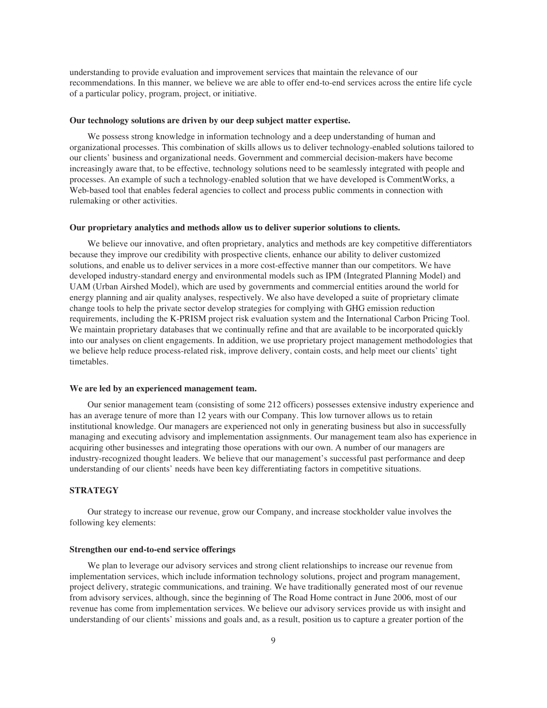understanding to provide evaluation and improvement services that maintain the relevance of our recommendations. In this manner, we believe we are able to offer end-to-end services across the entire life cycle of a particular policy, program, project, or initiative.

#### **Our technology solutions are driven by our deep subject matter expertise.**

We possess strong knowledge in information technology and a deep understanding of human and organizational processes. This combination of skills allows us to deliver technology-enabled solutions tailored to our clients' business and organizational needs. Government and commercial decision-makers have become increasingly aware that, to be effective, technology solutions need to be seamlessly integrated with people and processes. An example of such a technology-enabled solution that we have developed is CommentWorks, a Web-based tool that enables federal agencies to collect and process public comments in connection with rulemaking or other activities.

#### **Our proprietary analytics and methods allow us to deliver superior solutions to clients.**

We believe our innovative, and often proprietary, analytics and methods are key competitive differentiators because they improve our credibility with prospective clients, enhance our ability to deliver customized solutions, and enable us to deliver services in a more cost-effective manner than our competitors. We have developed industry-standard energy and environmental models such as IPM (Integrated Planning Model) and UAM (Urban Airshed Model), which are used by governments and commercial entities around the world for energy planning and air quality analyses, respectively. We also have developed a suite of proprietary climate change tools to help the private sector develop strategies for complying with GHG emission reduction requirements, including the K-PRISM project risk evaluation system and the International Carbon Pricing Tool. We maintain proprietary databases that we continually refine and that are available to be incorporated quickly into our analyses on client engagements. In addition, we use proprietary project management methodologies that we believe help reduce process-related risk, improve delivery, contain costs, and help meet our clients' tight timetables.

#### **We are led by an experienced management team.**

Our senior management team (consisting of some 212 officers) possesses extensive industry experience and has an average tenure of more than 12 years with our Company. This low turnover allows us to retain institutional knowledge. Our managers are experienced not only in generating business but also in successfully managing and executing advisory and implementation assignments. Our management team also has experience in acquiring other businesses and integrating those operations with our own. A number of our managers are industry-recognized thought leaders. We believe that our management's successful past performance and deep understanding of our clients' needs have been key differentiating factors in competitive situations.

#### **STRATEGY**

Our strategy to increase our revenue, grow our Company, and increase stockholder value involves the following key elements:

#### **Strengthen our end-to-end service offerings**

We plan to leverage our advisory services and strong client relationships to increase our revenue from implementation services, which include information technology solutions, project and program management, project delivery, strategic communications, and training. We have traditionally generated most of our revenue from advisory services, although, since the beginning of The Road Home contract in June 2006, most of our revenue has come from implementation services. We believe our advisory services provide us with insight and understanding of our clients' missions and goals and, as a result, position us to capture a greater portion of the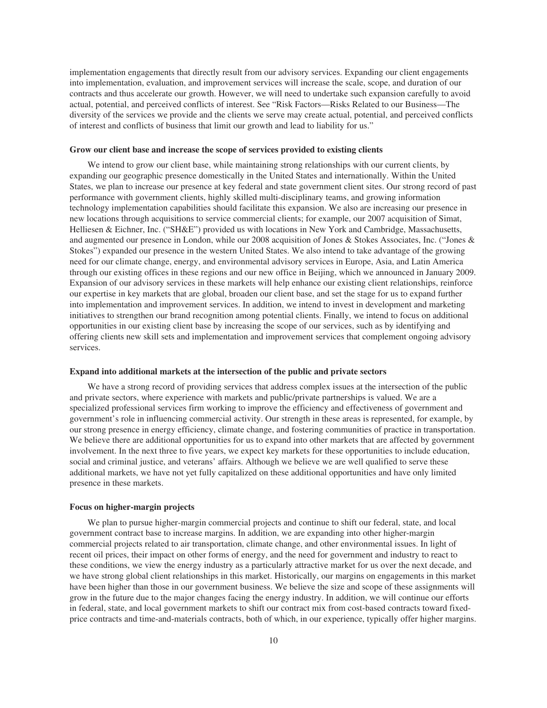implementation engagements that directly result from our advisory services. Expanding our client engagements into implementation, evaluation, and improvement services will increase the scale, scope, and duration of our contracts and thus accelerate our growth. However, we will need to undertake such expansion carefully to avoid actual, potential, and perceived conflicts of interest. See "Risk Factors—Risks Related to our Business—The diversity of the services we provide and the clients we serve may create actual, potential, and perceived conflicts of interest and conflicts of business that limit our growth and lead to liability for us."

#### **Grow our client base and increase the scope of services provided to existing clients**

We intend to grow our client base, while maintaining strong relationships with our current clients, by expanding our geographic presence domestically in the United States and internationally. Within the United States, we plan to increase our presence at key federal and state government client sites. Our strong record of past performance with government clients, highly skilled multi-disciplinary teams, and growing information technology implementation capabilities should facilitate this expansion. We also are increasing our presence in new locations through acquisitions to service commercial clients; for example, our 2007 acquisition of Simat, Helliesen & Eichner, Inc. ("SH&E") provided us with locations in New York and Cambridge, Massachusetts, and augmented our presence in London, while our 2008 acquisition of Jones & Stokes Associates, Inc. ("Jones & Stokes") expanded our presence in the western United States. We also intend to take advantage of the growing need for our climate change, energy, and environmental advisory services in Europe, Asia, and Latin America through our existing offices in these regions and our new office in Beijing, which we announced in January 2009. Expansion of our advisory services in these markets will help enhance our existing client relationships, reinforce our expertise in key markets that are global, broaden our client base, and set the stage for us to expand further into implementation and improvement services. In addition, we intend to invest in development and marketing initiatives to strengthen our brand recognition among potential clients. Finally, we intend to focus on additional opportunities in our existing client base by increasing the scope of our services, such as by identifying and offering clients new skill sets and implementation and improvement services that complement ongoing advisory services.

#### **Expand into additional markets at the intersection of the public and private sectors**

We have a strong record of providing services that address complex issues at the intersection of the public and private sectors, where experience with markets and public/private partnerships is valued. We are a specialized professional services firm working to improve the efficiency and effectiveness of government and government's role in influencing commercial activity. Our strength in these areas is represented, for example, by our strong presence in energy efficiency, climate change, and fostering communities of practice in transportation. We believe there are additional opportunities for us to expand into other markets that are affected by government involvement. In the next three to five years, we expect key markets for these opportunities to include education, social and criminal justice, and veterans' affairs. Although we believe we are well qualified to serve these additional markets, we have not yet fully capitalized on these additional opportunities and have only limited presence in these markets.

#### **Focus on higher-margin projects**

We plan to pursue higher-margin commercial projects and continue to shift our federal, state, and local government contract base to increase margins. In addition, we are expanding into other higher-margin commercial projects related to air transportation, climate change, and other environmental issues. In light of recent oil prices, their impact on other forms of energy, and the need for government and industry to react to these conditions, we view the energy industry as a particularly attractive market for us over the next decade, and we have strong global client relationships in this market. Historically, our margins on engagements in this market have been higher than those in our government business. We believe the size and scope of these assignments will grow in the future due to the major changes facing the energy industry. In addition, we will continue our efforts in federal, state, and local government markets to shift our contract mix from cost-based contracts toward fixedprice contracts and time-and-materials contracts, both of which, in our experience, typically offer higher margins.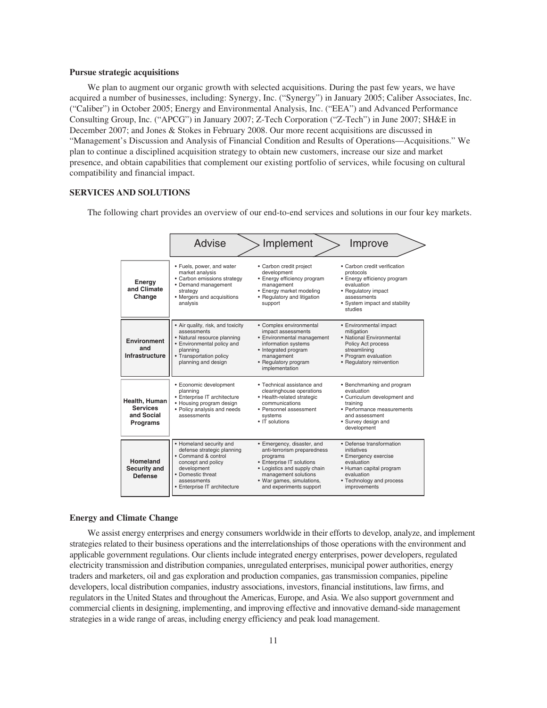#### **Pursue strategic acquisitions**

We plan to augment our organic growth with selected acquisitions. During the past few years, we have acquired a number of businesses, including: Synergy, Inc. ("Synergy") in January 2005; Caliber Associates, Inc. ("Caliber") in October 2005; Energy and Environmental Analysis, Inc. ("EEA") and Advanced Performance Consulting Group, Inc. ("APCG") in January 2007; Z-Tech Corporation ("Z-Tech") in June 2007; SH&E in December 2007; and Jones & Stokes in February 2008. Our more recent acquisitions are discussed in "Management's Discussion and Analysis of Financial Condition and Results of Operations—Acquisitions." We plan to continue a disciplined acquisition strategy to obtain new customers, increase our size and market presence, and obtain capabilities that complement our existing portfolio of services, while focusing on cultural compatibility and financial impact.

#### **SERVICES AND SOLUTIONS**

The following chart provides an overview of our end-to-end services and solutions in our four key markets.

|                                                                   | Advise                                                                                                                                                                                | Implement                                                                                                                                                                                                          | Improve                                                                                                                                                                    |
|-------------------------------------------------------------------|---------------------------------------------------------------------------------------------------------------------------------------------------------------------------------------|--------------------------------------------------------------------------------------------------------------------------------------------------------------------------------------------------------------------|----------------------------------------------------------------------------------------------------------------------------------------------------------------------------|
| Energy<br>and Climate<br>Change                                   | • Fuels, power, and water<br>market analysis<br>• Carbon emissions strategy<br>• Demand management<br>strategy<br>• Mergers and acquisitions<br>analysis                              | • Carbon credit project<br>development<br>• Energy efficiency program<br>management<br>• Energy market modeling<br>• Regulatory and litigation<br>support                                                          | • Carbon credit verification<br>protocols<br>• Energy efficiency program<br>evaluation<br>• Requlatory impact<br>assessments<br>• System impact and stability<br>studies   |
| <b>Environment</b><br>and<br>Infrastructure                       | • Air quality, risk, and toxicity<br>assessments<br>• Natural resource planning<br>• Environmental policy and<br>planning<br>• Transportation policy<br>planning and design           | • Complex environmental<br>impact assessments<br>· Environmental management<br>information systems<br>• Integrated program<br>management<br>• Regulatory program<br>implementation                                 | • Environmental impact<br>mitigation<br>• National Environmental<br>Policy Act process<br>streamlining<br>• Program evaluation<br>• Regulatory reinvention                 |
| Health, Human<br><b>Services</b><br>and Social<br><b>Programs</b> | • Economic development<br>planning<br>• Enterprise IT architecture<br>• Housing program design<br>• Policy analysis and needs<br>assessments                                          | • Technical assistance and<br>clearinghouse operations<br>• Health-related strategic<br>communications<br>• Personnel assessment<br>systems<br>• IT solutions                                                      | • Benchmarking and program<br>evaluation<br>• Curriculum development and<br>training<br>• Performance measurements<br>and assessment<br>• Survey design and<br>development |
| Homeland<br>Security and<br><b>Defense</b>                        | • Homeland security and<br>defense strategic planning<br>• Command & control<br>concept and policy<br>development<br>• Domestic threat<br>assessments<br>• Enterprise IT architecture | • Emergency, disaster, and<br>anti-terrorism preparedness<br>programs<br>• Enterprise IT solutions<br>• Logistics and supply chain<br>management solutions<br>• War games, simulations,<br>and experiments support | • Defense transformation<br>initiatives<br>• Emergency exercise<br>evaluation<br>• Human capital program<br>evaluation<br>• Technology and process<br>improvements         |

#### **Energy and Climate Change**

We assist energy enterprises and energy consumers worldwide in their efforts to develop, analyze, and implement strategies related to their business operations and the interrelationships of those operations with the environment and applicable government regulations. Our clients include integrated energy enterprises, power developers, regulated electricity transmission and distribution companies, unregulated enterprises, municipal power authorities, energy traders and marketers, oil and gas exploration and production companies, gas transmission companies, pipeline developers, local distribution companies, industry associations, investors, financial institutions, law firms, and regulators in the United States and throughout the Americas, Europe, and Asia. We also support government and commercial clients in designing, implementing, and improving effective and innovative demand-side management strategies in a wide range of areas, including energy efficiency and peak load management.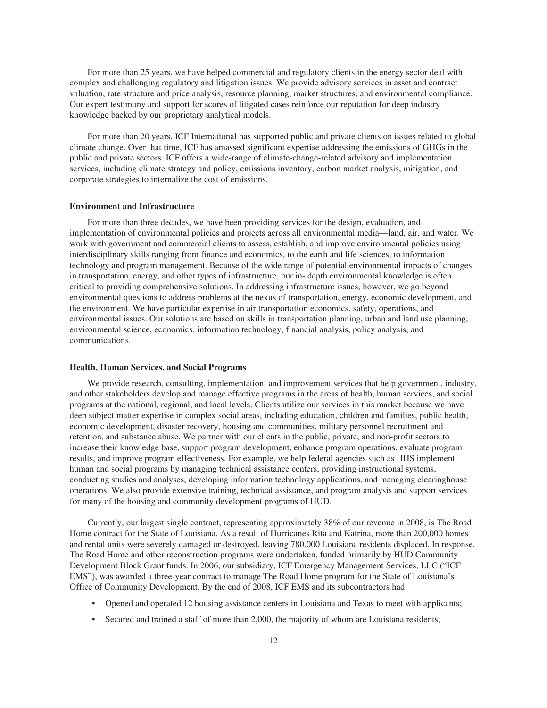For more than 25 years, we have helped commercial and regulatory clients in the energy sector deal with complex and challenging regulatory and litigation issues. We provide advisory services in asset and contract valuation, rate structure and price analysis, resource planning, market structures, and environmental compliance. Our expert testimony and support for scores of litigated cases reinforce our reputation for deep industry knowledge backed by our proprietary analytical models.

For more than 20 years, ICF International has supported public and private clients on issues related to global climate change. Over that time, ICF has amassed significant expertise addressing the emissions of GHGs in the public and private sectors. ICF offers a wide-range of climate-change-related advisory and implementation services, including climate strategy and policy, emissions inventory, carbon market analysis, mitigation, and corporate strategies to internalize the cost of emissions.

#### **Environment and Infrastructure**

For more than three decades, we have been providing services for the design, evaluation, and implementation of environmental policies and projects across all environmental media—land, air, and water. We work with government and commercial clients to assess, establish, and improve environmental policies using interdisciplinary skills ranging from finance and economics, to the earth and life sciences, to information technology and program management. Because of the wide range of potential environmental impacts of changes in transportation, energy, and other types of infrastructure, our in- depth environmental knowledge is often critical to providing comprehensive solutions. In addressing infrastructure issues, however, we go beyond environmental questions to address problems at the nexus of transportation, energy, economic development, and the environment. We have particular expertise in air transportation economics, safety, operations, and environmental issues. Our solutions are based on skills in transportation planning, urban and land use planning, environmental science, economics, information technology, financial analysis, policy analysis, and communications.

#### **Health, Human Services, and Social Programs**

We provide research, consulting, implementation, and improvement services that help government, industry, and other stakeholders develop and manage effective programs in the areas of health, human services, and social programs at the national, regional, and local levels. Clients utilize our services in this market because we have deep subject matter expertise in complex social areas, including education, children and families, public health, economic development, disaster recovery, housing and communities, military personnel recruitment and retention, and substance abuse. We partner with our clients in the public, private, and non-profit sectors to increase their knowledge base, support program development, enhance program operations, evaluate program results, and improve program effectiveness. For example, we help federal agencies such as HHS implement human and social programs by managing technical assistance centers, providing instructional systems, conducting studies and analyses, developing information technology applications, and managing clearinghouse operations. We also provide extensive training, technical assistance, and program analysis and support services for many of the housing and community development programs of HUD.

Currently, our largest single contract, representing approximately 38% of our revenue in 2008, is The Road Home contract for the State of Louisiana. As a result of Hurricanes Rita and Katrina, more than 200,000 homes and rental units were severely damaged or destroyed, leaving 780,000 Louisiana residents displaced. In response, The Road Home and other reconstruction programs were undertaken, funded primarily by HUD Community Development Block Grant funds. In 2006, our subsidiary, ICF Emergency Management Services, LLC ("ICF EMS"), was awarded a three-year contract to manage The Road Home program for the State of Louisiana's Office of Community Development. By the end of 2008, ICF EMS and its subcontractors had:

- Opened and operated 12 housing assistance centers in Louisiana and Texas to meet with applicants;
- Secured and trained a staff of more than 2,000, the majority of whom are Louisiana residents;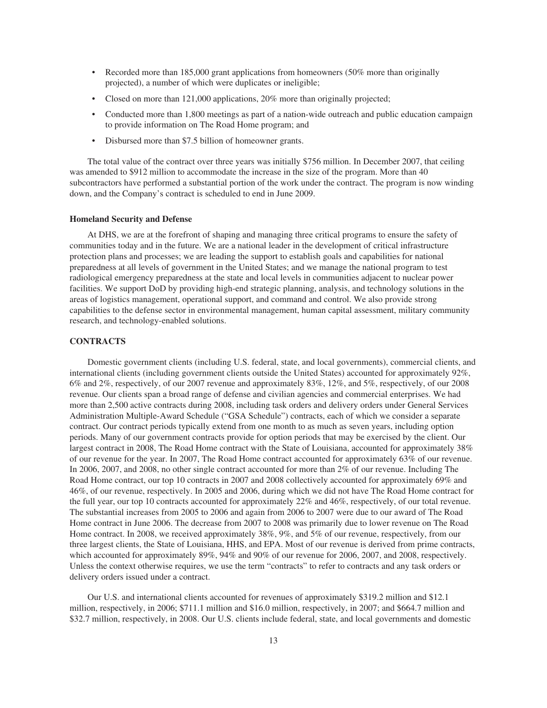- Recorded more than 185,000 grant applications from homeowners (50% more than originally projected), a number of which were duplicates or ineligible;
- Closed on more than 121,000 applications, 20% more than originally projected;
- Conducted more than 1,800 meetings as part of a nation-wide outreach and public education campaign to provide information on The Road Home program; and
- Disbursed more than \$7.5 billion of homeowner grants.

The total value of the contract over three years was initially \$756 million. In December 2007, that ceiling was amended to \$912 million to accommodate the increase in the size of the program. More than 40 subcontractors have performed a substantial portion of the work under the contract. The program is now winding down, and the Company's contract is scheduled to end in June 2009.

#### **Homeland Security and Defense**

At DHS, we are at the forefront of shaping and managing three critical programs to ensure the safety of communities today and in the future. We are a national leader in the development of critical infrastructure protection plans and processes; we are leading the support to establish goals and capabilities for national preparedness at all levels of government in the United States; and we manage the national program to test radiological emergency preparedness at the state and local levels in communities adjacent to nuclear power facilities. We support DoD by providing high-end strategic planning, analysis, and technology solutions in the areas of logistics management, operational support, and command and control. We also provide strong capabilities to the defense sector in environmental management, human capital assessment, military community research, and technology-enabled solutions.

#### **CONTRACTS**

Domestic government clients (including U.S. federal, state, and local governments), commercial clients, and international clients (including government clients outside the United States) accounted for approximately 92%, 6% and 2%, respectively, of our 2007 revenue and approximately 83%, 12%, and 5%, respectively, of our 2008 revenue. Our clients span a broad range of defense and civilian agencies and commercial enterprises. We had more than 2,500 active contracts during 2008, including task orders and delivery orders under General Services Administration Multiple-Award Schedule ("GSA Schedule") contracts, each of which we consider a separate contract. Our contract periods typically extend from one month to as much as seven years, including option periods. Many of our government contracts provide for option periods that may be exercised by the client. Our largest contract in 2008, The Road Home contract with the State of Louisiana, accounted for approximately 38% of our revenue for the year. In 2007, The Road Home contract accounted for approximately 63% of our revenue. In 2006, 2007, and 2008, no other single contract accounted for more than 2% of our revenue. Including The Road Home contract, our top 10 contracts in 2007 and 2008 collectively accounted for approximately 69% and 46%, of our revenue, respectively. In 2005 and 2006, during which we did not have The Road Home contract for the full year, our top 10 contracts accounted for approximately 22% and 46%, respectively, of our total revenue. The substantial increases from 2005 to 2006 and again from 2006 to 2007 were due to our award of The Road Home contract in June 2006. The decrease from 2007 to 2008 was primarily due to lower revenue on The Road Home contract. In 2008, we received approximately 38%, 9%, and 5% of our revenue, respectively, from our three largest clients, the State of Louisiana, HHS, and EPA. Most of our revenue is derived from prime contracts, which accounted for approximately 89%, 94% and 90% of our revenue for 2006, 2007, and 2008, respectively. Unless the context otherwise requires, we use the term "contracts" to refer to contracts and any task orders or delivery orders issued under a contract.

Our U.S. and international clients accounted for revenues of approximately \$319.2 million and \$12.1 million, respectively, in 2006; \$711.1 million and \$16.0 million, respectively, in 2007; and \$664.7 million and \$32.7 million, respectively, in 2008. Our U.S. clients include federal, state, and local governments and domestic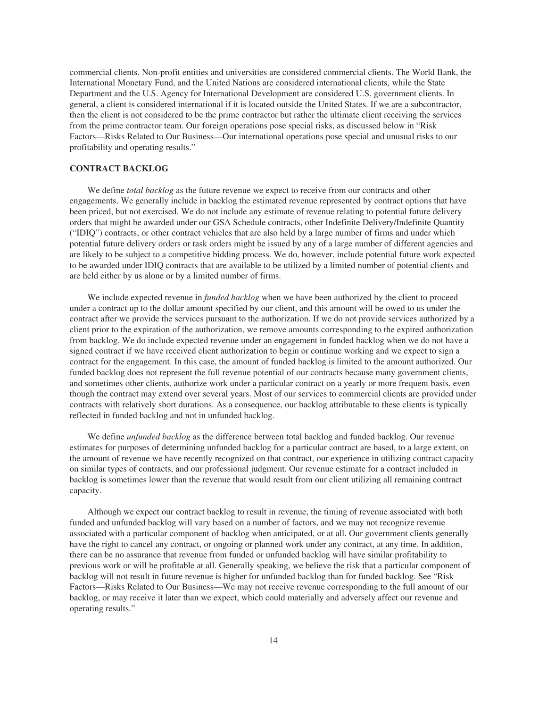commercial clients. Non-profit entities and universities are considered commercial clients. The World Bank, the International Monetary Fund, and the United Nations are considered international clients, while the State Department and the U.S. Agency for International Development are considered U.S. government clients. In general, a client is considered international if it is located outside the United States. If we are a subcontractor, then the client is not considered to be the prime contractor but rather the ultimate client receiving the services from the prime contractor team. Our foreign operations pose special risks, as discussed below in "Risk Factors—Risks Related to Our Business—Our international operations pose special and unusual risks to our profitability and operating results."

## **CONTRACT BACKLOG**

We define *total backlog* as the future revenue we expect to receive from our contracts and other engagements. We generally include in backlog the estimated revenue represented by contract options that have been priced, but not exercised. We do not include any estimate of revenue relating to potential future delivery orders that might be awarded under our GSA Schedule contracts, other Indefinite Delivery/Indefinite Quantity ("IDIQ") contracts, or other contract vehicles that are also held by a large number of firms and under which potential future delivery orders or task orders might be issued by any of a large number of different agencies and are likely to be subject to a competitive bidding process. We do, however, include potential future work expected to be awarded under IDIQ contracts that are available to be utilized by a limited number of potential clients and are held either by us alone or by a limited number of firms.

We include expected revenue in *funded backlog* when we have been authorized by the client to proceed under a contract up to the dollar amount specified by our client, and this amount will be owed to us under the contract after we provide the services pursuant to the authorization. If we do not provide services authorized by a client prior to the expiration of the authorization, we remove amounts corresponding to the expired authorization from backlog. We do include expected revenue under an engagement in funded backlog when we do not have a signed contract if we have received client authorization to begin or continue working and we expect to sign a contract for the engagement. In this case, the amount of funded backlog is limited to the amount authorized. Our funded backlog does not represent the full revenue potential of our contracts because many government clients, and sometimes other clients, authorize work under a particular contract on a yearly or more frequent basis, even though the contract may extend over several years. Most of our services to commercial clients are provided under contracts with relatively short durations. As a consequence, our backlog attributable to these clients is typically reflected in funded backlog and not in unfunded backlog.

We define *unfunded backlog* as the difference between total backlog and funded backlog. Our revenue estimates for purposes of determining unfunded backlog for a particular contract are based, to a large extent, on the amount of revenue we have recently recognized on that contract, our experience in utilizing contract capacity on similar types of contracts, and our professional judgment. Our revenue estimate for a contract included in backlog is sometimes lower than the revenue that would result from our client utilizing all remaining contract capacity.

Although we expect our contract backlog to result in revenue, the timing of revenue associated with both funded and unfunded backlog will vary based on a number of factors, and we may not recognize revenue associated with a particular component of backlog when anticipated, or at all. Our government clients generally have the right to cancel any contract, or ongoing or planned work under any contract, at any time. In addition, there can be no assurance that revenue from funded or unfunded backlog will have similar profitability to previous work or will be profitable at all. Generally speaking, we believe the risk that a particular component of backlog will not result in future revenue is higher for unfunded backlog than for funded backlog. See "Risk Factors—Risks Related to Our Business—We may not receive revenue corresponding to the full amount of our backlog, or may receive it later than we expect, which could materially and adversely affect our revenue and operating results."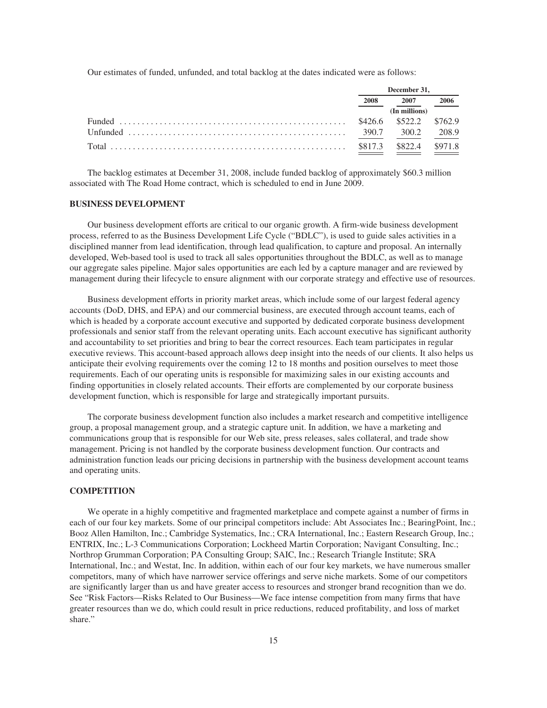Our estimates of funded, unfunded, and total backlog at the dates indicated were as follows:

| December 31. |                         |      |
|--------------|-------------------------|------|
| 2008         | 2007                    | 2006 |
|              | (In millions)           |      |
|              | \$426.6 \$522.2 \$762.9 |      |
|              | 390.7 300.2 208.9       |      |
|              | \$822.4 \$971.8         |      |

The backlog estimates at December 31, 2008, include funded backlog of approximately \$60.3 million associated with The Road Home contract, which is scheduled to end in June 2009.

#### **BUSINESS DEVELOPMENT**

Our business development efforts are critical to our organic growth. A firm-wide business development process, referred to as the Business Development Life Cycle ("BDLC"), is used to guide sales activities in a disciplined manner from lead identification, through lead qualification, to capture and proposal. An internally developed, Web-based tool is used to track all sales opportunities throughout the BDLC, as well as to manage our aggregate sales pipeline. Major sales opportunities are each led by a capture manager and are reviewed by management during their lifecycle to ensure alignment with our corporate strategy and effective use of resources.

Business development efforts in priority market areas, which include some of our largest federal agency accounts (DoD, DHS, and EPA) and our commercial business, are executed through account teams, each of which is headed by a corporate account executive and supported by dedicated corporate business development professionals and senior staff from the relevant operating units. Each account executive has significant authority and accountability to set priorities and bring to bear the correct resources. Each team participates in regular executive reviews. This account-based approach allows deep insight into the needs of our clients. It also helps us anticipate their evolving requirements over the coming 12 to 18 months and position ourselves to meet those requirements. Each of our operating units is responsible for maximizing sales in our existing accounts and finding opportunities in closely related accounts. Their efforts are complemented by our corporate business development function, which is responsible for large and strategically important pursuits.

The corporate business development function also includes a market research and competitive intelligence group, a proposal management group, and a strategic capture unit. In addition, we have a marketing and communications group that is responsible for our Web site, press releases, sales collateral, and trade show management. Pricing is not handled by the corporate business development function. Our contracts and administration function leads our pricing decisions in partnership with the business development account teams and operating units.

## **COMPETITION**

We operate in a highly competitive and fragmented marketplace and compete against a number of firms in each of our four key markets. Some of our principal competitors include: Abt Associates Inc.; BearingPoint, Inc.; Booz Allen Hamilton, Inc.; Cambridge Systematics, Inc.; CRA International, Inc.; Eastern Research Group, Inc.; ENTRIX, Inc.; L-3 Communications Corporation; Lockheed Martin Corporation; Navigant Consulting, Inc.; Northrop Grumman Corporation; PA Consulting Group; SAIC, Inc.; Research Triangle Institute; SRA International, Inc.; and Westat, Inc. In addition, within each of our four key markets, we have numerous smaller competitors, many of which have narrower service offerings and serve niche markets. Some of our competitors are significantly larger than us and have greater access to resources and stronger brand recognition than we do. See "Risk Factors—Risks Related to Our Business—We face intense competition from many firms that have greater resources than we do, which could result in price reductions, reduced profitability, and loss of market share."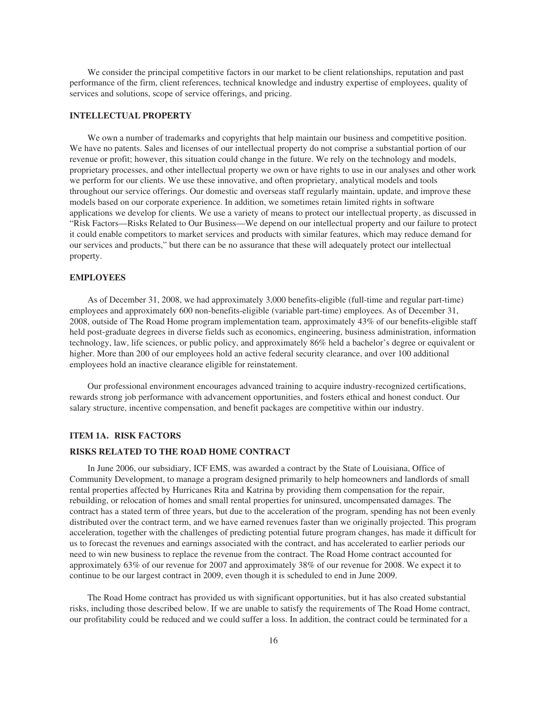We consider the principal competitive factors in our market to be client relationships, reputation and past performance of the firm, client references, technical knowledge and industry expertise of employees, quality of services and solutions, scope of service offerings, and pricing.

## **INTELLECTUAL PROPERTY**

We own a number of trademarks and copyrights that help maintain our business and competitive position. We have no patents. Sales and licenses of our intellectual property do not comprise a substantial portion of our revenue or profit; however, this situation could change in the future. We rely on the technology and models, proprietary processes, and other intellectual property we own or have rights to use in our analyses and other work we perform for our clients. We use these innovative, and often proprietary, analytical models and tools throughout our service offerings. Our domestic and overseas staff regularly maintain, update, and improve these models based on our corporate experience. In addition, we sometimes retain limited rights in software applications we develop for clients. We use a variety of means to protect our intellectual property, as discussed in "Risk Factors—Risks Related to Our Business—We depend on our intellectual property and our failure to protect it could enable competitors to market services and products with similar features, which may reduce demand for our services and products," but there can be no assurance that these will adequately protect our intellectual property.

#### **EMPLOYEES**

As of December 31, 2008, we had approximately 3,000 benefits-eligible (full-time and regular part-time) employees and approximately 600 non-benefits-eligible (variable part-time) employees. As of December 31, 2008, outside of The Road Home program implementation team, approximately 43% of our benefits-eligible staff held post-graduate degrees in diverse fields such as economics, engineering, business administration, information technology, law, life sciences, or public policy, and approximately 86% held a bachelor's degree or equivalent or higher. More than 200 of our employees hold an active federal security clearance, and over 100 additional employees hold an inactive clearance eligible for reinstatement.

Our professional environment encourages advanced training to acquire industry-recognized certifications, rewards strong job performance with advancement opportunities, and fosters ethical and honest conduct. Our salary structure, incentive compensation, and benefit packages are competitive within our industry.

#### **ITEM 1A. RISK FACTORS**

#### **RISKS RELATED TO THE ROAD HOME CONTRACT**

In June 2006, our subsidiary, ICF EMS, was awarded a contract by the State of Louisiana, Office of Community Development, to manage a program designed primarily to help homeowners and landlords of small rental properties affected by Hurricanes Rita and Katrina by providing them compensation for the repair, rebuilding, or relocation of homes and small rental properties for uninsured, uncompensated damages. The contract has a stated term of three years, but due to the acceleration of the program, spending has not been evenly distributed over the contract term, and we have earned revenues faster than we originally projected. This program acceleration, together with the challenges of predicting potential future program changes, has made it difficult for us to forecast the revenues and earnings associated with the contract, and has accelerated to earlier periods our need to win new business to replace the revenue from the contract. The Road Home contract accounted for approximately 63% of our revenue for 2007 and approximately 38% of our revenue for 2008. We expect it to continue to be our largest contract in 2009, even though it is scheduled to end in June 2009.

The Road Home contract has provided us with significant opportunities, but it has also created substantial risks, including those described below. If we are unable to satisfy the requirements of The Road Home contract, our profitability could be reduced and we could suffer a loss. In addition, the contract could be terminated for a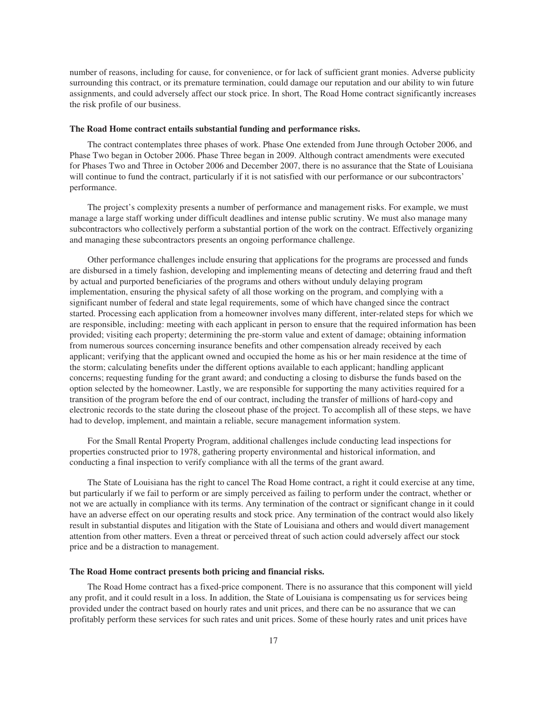number of reasons, including for cause, for convenience, or for lack of sufficient grant monies. Adverse publicity surrounding this contract, or its premature termination, could damage our reputation and our ability to win future assignments, and could adversely affect our stock price. In short, The Road Home contract significantly increases the risk profile of our business.

#### **The Road Home contract entails substantial funding and performance risks.**

The contract contemplates three phases of work. Phase One extended from June through October 2006, and Phase Two began in October 2006. Phase Three began in 2009. Although contract amendments were executed for Phases Two and Three in October 2006 and December 2007, there is no assurance that the State of Louisiana will continue to fund the contract, particularly if it is not satisfied with our performance or our subcontractors' performance.

The project's complexity presents a number of performance and management risks. For example, we must manage a large staff working under difficult deadlines and intense public scrutiny. We must also manage many subcontractors who collectively perform a substantial portion of the work on the contract. Effectively organizing and managing these subcontractors presents an ongoing performance challenge.

Other performance challenges include ensuring that applications for the programs are processed and funds are disbursed in a timely fashion, developing and implementing means of detecting and deterring fraud and theft by actual and purported beneficiaries of the programs and others without unduly delaying program implementation, ensuring the physical safety of all those working on the program, and complying with a significant number of federal and state legal requirements, some of which have changed since the contract started. Processing each application from a homeowner involves many different, inter-related steps for which we are responsible, including: meeting with each applicant in person to ensure that the required information has been provided; visiting each property; determining the pre-storm value and extent of damage; obtaining information from numerous sources concerning insurance benefits and other compensation already received by each applicant; verifying that the applicant owned and occupied the home as his or her main residence at the time of the storm; calculating benefits under the different options available to each applicant; handling applicant concerns; requesting funding for the grant award; and conducting a closing to disburse the funds based on the option selected by the homeowner. Lastly, we are responsible for supporting the many activities required for a transition of the program before the end of our contract, including the transfer of millions of hard-copy and electronic records to the state during the closeout phase of the project. To accomplish all of these steps, we have had to develop, implement, and maintain a reliable, secure management information system.

For the Small Rental Property Program, additional challenges include conducting lead inspections for properties constructed prior to 1978, gathering property environmental and historical information, and conducting a final inspection to verify compliance with all the terms of the grant award.

The State of Louisiana has the right to cancel The Road Home contract, a right it could exercise at any time, but particularly if we fail to perform or are simply perceived as failing to perform under the contract, whether or not we are actually in compliance with its terms. Any termination of the contract or significant change in it could have an adverse effect on our operating results and stock price. Any termination of the contract would also likely result in substantial disputes and litigation with the State of Louisiana and others and would divert management attention from other matters. Even a threat or perceived threat of such action could adversely affect our stock price and be a distraction to management.

#### **The Road Home contract presents both pricing and financial risks.**

The Road Home contract has a fixed-price component. There is no assurance that this component will yield any profit, and it could result in a loss. In addition, the State of Louisiana is compensating us for services being provided under the contract based on hourly rates and unit prices, and there can be no assurance that we can profitably perform these services for such rates and unit prices. Some of these hourly rates and unit prices have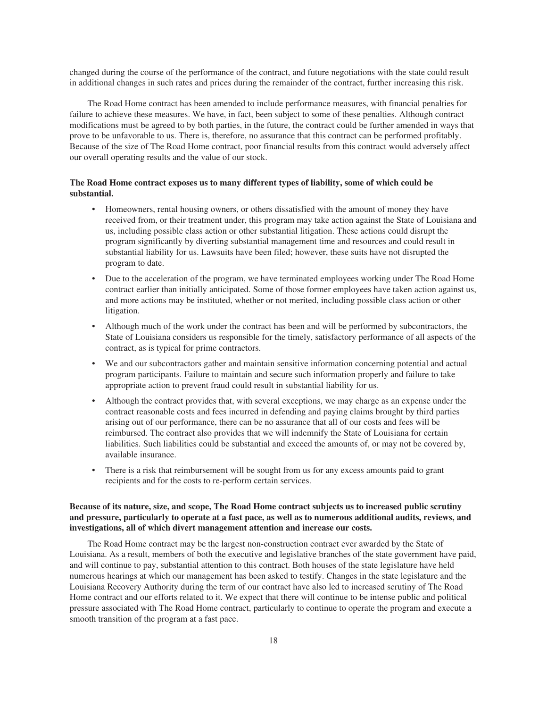changed during the course of the performance of the contract, and future negotiations with the state could result in additional changes in such rates and prices during the remainder of the contract, further increasing this risk.

The Road Home contract has been amended to include performance measures, with financial penalties for failure to achieve these measures. We have, in fact, been subject to some of these penalties. Although contract modifications must be agreed to by both parties, in the future, the contract could be further amended in ways that prove to be unfavorable to us. There is, therefore, no assurance that this contract can be performed profitably. Because of the size of The Road Home contract, poor financial results from this contract would adversely affect our overall operating results and the value of our stock.

## **The Road Home contract exposes us to many different types of liability, some of which could be substantial.**

- Homeowners, rental housing owners, or others dissatisfied with the amount of money they have received from, or their treatment under, this program may take action against the State of Louisiana and us, including possible class action or other substantial litigation. These actions could disrupt the program significantly by diverting substantial management time and resources and could result in substantial liability for us. Lawsuits have been filed; however, these suits have not disrupted the program to date.
- Due to the acceleration of the program, we have terminated employees working under The Road Home contract earlier than initially anticipated. Some of those former employees have taken action against us, and more actions may be instituted, whether or not merited, including possible class action or other litigation.
- Although much of the work under the contract has been and will be performed by subcontractors, the State of Louisiana considers us responsible for the timely, satisfactory performance of all aspects of the contract, as is typical for prime contractors.
- We and our subcontractors gather and maintain sensitive information concerning potential and actual program participants. Failure to maintain and secure such information properly and failure to take appropriate action to prevent fraud could result in substantial liability for us.
- Although the contract provides that, with several exceptions, we may charge as an expense under the contract reasonable costs and fees incurred in defending and paying claims brought by third parties arising out of our performance, there can be no assurance that all of our costs and fees will be reimbursed. The contract also provides that we will indemnify the State of Louisiana for certain liabilities. Such liabilities could be substantial and exceed the amounts of, or may not be covered by, available insurance.
- There is a risk that reimbursement will be sought from us for any excess amounts paid to grant recipients and for the costs to re-perform certain services.

## **Because of its nature, size, and scope, The Road Home contract subjects us to increased public scrutiny and pressure, particularly to operate at a fast pace, as well as to numerous additional audits, reviews, and investigations, all of which divert management attention and increase our costs.**

The Road Home contract may be the largest non-construction contract ever awarded by the State of Louisiana. As a result, members of both the executive and legislative branches of the state government have paid, and will continue to pay, substantial attention to this contract. Both houses of the state legislature have held numerous hearings at which our management has been asked to testify. Changes in the state legislature and the Louisiana Recovery Authority during the term of our contract have also led to increased scrutiny of The Road Home contract and our efforts related to it. We expect that there will continue to be intense public and political pressure associated with The Road Home contract, particularly to continue to operate the program and execute a smooth transition of the program at a fast pace.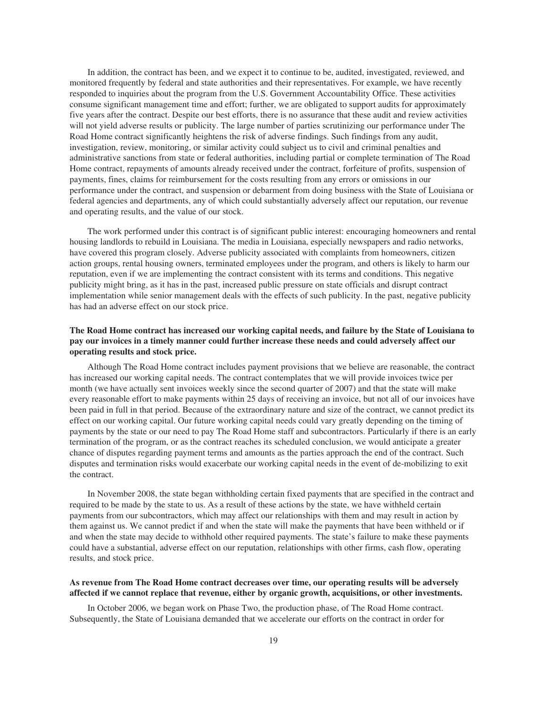In addition, the contract has been, and we expect it to continue to be, audited, investigated, reviewed, and monitored frequently by federal and state authorities and their representatives. For example, we have recently responded to inquiries about the program from the U.S. Government Accountability Office. These activities consume significant management time and effort; further, we are obligated to support audits for approximately five years after the contract. Despite our best efforts, there is no assurance that these audit and review activities will not yield adverse results or publicity. The large number of parties scrutinizing our performance under The Road Home contract significantly heightens the risk of adverse findings. Such findings from any audit, investigation, review, monitoring, or similar activity could subject us to civil and criminal penalties and administrative sanctions from state or federal authorities, including partial or complete termination of The Road Home contract, repayments of amounts already received under the contract, forfeiture of profits, suspension of payments, fines, claims for reimbursement for the costs resulting from any errors or omissions in our performance under the contract, and suspension or debarment from doing business with the State of Louisiana or federal agencies and departments, any of which could substantially adversely affect our reputation, our revenue and operating results, and the value of our stock.

The work performed under this contract is of significant public interest: encouraging homeowners and rental housing landlords to rebuild in Louisiana. The media in Louisiana, especially newspapers and radio networks, have covered this program closely. Adverse publicity associated with complaints from homeowners, citizen action groups, rental housing owners, terminated employees under the program, and others is likely to harm our reputation, even if we are implementing the contract consistent with its terms and conditions. This negative publicity might bring, as it has in the past, increased public pressure on state officials and disrupt contract implementation while senior management deals with the effects of such publicity. In the past, negative publicity has had an adverse effect on our stock price.

## **The Road Home contract has increased our working capital needs, and failure by the State of Louisiana to pay our invoices in a timely manner could further increase these needs and could adversely affect our operating results and stock price.**

Although The Road Home contract includes payment provisions that we believe are reasonable, the contract has increased our working capital needs. The contract contemplates that we will provide invoices twice per month (we have actually sent invoices weekly since the second quarter of 2007) and that the state will make every reasonable effort to make payments within 25 days of receiving an invoice, but not all of our invoices have been paid in full in that period. Because of the extraordinary nature and size of the contract, we cannot predict its effect on our working capital. Our future working capital needs could vary greatly depending on the timing of payments by the state or our need to pay The Road Home staff and subcontractors. Particularly if there is an early termination of the program, or as the contract reaches its scheduled conclusion, we would anticipate a greater chance of disputes regarding payment terms and amounts as the parties approach the end of the contract. Such disputes and termination risks would exacerbate our working capital needs in the event of de-mobilizing to exit the contract.

In November 2008, the state began withholding certain fixed payments that are specified in the contract and required to be made by the state to us. As a result of these actions by the state, we have withheld certain payments from our subcontractors, which may affect our relationships with them and may result in action by them against us. We cannot predict if and when the state will make the payments that have been withheld or if and when the state may decide to withhold other required payments. The state's failure to make these payments could have a substantial, adverse effect on our reputation, relationships with other firms, cash flow, operating results, and stock price.

## **As revenue from The Road Home contract decreases over time, our operating results will be adversely affected if we cannot replace that revenue, either by organic growth, acquisitions, or other investments.**

In October 2006, we began work on Phase Two, the production phase, of The Road Home contract. Subsequently, the State of Louisiana demanded that we accelerate our efforts on the contract in order for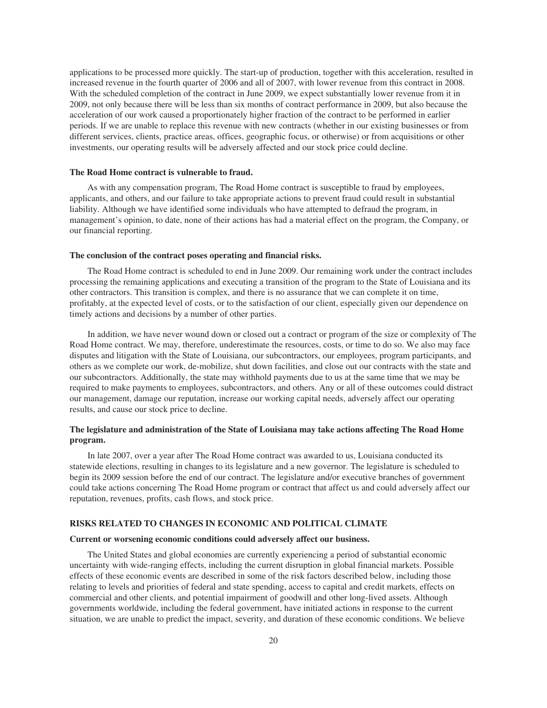applications to be processed more quickly. The start-up of production, together with this acceleration, resulted in increased revenue in the fourth quarter of 2006 and all of 2007, with lower revenue from this contract in 2008. With the scheduled completion of the contract in June 2009, we expect substantially lower revenue from it in 2009, not only because there will be less than six months of contract performance in 2009, but also because the acceleration of our work caused a proportionately higher fraction of the contract to be performed in earlier periods. If we are unable to replace this revenue with new contracts (whether in our existing businesses or from different services, clients, practice areas, offices, geographic focus, or otherwise) or from acquisitions or other investments, our operating results will be adversely affected and our stock price could decline.

#### **The Road Home contract is vulnerable to fraud.**

As with any compensation program, The Road Home contract is susceptible to fraud by employees, applicants, and others, and our failure to take appropriate actions to prevent fraud could result in substantial liability. Although we have identified some individuals who have attempted to defraud the program, in management's opinion, to date, none of their actions has had a material effect on the program, the Company, or our financial reporting.

#### **The conclusion of the contract poses operating and financial risks.**

The Road Home contract is scheduled to end in June 2009. Our remaining work under the contract includes processing the remaining applications and executing a transition of the program to the State of Louisiana and its other contractors. This transition is complex, and there is no assurance that we can complete it on time, profitably, at the expected level of costs, or to the satisfaction of our client, especially given our dependence on timely actions and decisions by a number of other parties.

In addition, we have never wound down or closed out a contract or program of the size or complexity of The Road Home contract. We may, therefore, underestimate the resources, costs, or time to do so. We also may face disputes and litigation with the State of Louisiana, our subcontractors, our employees, program participants, and others as we complete our work, de-mobilize, shut down facilities, and close out our contracts with the state and our subcontractors. Additionally, the state may withhold payments due to us at the same time that we may be required to make payments to employees, subcontractors, and others. Any or all of these outcomes could distract our management, damage our reputation, increase our working capital needs, adversely affect our operating results, and cause our stock price to decline.

## **The legislature and administration of the State of Louisiana may take actions affecting The Road Home program.**

In late 2007, over a year after The Road Home contract was awarded to us, Louisiana conducted its statewide elections, resulting in changes to its legislature and a new governor. The legislature is scheduled to begin its 2009 session before the end of our contract. The legislature and/or executive branches of government could take actions concerning The Road Home program or contract that affect us and could adversely affect our reputation, revenues, profits, cash flows, and stock price.

#### **RISKS RELATED TO CHANGES IN ECONOMIC AND POLITICAL CLIMATE**

#### **Current or worsening economic conditions could adversely affect our business.**

The United States and global economies are currently experiencing a period of substantial economic uncertainty with wide-ranging effects, including the current disruption in global financial markets. Possible effects of these economic events are described in some of the risk factors described below, including those relating to levels and priorities of federal and state spending, access to capital and credit markets, effects on commercial and other clients, and potential impairment of goodwill and other long-lived assets. Although governments worldwide, including the federal government, have initiated actions in response to the current situation, we are unable to predict the impact, severity, and duration of these economic conditions. We believe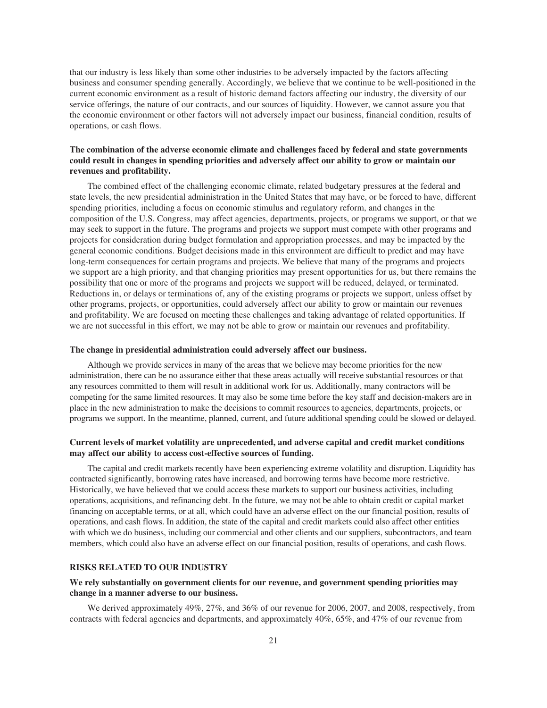that our industry is less likely than some other industries to be adversely impacted by the factors affecting business and consumer spending generally. Accordingly, we believe that we continue to be well-positioned in the current economic environment as a result of historic demand factors affecting our industry, the diversity of our service offerings, the nature of our contracts, and our sources of liquidity. However, we cannot assure you that the economic environment or other factors will not adversely impact our business, financial condition, results of operations, or cash flows.

## **The combination of the adverse economic climate and challenges faced by federal and state governments could result in changes in spending priorities and adversely affect our ability to grow or maintain our revenues and profitability.**

The combined effect of the challenging economic climate, related budgetary pressures at the federal and state levels, the new presidential administration in the United States that may have, or be forced to have, different spending priorities, including a focus on economic stimulus and regulatory reform, and changes in the composition of the U.S. Congress, may affect agencies, departments, projects, or programs we support, or that we may seek to support in the future. The programs and projects we support must compete with other programs and projects for consideration during budget formulation and appropriation processes, and may be impacted by the general economic conditions. Budget decisions made in this environment are difficult to predict and may have long-term consequences for certain programs and projects. We believe that many of the programs and projects we support are a high priority, and that changing priorities may present opportunities for us, but there remains the possibility that one or more of the programs and projects we support will be reduced, delayed, or terminated. Reductions in, or delays or terminations of, any of the existing programs or projects we support, unless offset by other programs, projects, or opportunities, could adversely affect our ability to grow or maintain our revenues and profitability. We are focused on meeting these challenges and taking advantage of related opportunities. If we are not successful in this effort, we may not be able to grow or maintain our revenues and profitability.

#### **The change in presidential administration could adversely affect our business.**

Although we provide services in many of the areas that we believe may become priorities for the new administration, there can be no assurance either that these areas actually will receive substantial resources or that any resources committed to them will result in additional work for us. Additionally, many contractors will be competing for the same limited resources. It may also be some time before the key staff and decision-makers are in place in the new administration to make the decisions to commit resources to agencies, departments, projects, or programs we support. In the meantime, planned, current, and future additional spending could be slowed or delayed.

## **Current levels of market volatility are unprecedented, and adverse capital and credit market conditions may affect our ability to access cost-effective sources of funding.**

The capital and credit markets recently have been experiencing extreme volatility and disruption. Liquidity has contracted significantly, borrowing rates have increased, and borrowing terms have become more restrictive. Historically, we have believed that we could access these markets to support our business activities, including operations, acquisitions, and refinancing debt. In the future, we may not be able to obtain credit or capital market financing on acceptable terms, or at all, which could have an adverse effect on the our financial position, results of operations, and cash flows. In addition, the state of the capital and credit markets could also affect other entities with which we do business, including our commercial and other clients and our suppliers, subcontractors, and team members, which could also have an adverse effect on our financial position, results of operations, and cash flows.

#### **RISKS RELATED TO OUR INDUSTRY**

## **We rely substantially on government clients for our revenue, and government spending priorities may change in a manner adverse to our business.**

We derived approximately  $49\%, 27\%,$  and  $36\%$  of our revenue for 2006, 2007, and 2008, respectively, from contracts with federal agencies and departments, and approximately 40%, 65%, and 47% of our revenue from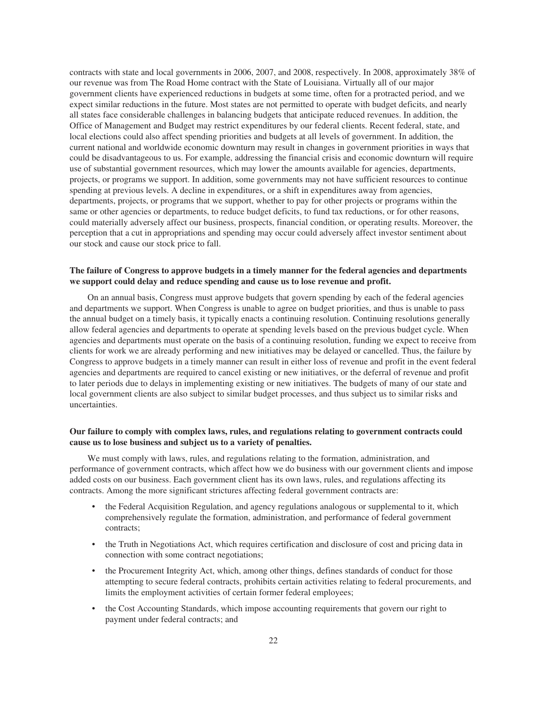contracts with state and local governments in 2006, 2007, and 2008, respectively. In 2008, approximately 38% of our revenue was from The Road Home contract with the State of Louisiana. Virtually all of our major government clients have experienced reductions in budgets at some time, often for a protracted period, and we expect similar reductions in the future. Most states are not permitted to operate with budget deficits, and nearly all states face considerable challenges in balancing budgets that anticipate reduced revenues. In addition, the Office of Management and Budget may restrict expenditures by our federal clients. Recent federal, state, and local elections could also affect spending priorities and budgets at all levels of government. In addition, the current national and worldwide economic downturn may result in changes in government priorities in ways that could be disadvantageous to us. For example, addressing the financial crisis and economic downturn will require use of substantial government resources, which may lower the amounts available for agencies, departments, projects, or programs we support. In addition, some governments may not have sufficient resources to continue spending at previous levels. A decline in expenditures, or a shift in expenditures away from agencies, departments, projects, or programs that we support, whether to pay for other projects or programs within the same or other agencies or departments, to reduce budget deficits, to fund tax reductions, or for other reasons, could materially adversely affect our business, prospects, financial condition, or operating results. Moreover, the perception that a cut in appropriations and spending may occur could adversely affect investor sentiment about our stock and cause our stock price to fall.

## **The failure of Congress to approve budgets in a timely manner for the federal agencies and departments we support could delay and reduce spending and cause us to lose revenue and profit.**

On an annual basis, Congress must approve budgets that govern spending by each of the federal agencies and departments we support. When Congress is unable to agree on budget priorities, and thus is unable to pass the annual budget on a timely basis, it typically enacts a continuing resolution. Continuing resolutions generally allow federal agencies and departments to operate at spending levels based on the previous budget cycle. When agencies and departments must operate on the basis of a continuing resolution, funding we expect to receive from clients for work we are already performing and new initiatives may be delayed or cancelled. Thus, the failure by Congress to approve budgets in a timely manner can result in either loss of revenue and profit in the event federal agencies and departments are required to cancel existing or new initiatives, or the deferral of revenue and profit to later periods due to delays in implementing existing or new initiatives. The budgets of many of our state and local government clients are also subject to similar budget processes, and thus subject us to similar risks and uncertainties.

## **Our failure to comply with complex laws, rules, and regulations relating to government contracts could cause us to lose business and subject us to a variety of penalties.**

We must comply with laws, rules, and regulations relating to the formation, administration, and performance of government contracts, which affect how we do business with our government clients and impose added costs on our business. Each government client has its own laws, rules, and regulations affecting its contracts. Among the more significant strictures affecting federal government contracts are:

- the Federal Acquisition Regulation, and agency regulations analogous or supplemental to it, which comprehensively regulate the formation, administration, and performance of federal government contracts;
- the Truth in Negotiations Act, which requires certification and disclosure of cost and pricing data in connection with some contract negotiations;
- the Procurement Integrity Act, which, among other things, defines standards of conduct for those attempting to secure federal contracts, prohibits certain activities relating to federal procurements, and limits the employment activities of certain former federal employees;
- the Cost Accounting Standards, which impose accounting requirements that govern our right to payment under federal contracts; and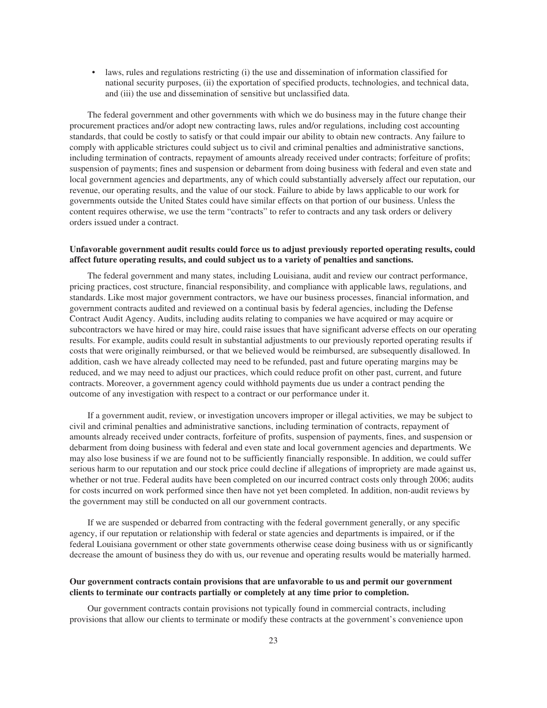• laws, rules and regulations restricting (i) the use and dissemination of information classified for national security purposes, (ii) the exportation of specified products, technologies, and technical data, and (iii) the use and dissemination of sensitive but unclassified data.

The federal government and other governments with which we do business may in the future change their procurement practices and/or adopt new contracting laws, rules and/or regulations, including cost accounting standards, that could be costly to satisfy or that could impair our ability to obtain new contracts. Any failure to comply with applicable strictures could subject us to civil and criminal penalties and administrative sanctions, including termination of contracts, repayment of amounts already received under contracts; forfeiture of profits; suspension of payments; fines and suspension or debarment from doing business with federal and even state and local government agencies and departments, any of which could substantially adversely affect our reputation, our revenue, our operating results, and the value of our stock. Failure to abide by laws applicable to our work for governments outside the United States could have similar effects on that portion of our business. Unless the content requires otherwise, we use the term "contracts" to refer to contracts and any task orders or delivery orders issued under a contract.

## **Unfavorable government audit results could force us to adjust previously reported operating results, could affect future operating results, and could subject us to a variety of penalties and sanctions.**

The federal government and many states, including Louisiana, audit and review our contract performance, pricing practices, cost structure, financial responsibility, and compliance with applicable laws, regulations, and standards. Like most major government contractors, we have our business processes, financial information, and government contracts audited and reviewed on a continual basis by federal agencies, including the Defense Contract Audit Agency. Audits, including audits relating to companies we have acquired or may acquire or subcontractors we have hired or may hire, could raise issues that have significant adverse effects on our operating results. For example, audits could result in substantial adjustments to our previously reported operating results if costs that were originally reimbursed, or that we believed would be reimbursed, are subsequently disallowed. In addition, cash we have already collected may need to be refunded, past and future operating margins may be reduced, and we may need to adjust our practices, which could reduce profit on other past, current, and future contracts. Moreover, a government agency could withhold payments due us under a contract pending the outcome of any investigation with respect to a contract or our performance under it.

If a government audit, review, or investigation uncovers improper or illegal activities, we may be subject to civil and criminal penalties and administrative sanctions, including termination of contracts, repayment of amounts already received under contracts, forfeiture of profits, suspension of payments, fines, and suspension or debarment from doing business with federal and even state and local government agencies and departments. We may also lose business if we are found not to be sufficiently financially responsible. In addition, we could suffer serious harm to our reputation and our stock price could decline if allegations of impropriety are made against us, whether or not true. Federal audits have been completed on our incurred contract costs only through 2006; audits for costs incurred on work performed since then have not yet been completed. In addition, non-audit reviews by the government may still be conducted on all our government contracts.

If we are suspended or debarred from contracting with the federal government generally, or any specific agency, if our reputation or relationship with federal or state agencies and departments is impaired, or if the federal Louisiana government or other state governments otherwise cease doing business with us or significantly decrease the amount of business they do with us, our revenue and operating results would be materially harmed.

## **Our government contracts contain provisions that are unfavorable to us and permit our government clients to terminate our contracts partially or completely at any time prior to completion.**

Our government contracts contain provisions not typically found in commercial contracts, including provisions that allow our clients to terminate or modify these contracts at the government's convenience upon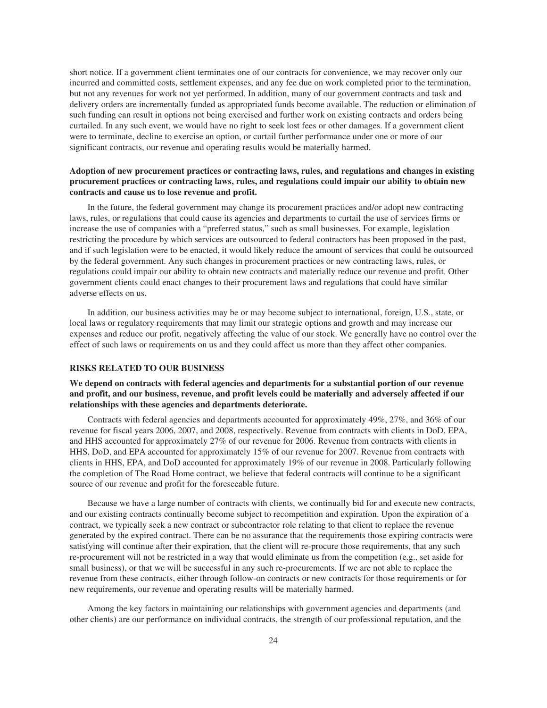short notice. If a government client terminates one of our contracts for convenience, we may recover only our incurred and committed costs, settlement expenses, and any fee due on work completed prior to the termination, but not any revenues for work not yet performed. In addition, many of our government contracts and task and delivery orders are incrementally funded as appropriated funds become available. The reduction or elimination of such funding can result in options not being exercised and further work on existing contracts and orders being curtailed. In any such event, we would have no right to seek lost fees or other damages. If a government client were to terminate, decline to exercise an option, or curtail further performance under one or more of our significant contracts, our revenue and operating results would be materially harmed.

## **Adoption of new procurement practices or contracting laws, rules, and regulations and changes in existing procurement practices or contracting laws, rules, and regulations could impair our ability to obtain new contracts and cause us to lose revenue and profit.**

In the future, the federal government may change its procurement practices and/or adopt new contracting laws, rules, or regulations that could cause its agencies and departments to curtail the use of services firms or increase the use of companies with a "preferred status," such as small businesses. For example, legislation restricting the procedure by which services are outsourced to federal contractors has been proposed in the past, and if such legislation were to be enacted, it would likely reduce the amount of services that could be outsourced by the federal government. Any such changes in procurement practices or new contracting laws, rules, or regulations could impair our ability to obtain new contracts and materially reduce our revenue and profit. Other government clients could enact changes to their procurement laws and regulations that could have similar adverse effects on us.

In addition, our business activities may be or may become subject to international, foreign, U.S., state, or local laws or regulatory requirements that may limit our strategic options and growth and may increase our expenses and reduce our profit, negatively affecting the value of our stock. We generally have no control over the effect of such laws or requirements on us and they could affect us more than they affect other companies.

## **RISKS RELATED TO OUR BUSINESS**

## **We depend on contracts with federal agencies and departments for a substantial portion of our revenue and profit, and our business, revenue, and profit levels could be materially and adversely affected if our relationships with these agencies and departments deteriorate.**

Contracts with federal agencies and departments accounted for approximately 49%, 27%, and 36% of our revenue for fiscal years 2006, 2007, and 2008, respectively. Revenue from contracts with clients in DoD, EPA, and HHS accounted for approximately 27% of our revenue for 2006. Revenue from contracts with clients in HHS, DoD, and EPA accounted for approximately 15% of our revenue for 2007. Revenue from contracts with clients in HHS, EPA, and DoD accounted for approximately 19% of our revenue in 2008. Particularly following the completion of The Road Home contract, we believe that federal contracts will continue to be a significant source of our revenue and profit for the foreseeable future.

Because we have a large number of contracts with clients, we continually bid for and execute new contracts, and our existing contracts continually become subject to recompetition and expiration. Upon the expiration of a contract, we typically seek a new contract or subcontractor role relating to that client to replace the revenue generated by the expired contract. There can be no assurance that the requirements those expiring contracts were satisfying will continue after their expiration, that the client will re-procure those requirements, that any such re-procurement will not be restricted in a way that would eliminate us from the competition (e.g., set aside for small business), or that we will be successful in any such re-procurements. If we are not able to replace the revenue from these contracts, either through follow-on contracts or new contracts for those requirements or for new requirements, our revenue and operating results will be materially harmed.

Among the key factors in maintaining our relationships with government agencies and departments (and other clients) are our performance on individual contracts, the strength of our professional reputation, and the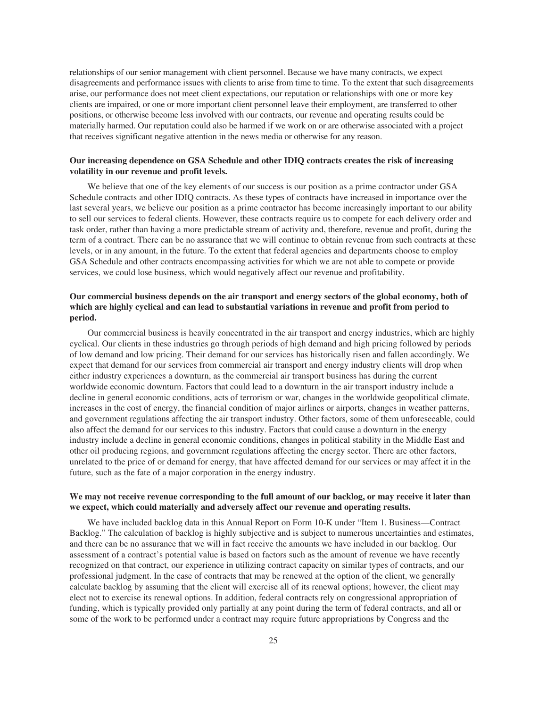relationships of our senior management with client personnel. Because we have many contracts, we expect disagreements and performance issues with clients to arise from time to time. To the extent that such disagreements arise, our performance does not meet client expectations, our reputation or relationships with one or more key clients are impaired, or one or more important client personnel leave their employment, are transferred to other positions, or otherwise become less involved with our contracts, our revenue and operating results could be materially harmed. Our reputation could also be harmed if we work on or are otherwise associated with a project that receives significant negative attention in the news media or otherwise for any reason.

## **Our increasing dependence on GSA Schedule and other IDIQ contracts creates the risk of increasing volatility in our revenue and profit levels.**

We believe that one of the key elements of our success is our position as a prime contractor under GSA Schedule contracts and other IDIQ contracts. As these types of contracts have increased in importance over the last several years, we believe our position as a prime contractor has become increasingly important to our ability to sell our services to federal clients. However, these contracts require us to compete for each delivery order and task order, rather than having a more predictable stream of activity and, therefore, revenue and profit, during the term of a contract. There can be no assurance that we will continue to obtain revenue from such contracts at these levels, or in any amount, in the future. To the extent that federal agencies and departments choose to employ GSA Schedule and other contracts encompassing activities for which we are not able to compete or provide services, we could lose business, which would negatively affect our revenue and profitability.

## **Our commercial business depends on the air transport and energy sectors of the global economy, both of which are highly cyclical and can lead to substantial variations in revenue and profit from period to period.**

Our commercial business is heavily concentrated in the air transport and energy industries, which are highly cyclical. Our clients in these industries go through periods of high demand and high pricing followed by periods of low demand and low pricing. Their demand for our services has historically risen and fallen accordingly. We expect that demand for our services from commercial air transport and energy industry clients will drop when either industry experiences a downturn, as the commercial air transport business has during the current worldwide economic downturn. Factors that could lead to a downturn in the air transport industry include a decline in general economic conditions, acts of terrorism or war, changes in the worldwide geopolitical climate, increases in the cost of energy, the financial condition of major airlines or airports, changes in weather patterns, and government regulations affecting the air transport industry. Other factors, some of them unforeseeable, could also affect the demand for our services to this industry. Factors that could cause a downturn in the energy industry include a decline in general economic conditions, changes in political stability in the Middle East and other oil producing regions, and government regulations affecting the energy sector. There are other factors, unrelated to the price of or demand for energy, that have affected demand for our services or may affect it in the future, such as the fate of a major corporation in the energy industry.

## **We may not receive revenue corresponding to the full amount of our backlog, or may receive it later than we expect, which could materially and adversely affect our revenue and operating results.**

We have included backlog data in this Annual Report on Form 10-K under "Item 1. Business—Contract Backlog." The calculation of backlog is highly subjective and is subject to numerous uncertainties and estimates, and there can be no assurance that we will in fact receive the amounts we have included in our backlog. Our assessment of a contract's potential value is based on factors such as the amount of revenue we have recently recognized on that contract, our experience in utilizing contract capacity on similar types of contracts, and our professional judgment. In the case of contracts that may be renewed at the option of the client, we generally calculate backlog by assuming that the client will exercise all of its renewal options; however, the client may elect not to exercise its renewal options. In addition, federal contracts rely on congressional appropriation of funding, which is typically provided only partially at any point during the term of federal contracts, and all or some of the work to be performed under a contract may require future appropriations by Congress and the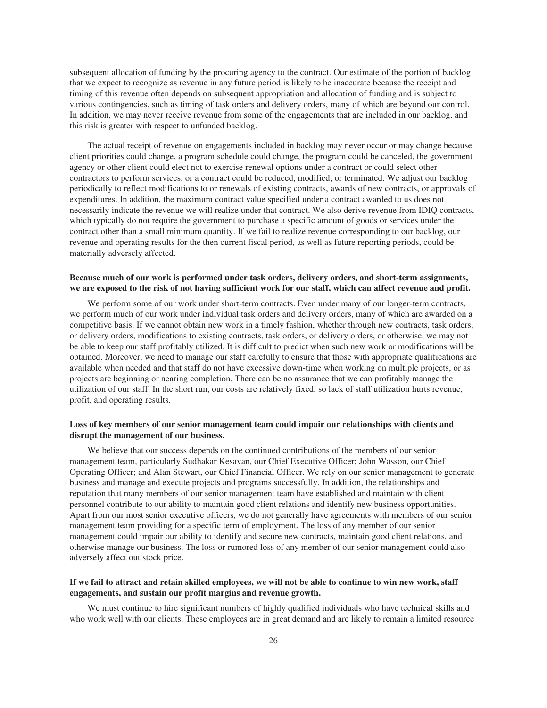subsequent allocation of funding by the procuring agency to the contract. Our estimate of the portion of backlog that we expect to recognize as revenue in any future period is likely to be inaccurate because the receipt and timing of this revenue often depends on subsequent appropriation and allocation of funding and is subject to various contingencies, such as timing of task orders and delivery orders, many of which are beyond our control. In addition, we may never receive revenue from some of the engagements that are included in our backlog, and this risk is greater with respect to unfunded backlog.

The actual receipt of revenue on engagements included in backlog may never occur or may change because client priorities could change, a program schedule could change, the program could be canceled, the government agency or other client could elect not to exercise renewal options under a contract or could select other contractors to perform services, or a contract could be reduced, modified, or terminated. We adjust our backlog periodically to reflect modifications to or renewals of existing contracts, awards of new contracts, or approvals of expenditures. In addition, the maximum contract value specified under a contract awarded to us does not necessarily indicate the revenue we will realize under that contract. We also derive revenue from IDIQ contracts, which typically do not require the government to purchase a specific amount of goods or services under the contract other than a small minimum quantity. If we fail to realize revenue corresponding to our backlog, our revenue and operating results for the then current fiscal period, as well as future reporting periods, could be materially adversely affected.

## **Because much of our work is performed under task orders, delivery orders, and short-term assignments, we are exposed to the risk of not having sufficient work for our staff, which can affect revenue and profit.**

We perform some of our work under short-term contracts. Even under many of our longer-term contracts, we perform much of our work under individual task orders and delivery orders, many of which are awarded on a competitive basis. If we cannot obtain new work in a timely fashion, whether through new contracts, task orders, or delivery orders, modifications to existing contracts, task orders, or delivery orders, or otherwise, we may not be able to keep our staff profitably utilized. It is difficult to predict when such new work or modifications will be obtained. Moreover, we need to manage our staff carefully to ensure that those with appropriate qualifications are available when needed and that staff do not have excessive down-time when working on multiple projects, or as projects are beginning or nearing completion. There can be no assurance that we can profitably manage the utilization of our staff. In the short run, our costs are relatively fixed, so lack of staff utilization hurts revenue, profit, and operating results.

## **Loss of key members of our senior management team could impair our relationships with clients and disrupt the management of our business.**

We believe that our success depends on the continued contributions of the members of our senior management team, particularly Sudhakar Kesavan, our Chief Executive Officer; John Wasson, our Chief Operating Officer; and Alan Stewart, our Chief Financial Officer. We rely on our senior management to generate business and manage and execute projects and programs successfully. In addition, the relationships and reputation that many members of our senior management team have established and maintain with client personnel contribute to our ability to maintain good client relations and identify new business opportunities. Apart from our most senior executive officers, we do not generally have agreements with members of our senior management team providing for a specific term of employment. The loss of any member of our senior management could impair our ability to identify and secure new contracts, maintain good client relations, and otherwise manage our business. The loss or rumored loss of any member of our senior management could also adversely affect out stock price.

## **If we fail to attract and retain skilled employees, we will not be able to continue to win new work, staff engagements, and sustain our profit margins and revenue growth.**

We must continue to hire significant numbers of highly qualified individuals who have technical skills and who work well with our clients. These employees are in great demand and are likely to remain a limited resource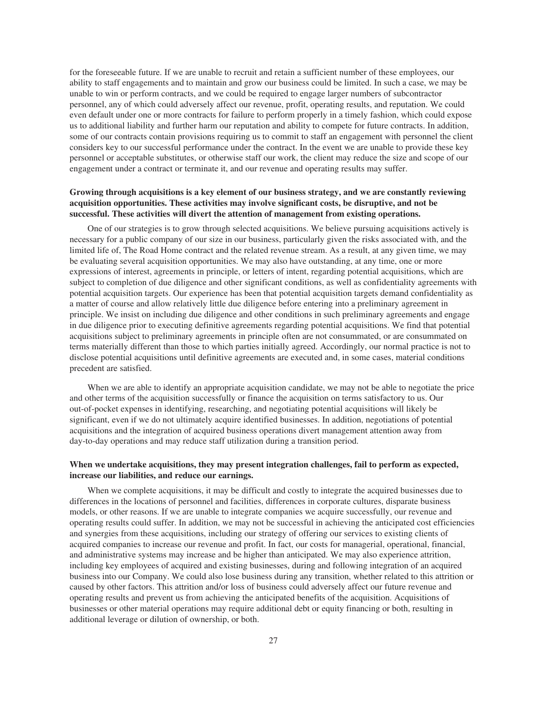for the foreseeable future. If we are unable to recruit and retain a sufficient number of these employees, our ability to staff engagements and to maintain and grow our business could be limited. In such a case, we may be unable to win or perform contracts, and we could be required to engage larger numbers of subcontractor personnel, any of which could adversely affect our revenue, profit, operating results, and reputation. We could even default under one or more contracts for failure to perform properly in a timely fashion, which could expose us to additional liability and further harm our reputation and ability to compete for future contracts. In addition, some of our contracts contain provisions requiring us to commit to staff an engagement with personnel the client considers key to our successful performance under the contract. In the event we are unable to provide these key personnel or acceptable substitutes, or otherwise staff our work, the client may reduce the size and scope of our engagement under a contract or terminate it, and our revenue and operating results may suffer.

## **Growing through acquisitions is a key element of our business strategy, and we are constantly reviewing acquisition opportunities. These activities may involve significant costs, be disruptive, and not be successful. These activities will divert the attention of management from existing operations.**

One of our strategies is to grow through selected acquisitions. We believe pursuing acquisitions actively is necessary for a public company of our size in our business, particularly given the risks associated with, and the limited life of, The Road Home contract and the related revenue stream. As a result, at any given time, we may be evaluating several acquisition opportunities. We may also have outstanding, at any time, one or more expressions of interest, agreements in principle, or letters of intent, regarding potential acquisitions, which are subject to completion of due diligence and other significant conditions, as well as confidentiality agreements with potential acquisition targets. Our experience has been that potential acquisition targets demand confidentiality as a matter of course and allow relatively little due diligence before entering into a preliminary agreement in principle. We insist on including due diligence and other conditions in such preliminary agreements and engage in due diligence prior to executing definitive agreements regarding potential acquisitions. We find that potential acquisitions subject to preliminary agreements in principle often are not consummated, or are consummated on terms materially different than those to which parties initially agreed. Accordingly, our normal practice is not to disclose potential acquisitions until definitive agreements are executed and, in some cases, material conditions precedent are satisfied.

When we are able to identify an appropriate acquisition candidate, we may not be able to negotiate the price and other terms of the acquisition successfully or finance the acquisition on terms satisfactory to us. Our out-of-pocket expenses in identifying, researching, and negotiating potential acquisitions will likely be significant, even if we do not ultimately acquire identified businesses. In addition, negotiations of potential acquisitions and the integration of acquired business operations divert management attention away from day-to-day operations and may reduce staff utilization during a transition period.

## **When we undertake acquisitions, they may present integration challenges, fail to perform as expected, increase our liabilities, and reduce our earnings.**

When we complete acquisitions, it may be difficult and costly to integrate the acquired businesses due to differences in the locations of personnel and facilities, differences in corporate cultures, disparate business models, or other reasons. If we are unable to integrate companies we acquire successfully, our revenue and operating results could suffer. In addition, we may not be successful in achieving the anticipated cost efficiencies and synergies from these acquisitions, including our strategy of offering our services to existing clients of acquired companies to increase our revenue and profit. In fact, our costs for managerial, operational, financial, and administrative systems may increase and be higher than anticipated. We may also experience attrition, including key employees of acquired and existing businesses, during and following integration of an acquired business into our Company. We could also lose business during any transition, whether related to this attrition or caused by other factors. This attrition and/or loss of business could adversely affect our future revenue and operating results and prevent us from achieving the anticipated benefits of the acquisition. Acquisitions of businesses or other material operations may require additional debt or equity financing or both, resulting in additional leverage or dilution of ownership, or both.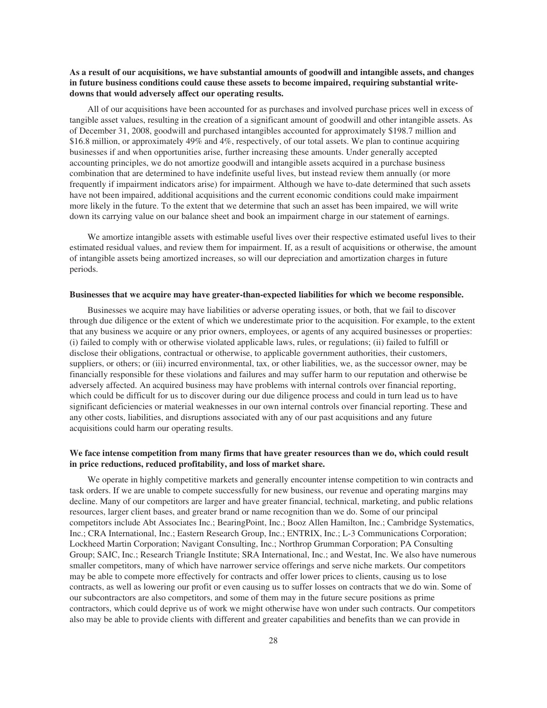## **As a result of our acquisitions, we have substantial amounts of goodwill and intangible assets, and changes in future business conditions could cause these assets to become impaired, requiring substantial writedowns that would adversely affect our operating results.**

All of our acquisitions have been accounted for as purchases and involved purchase prices well in excess of tangible asset values, resulting in the creation of a significant amount of goodwill and other intangible assets. As of December 31, 2008, goodwill and purchased intangibles accounted for approximately \$198.7 million and \$16.8 million, or approximately 49% and 4%, respectively, of our total assets. We plan to continue acquiring businesses if and when opportunities arise, further increasing these amounts. Under generally accepted accounting principles, we do not amortize goodwill and intangible assets acquired in a purchase business combination that are determined to have indefinite useful lives, but instead review them annually (or more frequently if impairment indicators arise) for impairment. Although we have to-date determined that such assets have not been impaired, additional acquisitions and the current economic conditions could make impairment more likely in the future. To the extent that we determine that such an asset has been impaired, we will write down its carrying value on our balance sheet and book an impairment charge in our statement of earnings.

We amortize intangible assets with estimable useful lives over their respective estimated useful lives to their estimated residual values, and review them for impairment. If, as a result of acquisitions or otherwise, the amount of intangible assets being amortized increases, so will our depreciation and amortization charges in future periods.

#### **Businesses that we acquire may have greater-than-expected liabilities for which we become responsible.**

Businesses we acquire may have liabilities or adverse operating issues, or both, that we fail to discover through due diligence or the extent of which we underestimate prior to the acquisition. For example, to the extent that any business we acquire or any prior owners, employees, or agents of any acquired businesses or properties: (i) failed to comply with or otherwise violated applicable laws, rules, or regulations; (ii) failed to fulfill or disclose their obligations, contractual or otherwise, to applicable government authorities, their customers, suppliers, or others; or (iii) incurred environmental, tax, or other liabilities, we, as the successor owner, may be financially responsible for these violations and failures and may suffer harm to our reputation and otherwise be adversely affected. An acquired business may have problems with internal controls over financial reporting, which could be difficult for us to discover during our due diligence process and could in turn lead us to have significant deficiencies or material weaknesses in our own internal controls over financial reporting. These and any other costs, liabilities, and disruptions associated with any of our past acquisitions and any future acquisitions could harm our operating results.

## **We face intense competition from many firms that have greater resources than we do, which could result in price reductions, reduced profitability, and loss of market share.**

We operate in highly competitive markets and generally encounter intense competition to win contracts and task orders. If we are unable to compete successfully for new business, our revenue and operating margins may decline. Many of our competitors are larger and have greater financial, technical, marketing, and public relations resources, larger client bases, and greater brand or name recognition than we do. Some of our principal competitors include Abt Associates Inc.; BearingPoint, Inc.; Booz Allen Hamilton, Inc.; Cambridge Systematics, Inc.; CRA International, Inc.; Eastern Research Group, Inc.; ENTRIX, Inc.; L-3 Communications Corporation; Lockheed Martin Corporation; Navigant Consulting, Inc.; Northrop Grumman Corporation; PA Consulting Group; SAIC, Inc.; Research Triangle Institute; SRA International, Inc.; and Westat, Inc. We also have numerous smaller competitors, many of which have narrower service offerings and serve niche markets. Our competitors may be able to compete more effectively for contracts and offer lower prices to clients, causing us to lose contracts, as well as lowering our profit or even causing us to suffer losses on contracts that we do win. Some of our subcontractors are also competitors, and some of them may in the future secure positions as prime contractors, which could deprive us of work we might otherwise have won under such contracts. Our competitors also may be able to provide clients with different and greater capabilities and benefits than we can provide in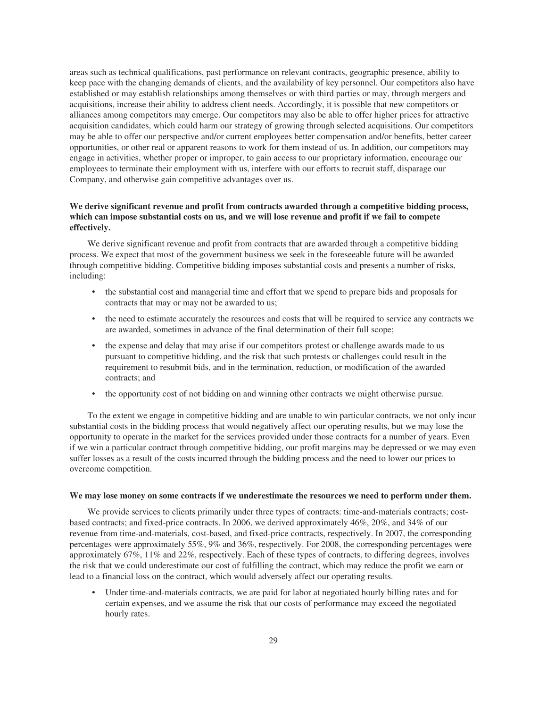areas such as technical qualifications, past performance on relevant contracts, geographic presence, ability to keep pace with the changing demands of clients, and the availability of key personnel. Our competitors also have established or may establish relationships among themselves or with third parties or may, through mergers and acquisitions, increase their ability to address client needs. Accordingly, it is possible that new competitors or alliances among competitors may emerge. Our competitors may also be able to offer higher prices for attractive acquisition candidates, which could harm our strategy of growing through selected acquisitions. Our competitors may be able to offer our perspective and/or current employees better compensation and/or benefits, better career opportunities, or other real or apparent reasons to work for them instead of us. In addition, our competitors may engage in activities, whether proper or improper, to gain access to our proprietary information, encourage our employees to terminate their employment with us, interfere with our efforts to recruit staff, disparage our Company, and otherwise gain competitive advantages over us.

## **We derive significant revenue and profit from contracts awarded through a competitive bidding process, which can impose substantial costs on us, and we will lose revenue and profit if we fail to compete effectively.**

We derive significant revenue and profit from contracts that are awarded through a competitive bidding process. We expect that most of the government business we seek in the foreseeable future will be awarded through competitive bidding. Competitive bidding imposes substantial costs and presents a number of risks, including:

- the substantial cost and managerial time and effort that we spend to prepare bids and proposals for contracts that may or may not be awarded to us;
- the need to estimate accurately the resources and costs that will be required to service any contracts we are awarded, sometimes in advance of the final determination of their full scope;
- the expense and delay that may arise if our competitors protest or challenge awards made to us pursuant to competitive bidding, and the risk that such protests or challenges could result in the requirement to resubmit bids, and in the termination, reduction, or modification of the awarded contracts; and
- the opportunity cost of not bidding on and winning other contracts we might otherwise pursue.

To the extent we engage in competitive bidding and are unable to win particular contracts, we not only incur substantial costs in the bidding process that would negatively affect our operating results, but we may lose the opportunity to operate in the market for the services provided under those contracts for a number of years. Even if we win a particular contract through competitive bidding, our profit margins may be depressed or we may even suffer losses as a result of the costs incurred through the bidding process and the need to lower our prices to overcome competition.

#### **We may lose money on some contracts if we underestimate the resources we need to perform under them.**

We provide services to clients primarily under three types of contracts: time-and-materials contracts; costbased contracts; and fixed-price contracts. In 2006, we derived approximately 46%, 20%, and 34% of our revenue from time-and-materials, cost-based, and fixed-price contracts, respectively. In 2007, the corresponding percentages were approximately 55%, 9% and 36%, respectively. For 2008, the corresponding percentages were approximately 67%, 11% and 22%, respectively. Each of these types of contracts, to differing degrees, involves the risk that we could underestimate our cost of fulfilling the contract, which may reduce the profit we earn or lead to a financial loss on the contract, which would adversely affect our operating results.

• Under time-and-materials contracts, we are paid for labor at negotiated hourly billing rates and for certain expenses, and we assume the risk that our costs of performance may exceed the negotiated hourly rates.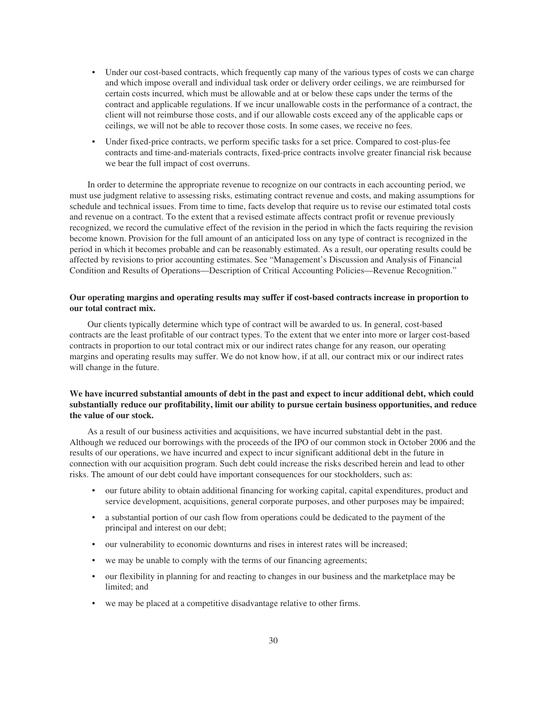- Under our cost-based contracts, which frequently cap many of the various types of costs we can charge and which impose overall and individual task order or delivery order ceilings, we are reimbursed for certain costs incurred, which must be allowable and at or below these caps under the terms of the contract and applicable regulations. If we incur unallowable costs in the performance of a contract, the client will not reimburse those costs, and if our allowable costs exceed any of the applicable caps or ceilings, we will not be able to recover those costs. In some cases, we receive no fees.
- Under fixed-price contracts, we perform specific tasks for a set price. Compared to cost-plus-fee contracts and time-and-materials contracts, fixed-price contracts involve greater financial risk because we bear the full impact of cost overruns.

In order to determine the appropriate revenue to recognize on our contracts in each accounting period, we must use judgment relative to assessing risks, estimating contract revenue and costs, and making assumptions for schedule and technical issues. From time to time, facts develop that require us to revise our estimated total costs and revenue on a contract. To the extent that a revised estimate affects contract profit or revenue previously recognized, we record the cumulative effect of the revision in the period in which the facts requiring the revision become known. Provision for the full amount of an anticipated loss on any type of contract is recognized in the period in which it becomes probable and can be reasonably estimated. As a result, our operating results could be affected by revisions to prior accounting estimates. See "Management's Discussion and Analysis of Financial Condition and Results of Operations—Description of Critical Accounting Policies—Revenue Recognition."

## **Our operating margins and operating results may suffer if cost-based contracts increase in proportion to our total contract mix.**

Our clients typically determine which type of contract will be awarded to us. In general, cost-based contracts are the least profitable of our contract types. To the extent that we enter into more or larger cost-based contracts in proportion to our total contract mix or our indirect rates change for any reason, our operating margins and operating results may suffer. We do not know how, if at all, our contract mix or our indirect rates will change in the future.

## **We have incurred substantial amounts of debt in the past and expect to incur additional debt, which could substantially reduce our profitability, limit our ability to pursue certain business opportunities, and reduce the value of our stock.**

As a result of our business activities and acquisitions, we have incurred substantial debt in the past. Although we reduced our borrowings with the proceeds of the IPO of our common stock in October 2006 and the results of our operations, we have incurred and expect to incur significant additional debt in the future in connection with our acquisition program. Such debt could increase the risks described herein and lead to other risks. The amount of our debt could have important consequences for our stockholders, such as:

- our future ability to obtain additional financing for working capital, capital expenditures, product and service development, acquisitions, general corporate purposes, and other purposes may be impaired;
- a substantial portion of our cash flow from operations could be dedicated to the payment of the principal and interest on our debt;
- our vulnerability to economic downturns and rises in interest rates will be increased;
- we may be unable to comply with the terms of our financing agreements;
- our flexibility in planning for and reacting to changes in our business and the marketplace may be limited; and
- we may be placed at a competitive disadvantage relative to other firms.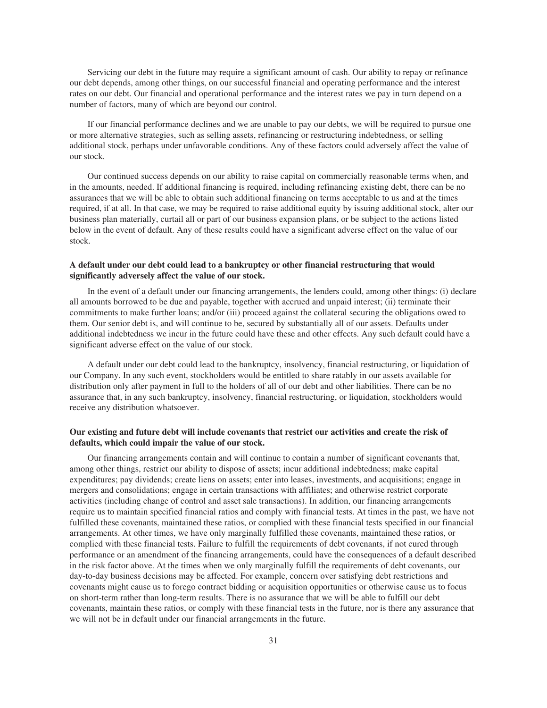Servicing our debt in the future may require a significant amount of cash. Our ability to repay or refinance our debt depends, among other things, on our successful financial and operating performance and the interest rates on our debt. Our financial and operational performance and the interest rates we pay in turn depend on a number of factors, many of which are beyond our control.

If our financial performance declines and we are unable to pay our debts, we will be required to pursue one or more alternative strategies, such as selling assets, refinancing or restructuring indebtedness, or selling additional stock, perhaps under unfavorable conditions. Any of these factors could adversely affect the value of our stock.

Our continued success depends on our ability to raise capital on commercially reasonable terms when, and in the amounts, needed. If additional financing is required, including refinancing existing debt, there can be no assurances that we will be able to obtain such additional financing on terms acceptable to us and at the times required, if at all. In that case, we may be required to raise additional equity by issuing additional stock, alter our business plan materially, curtail all or part of our business expansion plans, or be subject to the actions listed below in the event of default. Any of these results could have a significant adverse effect on the value of our stock.

## **A default under our debt could lead to a bankruptcy or other financial restructuring that would significantly adversely affect the value of our stock.**

In the event of a default under our financing arrangements, the lenders could, among other things: (i) declare all amounts borrowed to be due and payable, together with accrued and unpaid interest; (ii) terminate their commitments to make further loans; and/or (iii) proceed against the collateral securing the obligations owed to them. Our senior debt is, and will continue to be, secured by substantially all of our assets. Defaults under additional indebtedness we incur in the future could have these and other effects. Any such default could have a significant adverse effect on the value of our stock.

A default under our debt could lead to the bankruptcy, insolvency, financial restructuring, or liquidation of our Company. In any such event, stockholders would be entitled to share ratably in our assets available for distribution only after payment in full to the holders of all of our debt and other liabilities. There can be no assurance that, in any such bankruptcy, insolvency, financial restructuring, or liquidation, stockholders would receive any distribution whatsoever.

## **Our existing and future debt will include covenants that restrict our activities and create the risk of defaults, which could impair the value of our stock.**

Our financing arrangements contain and will continue to contain a number of significant covenants that, among other things, restrict our ability to dispose of assets; incur additional indebtedness; make capital expenditures; pay dividends; create liens on assets; enter into leases, investments, and acquisitions; engage in mergers and consolidations; engage in certain transactions with affiliates; and otherwise restrict corporate activities (including change of control and asset sale transactions). In addition, our financing arrangements require us to maintain specified financial ratios and comply with financial tests. At times in the past, we have not fulfilled these covenants, maintained these ratios, or complied with these financial tests specified in our financial arrangements. At other times, we have only marginally fulfilled these covenants, maintained these ratios, or complied with these financial tests. Failure to fulfill the requirements of debt covenants, if not cured through performance or an amendment of the financing arrangements, could have the consequences of a default described in the risk factor above. At the times when we only marginally fulfill the requirements of debt covenants, our day-to-day business decisions may be affected. For example, concern over satisfying debt restrictions and covenants might cause us to forego contract bidding or acquisition opportunities or otherwise cause us to focus on short-term rather than long-term results. There is no assurance that we will be able to fulfill our debt covenants, maintain these ratios, or comply with these financial tests in the future, nor is there any assurance that we will not be in default under our financial arrangements in the future.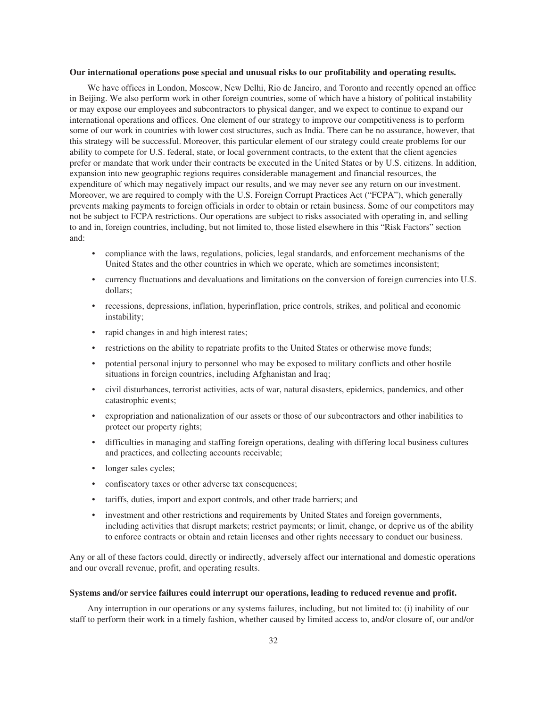#### **Our international operations pose special and unusual risks to our profitability and operating results.**

We have offices in London, Moscow, New Delhi, Rio de Janeiro, and Toronto and recently opened an office in Beijing. We also perform work in other foreign countries, some of which have a history of political instability or may expose our employees and subcontractors to physical danger, and we expect to continue to expand our international operations and offices. One element of our strategy to improve our competitiveness is to perform some of our work in countries with lower cost structures, such as India. There can be no assurance, however, that this strategy will be successful. Moreover, this particular element of our strategy could create problems for our ability to compete for U.S. federal, state, or local government contracts, to the extent that the client agencies prefer or mandate that work under their contracts be executed in the United States or by U.S. citizens. In addition, expansion into new geographic regions requires considerable management and financial resources, the expenditure of which may negatively impact our results, and we may never see any return on our investment. Moreover, we are required to comply with the U.S. Foreign Corrupt Practices Act ("FCPA"), which generally prevents making payments to foreign officials in order to obtain or retain business. Some of our competitors may not be subject to FCPA restrictions. Our operations are subject to risks associated with operating in, and selling to and in, foreign countries, including, but not limited to, those listed elsewhere in this "Risk Factors" section and:

- compliance with the laws, regulations, policies, legal standards, and enforcement mechanisms of the United States and the other countries in which we operate, which are sometimes inconsistent;
- currency fluctuations and devaluations and limitations on the conversion of foreign currencies into U.S. dollars;
- recessions, depressions, inflation, hyperinflation, price controls, strikes, and political and economic instability;
- rapid changes in and high interest rates;
- restrictions on the ability to repatriate profits to the United States or otherwise move funds;
- potential personal injury to personnel who may be exposed to military conflicts and other hostile situations in foreign countries, including Afghanistan and Iraq;
- civil disturbances, terrorist activities, acts of war, natural disasters, epidemics, pandemics, and other catastrophic events;
- expropriation and nationalization of our assets or those of our subcontractors and other inabilities to protect our property rights;
- difficulties in managing and staffing foreign operations, dealing with differing local business cultures and practices, and collecting accounts receivable;
- longer sales cycles;
- confiscatory taxes or other adverse tax consequences;
- tariffs, duties, import and export controls, and other trade barriers; and
- investment and other restrictions and requirements by United States and foreign governments, including activities that disrupt markets; restrict payments; or limit, change, or deprive us of the ability to enforce contracts or obtain and retain licenses and other rights necessary to conduct our business.

Any or all of these factors could, directly or indirectly, adversely affect our international and domestic operations and our overall revenue, profit, and operating results.

#### **Systems and/or service failures could interrupt our operations, leading to reduced revenue and profit.**

Any interruption in our operations or any systems failures, including, but not limited to: (i) inability of our staff to perform their work in a timely fashion, whether caused by limited access to, and/or closure of, our and/or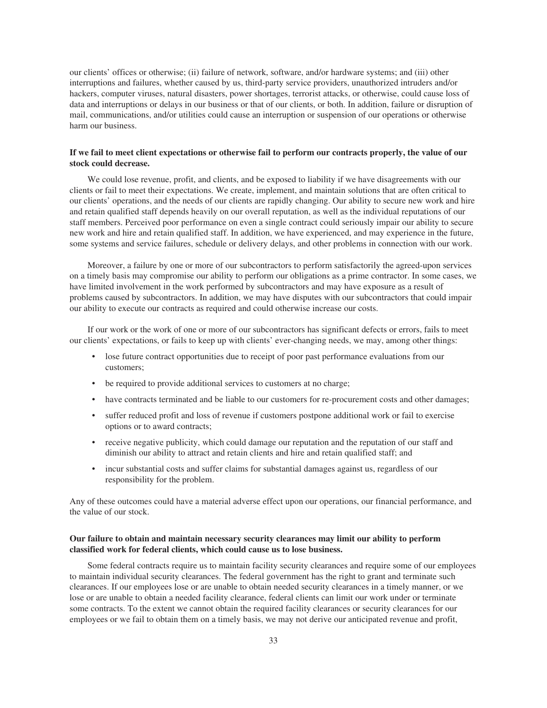our clients' offices or otherwise; (ii) failure of network, software, and/or hardware systems; and (iii) other interruptions and failures, whether caused by us, third-party service providers, unauthorized intruders and/or hackers, computer viruses, natural disasters, power shortages, terrorist attacks, or otherwise, could cause loss of data and interruptions or delays in our business or that of our clients, or both. In addition, failure or disruption of mail, communications, and/or utilities could cause an interruption or suspension of our operations or otherwise harm our business.

### **If we fail to meet client expectations or otherwise fail to perform our contracts properly, the value of our stock could decrease.**

We could lose revenue, profit, and clients, and be exposed to liability if we have disagreements with our clients or fail to meet their expectations. We create, implement, and maintain solutions that are often critical to our clients' operations, and the needs of our clients are rapidly changing. Our ability to secure new work and hire and retain qualified staff depends heavily on our overall reputation, as well as the individual reputations of our staff members. Perceived poor performance on even a single contract could seriously impair our ability to secure new work and hire and retain qualified staff. In addition, we have experienced, and may experience in the future, some systems and service failures, schedule or delivery delays, and other problems in connection with our work.

Moreover, a failure by one or more of our subcontractors to perform satisfactorily the agreed-upon services on a timely basis may compromise our ability to perform our obligations as a prime contractor. In some cases, we have limited involvement in the work performed by subcontractors and may have exposure as a result of problems caused by subcontractors. In addition, we may have disputes with our subcontractors that could impair our ability to execute our contracts as required and could otherwise increase our costs.

If our work or the work of one or more of our subcontractors has significant defects or errors, fails to meet our clients' expectations, or fails to keep up with clients' ever-changing needs, we may, among other things:

- lose future contract opportunities due to receipt of poor past performance evaluations from our customers;
- be required to provide additional services to customers at no charge;
- have contracts terminated and be liable to our customers for re-procurement costs and other damages;
- suffer reduced profit and loss of revenue if customers postpone additional work or fail to exercise options or to award contracts;
- receive negative publicity, which could damage our reputation and the reputation of our staff and diminish our ability to attract and retain clients and hire and retain qualified staff; and
- incur substantial costs and suffer claims for substantial damages against us, regardless of our responsibility for the problem.

Any of these outcomes could have a material adverse effect upon our operations, our financial performance, and the value of our stock.

## **Our failure to obtain and maintain necessary security clearances may limit our ability to perform classified work for federal clients, which could cause us to lose business.**

Some federal contracts require us to maintain facility security clearances and require some of our employees to maintain individual security clearances. The federal government has the right to grant and terminate such clearances. If our employees lose or are unable to obtain needed security clearances in a timely manner, or we lose or are unable to obtain a needed facility clearance, federal clients can limit our work under or terminate some contracts. To the extent we cannot obtain the required facility clearances or security clearances for our employees or we fail to obtain them on a timely basis, we may not derive our anticipated revenue and profit,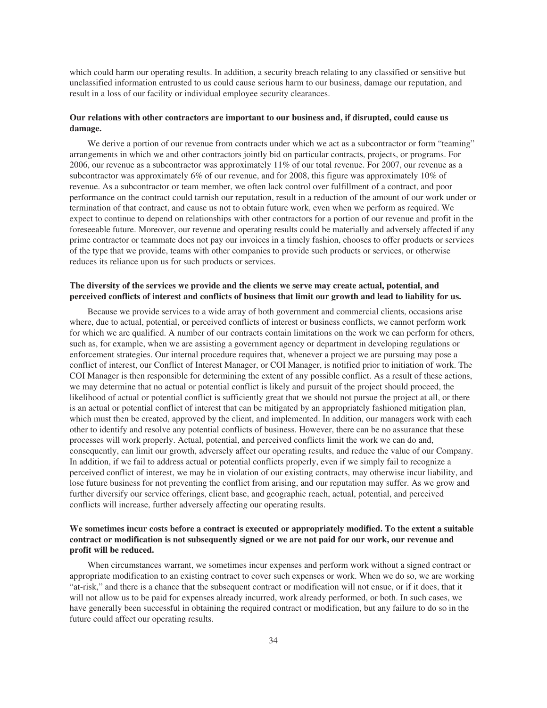which could harm our operating results. In addition, a security breach relating to any classified or sensitive but unclassified information entrusted to us could cause serious harm to our business, damage our reputation, and result in a loss of our facility or individual employee security clearances.

## **Our relations with other contractors are important to our business and, if disrupted, could cause us damage.**

We derive a portion of our revenue from contracts under which we act as a subcontractor or form "teaming" arrangements in which we and other contractors jointly bid on particular contracts, projects, or programs. For 2006, our revenue as a subcontractor was approximately 11% of our total revenue. For 2007, our revenue as a subcontractor was approximately 6% of our revenue, and for 2008, this figure was approximately 10% of revenue. As a subcontractor or team member, we often lack control over fulfillment of a contract, and poor performance on the contract could tarnish our reputation, result in a reduction of the amount of our work under or termination of that contract, and cause us not to obtain future work, even when we perform as required. We expect to continue to depend on relationships with other contractors for a portion of our revenue and profit in the foreseeable future. Moreover, our revenue and operating results could be materially and adversely affected if any prime contractor or teammate does not pay our invoices in a timely fashion, chooses to offer products or services of the type that we provide, teams with other companies to provide such products or services, or otherwise reduces its reliance upon us for such products or services.

### **The diversity of the services we provide and the clients we serve may create actual, potential, and perceived conflicts of interest and conflicts of business that limit our growth and lead to liability for us.**

Because we provide services to a wide array of both government and commercial clients, occasions arise where, due to actual, potential, or perceived conflicts of interest or business conflicts, we cannot perform work for which we are qualified. A number of our contracts contain limitations on the work we can perform for others, such as, for example, when we are assisting a government agency or department in developing regulations or enforcement strategies. Our internal procedure requires that, whenever a project we are pursuing may pose a conflict of interest, our Conflict of Interest Manager, or COI Manager, is notified prior to initiation of work. The COI Manager is then responsible for determining the extent of any possible conflict. As a result of these actions, we may determine that no actual or potential conflict is likely and pursuit of the project should proceed, the likelihood of actual or potential conflict is sufficiently great that we should not pursue the project at all, or there is an actual or potential conflict of interest that can be mitigated by an appropriately fashioned mitigation plan, which must then be created, approved by the client, and implemented. In addition, our managers work with each other to identify and resolve any potential conflicts of business. However, there can be no assurance that these processes will work properly. Actual, potential, and perceived conflicts limit the work we can do and, consequently, can limit our growth, adversely affect our operating results, and reduce the value of our Company. In addition, if we fail to address actual or potential conflicts properly, even if we simply fail to recognize a perceived conflict of interest, we may be in violation of our existing contracts, may otherwise incur liability, and lose future business for not preventing the conflict from arising, and our reputation may suffer. As we grow and further diversify our service offerings, client base, and geographic reach, actual, potential, and perceived conflicts will increase, further adversely affecting our operating results.

## **We sometimes incur costs before a contract is executed or appropriately modified. To the extent a suitable contract or modification is not subsequently signed or we are not paid for our work, our revenue and profit will be reduced.**

When circumstances warrant, we sometimes incur expenses and perform work without a signed contract or appropriate modification to an existing contract to cover such expenses or work. When we do so, we are working "at-risk," and there is a chance that the subsequent contract or modification will not ensue, or if it does, that it will not allow us to be paid for expenses already incurred, work already performed, or both. In such cases, we have generally been successful in obtaining the required contract or modification, but any failure to do so in the future could affect our operating results.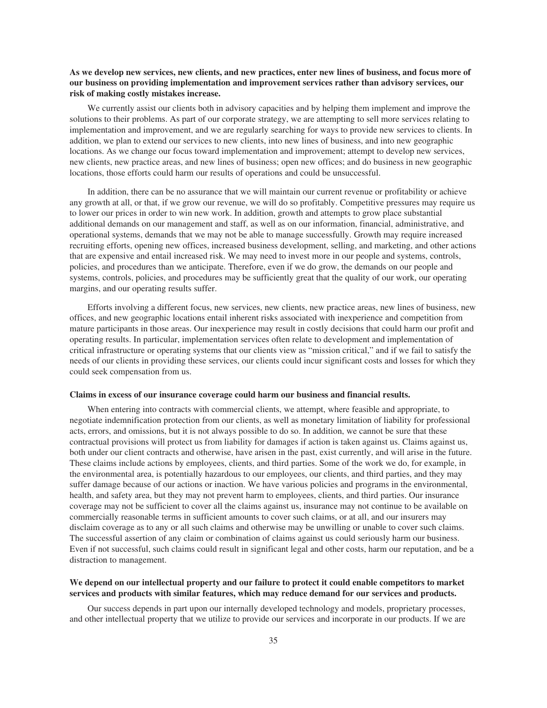## **As we develop new services, new clients, and new practices, enter new lines of business, and focus more of our business on providing implementation and improvement services rather than advisory services, our risk of making costly mistakes increase.**

We currently assist our clients both in advisory capacities and by helping them implement and improve the solutions to their problems. As part of our corporate strategy, we are attempting to sell more services relating to implementation and improvement, and we are regularly searching for ways to provide new services to clients. In addition, we plan to extend our services to new clients, into new lines of business, and into new geographic locations. As we change our focus toward implementation and improvement; attempt to develop new services, new clients, new practice areas, and new lines of business; open new offices; and do business in new geographic locations, those efforts could harm our results of operations and could be unsuccessful.

In addition, there can be no assurance that we will maintain our current revenue or profitability or achieve any growth at all, or that, if we grow our revenue, we will do so profitably. Competitive pressures may require us to lower our prices in order to win new work. In addition, growth and attempts to grow place substantial additional demands on our management and staff, as well as on our information, financial, administrative, and operational systems, demands that we may not be able to manage successfully. Growth may require increased recruiting efforts, opening new offices, increased business development, selling, and marketing, and other actions that are expensive and entail increased risk. We may need to invest more in our people and systems, controls, policies, and procedures than we anticipate. Therefore, even if we do grow, the demands on our people and systems, controls, policies, and procedures may be sufficiently great that the quality of our work, our operating margins, and our operating results suffer.

Efforts involving a different focus, new services, new clients, new practice areas, new lines of business, new offices, and new geographic locations entail inherent risks associated with inexperience and competition from mature participants in those areas. Our inexperience may result in costly decisions that could harm our profit and operating results. In particular, implementation services often relate to development and implementation of critical infrastructure or operating systems that our clients view as "mission critical," and if we fail to satisfy the needs of our clients in providing these services, our clients could incur significant costs and losses for which they could seek compensation from us.

#### **Claims in excess of our insurance coverage could harm our business and financial results.**

When entering into contracts with commercial clients, we attempt, where feasible and appropriate, to negotiate indemnification protection from our clients, as well as monetary limitation of liability for professional acts, errors, and omissions, but it is not always possible to do so. In addition, we cannot be sure that these contractual provisions will protect us from liability for damages if action is taken against us. Claims against us, both under our client contracts and otherwise, have arisen in the past, exist currently, and will arise in the future. These claims include actions by employees, clients, and third parties. Some of the work we do, for example, in the environmental area, is potentially hazardous to our employees, our clients, and third parties, and they may suffer damage because of our actions or inaction. We have various policies and programs in the environmental, health, and safety area, but they may not prevent harm to employees, clients, and third parties. Our insurance coverage may not be sufficient to cover all the claims against us, insurance may not continue to be available on commercially reasonable terms in sufficient amounts to cover such claims, or at all, and our insurers may disclaim coverage as to any or all such claims and otherwise may be unwilling or unable to cover such claims. The successful assertion of any claim or combination of claims against us could seriously harm our business. Even if not successful, such claims could result in significant legal and other costs, harm our reputation, and be a distraction to management.

### **We depend on our intellectual property and our failure to protect it could enable competitors to market services and products with similar features, which may reduce demand for our services and products.**

Our success depends in part upon our internally developed technology and models, proprietary processes, and other intellectual property that we utilize to provide our services and incorporate in our products. If we are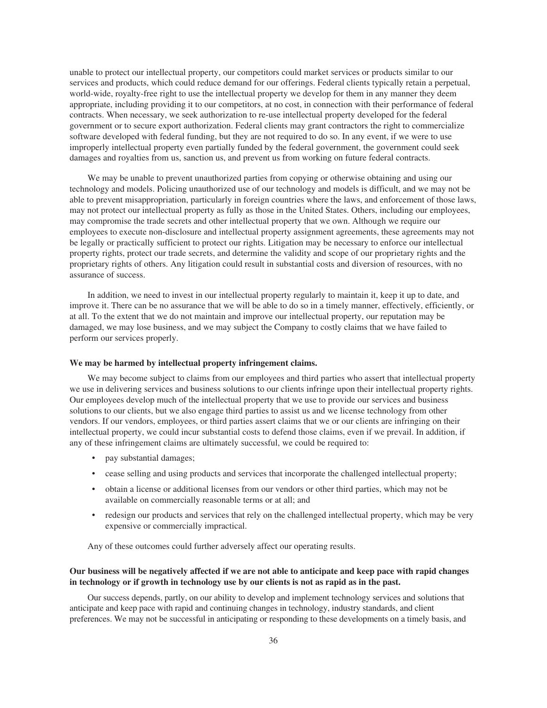unable to protect our intellectual property, our competitors could market services or products similar to our services and products, which could reduce demand for our offerings. Federal clients typically retain a perpetual, world-wide, royalty-free right to use the intellectual property we develop for them in any manner they deem appropriate, including providing it to our competitors, at no cost, in connection with their performance of federal contracts. When necessary, we seek authorization to re-use intellectual property developed for the federal government or to secure export authorization. Federal clients may grant contractors the right to commercialize software developed with federal funding, but they are not required to do so. In any event, if we were to use improperly intellectual property even partially funded by the federal government, the government could seek damages and royalties from us, sanction us, and prevent us from working on future federal contracts.

We may be unable to prevent unauthorized parties from copying or otherwise obtaining and using our technology and models. Policing unauthorized use of our technology and models is difficult, and we may not be able to prevent misappropriation, particularly in foreign countries where the laws, and enforcement of those laws, may not protect our intellectual property as fully as those in the United States. Others, including our employees, may compromise the trade secrets and other intellectual property that we own. Although we require our employees to execute non-disclosure and intellectual property assignment agreements, these agreements may not be legally or practically sufficient to protect our rights. Litigation may be necessary to enforce our intellectual property rights, protect our trade secrets, and determine the validity and scope of our proprietary rights and the proprietary rights of others. Any litigation could result in substantial costs and diversion of resources, with no assurance of success.

In addition, we need to invest in our intellectual property regularly to maintain it, keep it up to date, and improve it. There can be no assurance that we will be able to do so in a timely manner, effectively, efficiently, or at all. To the extent that we do not maintain and improve our intellectual property, our reputation may be damaged, we may lose business, and we may subject the Company to costly claims that we have failed to perform our services properly.

#### **We may be harmed by intellectual property infringement claims.**

We may become subject to claims from our employees and third parties who assert that intellectual property we use in delivering services and business solutions to our clients infringe upon their intellectual property rights. Our employees develop much of the intellectual property that we use to provide our services and business solutions to our clients, but we also engage third parties to assist us and we license technology from other vendors. If our vendors, employees, or third parties assert claims that we or our clients are infringing on their intellectual property, we could incur substantial costs to defend those claims, even if we prevail. In addition, if any of these infringement claims are ultimately successful, we could be required to:

- pay substantial damages;
- cease selling and using products and services that incorporate the challenged intellectual property;
- obtain a license or additional licenses from our vendors or other third parties, which may not be available on commercially reasonable terms or at all; and
- redesign our products and services that rely on the challenged intellectual property, which may be very expensive or commercially impractical.

Any of these outcomes could further adversely affect our operating results.

## **Our business will be negatively affected if we are not able to anticipate and keep pace with rapid changes in technology or if growth in technology use by our clients is not as rapid as in the past.**

Our success depends, partly, on our ability to develop and implement technology services and solutions that anticipate and keep pace with rapid and continuing changes in technology, industry standards, and client preferences. We may not be successful in anticipating or responding to these developments on a timely basis, and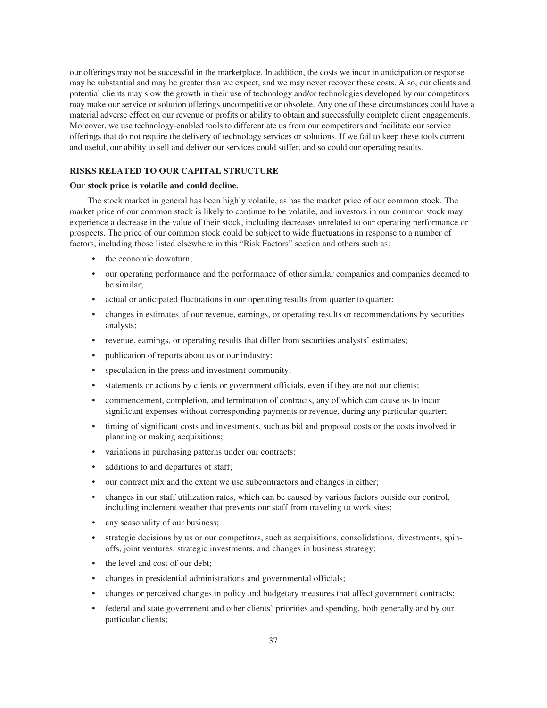our offerings may not be successful in the marketplace. In addition, the costs we incur in anticipation or response may be substantial and may be greater than we expect, and we may never recover these costs. Also, our clients and potential clients may slow the growth in their use of technology and/or technologies developed by our competitors may make our service or solution offerings uncompetitive or obsolete. Any one of these circumstances could have a material adverse effect on our revenue or profits or ability to obtain and successfully complete client engagements. Moreover, we use technology-enabled tools to differentiate us from our competitors and facilitate our service offerings that do not require the delivery of technology services or solutions. If we fail to keep these tools current and useful, our ability to sell and deliver our services could suffer, and so could our operating results.

#### **RISKS RELATED TO OUR CAPITAL STRUCTURE**

#### **Our stock price is volatile and could decline.**

The stock market in general has been highly volatile, as has the market price of our common stock. The market price of our common stock is likely to continue to be volatile, and investors in our common stock may experience a decrease in the value of their stock, including decreases unrelated to our operating performance or prospects. The price of our common stock could be subject to wide fluctuations in response to a number of factors, including those listed elsewhere in this "Risk Factors" section and others such as:

- the economic downturn;
- our operating performance and the performance of other similar companies and companies deemed to be similar;
- actual or anticipated fluctuations in our operating results from quarter to quarter;
- changes in estimates of our revenue, earnings, or operating results or recommendations by securities analysts;
- revenue, earnings, or operating results that differ from securities analysts' estimates;
- publication of reports about us or our industry;
- speculation in the press and investment community;
- statements or actions by clients or government officials, even if they are not our clients;
- commencement, completion, and termination of contracts, any of which can cause us to incur significant expenses without corresponding payments or revenue, during any particular quarter;
- timing of significant costs and investments, such as bid and proposal costs or the costs involved in planning or making acquisitions;
- variations in purchasing patterns under our contracts;
- additions to and departures of staff;
- our contract mix and the extent we use subcontractors and changes in either;
- changes in our staff utilization rates, which can be caused by various factors outside our control, including inclement weather that prevents our staff from traveling to work sites;
- any seasonality of our business;
- strategic decisions by us or our competitors, such as acquisitions, consolidations, divestments, spinoffs, joint ventures, strategic investments, and changes in business strategy;
- the level and cost of our debt;
- changes in presidential administrations and governmental officials;
- changes or perceived changes in policy and budgetary measures that affect government contracts;
- federal and state government and other clients' priorities and spending, both generally and by our particular clients;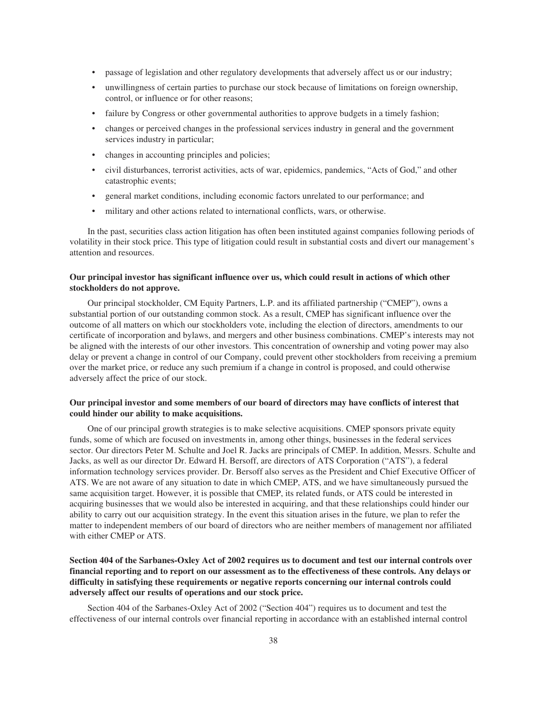- passage of legislation and other regulatory developments that adversely affect us or our industry;
- unwillingness of certain parties to purchase our stock because of limitations on foreign ownership, control, or influence or for other reasons;
- failure by Congress or other governmental authorities to approve budgets in a timely fashion;
- changes or perceived changes in the professional services industry in general and the government services industry in particular;
- changes in accounting principles and policies;
- civil disturbances, terrorist activities, acts of war, epidemics, pandemics, "Acts of God," and other catastrophic events;
- general market conditions, including economic factors unrelated to our performance; and
- military and other actions related to international conflicts, wars, or otherwise.

In the past, securities class action litigation has often been instituted against companies following periods of volatility in their stock price. This type of litigation could result in substantial costs and divert our management's attention and resources.

### **Our principal investor has significant influence over us, which could result in actions of which other stockholders do not approve.**

Our principal stockholder, CM Equity Partners, L.P. and its affiliated partnership ("CMEP"), owns a substantial portion of our outstanding common stock. As a result, CMEP has significant influence over the outcome of all matters on which our stockholders vote, including the election of directors, amendments to our certificate of incorporation and bylaws, and mergers and other business combinations. CMEP's interests may not be aligned with the interests of our other investors. This concentration of ownership and voting power may also delay or prevent a change in control of our Company, could prevent other stockholders from receiving a premium over the market price, or reduce any such premium if a change in control is proposed, and could otherwise adversely affect the price of our stock.

### **Our principal investor and some members of our board of directors may have conflicts of interest that could hinder our ability to make acquisitions.**

One of our principal growth strategies is to make selective acquisitions. CMEP sponsors private equity funds, some of which are focused on investments in, among other things, businesses in the federal services sector. Our directors Peter M. Schulte and Joel R. Jacks are principals of CMEP. In addition, Messrs. Schulte and Jacks, as well as our director Dr. Edward H. Bersoff, are directors of ATS Corporation ("ATS"), a federal information technology services provider. Dr. Bersoff also serves as the President and Chief Executive Officer of ATS. We are not aware of any situation to date in which CMEP, ATS, and we have simultaneously pursued the same acquisition target. However, it is possible that CMEP, its related funds, or ATS could be interested in acquiring businesses that we would also be interested in acquiring, and that these relationships could hinder our ability to carry out our acquisition strategy. In the event this situation arises in the future, we plan to refer the matter to independent members of our board of directors who are neither members of management nor affiliated with either CMEP or ATS.

## **Section 404 of the Sarbanes-Oxley Act of 2002 requires us to document and test our internal controls over financial reporting and to report on our assessment as to the effectiveness of these controls. Any delays or difficulty in satisfying these requirements or negative reports concerning our internal controls could adversely affect our results of operations and our stock price.**

Section 404 of the Sarbanes-Oxley Act of 2002 ("Section 404") requires us to document and test the effectiveness of our internal controls over financial reporting in accordance with an established internal control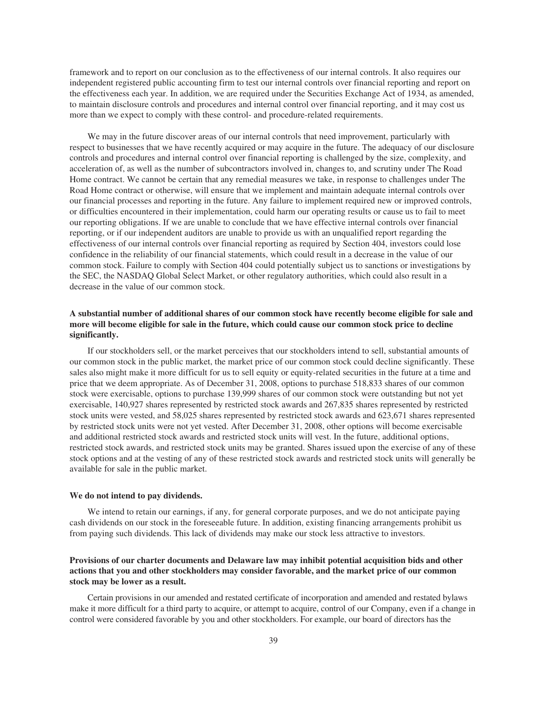framework and to report on our conclusion as to the effectiveness of our internal controls. It also requires our independent registered public accounting firm to test our internal controls over financial reporting and report on the effectiveness each year. In addition, we are required under the Securities Exchange Act of 1934, as amended, to maintain disclosure controls and procedures and internal control over financial reporting, and it may cost us more than we expect to comply with these control- and procedure-related requirements.

We may in the future discover areas of our internal controls that need improvement, particularly with respect to businesses that we have recently acquired or may acquire in the future. The adequacy of our disclosure controls and procedures and internal control over financial reporting is challenged by the size, complexity, and acceleration of, as well as the number of subcontractors involved in, changes to, and scrutiny under The Road Home contract. We cannot be certain that any remedial measures we take, in response to challenges under The Road Home contract or otherwise, will ensure that we implement and maintain adequate internal controls over our financial processes and reporting in the future. Any failure to implement required new or improved controls, or difficulties encountered in their implementation, could harm our operating results or cause us to fail to meet our reporting obligations. If we are unable to conclude that we have effective internal controls over financial reporting, or if our independent auditors are unable to provide us with an unqualified report regarding the effectiveness of our internal controls over financial reporting as required by Section 404, investors could lose confidence in the reliability of our financial statements, which could result in a decrease in the value of our common stock. Failure to comply with Section 404 could potentially subject us to sanctions or investigations by the SEC, the NASDAQ Global Select Market, or other regulatory authorities, which could also result in a decrease in the value of our common stock.

## **A substantial number of additional shares of our common stock have recently become eligible for sale and more will become eligible for sale in the future, which could cause our common stock price to decline significantly.**

If our stockholders sell, or the market perceives that our stockholders intend to sell, substantial amounts of our common stock in the public market, the market price of our common stock could decline significantly. These sales also might make it more difficult for us to sell equity or equity-related securities in the future at a time and price that we deem appropriate. As of December 31, 2008, options to purchase 518,833 shares of our common stock were exercisable, options to purchase 139,999 shares of our common stock were outstanding but not yet exercisable, 140,927 shares represented by restricted stock awards and 267,835 shares represented by restricted stock units were vested, and 58,025 shares represented by restricted stock awards and 623,671 shares represented by restricted stock units were not yet vested. After December 31, 2008, other options will become exercisable and additional restricted stock awards and restricted stock units will vest. In the future, additional options, restricted stock awards, and restricted stock units may be granted. Shares issued upon the exercise of any of these stock options and at the vesting of any of these restricted stock awards and restricted stock units will generally be available for sale in the public market.

#### **We do not intend to pay dividends.**

We intend to retain our earnings, if any, for general corporate purposes, and we do not anticipate paying cash dividends on our stock in the foreseeable future. In addition, existing financing arrangements prohibit us from paying such dividends. This lack of dividends may make our stock less attractive to investors.

## **Provisions of our charter documents and Delaware law may inhibit potential acquisition bids and other actions that you and other stockholders may consider favorable, and the market price of our common stock may be lower as a result.**

Certain provisions in our amended and restated certificate of incorporation and amended and restated bylaws make it more difficult for a third party to acquire, or attempt to acquire, control of our Company, even if a change in control were considered favorable by you and other stockholders. For example, our board of directors has the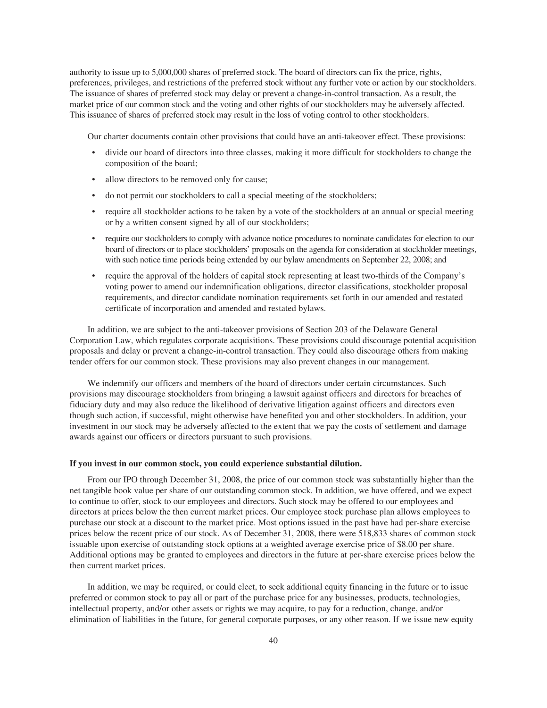authority to issue up to 5,000,000 shares of preferred stock. The board of directors can fix the price, rights, preferences, privileges, and restrictions of the preferred stock without any further vote or action by our stockholders. The issuance of shares of preferred stock may delay or prevent a change-in-control transaction. As a result, the market price of our common stock and the voting and other rights of our stockholders may be adversely affected. This issuance of shares of preferred stock may result in the loss of voting control to other stockholders.

Our charter documents contain other provisions that could have an anti-takeover effect. These provisions:

- divide our board of directors into three classes, making it more difficult for stockholders to change the composition of the board;
- allow directors to be removed only for cause;
- do not permit our stockholders to call a special meeting of the stockholders;
- require all stockholder actions to be taken by a vote of the stockholders at an annual or special meeting or by a written consent signed by all of our stockholders;
- require our stockholders to comply with advance notice procedures to nominate candidates for election to our board of directors or to place stockholders' proposals on the agenda for consideration at stockholder meetings, with such notice time periods being extended by our bylaw amendments on September 22, 2008; and
- require the approval of the holders of capital stock representing at least two-thirds of the Company's voting power to amend our indemnification obligations, director classifications, stockholder proposal requirements, and director candidate nomination requirements set forth in our amended and restated certificate of incorporation and amended and restated bylaws.

In addition, we are subject to the anti-takeover provisions of Section 203 of the Delaware General Corporation Law, which regulates corporate acquisitions. These provisions could discourage potential acquisition proposals and delay or prevent a change-in-control transaction. They could also discourage others from making tender offers for our common stock. These provisions may also prevent changes in our management.

We indemnify our officers and members of the board of directors under certain circumstances. Such provisions may discourage stockholders from bringing a lawsuit against officers and directors for breaches of fiduciary duty and may also reduce the likelihood of derivative litigation against officers and directors even though such action, if successful, might otherwise have benefited you and other stockholders. In addition, your investment in our stock may be adversely affected to the extent that we pay the costs of settlement and damage awards against our officers or directors pursuant to such provisions.

## **If you invest in our common stock, you could experience substantial dilution.**

From our IPO through December 31, 2008, the price of our common stock was substantially higher than the net tangible book value per share of our outstanding common stock. In addition, we have offered, and we expect to continue to offer, stock to our employees and directors. Such stock may be offered to our employees and directors at prices below the then current market prices. Our employee stock purchase plan allows employees to purchase our stock at a discount to the market price. Most options issued in the past have had per-share exercise prices below the recent price of our stock. As of December 31, 2008, there were 518,833 shares of common stock issuable upon exercise of outstanding stock options at a weighted average exercise price of \$8.00 per share. Additional options may be granted to employees and directors in the future at per-share exercise prices below the then current market prices.

In addition, we may be required, or could elect, to seek additional equity financing in the future or to issue preferred or common stock to pay all or part of the purchase price for any businesses, products, technologies, intellectual property, and/or other assets or rights we may acquire, to pay for a reduction, change, and/or elimination of liabilities in the future, for general corporate purposes, or any other reason. If we issue new equity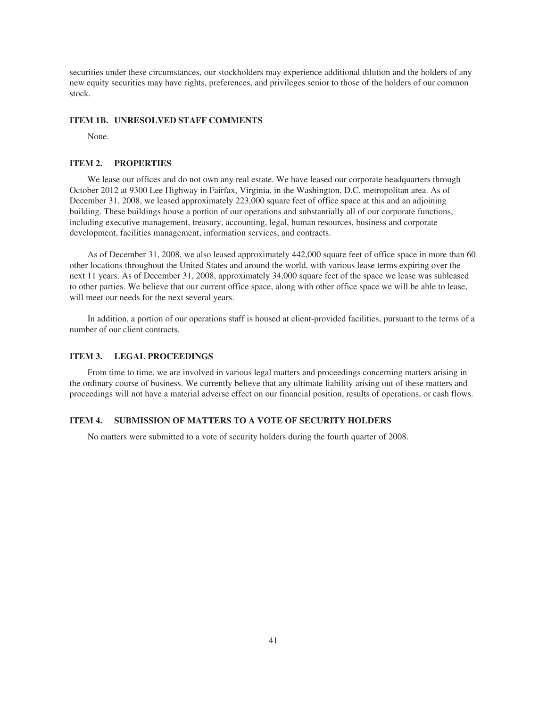securities under these circumstances, our stockholders may experience additional dilution and the holders of any new equity securities may have rights, preferences, and privileges senior to those of the holders of our common stock.

#### **ITEM 1B. UNRESOLVED STAFF COMMENTS**

None.

### **ITEM 2. PROPERTIES**

We lease our offices and do not own any real estate. We have leased our corporate headquarters through October 2012 at 9300 Lee Highway in Fairfax, Virginia, in the Washington, D.C. metropolitan area. As of December 31, 2008, we leased approximately 223,000 square feet of office space at this and an adjoining building. These buildings house a portion of our operations and substantially all of our corporate functions, including executive management, treasury, accounting, legal, human resources, business and corporate development, facilities management, information services, and contracts.

As of December 31, 2008, we also leased approximately 442,000 square feet of office space in more than 60 other locations throughout the United States and around the world, with various lease terms expiring over the next 11 years. As of December 31, 2008, approximately 34,000 square feet of the space we lease was subleased to other parties. We believe that our current office space, along with other office space we will be able to lease, will meet our needs for the next several years.

In addition, a portion of our operations staff is housed at client-provided facilities, pursuant to the terms of a number of our client contracts.

### **ITEM 3. LEGAL PROCEEDINGS**

From time to time, we are involved in various legal matters and proceedings concerning matters arising in the ordinary course of business. We currently believe that any ultimate liability arising out of these matters and proceedings will not have a material adverse effect on our financial position, results of operations, or cash flows.

#### **ITEM 4. SUBMISSION OF MATTERS TO A VOTE OF SECURITY HOLDERS**

No matters were submitted to a vote of security holders during the fourth quarter of 2008.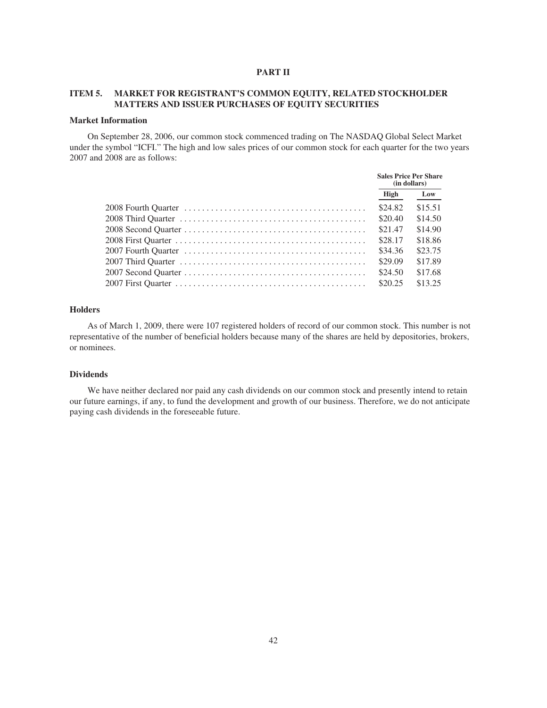#### **PART II**

## **ITEM 5. MARKET FOR REGISTRANT'S COMMON EQUITY, RELATED STOCKHOLDER MATTERS AND ISSUER PURCHASES OF EQUITY SECURITIES**

#### **Market Information**

On September 28, 2006, our common stock commenced trading on The NASDAQ Global Select Market under the symbol "ICFI." The high and low sales prices of our common stock for each quarter for the two years 2007 and 2008 are as follows:

|         | <b>Sales Price Per Share</b><br>(in dollars) |
|---------|----------------------------------------------|
| High    | Low                                          |
| \$24.82 | \$15.51                                      |
| \$20.40 | \$14.50                                      |
| \$21.47 | \$14.90                                      |
| \$28.17 | \$18.86                                      |
| \$34.36 | \$23.75                                      |
| \$29.09 | \$17.89                                      |
| \$24.50 | \$17.68                                      |
| \$20.25 | \$13.25                                      |

## **Holders**

As of March 1, 2009, there were 107 registered holders of record of our common stock. This number is not representative of the number of beneficial holders because many of the shares are held by depositories, brokers, or nominees.

### **Dividends**

We have neither declared nor paid any cash dividends on our common stock and presently intend to retain our future earnings, if any, to fund the development and growth of our business. Therefore, we do not anticipate paying cash dividends in the foreseeable future.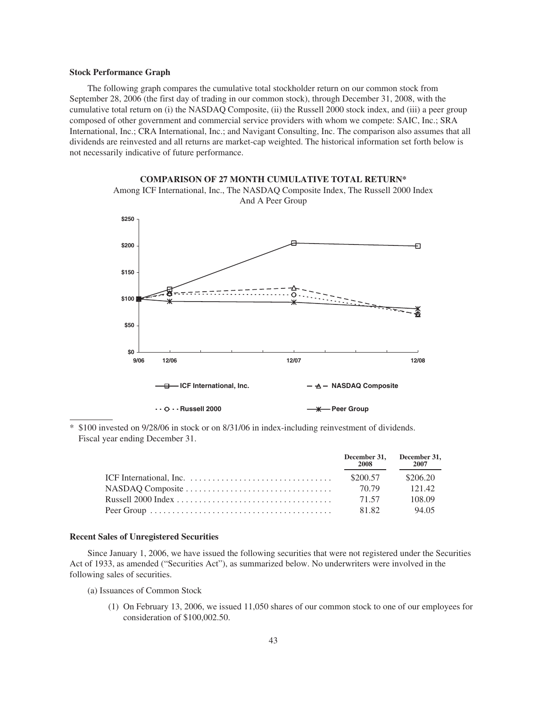#### **Stock Performance Graph**

The following graph compares the cumulative total stockholder return on our common stock from September 28, 2006 (the first day of trading in our common stock), through December 31, 2008, with the cumulative total return on (i) the NASDAQ Composite, (ii) the Russell 2000 stock index, and (iii) a peer group composed of other government and commercial service providers with whom we compete: SAIC, Inc.; SRA International, Inc.; CRA International, Inc.; and Navigant Consulting, Inc. The comparison also assumes that all dividends are reinvested and all returns are market-cap weighted. The historical information set forth below is not necessarily indicative of future performance.

#### **COMPARISON OF 27 MONTH CUMULATIVE TOTAL RETURN\***



Among ICF International, Inc., The NASDAQ Composite Index, The Russell 2000 Index And A Peer Group

\* \$100 invested on 9/28/06 in stock or on 8/31/06 in index-including reinvestment of dividends. Fiscal year ending December 31.

| 2008     | December 31, December 31,<br>2007 |
|----------|-----------------------------------|
| \$200.57 | \$206.20                          |
| 70.79    | 121.42                            |
| 71.57    | 108.09                            |
| 81.82    | 94.05                             |

#### **Recent Sales of Unregistered Securities**

Since January 1, 2006, we have issued the following securities that were not registered under the Securities Act of 1933, as amended ("Securities Act"), as summarized below. No underwriters were involved in the following sales of securities.

(a) Issuances of Common Stock

(1) On February 13, 2006, we issued 11,050 shares of our common stock to one of our employees for consideration of \$100,002.50.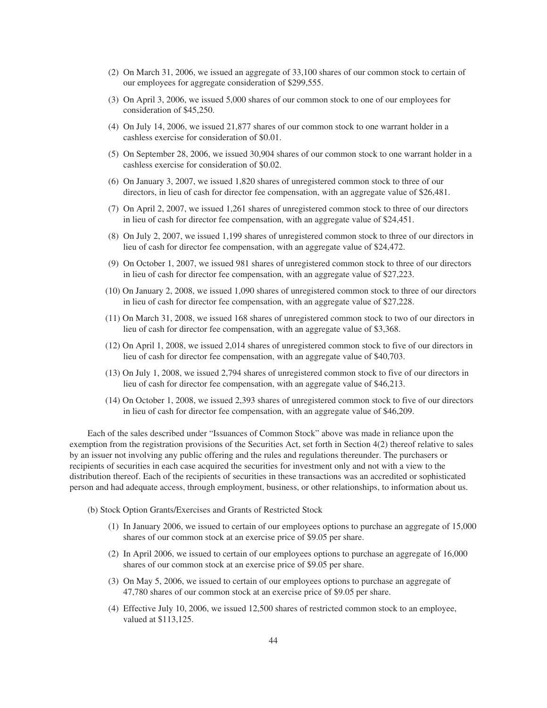- (2) On March 31, 2006, we issued an aggregate of 33,100 shares of our common stock to certain of our employees for aggregate consideration of \$299,555.
- (3) On April 3, 2006, we issued 5,000 shares of our common stock to one of our employees for consideration of \$45,250.
- (4) On July 14, 2006, we issued 21,877 shares of our common stock to one warrant holder in a cashless exercise for consideration of \$0.01.
- (5) On September 28, 2006, we issued 30,904 shares of our common stock to one warrant holder in a cashless exercise for consideration of \$0.02.
- (6) On January 3, 2007, we issued 1,820 shares of unregistered common stock to three of our directors, in lieu of cash for director fee compensation, with an aggregate value of \$26,481.
- (7) On April 2, 2007, we issued 1,261 shares of unregistered common stock to three of our directors in lieu of cash for director fee compensation, with an aggregate value of \$24,451.
- (8) On July 2, 2007, we issued 1,199 shares of unregistered common stock to three of our directors in lieu of cash for director fee compensation, with an aggregate value of \$24,472.
- (9) On October 1, 2007, we issued 981 shares of unregistered common stock to three of our directors in lieu of cash for director fee compensation, with an aggregate value of \$27,223.
- (10) On January 2, 2008, we issued 1,090 shares of unregistered common stock to three of our directors in lieu of cash for director fee compensation, with an aggregate value of \$27,228.
- (11) On March 31, 2008, we issued 168 shares of unregistered common stock to two of our directors in lieu of cash for director fee compensation, with an aggregate value of \$3,368.
- (12) On April 1, 2008, we issued 2,014 shares of unregistered common stock to five of our directors in lieu of cash for director fee compensation, with an aggregate value of \$40,703.
- (13) On July 1, 2008, we issued 2,794 shares of unregistered common stock to five of our directors in lieu of cash for director fee compensation, with an aggregate value of \$46,213.
- (14) On October 1, 2008, we issued 2,393 shares of unregistered common stock to five of our directors in lieu of cash for director fee compensation, with an aggregate value of \$46,209.

Each of the sales described under "Issuances of Common Stock" above was made in reliance upon the exemption from the registration provisions of the Securities Act, set forth in Section 4(2) thereof relative to sales by an issuer not involving any public offering and the rules and regulations thereunder. The purchasers or recipients of securities in each case acquired the securities for investment only and not with a view to the distribution thereof. Each of the recipients of securities in these transactions was an accredited or sophisticated person and had adequate access, through employment, business, or other relationships, to information about us.

- (b) Stock Option Grants/Exercises and Grants of Restricted Stock
	- (1) In January 2006, we issued to certain of our employees options to purchase an aggregate of 15,000 shares of our common stock at an exercise price of \$9.05 per share.
	- (2) In April 2006, we issued to certain of our employees options to purchase an aggregate of 16,000 shares of our common stock at an exercise price of \$9.05 per share.
	- (3) On May 5, 2006, we issued to certain of our employees options to purchase an aggregate of 47,780 shares of our common stock at an exercise price of \$9.05 per share.
	- (4) Effective July 10, 2006, we issued 12,500 shares of restricted common stock to an employee, valued at \$113,125.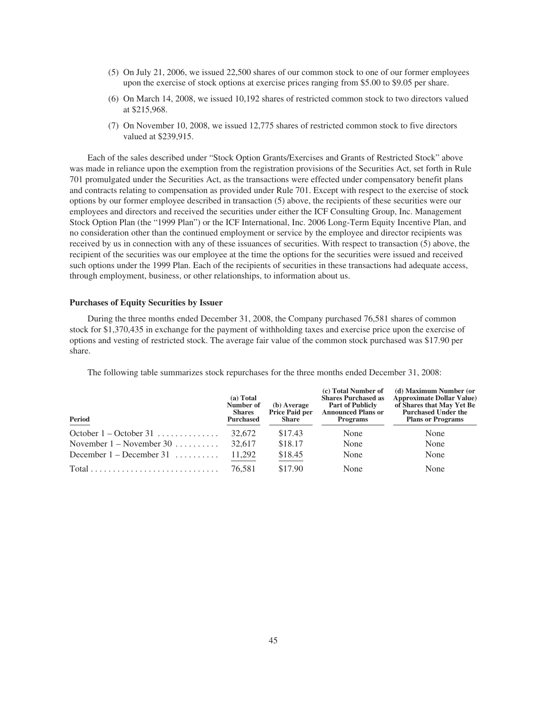- (5) On July 21, 2006, we issued 22,500 shares of our common stock to one of our former employees upon the exercise of stock options at exercise prices ranging from \$5.00 to \$9.05 per share.
- (6) On March 14, 2008, we issued 10,192 shares of restricted common stock to two directors valued at \$215,968.
- (7) On November 10, 2008, we issued 12,775 shares of restricted common stock to five directors valued at \$239,915.

Each of the sales described under "Stock Option Grants/Exercises and Grants of Restricted Stock" above was made in reliance upon the exemption from the registration provisions of the Securities Act, set forth in Rule 701 promulgated under the Securities Act, as the transactions were effected under compensatory benefit plans and contracts relating to compensation as provided under Rule 701. Except with respect to the exercise of stock options by our former employee described in transaction (5) above, the recipients of these securities were our employees and directors and received the securities under either the ICF Consulting Group, Inc. Management Stock Option Plan (the "1999 Plan") or the ICF International, Inc. 2006 Long-Term Equity Incentive Plan, and no consideration other than the continued employment or service by the employee and director recipients was received by us in connection with any of these issuances of securities. With respect to transaction (5) above, the recipient of the securities was our employee at the time the options for the securities were issued and received such options under the 1999 Plan. Each of the recipients of securities in these transactions had adequate access, through employment, business, or other relationships, to information about us.

### **Purchases of Equity Securities by Issuer**

During the three months ended December 31, 2008, the Company purchased 76,581 shares of common stock for \$1,370,435 in exchange for the payment of withholding taxes and exercise price upon the exercise of options and vesting of restricted stock. The average fair value of the common stock purchased was \$17.90 per share.

The following table summarizes stock repurchases for the three months ended December 31, 2008:

| Period                                                              | (a) Total<br>Number of<br><b>Shares</b><br>Purchased | (b) Average<br><b>Price Paid per</b><br>Share | (c) Total Number of<br><b>Shares Purchased as</b><br><b>Part of Publicly</b><br><b>Announced Plans or</b><br><b>Programs</b> | (d) Maximum Number (or<br><b>Approximate Dollar Value</b> )<br>of Shares that May Yet Be<br><b>Purchased Under the</b><br><b>Plans or Programs</b> |  |  |
|---------------------------------------------------------------------|------------------------------------------------------|-----------------------------------------------|------------------------------------------------------------------------------------------------------------------------------|----------------------------------------------------------------------------------------------------------------------------------------------------|--|--|
|                                                                     | 32,672                                               | \$17.43                                       | None                                                                                                                         | None                                                                                                                                               |  |  |
| November $1 -$ November 30                                          | 32.617                                               | \$18.17                                       | None                                                                                                                         | None                                                                                                                                               |  |  |
| December $1 -$ December 31                                          | 11.292                                               | \$18.45                                       | None                                                                                                                         | None                                                                                                                                               |  |  |
| $Total \dots \dots \dots \dots \dots \dots \dots \dots \dots \dots$ | 76.581                                               | \$17.90                                       | None                                                                                                                         | None                                                                                                                                               |  |  |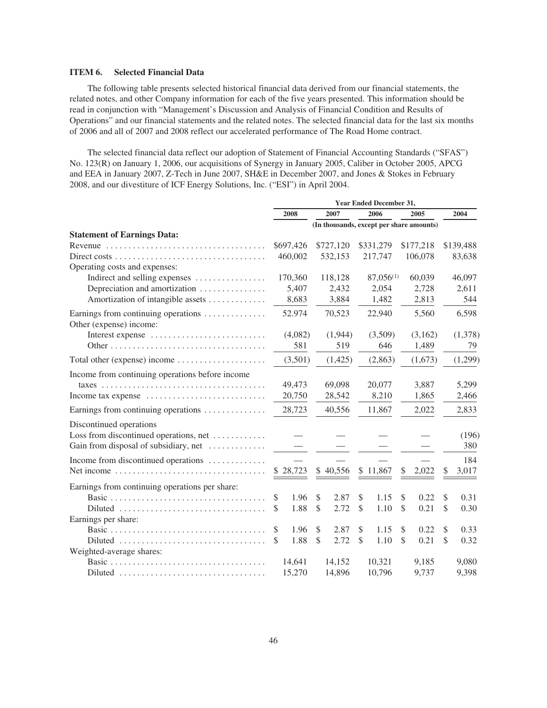#### **ITEM 6. Selected Financial Data**

The following table presents selected historical financial data derived from our financial statements, the related notes, and other Company information for each of the five years presented. This information should be read in conjunction with "Management's Discussion and Analysis of Financial Condition and Results of Operations" and our financial statements and the related notes. The selected financial data for the last six months of 2006 and all of 2007 and 2008 reflect our accelerated performance of The Road Home contract.

The selected financial data reflect our adoption of Statement of Financial Accounting Standards ("SFAS") No. 123(R) on January 1, 2006, our acquisitions of Synergy in January 2005, Caliber in October 2005, APCG and EEA in January 2007, Z-Tech in June 2007, SH&E in December 2007, and Jones & Stokes in February 2008, and our divestiture of ICF Energy Solutions, Inc. ("ESI") in April 2004.

|                                                                |            |                                          | Year Ended December 31, |                        |                       |
|----------------------------------------------------------------|------------|------------------------------------------|-------------------------|------------------------|-----------------------|
|                                                                | 2008       | 2007                                     | 2006                    | 2005                   | 2004                  |
|                                                                |            | (In thousands, except per share amounts) |                         |                        |                       |
| <b>Statement of Earnings Data:</b>                             |            |                                          |                         |                        |                       |
|                                                                | \$697,426  | \$727,120                                | \$331,279               | \$177,218              | \$139,488             |
|                                                                | 460,002    | 532,153                                  | 217,747                 | 106,078                | 83,638                |
| Operating costs and expenses:                                  |            |                                          |                         |                        |                       |
| Indirect and selling expenses                                  | 170,360    | 118,128                                  | 87,056(1)               | 60,039                 | 46,097                |
| Depreciation and amortization                                  | 5,407      | 2,432                                    | 2,054                   | 2,728                  | 2,611                 |
| Amortization of intangible assets                              | 8,683      | 3,884                                    | 1,482                   | 2,813                  | 544                   |
| Earnings from continuing operations<br>Other (expense) income: | 52.974     | 70,523                                   | 22,940                  | 5,560                  | 6,598                 |
| Interest expense                                               | (4,082)    | (1,944)                                  | (3,509)                 | (3,162)                | (1,378)               |
|                                                                | 581        | 519                                      | 646                     | 1,489                  | 79                    |
| Total other (expense) income                                   | (3,501)    | (1, 425)                                 | (2,863)                 | (1,673)                | (1,299)               |
| Income from continuing operations before income                |            |                                          |                         |                        |                       |
|                                                                | 49,473     | 69,098                                   | 20,077                  | 3,887                  | 5,299                 |
| Income tax expense                                             | 20,750     | 28,542                                   | 8,210                   | 1,865                  | 2,466                 |
| Earnings from continuing operations                            | 28,723     | 40,556                                   | 11,867                  | 2,022                  | 2,833                 |
| Discontinued operations                                        |            |                                          |                         |                        |                       |
| Loss from discontinued operations, net                         |            |                                          |                         |                        | (196)                 |
| Gain from disposal of subsidiary, net                          |            |                                          |                         |                        | 380                   |
| Income from discontinued operations                            |            |                                          |                         |                        | 184                   |
| Net income                                                     | \$28,723   | \$40,556                                 | \$11,867                | 2,022<br><sup>\$</sup> | 3,017<br>S            |
| Earnings from continuing operations per share:                 |            |                                          |                         |                        |                       |
|                                                                | 1.96<br>\$ | \$<br>2.87                               | \$<br>1.15              | \$<br>0.22             | \$<br>0.31            |
| Diluted                                                        | 1.88<br>\$ | 2.72<br>\$                               | \$<br>1.10              | 0.21<br>\$             | $\mathcal{S}$<br>0.30 |
| Earnings per share:                                            |            |                                          |                         |                        |                       |
|                                                                | \$<br>1.96 | \$<br>2.87                               | \$<br>1.15              | \$<br>0.22             | \$<br>0.33            |
|                                                                | 1.88<br>\$ | 2.72<br>\$                               | \$<br>1.10              | \$<br>0.21             | \$<br>0.32            |
| Weighted-average shares:                                       |            |                                          |                         |                        |                       |
|                                                                | 14,641     | 14,152                                   | 10,321                  | 9,185                  | 9,080                 |
| Diluted                                                        | 15,270     | 14,896                                   | 10,796                  | 9,737                  | 9,398                 |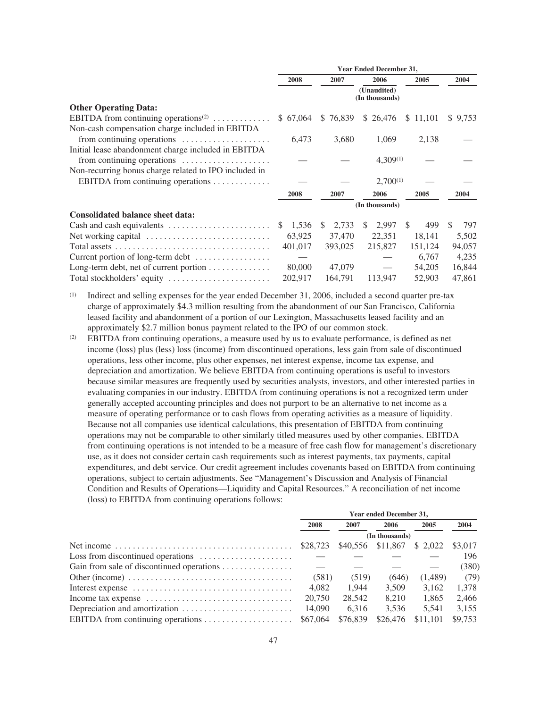|                                                                                        | <b>Year Ended December 31,</b> |                        |                        |           |            |  |  |
|----------------------------------------------------------------------------------------|--------------------------------|------------------------|------------------------|-----------|------------|--|--|
|                                                                                        | 2008                           | 2007                   | 2006                   | 2005      | 2004       |  |  |
|                                                                                        |                                |                        |                        |           |            |  |  |
| <b>Other Operating Data:</b>                                                           |                                |                        |                        |           |            |  |  |
| EBITDA from continuing operations <sup>(2)</sup>                                       | \$67,064                       | \$76,839               | \$ 26,476              | \$11,101  | \$9,753    |  |  |
| Non-cash compensation charge included in EBITDA                                        |                                |                        |                        |           |            |  |  |
| from continuing operations $\dots \dots \dots \dots \dots \dots$                       | 6,473                          | 3,680                  | 1,069                  | 2,138     |            |  |  |
| Initial lease abandonment charge included in EBITDA                                    |                                |                        |                        |           |            |  |  |
| from continuing operations $\dots \dots \dots \dots \dots \dots$                       |                                |                        | $4,309^{(1)}$          |           |            |  |  |
| Non-recurring bonus charge related to IPO included in                                  |                                |                        |                        |           |            |  |  |
| EBITDA from continuing operations                                                      |                                |                        | $2,700^{(1)}$          |           |            |  |  |
|                                                                                        | 2008                           | 2007                   | 2006                   | 2005      | 2004       |  |  |
|                                                                                        |                                |                        | (In thousands)         |           |            |  |  |
| Consolidated balance sheet data:                                                       |                                |                        |                        |           |            |  |  |
|                                                                                        | 1,536<br>S                     | 2,733<br><sup>\$</sup> | <sup>\$</sup><br>2,997 | 499<br>S. | 797<br>\$. |  |  |
|                                                                                        | 63,925                         | 37,470                 | 22,351                 | 18,141    | 5,502      |  |  |
| Total assets $\dots \dots \dots \dots \dots \dots \dots \dots \dots \dots \dots \dots$ | 401,017                        | 393,025                | 215,827                | 151,124   | 94,057     |  |  |
| Current portion of long-term debt $\dots\dots\dots\dots\dots$                          |                                |                        |                        | 6,767     | 4,235      |  |  |
| Long-term debt, net of current portion $\dots \dots \dots$                             | 80,000                         | 47,079                 |                        | 54,205    | 16,844     |  |  |
| Total stockholders' equity                                                             | 202,917                        | 164,791                | 113,947                | 52,903    | 47,861     |  |  |

(1) Indirect and selling expenses for the year ended December 31, 2006, included a second quarter pre-tax charge of approximately \$4.3 million resulting from the abandonment of our San Francisco, California leased facility and abandonment of a portion of our Lexington, Massachusetts leased facility and an approximately \$2.7 million bonus payment related to the IPO of our common stock.

(2) EBITDA from continuing operations, a measure used by us to evaluate performance, is defined as net income (loss) plus (less) loss (income) from discontinued operations, less gain from sale of discontinued operations, less other income, plus other expenses, net interest expense, income tax expense, and depreciation and amortization. We believe EBITDA from continuing operations is useful to investors because similar measures are frequently used by securities analysts, investors, and other interested parties in evaluating companies in our industry. EBITDA from continuing operations is not a recognized term under generally accepted accounting principles and does not purport to be an alternative to net income as a measure of operating performance or to cash flows from operating activities as a measure of liquidity. Because not all companies use identical calculations, this presentation of EBITDA from continuing operations may not be comparable to other similarly titled measures used by other companies. EBITDA from continuing operations is not intended to be a measure of free cash flow for management's discretionary use, as it does not consider certain cash requirements such as interest payments, tax payments, capital expenditures, and debt service. Our credit agreement includes covenants based on EBITDA from continuing operations, subject to certain adjustments. See "Management's Discussion and Analysis of Financial Condition and Results of Operations—Liquidity and Capital Resources." A reconciliation of net income (loss) to EBITDA from continuing operations follows:

|                                                                                           | Year ended December 31, |                |                            |          |         |  |
|-------------------------------------------------------------------------------------------|-------------------------|----------------|----------------------------|----------|---------|--|
|                                                                                           | 2008                    | 2007           | 2006                       | 2005     | 2004    |  |
|                                                                                           |                         | (In thousands) |                            |          |         |  |
| Net income $\ldots \ldots \ldots \ldots \ldots \ldots \ldots \ldots \ldots \ldots \ldots$ | \$28,723                |                | \$40,556 \$11,867 \$ 2,022 |          | \$3,017 |  |
|                                                                                           |                         |                |                            |          | 196     |  |
| Gain from sale of discontinued operations                                                 |                         |                |                            |          | (380)   |  |
| Other (income) $\dots \dots \dots \dots \dots \dots \dots \dots \dots \dots \dots \dots$  | (581)                   | (519)          | (646)                      | (1,489)  | (79)    |  |
|                                                                                           | 4.082                   | 1.944          | 3.509                      | 3.162    | 1,378   |  |
| Income tax expense $\dots \dots \dots \dots \dots \dots \dots \dots \dots \dots \dots$    | 20,750                  | 28.542         | 8.210                      | 1.865    | 2.466   |  |
|                                                                                           | 14.090                  | 6.316          | 3.536                      | 5.541    | 3,155   |  |
| EBITDA from continuing operations $\dots \dots \dots \dots \dots$ \$67,064                |                         | \$76,839       | \$26,476                   | \$11,101 | \$9,753 |  |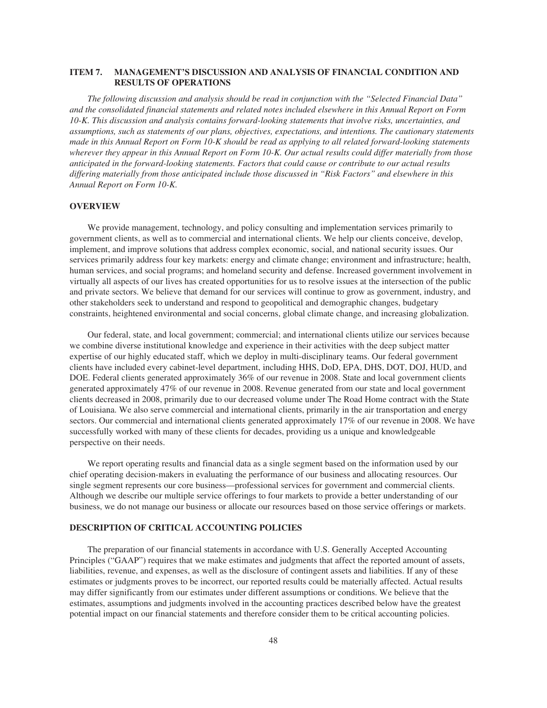## **ITEM 7. MANAGEMENT'S DISCUSSION AND ANALYSIS OF FINANCIAL CONDITION AND RESULTS OF OPERATIONS**

*The following discussion and analysis should be read in conjunction with the "Selected Financial Data" and the consolidated financial statements and related notes included elsewhere in this Annual Report on Form 10-K. This discussion and analysis contains forward-looking statements that involve risks, uncertainties, and assumptions, such as statements of our plans, objectives, expectations, and intentions. The cautionary statements made in this Annual Report on Form 10-K should be read as applying to all related forward-looking statements wherever they appear in this Annual Report on Form 10-K. Our actual results could differ materially from those anticipated in the forward-looking statements. Factors that could cause or contribute to our actual results differing materially from those anticipated include those discussed in "Risk Factors" and elsewhere in this Annual Report on Form 10-K.*

### **OVERVIEW**

We provide management, technology, and policy consulting and implementation services primarily to government clients, as well as to commercial and international clients. We help our clients conceive, develop, implement, and improve solutions that address complex economic, social, and national security issues. Our services primarily address four key markets: energy and climate change; environment and infrastructure; health, human services, and social programs; and homeland security and defense. Increased government involvement in virtually all aspects of our lives has created opportunities for us to resolve issues at the intersection of the public and private sectors. We believe that demand for our services will continue to grow as government, industry, and other stakeholders seek to understand and respond to geopolitical and demographic changes, budgetary constraints, heightened environmental and social concerns, global climate change, and increasing globalization.

Our federal, state, and local government; commercial; and international clients utilize our services because we combine diverse institutional knowledge and experience in their activities with the deep subject matter expertise of our highly educated staff, which we deploy in multi-disciplinary teams. Our federal government clients have included every cabinet-level department, including HHS, DoD, EPA, DHS, DOT, DOJ, HUD, and DOE. Federal clients generated approximately 36% of our revenue in 2008. State and local government clients generated approximately 47% of our revenue in 2008. Revenue generated from our state and local government clients decreased in 2008, primarily due to our decreased volume under The Road Home contract with the State of Louisiana. We also serve commercial and international clients, primarily in the air transportation and energy sectors. Our commercial and international clients generated approximately 17% of our revenue in 2008. We have successfully worked with many of these clients for decades, providing us a unique and knowledgeable perspective on their needs.

We report operating results and financial data as a single segment based on the information used by our chief operating decision-makers in evaluating the performance of our business and allocating resources. Our single segment represents our core business—professional services for government and commercial clients. Although we describe our multiple service offerings to four markets to provide a better understanding of our business, we do not manage our business or allocate our resources based on those service offerings or markets.

#### **DESCRIPTION OF CRITICAL ACCOUNTING POLICIES**

The preparation of our financial statements in accordance with U.S. Generally Accepted Accounting Principles ("GAAP") requires that we make estimates and judgments that affect the reported amount of assets, liabilities, revenue, and expenses, as well as the disclosure of contingent assets and liabilities. If any of these estimates or judgments proves to be incorrect, our reported results could be materially affected. Actual results may differ significantly from our estimates under different assumptions or conditions. We believe that the estimates, assumptions and judgments involved in the accounting practices described below have the greatest potential impact on our financial statements and therefore consider them to be critical accounting policies.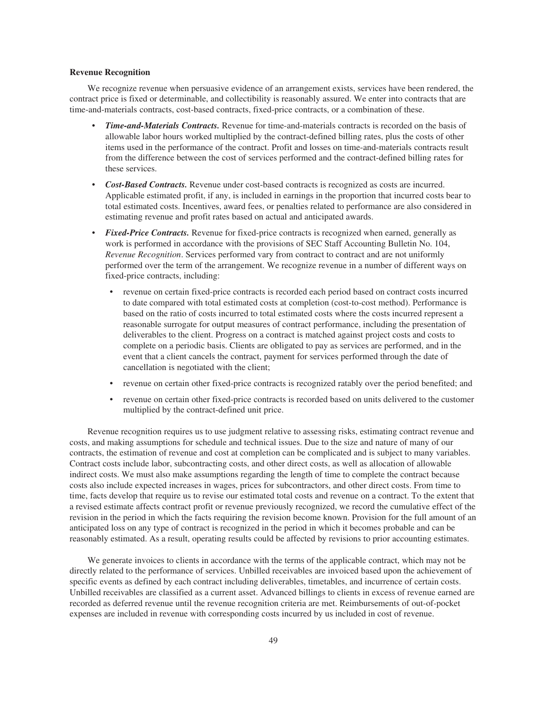#### **Revenue Recognition**

We recognize revenue when persuasive evidence of an arrangement exists, services have been rendered, the contract price is fixed or determinable, and collectibility is reasonably assured. We enter into contracts that are time-and-materials contracts, cost-based contracts, fixed-price contracts, or a combination of these.

- *Time-and-Materials Contracts.* Revenue for time-and-materials contracts is recorded on the basis of allowable labor hours worked multiplied by the contract-defined billing rates, plus the costs of other items used in the performance of the contract. Profit and losses on time-and-materials contracts result from the difference between the cost of services performed and the contract-defined billing rates for these services.
- *Cost-Based Contracts.* Revenue under cost-based contracts is recognized as costs are incurred. Applicable estimated profit, if any, is included in earnings in the proportion that incurred costs bear to total estimated costs. Incentives, award fees, or penalties related to performance are also considered in estimating revenue and profit rates based on actual and anticipated awards.
- *Fixed-Price Contracts.* Revenue for fixed-price contracts is recognized when earned, generally as work is performed in accordance with the provisions of SEC Staff Accounting Bulletin No. 104, *Revenue Recognition*. Services performed vary from contract to contract and are not uniformly performed over the term of the arrangement. We recognize revenue in a number of different ways on fixed-price contracts, including:
	- revenue on certain fixed-price contracts is recorded each period based on contract costs incurred to date compared with total estimated costs at completion (cost-to-cost method). Performance is based on the ratio of costs incurred to total estimated costs where the costs incurred represent a reasonable surrogate for output measures of contract performance, including the presentation of deliverables to the client. Progress on a contract is matched against project costs and costs to complete on a periodic basis. Clients are obligated to pay as services are performed, and in the event that a client cancels the contract, payment for services performed through the date of cancellation is negotiated with the client;
	- revenue on certain other fixed-price contracts is recognized ratably over the period benefited; and
	- revenue on certain other fixed-price contracts is recorded based on units delivered to the customer multiplied by the contract-defined unit price.

Revenue recognition requires us to use judgment relative to assessing risks, estimating contract revenue and costs, and making assumptions for schedule and technical issues. Due to the size and nature of many of our contracts, the estimation of revenue and cost at completion can be complicated and is subject to many variables. Contract costs include labor, subcontracting costs, and other direct costs, as well as allocation of allowable indirect costs. We must also make assumptions regarding the length of time to complete the contract because costs also include expected increases in wages, prices for subcontractors, and other direct costs. From time to time, facts develop that require us to revise our estimated total costs and revenue on a contract. To the extent that a revised estimate affects contract profit or revenue previously recognized, we record the cumulative effect of the revision in the period in which the facts requiring the revision become known. Provision for the full amount of an anticipated loss on any type of contract is recognized in the period in which it becomes probable and can be reasonably estimated. As a result, operating results could be affected by revisions to prior accounting estimates.

We generate invoices to clients in accordance with the terms of the applicable contract, which may not be directly related to the performance of services. Unbilled receivables are invoiced based upon the achievement of specific events as defined by each contract including deliverables, timetables, and incurrence of certain costs. Unbilled receivables are classified as a current asset. Advanced billings to clients in excess of revenue earned are recorded as deferred revenue until the revenue recognition criteria are met. Reimbursements of out-of-pocket expenses are included in revenue with corresponding costs incurred by us included in cost of revenue.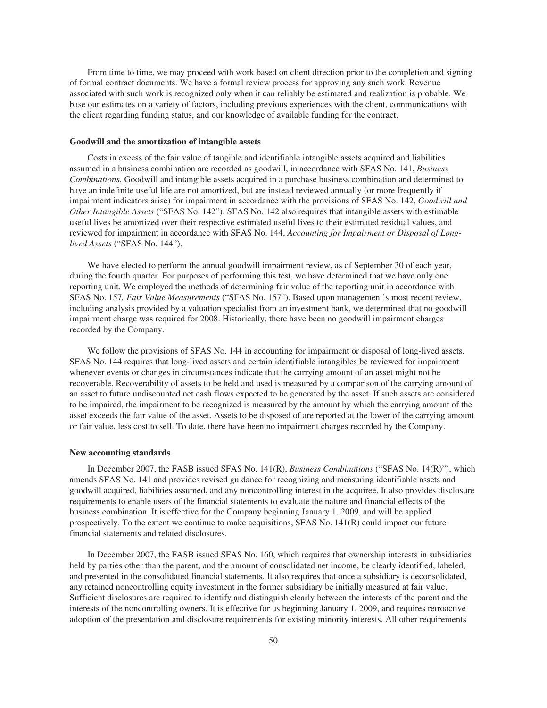From time to time, we may proceed with work based on client direction prior to the completion and signing of formal contract documents. We have a formal review process for approving any such work. Revenue associated with such work is recognized only when it can reliably be estimated and realization is probable. We base our estimates on a variety of factors, including previous experiences with the client, communications with the client regarding funding status, and our knowledge of available funding for the contract.

#### **Goodwill and the amortization of intangible assets**

Costs in excess of the fair value of tangible and identifiable intangible assets acquired and liabilities assumed in a business combination are recorded as goodwill, in accordance with SFAS No. 141, *Business Combinations.* Goodwill and intangible assets acquired in a purchase business combination and determined to have an indefinite useful life are not amortized, but are instead reviewed annually (or more frequently if impairment indicators arise) for impairment in accordance with the provisions of SFAS No. 142, *Goodwill and Other Intangible Assets* ("SFAS No. 142"). SFAS No. 142 also requires that intangible assets with estimable useful lives be amortized over their respective estimated useful lives to their estimated residual values, and reviewed for impairment in accordance with SFAS No. 144, *Accounting for Impairment or Disposal of Longlived Assets* ("SFAS No. 144").

We have elected to perform the annual goodwill impairment review, as of September 30 of each year, during the fourth quarter. For purposes of performing this test, we have determined that we have only one reporting unit. We employed the methods of determining fair value of the reporting unit in accordance with SFAS No. 157*, Fair Value Measurements* ("SFAS No. 157"). Based upon management's most recent review, including analysis provided by a valuation specialist from an investment bank, we determined that no goodwill impairment charge was required for 2008. Historically, there have been no goodwill impairment charges recorded by the Company.

We follow the provisions of SFAS No. 144 in accounting for impairment or disposal of long-lived assets. SFAS No. 144 requires that long-lived assets and certain identifiable intangibles be reviewed for impairment whenever events or changes in circumstances indicate that the carrying amount of an asset might not be recoverable. Recoverability of assets to be held and used is measured by a comparison of the carrying amount of an asset to future undiscounted net cash flows expected to be generated by the asset. If such assets are considered to be impaired, the impairment to be recognized is measured by the amount by which the carrying amount of the asset exceeds the fair value of the asset. Assets to be disposed of are reported at the lower of the carrying amount or fair value, less cost to sell. To date, there have been no impairment charges recorded by the Company.

#### **New accounting standards**

In December 2007, the FASB issued SFAS No. 141(R), *Business Combinations* ("SFAS No. 14(R)"), which amends SFAS No. 141 and provides revised guidance for recognizing and measuring identifiable assets and goodwill acquired, liabilities assumed, and any noncontrolling interest in the acquiree. It also provides disclosure requirements to enable users of the financial statements to evaluate the nature and financial effects of the business combination. It is effective for the Company beginning January 1, 2009, and will be applied prospectively. To the extent we continue to make acquisitions, SFAS No. 141(R) could impact our future financial statements and related disclosures.

In December 2007, the FASB issued SFAS No. 160, which requires that ownership interests in subsidiaries held by parties other than the parent, and the amount of consolidated net income, be clearly identified, labeled, and presented in the consolidated financial statements. It also requires that once a subsidiary is deconsolidated, any retained noncontrolling equity investment in the former subsidiary be initially measured at fair value. Sufficient disclosures are required to identify and distinguish clearly between the interests of the parent and the interests of the noncontrolling owners. It is effective for us beginning January 1, 2009, and requires retroactive adoption of the presentation and disclosure requirements for existing minority interests. All other requirements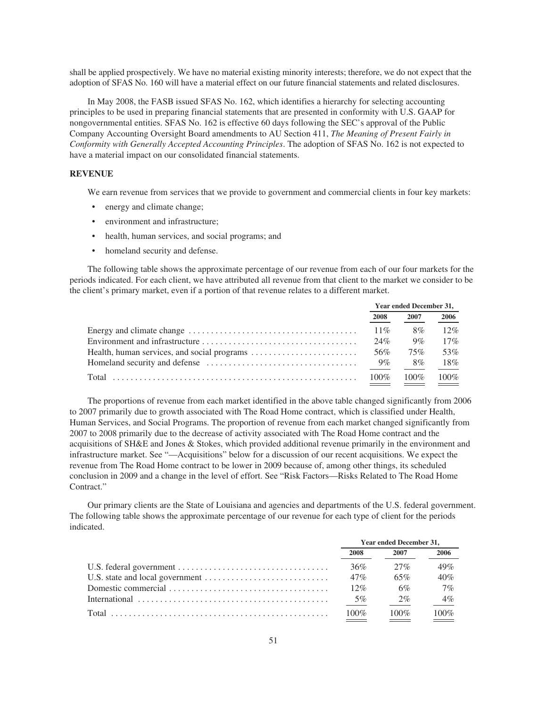shall be applied prospectively. We have no material existing minority interests; therefore, we do not expect that the adoption of SFAS No. 160 will have a material effect on our future financial statements and related disclosures.

In May 2008, the FASB issued SFAS No. 162, which identifies a hierarchy for selecting accounting principles to be used in preparing financial statements that are presented in conformity with U.S. GAAP for nongovernmental entities. SFAS No. 162 is effective 60 days following the SEC's approval of the Public Company Accounting Oversight Board amendments to AU Section 411, *The Meaning of Present Fairly in Conformity with Generally Accepted Accounting Principles*. The adoption of SFAS No. 162 is not expected to have a material impact on our consolidated financial statements.

## **REVENUE**

We earn revenue from services that we provide to government and commercial clients in four key markets:

- energy and climate change;
- environment and infrastructure;
- health, human services, and social programs; and
- homeland security and defense.

The following table shows the approximate percentage of our revenue from each of our four markets for the periods indicated. For each client, we have attributed all revenue from that client to the market we consider to be the client's primary market, even if a portion of that revenue relates to a different market.

| Year ended December 31, |         |         |
|-------------------------|---------|---------|
| 2008                    | 2007    | 2006    |
|                         | $8\%$   | 12%     |
| 24%                     | $9\%$   | 17%     |
| 56%                     | 75%     | 53%     |
| $9\%$                   | 8%      | 18%     |
| $100\%$                 | $100\%$ | $100\%$ |

The proportions of revenue from each market identified in the above table changed significantly from 2006 to 2007 primarily due to growth associated with The Road Home contract, which is classified under Health, Human Services, and Social Programs. The proportion of revenue from each market changed significantly from 2007 to 2008 primarily due to the decrease of activity associated with The Road Home contract and the acquisitions of SH&E and Jones & Stokes, which provided additional revenue primarily in the environment and infrastructure market. See "—Acquisitions" below for a discussion of our recent acquisitions. We expect the revenue from The Road Home contract to be lower in 2009 because of, among other things, its scheduled conclusion in 2009 and a change in the level of effort. See "Risk Factors—Risks Related to The Road Home Contract."

Our primary clients are the State of Louisiana and agencies and departments of the U.S. federal government. The following table shows the approximate percentage of our revenue for each type of client for the periods indicated.

| Year ended December 31, |         |         |  |
|-------------------------|---------|---------|--|
| 2008                    | 2007    | 2006    |  |
| 36%                     | 27%     | 49%     |  |
| 47%                     | 65%     | 40%     |  |
| 12%                     | 6%      | $7\%$   |  |
| 5%                      | 2%      | 4%      |  |
| $100\%$                 | $100\%$ | $100\%$ |  |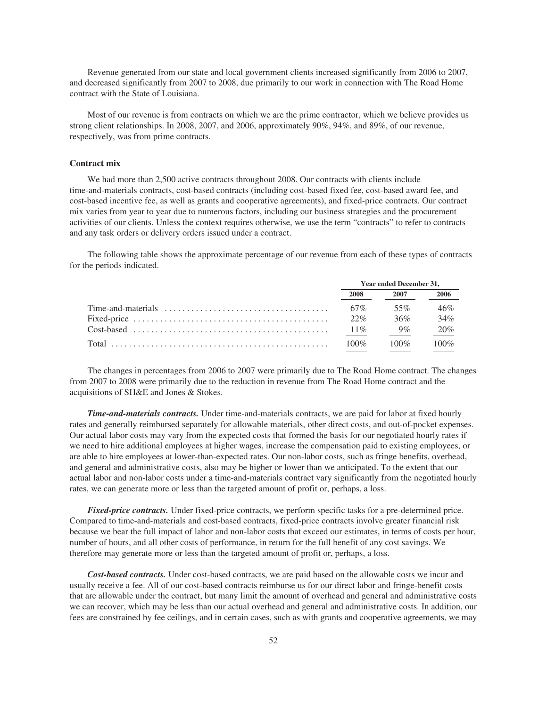Revenue generated from our state and local government clients increased significantly from 2006 to 2007, and decreased significantly from 2007 to 2008, due primarily to our work in connection with The Road Home contract with the State of Louisiana.

Most of our revenue is from contracts on which we are the prime contractor, which we believe provides us strong client relationships. In 2008, 2007, and 2006, approximately 90%, 94%, and 89%, of our revenue, respectively, was from prime contracts.

#### **Contract mix**

We had more than 2,500 active contracts throughout 2008. Our contracts with clients include time-and-materials contracts, cost-based contracts (including cost-based fixed fee, cost-based award fee, and cost-based incentive fee, as well as grants and cooperative agreements), and fixed-price contracts. Our contract mix varies from year to year due to numerous factors, including our business strategies and the procurement activities of our clients. Unless the context requires otherwise, we use the term "contracts" to refer to contracts and any task orders or delivery orders issued under a contract.

The following table shows the approximate percentage of our revenue from each of these types of contracts for the periods indicated.

|                                                                                                                     |         | Year ended December 31, |         |  |  |
|---------------------------------------------------------------------------------------------------------------------|---------|-------------------------|---------|--|--|
|                                                                                                                     | 2008    | 2007                    | 2006    |  |  |
| Time-and-materials $\ldots$ , $\ldots$ , $\ldots$ , $\ldots$ , $\ldots$ , $\ldots$ , $\ldots$ , $\ldots$ , $\ldots$ | 67%     | 55%                     | 46%     |  |  |
|                                                                                                                     | 22%     | 36%                     | 34%     |  |  |
|                                                                                                                     | $11\%$  | $9\%$                   | 20%     |  |  |
|                                                                                                                     | $100\%$ | $100\%$                 | $100\%$ |  |  |

The changes in percentages from 2006 to 2007 were primarily due to The Road Home contract. The changes from 2007 to 2008 were primarily due to the reduction in revenue from The Road Home contract and the acquisitions of SH&E and Jones & Stokes.

*Time-and-materials contracts.* Under time-and-materials contracts, we are paid for labor at fixed hourly rates and generally reimbursed separately for allowable materials, other direct costs, and out-of-pocket expenses. Our actual labor costs may vary from the expected costs that formed the basis for our negotiated hourly rates if we need to hire additional employees at higher wages, increase the compensation paid to existing employees, or are able to hire employees at lower-than-expected rates. Our non-labor costs, such as fringe benefits, overhead, and general and administrative costs, also may be higher or lower than we anticipated. To the extent that our actual labor and non-labor costs under a time-and-materials contract vary significantly from the negotiated hourly rates, we can generate more or less than the targeted amount of profit or, perhaps, a loss.

*Fixed-price contracts.* Under fixed-price contracts, we perform specific tasks for a pre-determined price. Compared to time-and-materials and cost-based contracts, fixed-price contracts involve greater financial risk because we bear the full impact of labor and non-labor costs that exceed our estimates, in terms of costs per hour, number of hours, and all other costs of performance, in return for the full benefit of any cost savings. We therefore may generate more or less than the targeted amount of profit or, perhaps, a loss.

*Cost-based contracts.* Under cost-based contracts, we are paid based on the allowable costs we incur and usually receive a fee. All of our cost-based contracts reimburse us for our direct labor and fringe-benefit costs that are allowable under the contract, but many limit the amount of overhead and general and administrative costs we can recover, which may be less than our actual overhead and general and administrative costs. In addition, our fees are constrained by fee ceilings, and in certain cases, such as with grants and cooperative agreements, we may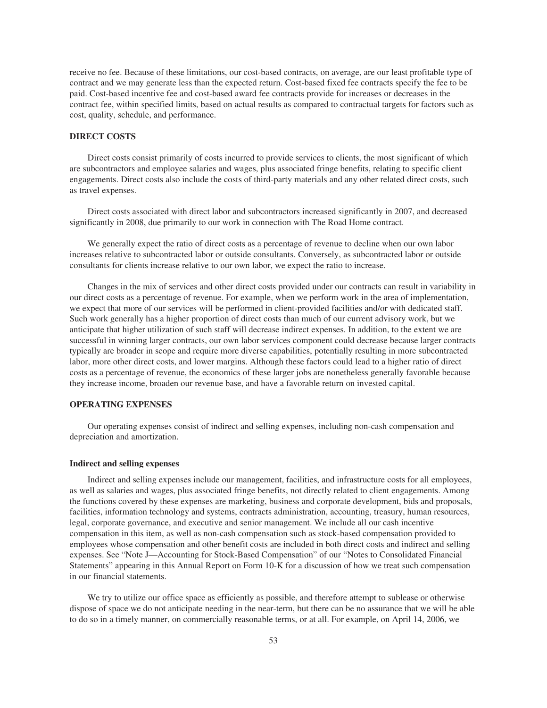receive no fee. Because of these limitations, our cost-based contracts, on average, are our least profitable type of contract and we may generate less than the expected return. Cost-based fixed fee contracts specify the fee to be paid. Cost-based incentive fee and cost-based award fee contracts provide for increases or decreases in the contract fee, within specified limits, based on actual results as compared to contractual targets for factors such as cost, quality, schedule, and performance.

#### **DIRECT COSTS**

Direct costs consist primarily of costs incurred to provide services to clients, the most significant of which are subcontractors and employee salaries and wages, plus associated fringe benefits, relating to specific client engagements. Direct costs also include the costs of third-party materials and any other related direct costs, such as travel expenses.

Direct costs associated with direct labor and subcontractors increased significantly in 2007, and decreased significantly in 2008, due primarily to our work in connection with The Road Home contract.

We generally expect the ratio of direct costs as a percentage of revenue to decline when our own labor increases relative to subcontracted labor or outside consultants. Conversely, as subcontracted labor or outside consultants for clients increase relative to our own labor, we expect the ratio to increase.

Changes in the mix of services and other direct costs provided under our contracts can result in variability in our direct costs as a percentage of revenue. For example, when we perform work in the area of implementation, we expect that more of our services will be performed in client-provided facilities and/or with dedicated staff. Such work generally has a higher proportion of direct costs than much of our current advisory work, but we anticipate that higher utilization of such staff will decrease indirect expenses. In addition, to the extent we are successful in winning larger contracts, our own labor services component could decrease because larger contracts typically are broader in scope and require more diverse capabilities, potentially resulting in more subcontracted labor, more other direct costs, and lower margins. Although these factors could lead to a higher ratio of direct costs as a percentage of revenue, the economics of these larger jobs are nonetheless generally favorable because they increase income, broaden our revenue base, and have a favorable return on invested capital.

### **OPERATING EXPENSES**

Our operating expenses consist of indirect and selling expenses, including non-cash compensation and depreciation and amortization.

#### **Indirect and selling expenses**

Indirect and selling expenses include our management, facilities, and infrastructure costs for all employees, as well as salaries and wages, plus associated fringe benefits, not directly related to client engagements. Among the functions covered by these expenses are marketing, business and corporate development, bids and proposals, facilities, information technology and systems, contracts administration, accounting, treasury, human resources, legal, corporate governance, and executive and senior management. We include all our cash incentive compensation in this item, as well as non-cash compensation such as stock-based compensation provided to employees whose compensation and other benefit costs are included in both direct costs and indirect and selling expenses. See "Note J—Accounting for Stock-Based Compensation" of our "Notes to Consolidated Financial Statements" appearing in this Annual Report on Form 10-K for a discussion of how we treat such compensation in our financial statements.

We try to utilize our office space as efficiently as possible, and therefore attempt to sublease or otherwise dispose of space we do not anticipate needing in the near-term, but there can be no assurance that we will be able to do so in a timely manner, on commercially reasonable terms, or at all. For example, on April 14, 2006, we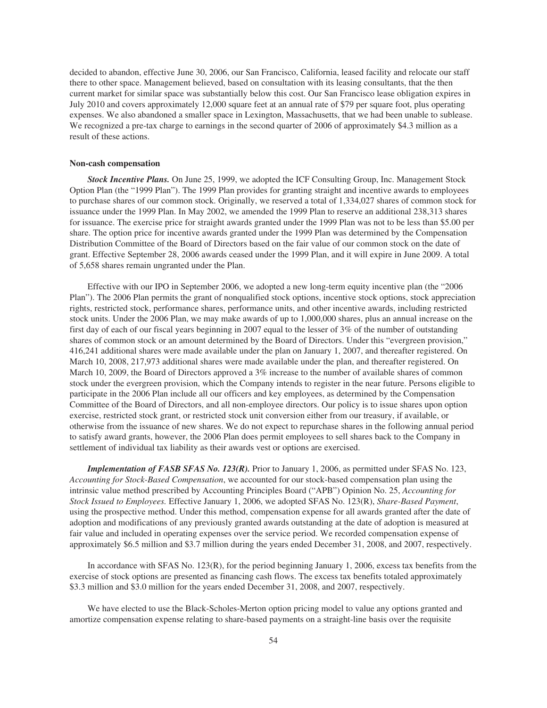decided to abandon, effective June 30, 2006, our San Francisco, California, leased facility and relocate our staff there to other space. Management believed, based on consultation with its leasing consultants, that the then current market for similar space was substantially below this cost. Our San Francisco lease obligation expires in July 2010 and covers approximately 12,000 square feet at an annual rate of \$79 per square foot, plus operating expenses. We also abandoned a smaller space in Lexington, Massachusetts, that we had been unable to sublease. We recognized a pre-tax charge to earnings in the second quarter of 2006 of approximately \$4.3 million as a result of these actions.

#### **Non-cash compensation**

*Stock Incentive Plans.* On June 25, 1999, we adopted the ICF Consulting Group, Inc. Management Stock Option Plan (the "1999 Plan"). The 1999 Plan provides for granting straight and incentive awards to employees to purchase shares of our common stock. Originally, we reserved a total of 1,334,027 shares of common stock for issuance under the 1999 Plan. In May 2002, we amended the 1999 Plan to reserve an additional 238,313 shares for issuance. The exercise price for straight awards granted under the 1999 Plan was not to be less than \$5.00 per share. The option price for incentive awards granted under the 1999 Plan was determined by the Compensation Distribution Committee of the Board of Directors based on the fair value of our common stock on the date of grant. Effective September 28, 2006 awards ceased under the 1999 Plan, and it will expire in June 2009. A total of 5,658 shares remain ungranted under the Plan.

Effective with our IPO in September 2006, we adopted a new long-term equity incentive plan (the "2006 Plan"). The 2006 Plan permits the grant of nonqualified stock options, incentive stock options, stock appreciation rights, restricted stock, performance shares, performance units, and other incentive awards, including restricted stock units. Under the 2006 Plan, we may make awards of up to 1,000,000 shares, plus an annual increase on the first day of each of our fiscal years beginning in 2007 equal to the lesser of 3% of the number of outstanding shares of common stock or an amount determined by the Board of Directors. Under this "evergreen provision," 416,241 additional shares were made available under the plan on January 1, 2007, and thereafter registered. On March 10, 2008, 217,973 additional shares were made available under the plan, and thereafter registered. On March 10, 2009, the Board of Directors approved a 3% increase to the number of available shares of common stock under the evergreen provision, which the Company intends to register in the near future. Persons eligible to participate in the 2006 Plan include all our officers and key employees, as determined by the Compensation Committee of the Board of Directors, and all non-employee directors. Our policy is to issue shares upon option exercise, restricted stock grant, or restricted stock unit conversion either from our treasury, if available, or otherwise from the issuance of new shares. We do not expect to repurchase shares in the following annual period to satisfy award grants, however, the 2006 Plan does permit employees to sell shares back to the Company in settlement of individual tax liability as their awards vest or options are exercised.

*Implementation of FASB SFAS No. 123(R).* Prior to January 1, 2006, as permitted under SFAS No. 123, *Accounting for Stock-Based Compensation*, we accounted for our stock-based compensation plan using the intrinsic value method prescribed by Accounting Principles Board ("APB") Opinion No. 25, *Accounting for Stock Issued to Employees.* Effective January 1, 2006, we adopted SFAS No. 123(R), *Share-Based Payment*, using the prospective method. Under this method, compensation expense for all awards granted after the date of adoption and modifications of any previously granted awards outstanding at the date of adoption is measured at fair value and included in operating expenses over the service period. We recorded compensation expense of approximately \$6.5 million and \$3.7 million during the years ended December 31, 2008, and 2007, respectively.

In accordance with SFAS No.  $123(R)$ , for the period beginning January 1, 2006, excess tax benefits from the exercise of stock options are presented as financing cash flows. The excess tax benefits totaled approximately \$3.3 million and \$3.0 million for the years ended December 31, 2008, and 2007, respectively.

We have elected to use the Black-Scholes-Merton option pricing model to value any options granted and amortize compensation expense relating to share-based payments on a straight-line basis over the requisite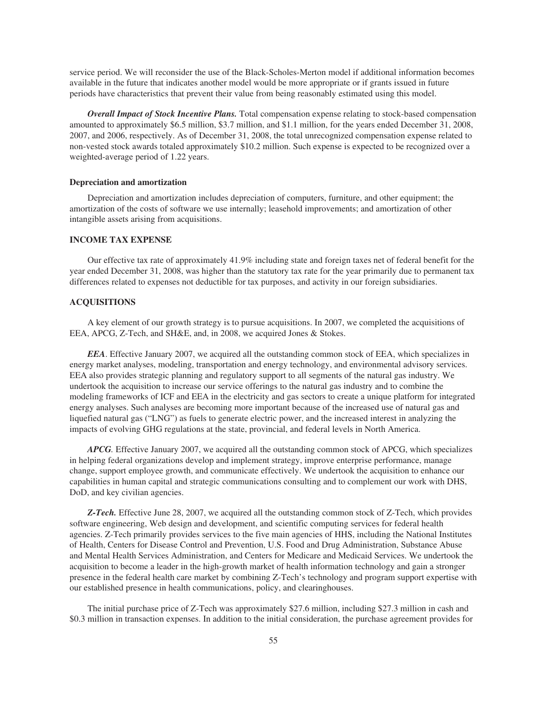service period. We will reconsider the use of the Black-Scholes-Merton model if additional information becomes available in the future that indicates another model would be more appropriate or if grants issued in future periods have characteristics that prevent their value from being reasonably estimated using this model.

*Overall Impact of Stock Incentive Plans.* Total compensation expense relating to stock-based compensation amounted to approximately \$6.5 million, \$3.7 million, and \$1.1 million, for the years ended December 31, 2008, 2007, and 2006, respectively. As of December 31, 2008, the total unrecognized compensation expense related to non-vested stock awards totaled approximately \$10.2 million. Such expense is expected to be recognized over a weighted-average period of 1.22 years.

#### **Depreciation and amortization**

Depreciation and amortization includes depreciation of computers, furniture, and other equipment; the amortization of the costs of software we use internally; leasehold improvements; and amortization of other intangible assets arising from acquisitions.

#### **INCOME TAX EXPENSE**

Our effective tax rate of approximately 41.9% including state and foreign taxes net of federal benefit for the year ended December 31, 2008, was higher than the statutory tax rate for the year primarily due to permanent tax differences related to expenses not deductible for tax purposes, and activity in our foreign subsidiaries.

### **ACQUISITIONS**

A key element of our growth strategy is to pursue acquisitions. In 2007, we completed the acquisitions of EEA, APCG, Z-Tech, and SH&E, and, in 2008, we acquired Jones & Stokes.

*EEA*. Effective January 2007, we acquired all the outstanding common stock of EEA, which specializes in energy market analyses, modeling, transportation and energy technology, and environmental advisory services. EEA also provides strategic planning and regulatory support to all segments of the natural gas industry. We undertook the acquisition to increase our service offerings to the natural gas industry and to combine the modeling frameworks of ICF and EEA in the electricity and gas sectors to create a unique platform for integrated energy analyses. Such analyses are becoming more important because of the increased use of natural gas and liquefied natural gas ("LNG") as fuels to generate electric power, and the increased interest in analyzing the impacts of evolving GHG regulations at the state, provincial, and federal levels in North America.

*APCG.* Effective January 2007, we acquired all the outstanding common stock of APCG, which specializes in helping federal organizations develop and implement strategy, improve enterprise performance, manage change, support employee growth, and communicate effectively. We undertook the acquisition to enhance our capabilities in human capital and strategic communications consulting and to complement our work with DHS, DoD, and key civilian agencies.

*Z-Tech.* Effective June 28, 2007, we acquired all the outstanding common stock of Z-Tech, which provides software engineering, Web design and development, and scientific computing services for federal health agencies. Z-Tech primarily provides services to the five main agencies of HHS, including the National Institutes of Health, Centers for Disease Control and Prevention, U.S. Food and Drug Administration, Substance Abuse and Mental Health Services Administration, and Centers for Medicare and Medicaid Services. We undertook the acquisition to become a leader in the high-growth market of health information technology and gain a stronger presence in the federal health care market by combining Z-Tech's technology and program support expertise with our established presence in health communications, policy, and clearinghouses.

The initial purchase price of Z-Tech was approximately \$27.6 million, including \$27.3 million in cash and \$0.3 million in transaction expenses. In addition to the initial consideration, the purchase agreement provides for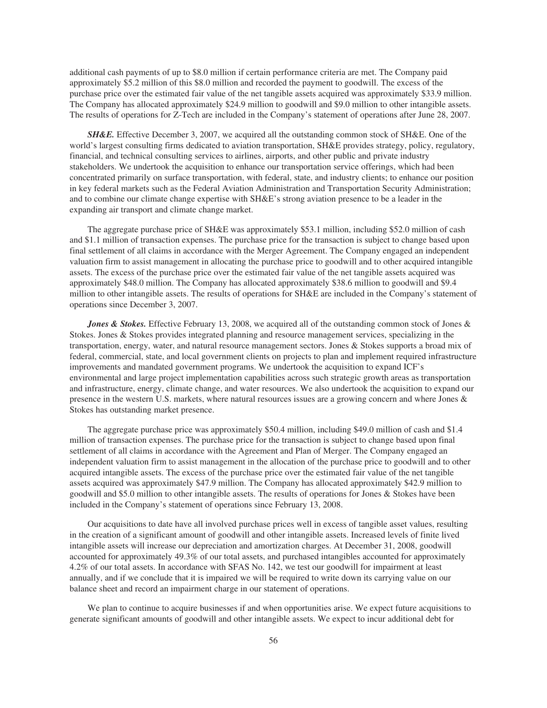additional cash payments of up to \$8.0 million if certain performance criteria are met. The Company paid approximately \$5.2 million of this \$8.0 million and recorded the payment to goodwill. The excess of the purchase price over the estimated fair value of the net tangible assets acquired was approximately \$33.9 million. The Company has allocated approximately \$24.9 million to goodwill and \$9.0 million to other intangible assets. The results of operations for Z-Tech are included in the Company's statement of operations after June 28, 2007.

*SH&E.* Effective December 3, 2007, we acquired all the outstanding common stock of SH&E. One of the world's largest consulting firms dedicated to aviation transportation, SH&E provides strategy, policy, regulatory, financial, and technical consulting services to airlines, airports, and other public and private industry stakeholders. We undertook the acquisition to enhance our transportation service offerings, which had been concentrated primarily on surface transportation, with federal, state, and industry clients; to enhance our position in key federal markets such as the Federal Aviation Administration and Transportation Security Administration; and to combine our climate change expertise with SH&E's strong aviation presence to be a leader in the expanding air transport and climate change market.

The aggregate purchase price of SH&E was approximately \$53.1 million, including \$52.0 million of cash and \$1.1 million of transaction expenses. The purchase price for the transaction is subject to change based upon final settlement of all claims in accordance with the Merger Agreement. The Company engaged an independent valuation firm to assist management in allocating the purchase price to goodwill and to other acquired intangible assets. The excess of the purchase price over the estimated fair value of the net tangible assets acquired was approximately \$48.0 million. The Company has allocated approximately \$38.6 million to goodwill and \$9.4 million to other intangible assets. The results of operations for SH&E are included in the Company's statement of operations since December 3, 2007.

*Jones & Stokes.* Effective February 13, 2008, we acquired all of the outstanding common stock of Jones & Stokes. Jones & Stokes provides integrated planning and resource management services, specializing in the transportation, energy, water, and natural resource management sectors. Jones & Stokes supports a broad mix of federal, commercial, state, and local government clients on projects to plan and implement required infrastructure improvements and mandated government programs. We undertook the acquisition to expand ICF's environmental and large project implementation capabilities across such strategic growth areas as transportation and infrastructure, energy, climate change, and water resources. We also undertook the acquisition to expand our presence in the western U.S. markets, where natural resources issues are a growing concern and where Jones & Stokes has outstanding market presence.

The aggregate purchase price was approximately \$50.4 million, including \$49.0 million of cash and \$1.4 million of transaction expenses. The purchase price for the transaction is subject to change based upon final settlement of all claims in accordance with the Agreement and Plan of Merger. The Company engaged an independent valuation firm to assist management in the allocation of the purchase price to goodwill and to other acquired intangible assets. The excess of the purchase price over the estimated fair value of the net tangible assets acquired was approximately \$47.9 million. The Company has allocated approximately \$42.9 million to goodwill and \$5.0 million to other intangible assets. The results of operations for Jones & Stokes have been included in the Company's statement of operations since February 13, 2008.

Our acquisitions to date have all involved purchase prices well in excess of tangible asset values, resulting in the creation of a significant amount of goodwill and other intangible assets. Increased levels of finite lived intangible assets will increase our depreciation and amortization charges. At December 31, 2008, goodwill accounted for approximately 49.3% of our total assets, and purchased intangibles accounted for approximately 4.2% of our total assets. In accordance with SFAS No. 142, we test our goodwill for impairment at least annually, and if we conclude that it is impaired we will be required to write down its carrying value on our balance sheet and record an impairment charge in our statement of operations.

We plan to continue to acquire businesses if and when opportunities arise. We expect future acquisitions to generate significant amounts of goodwill and other intangible assets. We expect to incur additional debt for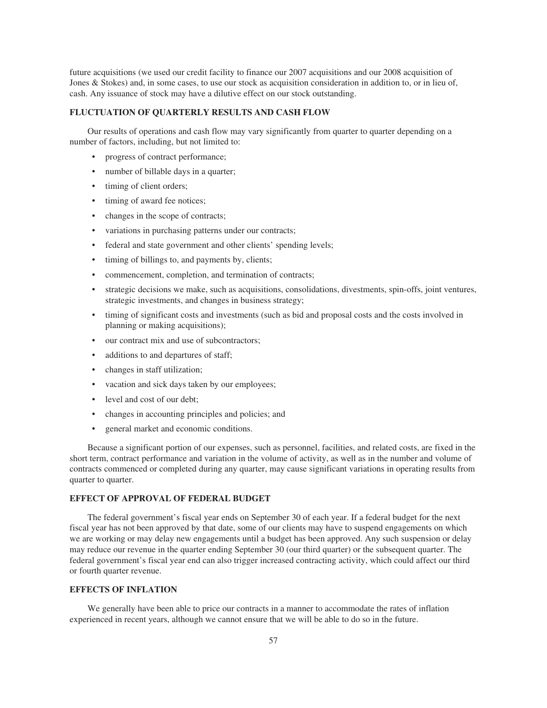future acquisitions (we used our credit facility to finance our 2007 acquisitions and our 2008 acquisition of Jones & Stokes) and, in some cases, to use our stock as acquisition consideration in addition to, or in lieu of, cash. Any issuance of stock may have a dilutive effect on our stock outstanding.

### **FLUCTUATION OF QUARTERLY RESULTS AND CASH FLOW**

Our results of operations and cash flow may vary significantly from quarter to quarter depending on a number of factors, including, but not limited to:

- progress of contract performance;
- number of billable days in a quarter;
- timing of client orders;
- timing of award fee notices;
- changes in the scope of contracts;
- variations in purchasing patterns under our contracts;
- federal and state government and other clients' spending levels;
- timing of billings to, and payments by, clients;
- commencement, completion, and termination of contracts;
- strategic decisions we make, such as acquisitions, consolidations, divestments, spin-offs, joint ventures, strategic investments, and changes in business strategy;
- timing of significant costs and investments (such as bid and proposal costs and the costs involved in planning or making acquisitions);
- our contract mix and use of subcontractors;
- additions to and departures of staff;
- changes in staff utilization;
- vacation and sick days taken by our employees;
- level and cost of our debt;
- changes in accounting principles and policies; and
- general market and economic conditions.

Because a significant portion of our expenses, such as personnel, facilities, and related costs, are fixed in the short term, contract performance and variation in the volume of activity, as well as in the number and volume of contracts commenced or completed during any quarter, may cause significant variations in operating results from quarter to quarter.

### **EFFECT OF APPROVAL OF FEDERAL BUDGET**

The federal government's fiscal year ends on September 30 of each year. If a federal budget for the next fiscal year has not been approved by that date, some of our clients may have to suspend engagements on which we are working or may delay new engagements until a budget has been approved. Any such suspension or delay may reduce our revenue in the quarter ending September 30 (our third quarter) or the subsequent quarter. The federal government's fiscal year end can also trigger increased contracting activity, which could affect our third or fourth quarter revenue.

## **EFFECTS OF INFLATION**

We generally have been able to price our contracts in a manner to accommodate the rates of inflation experienced in recent years, although we cannot ensure that we will be able to do so in the future.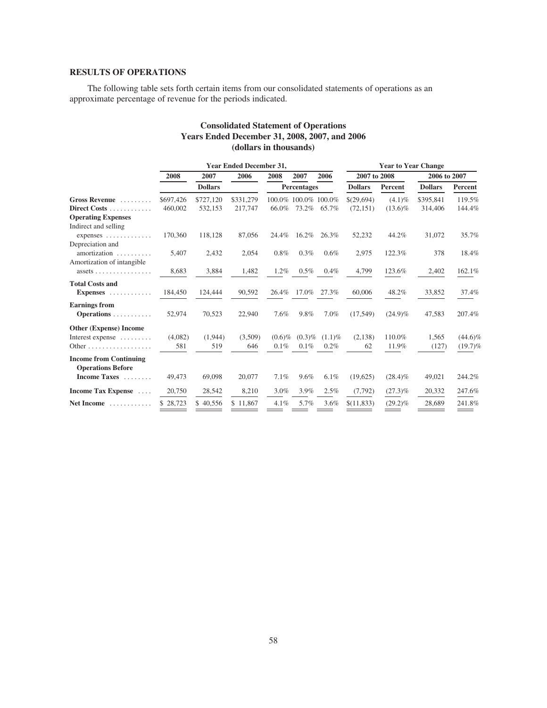## **RESULTS OF OPERATIONS**

The following table sets forth certain items from our consolidated statements of operations as an approximate percentage of revenue for the periods indicated.

|                                                           | <b>Year Ended December 31,</b> |                |           |           |                      |           | <b>Year to Year Change</b> |              |                |              |
|-----------------------------------------------------------|--------------------------------|----------------|-----------|-----------|----------------------|-----------|----------------------------|--------------|----------------|--------------|
|                                                           | 2008                           | 2007           | 2006      | 2008      | 2007                 | 2006      |                            | 2007 to 2008 |                | 2006 to 2007 |
|                                                           |                                | <b>Dollars</b> |           |           | <b>Percentages</b>   |           | <b>Dollars</b>             | Percent      | <b>Dollars</b> | Percent      |
| Gross Revenue                                             | \$697,426                      | \$727,120      | \$331,279 |           | 100.0% 100.0% 100.0% |           | \$(29,694)                 | $(4.1)\%$    | \$395,841      | 119.5%       |
| Direct Costs                                              | 460,002                        | 532,153        | 217,747   | 66.0%     | 73.2%                | 65.7%     | (72, 151)                  | $(13.6)\%$   | 314,406        | 144.4%       |
| <b>Operating Expenses</b>                                 |                                |                |           |           |                      |           |                            |              |                |              |
| Indirect and selling                                      |                                |                |           |           |                      |           |                            |              |                |              |
| $express \dots \dots \dots \dots$                         | 170,360                        | 118,128        | 87,056    | 24.4%     | 16.2%                | 26.3%     | 52,232                     | 44.2%        | 31,072         | 35.7%        |
| Depreciation and                                          |                                |                |           |           |                      |           |                            |              |                |              |
| amortization                                              | 5,407                          | 2,432          | 2,054     | 0.8%      | 0.3%                 | 0.6%      | 2,975                      | 122.3%       | 378            | 18.4%        |
| Amortization of intangible                                |                                |                |           |           |                      |           |                            |              |                |              |
| assets                                                    | 8,683                          | 3,884          | 1,482     | 1.2%      | $0.5\%$              | 0.4%      | 4,799                      | 123.6%       | 2,402          | 162.1%       |
| <b>Total Costs and</b>                                    |                                |                |           |           |                      |           |                            |              |                |              |
| Expenses $\dots\dots\dots\dots$                           | 184,450                        | 124,444        | 90,592    | 26.4%     | 17.0%                | 27.3%     | 60,006                     | 48.2%        | 33,852         | 37.4%        |
| <b>Earnings from</b>                                      |                                |                |           |           |                      |           |                            |              |                |              |
| Operations                                                | 52,974                         | 70,523         | 22,940    | 7.6%      | 9.8%                 | 7.0%      | (17,549)                   | $(24.9)\%$   | 47,583         | 207.4%       |
| <b>Other (Expense) Income</b>                             |                                |                |           |           |                      |           |                            |              |                |              |
| Interest expense                                          | (4,082)                        | (1,944)        | (3,509)   | $(0.6)\%$ | $(0.3)\%$            | $(1.1)\%$ | (2,138)                    | 110.0%       | 1,565          | $(44.6)\%$   |
| Other                                                     | 581                            | 519            | 646       | 0.1%      | 0.1%                 | 0.2%      | 62                         | 11.9%        | (127)          | $(19.7)\%$   |
| <b>Income from Continuing</b><br><b>Operations Before</b> |                                |                |           |           |                      |           |                            |              |                |              |
| Income Taxes                                              | 49,473                         | 69,098         | 20,077    | 7.1%      | 9.6%                 | 6.1%      | (19,625)                   | $(28.4)\%$   | 49,021         | 244.2%       |
| Income Tax Expense                                        | 20,750                         | 28,542         | 8,210     | 3.0%      | $3.9\%$              | 2.5%      | (7, 792)                   | $(27.3)\%$   | 20,332         | 247.6%       |
| Net Income                                                | \$28,723                       | \$40,556       | \$11,867  | 4.1%      | 5.7%                 | 3.6%      | \$(11,833)                 | $(29.2)\%$   | 28,689         | 241.8%       |

# **Consolidated Statement of Operations Years Ended December 31, 2008, 2007, and 2006 (dollars in thousands)**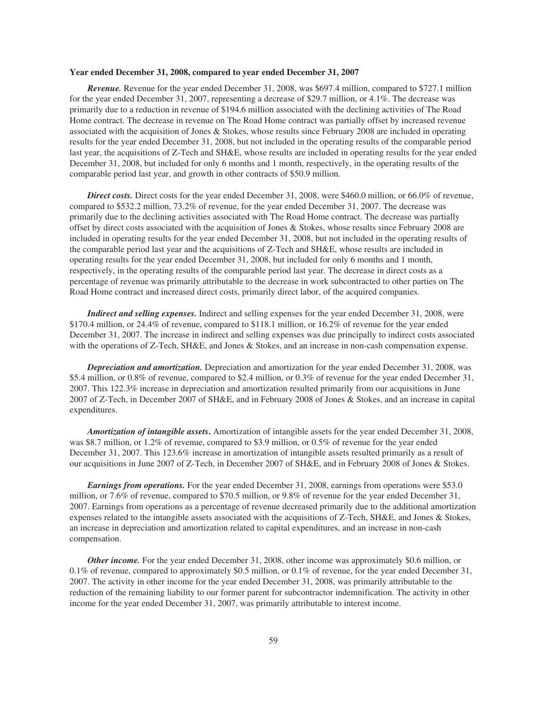#### **Year ended December 31, 2008, compared to year ended December 31, 2007**

*Revenue.* Revenue for the year ended December 31, 2008, was \$697.4 million, compared to \$727.1 million for the year ended December 31, 2007, representing a decrease of \$29.7 million, or 4.1%. The decrease was primarily due to a reduction in revenue of \$194.6 million associated with the declining activities of The Road Home contract. The decrease in revenue on The Road Home contract was partially offset by increased revenue associated with the acquisition of Jones & Stokes, whose results since February 2008 are included in operating results for the year ended December 31, 2008, but not included in the operating results of the comparable period last year, the acquisitions of Z-Tech and SH&E, whose results are included in operating results for the year ended December 31, 2008, but included for only 6 months and 1 month, respectively, in the operating results of the comparable period last year, and growth in other contracts of \$50.9 million.

*Direct costs.* Direct costs for the year ended December 31, 2008, were \$460.0 million, or 66.0% of revenue, compared to \$532.2 million, 73.2% of revenue, for the year ended December 31, 2007. The decrease was primarily due to the declining activities associated with The Road Home contract. The decrease was partially offset by direct costs associated with the acquisition of Jones & Stokes, whose results since February 2008 are included in operating results for the year ended December 31, 2008, but not included in the operating results of the comparable period last year and the acquisitions of Z-Tech and SH&E, whose results are included in operating results for the year ended December 31, 2008, but included for only 6 months and 1 month, respectively, in the operating results of the comparable period last year. The decrease in direct costs as a percentage of revenue was primarily attributable to the decrease in work subcontracted to other parties on The Road Home contract and increased direct costs, primarily direct labor, of the acquired companies.

*Indirect and selling expenses.* Indirect and selling expenses for the year ended December 31, 2008, were \$170.4 million, or 24.4% of revenue, compared to \$118.1 million, or 16.2% of revenue for the year ended December 31, 2007. The increase in indirect and selling expenses was due principally to indirect costs associated with the operations of Z-Tech, SH&E, and Jones & Stokes, and an increase in non-cash compensation expense.

*Depreciation and amortization.* Depreciation and amortization for the year ended December 31, 2008, was \$5.4 million, or 0.8% of revenue, compared to \$2.4 million, or 0.3% of revenue for the year ended December 31, 2007. This 122.3% increase in depreciation and amortization resulted primarily from our acquisitions in June 2007 of Z-Tech, in December 2007 of SH&E, and in February 2008 of Jones & Stokes, and an increase in capital expenditures.

*Amortization of intangible assets***.** Amortization of intangible assets for the year ended December 31, 2008, was \$8.7 million, or 1.2% of revenue, compared to \$3.9 million, or 0.5% of revenue for the year ended December 31, 2007. This 123.6% increase in amortization of intangible assets resulted primarily as a result of our acquisitions in June 2007 of Z-Tech, in December 2007 of SH&E, and in February 2008 of Jones & Stokes.

*Earnings from operations.* For the year ended December 31, 2008, earnings from operations were \$53.0 million, or 7.6% of revenue, compared to \$70.5 million, or 9.8% of revenue for the year ended December 31, 2007. Earnings from operations as a percentage of revenue decreased primarily due to the additional amortization expenses related to the intangible assets associated with the acquisitions of Z-Tech, SH&E, and Jones & Stokes, an increase in depreciation and amortization related to capital expenditures, and an increase in non-cash compensation.

*Other income.* For the year ended December 31, 2008, other income was approximately \$0.6 million, or 0.1% of revenue, compared to approximately \$0.5 million, or 0.1% of revenue, for the year ended December 31, 2007. The activity in other income for the year ended December 31, 2008, was primarily attributable to the reduction of the remaining liability to our former parent for subcontractor indemnification. The activity in other income for the year ended December 31, 2007, was primarily attributable to interest income.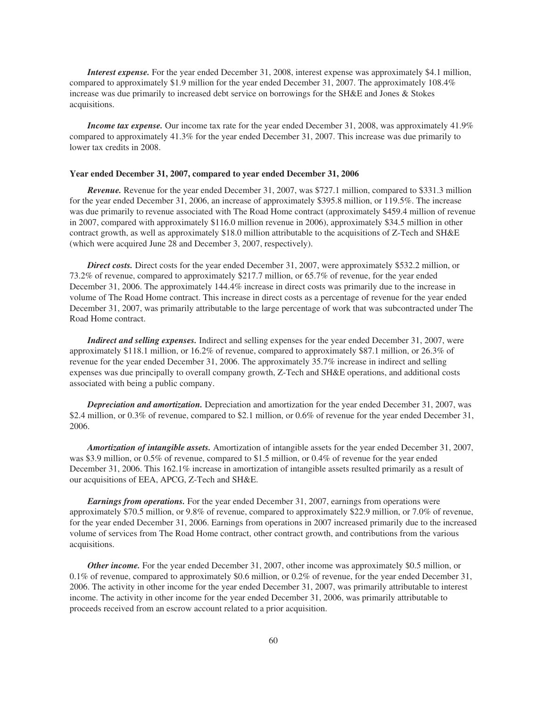*Interest expense.* For the year ended December 31, 2008, interest expense was approximately \$4.1 million, compared to approximately \$1.9 million for the year ended December 31, 2007. The approximately 108.4% increase was due primarily to increased debt service on borrowings for the SH&E and Jones & Stokes acquisitions.

*Income tax expense.* Our income tax rate for the year ended December 31, 2008, was approximately 41.9% compared to approximately 41.3% for the year ended December 31, 2007. This increase was due primarily to lower tax credits in 2008.

#### **Year ended December 31, 2007, compared to year ended December 31, 2006**

*Revenue.* Revenue for the year ended December 31, 2007, was \$727.1 million, compared to \$331.3 million for the year ended December 31, 2006, an increase of approximately \$395.8 million, or 119.5%. The increase was due primarily to revenue associated with The Road Home contract (approximately \$459.4 million of revenue in 2007, compared with approximately \$116.0 million revenue in 2006), approximately \$34.5 million in other contract growth, as well as approximately \$18.0 million attributable to the acquisitions of Z-Tech and SH&E (which were acquired June 28 and December 3, 2007, respectively).

*Direct costs.* Direct costs for the year ended December 31, 2007, were approximately \$532.2 million, or 73.2% of revenue, compared to approximately \$217.7 million, or 65.7% of revenue, for the year ended December 31, 2006. The approximately 144.4% increase in direct costs was primarily due to the increase in volume of The Road Home contract. This increase in direct costs as a percentage of revenue for the year ended December 31, 2007, was primarily attributable to the large percentage of work that was subcontracted under The Road Home contract.

*Indirect and selling expenses.* Indirect and selling expenses for the year ended December 31, 2007, were approximately \$118.1 million, or 16.2% of revenue, compared to approximately \$87.1 million, or 26.3% of revenue for the year ended December 31, 2006. The approximately 35.7% increase in indirect and selling expenses was due principally to overall company growth, Z-Tech and SH&E operations, and additional costs associated with being a public company.

*Depreciation and amortization.* Depreciation and amortization for the year ended December 31, 2007, was \$2.4 million, or 0.3% of revenue, compared to \$2.1 million, or 0.6% of revenue for the year ended December 31, 2006.

*Amortization of intangible assets.* Amortization of intangible assets for the year ended December 31, 2007, was \$3.9 million, or 0.5% of revenue, compared to \$1.5 million, or 0.4% of revenue for the year ended December 31, 2006. This 162.1% increase in amortization of intangible assets resulted primarily as a result of our acquisitions of EEA, APCG, Z-Tech and SH&E.

*Earnings from operations.* For the year ended December 31, 2007, earnings from operations were approximately \$70.5 million, or 9.8% of revenue, compared to approximately \$22.9 million, or 7.0% of revenue, for the year ended December 31, 2006. Earnings from operations in 2007 increased primarily due to the increased volume of services from The Road Home contract, other contract growth, and contributions from the various acquisitions.

*Other income.* For the year ended December 31, 2007, other income was approximately \$0.5 million, or 0.1% of revenue, compared to approximately \$0.6 million, or 0.2% of revenue, for the year ended December 31, 2006. The activity in other income for the year ended December 31, 2007, was primarily attributable to interest income. The activity in other income for the year ended December 31, 2006, was primarily attributable to proceeds received from an escrow account related to a prior acquisition.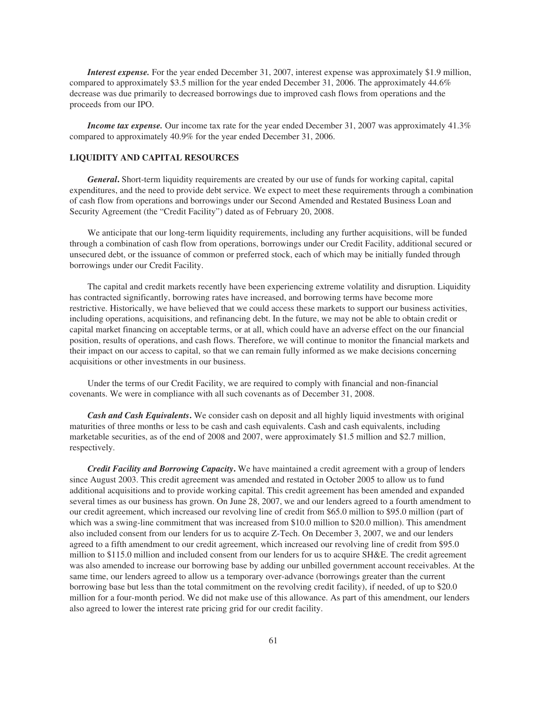*Interest expense.* For the year ended December 31, 2007, interest expense was approximately \$1.9 million, compared to approximately \$3.5 million for the year ended December 31, 2006. The approximately 44.6% decrease was due primarily to decreased borrowings due to improved cash flows from operations and the proceeds from our IPO.

*Income tax expense.* Our income tax rate for the year ended December 31, 2007 was approximately 41.3% compared to approximately 40.9% for the year ended December 31, 2006.

### **LIQUIDITY AND CAPITAL RESOURCES**

*General***.** Short-term liquidity requirements are created by our use of funds for working capital, capital expenditures, and the need to provide debt service. We expect to meet these requirements through a combination of cash flow from operations and borrowings under our Second Amended and Restated Business Loan and Security Agreement (the "Credit Facility") dated as of February 20, 2008.

We anticipate that our long-term liquidity requirements, including any further acquisitions, will be funded through a combination of cash flow from operations, borrowings under our Credit Facility, additional secured or unsecured debt, or the issuance of common or preferred stock, each of which may be initially funded through borrowings under our Credit Facility.

The capital and credit markets recently have been experiencing extreme volatility and disruption. Liquidity has contracted significantly, borrowing rates have increased, and borrowing terms have become more restrictive. Historically, we have believed that we could access these markets to support our business activities, including operations, acquisitions, and refinancing debt. In the future, we may not be able to obtain credit or capital market financing on acceptable terms, or at all, which could have an adverse effect on the our financial position, results of operations, and cash flows. Therefore, we will continue to monitor the financial markets and their impact on our access to capital, so that we can remain fully informed as we make decisions concerning acquisitions or other investments in our business.

Under the terms of our Credit Facility, we are required to comply with financial and non-financial covenants. We were in compliance with all such covenants as of December 31, 2008.

*Cash and Cash Equivalents***.** We consider cash on deposit and all highly liquid investments with original maturities of three months or less to be cash and cash equivalents. Cash and cash equivalents, including marketable securities, as of the end of 2008 and 2007, were approximately \$1.5 million and \$2.7 million, respectively.

*Credit Facility and Borrowing Capacity***.** We have maintained a credit agreement with a group of lenders since August 2003. This credit agreement was amended and restated in October 2005 to allow us to fund additional acquisitions and to provide working capital. This credit agreement has been amended and expanded several times as our business has grown. On June 28, 2007, we and our lenders agreed to a fourth amendment to our credit agreement, which increased our revolving line of credit from \$65.0 million to \$95.0 million (part of which was a swing-line commitment that was increased from \$10.0 million to \$20.0 million). This amendment also included consent from our lenders for us to acquire Z-Tech. On December 3, 2007, we and our lenders agreed to a fifth amendment to our credit agreement, which increased our revolving line of credit from \$95.0 million to \$115.0 million and included consent from our lenders for us to acquire SH&E. The credit agreement was also amended to increase our borrowing base by adding our unbilled government account receivables. At the same time, our lenders agreed to allow us a temporary over-advance (borrowings greater than the current borrowing base but less than the total commitment on the revolving credit facility), if needed, of up to \$20.0 million for a four-month period. We did not make use of this allowance. As part of this amendment, our lenders also agreed to lower the interest rate pricing grid for our credit facility.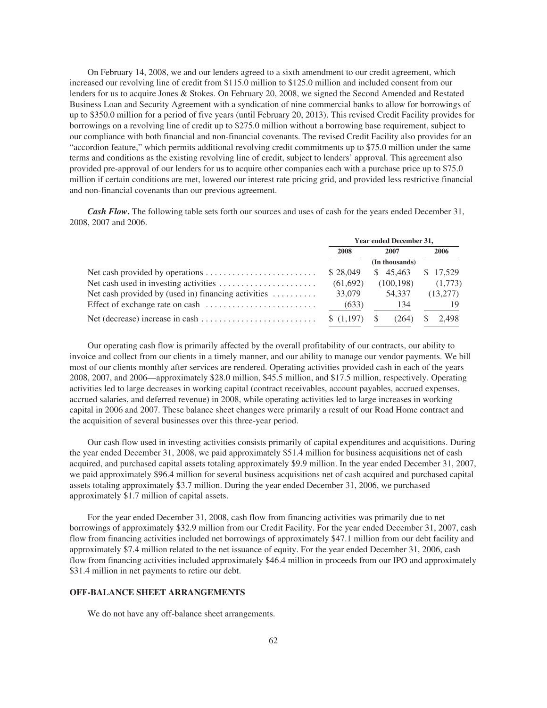On February 14, 2008, we and our lenders agreed to a sixth amendment to our credit agreement, which increased our revolving line of credit from \$115.0 million to \$125.0 million and included consent from our lenders for us to acquire Jones & Stokes. On February 20, 2008, we signed the Second Amended and Restated Business Loan and Security Agreement with a syndication of nine commercial banks to allow for borrowings of up to \$350.0 million for a period of five years (until February 20, 2013). This revised Credit Facility provides for borrowings on a revolving line of credit up to \$275.0 million without a borrowing base requirement, subject to our compliance with both financial and non-financial covenants. The revised Credit Facility also provides for an "accordion feature," which permits additional revolving credit commitments up to \$75.0 million under the same terms and conditions as the existing revolving line of credit, subject to lenders' approval. This agreement also provided pre-approval of our lenders for us to acquire other companies each with a purchase price up to \$75.0 million if certain conditions are met, lowered our interest rate pricing grid, and provided less restrictive financial and non-financial covenants than our previous agreement.

*Cash Flow***.** The following table sets forth our sources and uses of cash for the years ended December 31, 2008, 2007 and 2006.

|                                                                                   | Year ended December 31, |                |          |  |  |  |
|-----------------------------------------------------------------------------------|-------------------------|----------------|----------|--|--|--|
|                                                                                   | 2008                    | 2007           |          |  |  |  |
|                                                                                   |                         | (In thousands) |          |  |  |  |
| Net cash provided by operations $\dots \dots \dots \dots \dots \dots \dots \dots$ | \$28,049                | \$45,463       | \$17.529 |  |  |  |
| Net cash used in investing activities $\dots \dots \dots \dots \dots \dots \dots$ | (61,692)                | (100, 198)     | (1,773)  |  |  |  |
| Net cash provided by (used in) financing activities $\dots \dots$                 | 33,079                  | 54.337         | (13,277) |  |  |  |
| Effect of exchange rate on cash $\dots\dots\dots\dots\dots\dots\dots\dots\dots$   | (633)                   | 134            |          |  |  |  |
| Net (decrease) increase in cash $\dots \dots \dots \dots \dots \dots \dots \dots$ | \$(1.197)               | (264)          | 2.498    |  |  |  |

Our operating cash flow is primarily affected by the overall profitability of our contracts, our ability to invoice and collect from our clients in a timely manner, and our ability to manage our vendor payments. We bill most of our clients monthly after services are rendered. Operating activities provided cash in each of the years 2008, 2007, and 2006—approximately \$28.0 million, \$45.5 million, and \$17.5 million, respectively. Operating activities led to large decreases in working capital (contract receivables, account payables, accrued expenses, accrued salaries, and deferred revenue) in 2008, while operating activities led to large increases in working capital in 2006 and 2007. These balance sheet changes were primarily a result of our Road Home contract and the acquisition of several businesses over this three-year period.

Our cash flow used in investing activities consists primarily of capital expenditures and acquisitions. During the year ended December 31, 2008, we paid approximately \$51.4 million for business acquisitions net of cash acquired, and purchased capital assets totaling approximately \$9.9 million. In the year ended December 31, 2007, we paid approximately \$96.4 million for several business acquisitions net of cash acquired and purchased capital assets totaling approximately \$3.7 million. During the year ended December 31, 2006, we purchased approximately \$1.7 million of capital assets.

For the year ended December 31, 2008, cash flow from financing activities was primarily due to net borrowings of approximately \$32.9 million from our Credit Facility. For the year ended December 31, 2007, cash flow from financing activities included net borrowings of approximately \$47.1 million from our debt facility and approximately \$7.4 million related to the net issuance of equity. For the year ended December 31, 2006, cash flow from financing activities included approximately \$46.4 million in proceeds from our IPO and approximately \$31.4 million in net payments to retire our debt.

### **OFF-BALANCE SHEET ARRANGEMENTS**

We do not have any off-balance sheet arrangements.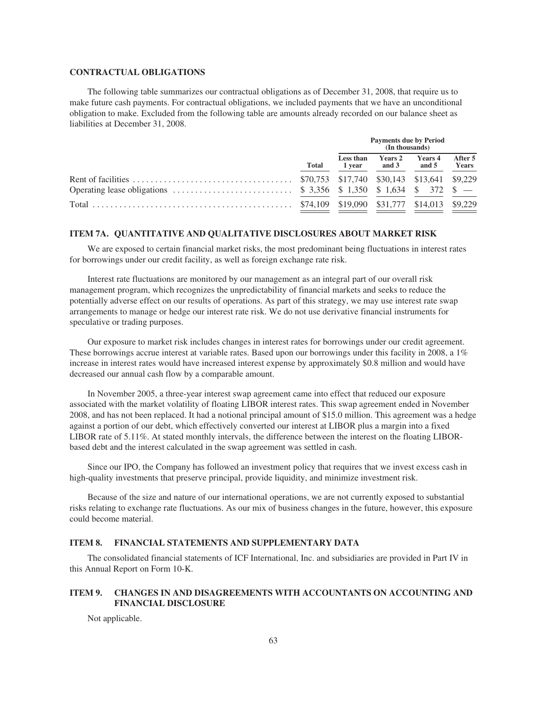#### **CONTRACTUAL OBLIGATIONS**

The following table summarizes our contractual obligations as of December 31, 2008, that require us to make future cash payments. For contractual obligations, we included payments that we have an unconditional obligation to make. Excluded from the following table are amounts already recorded on our balance sheet as liabilities at December 31, 2008.

| <b>Payments due by Period</b><br>(In thousands) |                     |                                   |         |                  |
|-------------------------------------------------|---------------------|-----------------------------------|---------|------------------|
| <b>Total</b>                                    | Less than<br>1 year | <b>Years 2</b><br>and $3$ and $5$ | Years 4 | After 5<br>Years |
|                                                 |                     |                                   |         |                  |
|                                                 |                     |                                   |         |                  |
|                                                 |                     |                                   |         |                  |

### **ITEM 7A. QUANTITATIVE AND QUALITATIVE DISCLOSURES ABOUT MARKET RISK**

We are exposed to certain financial market risks, the most predominant being fluctuations in interest rates for borrowings under our credit facility, as well as foreign exchange rate risk.

Interest rate fluctuations are monitored by our management as an integral part of our overall risk management program, which recognizes the unpredictability of financial markets and seeks to reduce the potentially adverse effect on our results of operations. As part of this strategy, we may use interest rate swap arrangements to manage or hedge our interest rate risk. We do not use derivative financial instruments for speculative or trading purposes.

Our exposure to market risk includes changes in interest rates for borrowings under our credit agreement. These borrowings accrue interest at variable rates. Based upon our borrowings under this facility in 2008, a 1% increase in interest rates would have increased interest expense by approximately \$0.8 million and would have decreased our annual cash flow by a comparable amount.

In November 2005, a three-year interest swap agreement came into effect that reduced our exposure associated with the market volatility of floating LIBOR interest rates. This swap agreement ended in November 2008, and has not been replaced. It had a notional principal amount of \$15.0 million. This agreement was a hedge against a portion of our debt, which effectively converted our interest at LIBOR plus a margin into a fixed LIBOR rate of 5.11%. At stated monthly intervals, the difference between the interest on the floating LIBORbased debt and the interest calculated in the swap agreement was settled in cash.

Since our IPO, the Company has followed an investment policy that requires that we invest excess cash in high-quality investments that preserve principal, provide liquidity, and minimize investment risk.

Because of the size and nature of our international operations, we are not currently exposed to substantial risks relating to exchange rate fluctuations. As our mix of business changes in the future, however, this exposure could become material.

### **ITEM 8. FINANCIAL STATEMENTS AND SUPPLEMENTARY DATA**

The consolidated financial statements of ICF International, Inc. and subsidiaries are provided in Part IV in this Annual Report on Form 10-K.

## **ITEM 9. CHANGES IN AND DISAGREEMENTS WITH ACCOUNTANTS ON ACCOUNTING AND FINANCIAL DISCLOSURE**

Not applicable.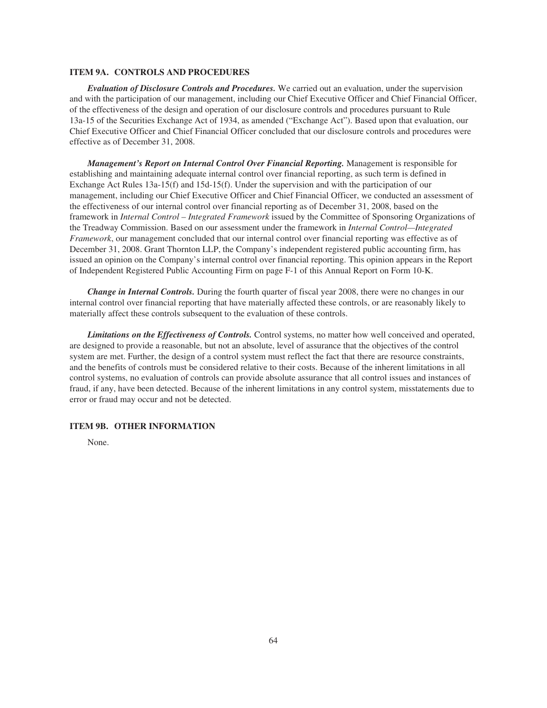#### **ITEM 9A. CONTROLS AND PROCEDURES**

*Evaluation of Disclosure Controls and Procedures.* We carried out an evaluation, under the supervision and with the participation of our management, including our Chief Executive Officer and Chief Financial Officer, of the effectiveness of the design and operation of our disclosure controls and procedures pursuant to Rule 13a-15 of the Securities Exchange Act of 1934, as amended ("Exchange Act"). Based upon that evaluation, our Chief Executive Officer and Chief Financial Officer concluded that our disclosure controls and procedures were effective as of December 31, 2008.

*Management's Report on Internal Control Over Financial Reporting.* Management is responsible for establishing and maintaining adequate internal control over financial reporting, as such term is defined in Exchange Act Rules 13a-15(f) and 15d-15(f). Under the supervision and with the participation of our management, including our Chief Executive Officer and Chief Financial Officer, we conducted an assessment of the effectiveness of our internal control over financial reporting as of December 31, 2008, based on the framework in *Internal Control – Integrated Framework* issued by the Committee of Sponsoring Organizations of the Treadway Commission. Based on our assessment under the framework in *Internal Control—Integrated Framework*, our management concluded that our internal control over financial reporting was effective as of December 31, 2008. Grant Thornton LLP, the Company's independent registered public accounting firm, has issued an opinion on the Company's internal control over financial reporting. This opinion appears in the Report of Independent Registered Public Accounting Firm on page F-1 of this Annual Report on Form 10-K.

*Change in Internal Controls.* During the fourth quarter of fiscal year 2008, there were no changes in our internal control over financial reporting that have materially affected these controls, or are reasonably likely to materially affect these controls subsequent to the evaluation of these controls.

*Limitations on the Effectiveness of Controls.* Control systems, no matter how well conceived and operated, are designed to provide a reasonable, but not an absolute, level of assurance that the objectives of the control system are met. Further, the design of a control system must reflect the fact that there are resource constraints, and the benefits of controls must be considered relative to their costs. Because of the inherent limitations in all control systems, no evaluation of controls can provide absolute assurance that all control issues and instances of fraud, if any, have been detected. Because of the inherent limitations in any control system, misstatements due to error or fraud may occur and not be detected.

### **ITEM 9B. OTHER INFORMATION**

None.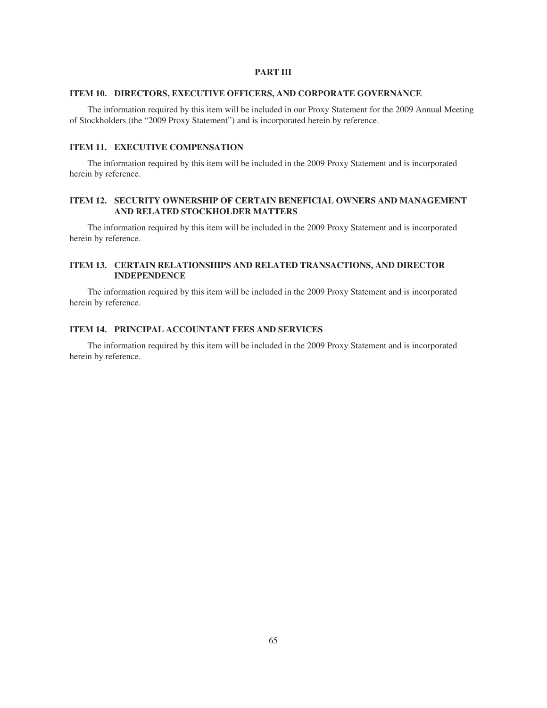### **PART III**

## **ITEM 10. DIRECTORS, EXECUTIVE OFFICERS, AND CORPORATE GOVERNANCE**

The information required by this item will be included in our Proxy Statement for the 2009 Annual Meeting of Stockholders (the "2009 Proxy Statement") and is incorporated herein by reference.

## **ITEM 11. EXECUTIVE COMPENSATION**

The information required by this item will be included in the 2009 Proxy Statement and is incorporated herein by reference.

## **ITEM 12. SECURITY OWNERSHIP OF CERTAIN BENEFICIAL OWNERS AND MANAGEMENT AND RELATED STOCKHOLDER MATTERS**

The information required by this item will be included in the 2009 Proxy Statement and is incorporated herein by reference.

# **ITEM 13. CERTAIN RELATIONSHIPS AND RELATED TRANSACTIONS, AND DIRECTOR INDEPENDENCE**

The information required by this item will be included in the 2009 Proxy Statement and is incorporated herein by reference.

# **ITEM 14. PRINCIPAL ACCOUNTANT FEES AND SERVICES**

The information required by this item will be included in the 2009 Proxy Statement and is incorporated herein by reference.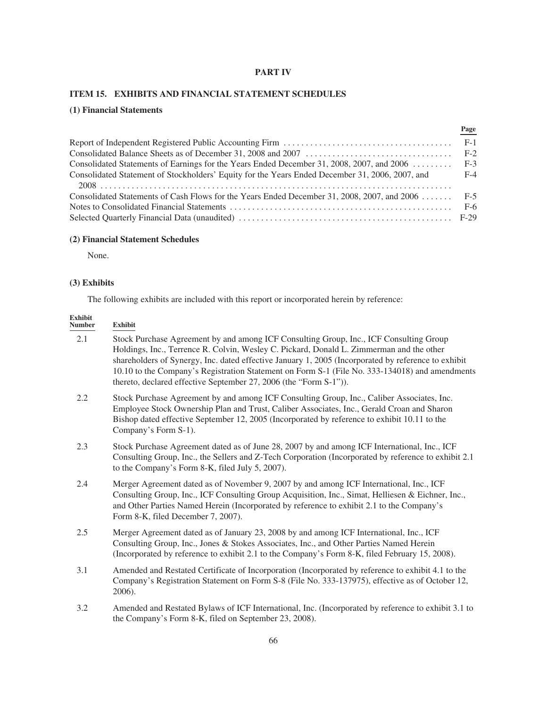## **PART IV**

# **ITEM 15. EXHIBITS AND FINANCIAL STATEMENT SCHEDULES**

## **(1) Financial Statements**

|                                                                                                 | <b>Page</b> |
|-------------------------------------------------------------------------------------------------|-------------|
|                                                                                                 |             |
|                                                                                                 | $F-2$       |
| Consolidated Statements of Earnings for the Years Ended December 31, 2008, 2007, and 2006       | $F-3$       |
| Consolidated Statement of Stockholders' Equity for the Years Ended December 31, 2006, 2007, and | $F-4$       |
|                                                                                                 |             |
| Consolidated Statements of Cash Flows for the Years Ended December 31, 2008, 2007, and 2006     | $F-5$       |
|                                                                                                 |             |
|                                                                                                 |             |

## **(2) Financial Statement Schedules**

None.

## **(3) Exhibits**

The following exhibits are included with this report or incorporated herein by reference:

#### **Exhibit**

| Number | <b>Exhibit</b>                                                                                                                                                                                                                                                                                                                                                                                                                                                   |
|--------|------------------------------------------------------------------------------------------------------------------------------------------------------------------------------------------------------------------------------------------------------------------------------------------------------------------------------------------------------------------------------------------------------------------------------------------------------------------|
| 2.1    | Stock Purchase Agreement by and among ICF Consulting Group, Inc., ICF Consulting Group<br>Holdings, Inc., Terrence R. Colvin, Wesley C. Pickard, Donald L. Zimmerman and the other<br>shareholders of Synergy, Inc. dated effective January 1, 2005 (Incorporated by reference to exhibit<br>10.10 to the Company's Registration Statement on Form S-1 (File No. 333-134018) and amendments<br>thereto, declared effective September 27, 2006 (the "Form S-1")). |
| 2.2    | Stock Purchase Agreement by and among ICF Consulting Group, Inc., Caliber Associates, Inc.<br>Employee Stock Ownership Plan and Trust, Caliber Associates, Inc., Gerald Croan and Sharon<br>Bishop dated effective September 12, 2005 (Incorporated by reference to exhibit 10.11 to the<br>Company's Form S-1).                                                                                                                                                 |
| 2.3    | Stock Purchase Agreement dated as of June 28, 2007 by and among ICF International, Inc., ICF<br>Consulting Group, Inc., the Sellers and Z-Tech Corporation (Incorporated by reference to exhibit 2.1<br>to the Company's Form 8-K, filed July 5, 2007).                                                                                                                                                                                                          |
| 2.4    | Merger Agreement dated as of November 9, 2007 by and among ICF International, Inc., ICF<br>Consulting Group, Inc., ICF Consulting Group Acquisition, Inc., Simat, Helliesen & Eichner, Inc.,<br>and Other Parties Named Herein (Incorporated by reference to exhibit 2.1 to the Company's<br>Form 8-K, filed December 7, 2007).                                                                                                                                  |
| 2.5    | Merger Agreement dated as of January 23, 2008 by and among ICF International, Inc., ICF<br>Consulting Group, Inc., Jones & Stokes Associates, Inc., and Other Parties Named Herein<br>(Incorporated by reference to exhibit 2.1 to the Company's Form 8-K, filed February 15, 2008).                                                                                                                                                                             |
| 3.1    | Amended and Restated Certificate of Incorporation (Incorporated by reference to exhibit 4.1 to the<br>Company's Registration Statement on Form S-8 (File No. 333-137975), effective as of October 12,<br>2006).                                                                                                                                                                                                                                                  |
| 3.2    | Amended and Restated Bylaws of ICF International, Inc. (Incorporated by reference to exhibit 3.1 to<br>the Company's Form 8-K, filed on September 23, 2008).                                                                                                                                                                                                                                                                                                     |
|        |                                                                                                                                                                                                                                                                                                                                                                                                                                                                  |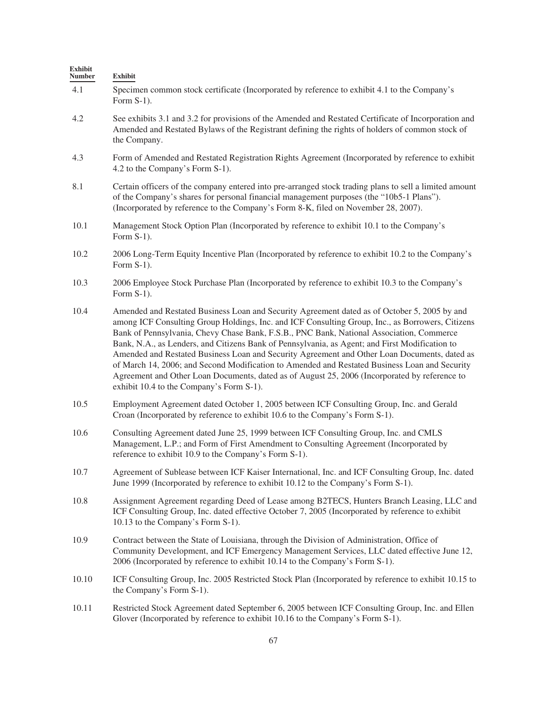| Exhibit<br><b>Number</b> | <b>Exhibit</b>                                                                                                                                                                                                                                                                                                                                                                                                                                                                                                                                                                                                                                                                                                                               |
|--------------------------|----------------------------------------------------------------------------------------------------------------------------------------------------------------------------------------------------------------------------------------------------------------------------------------------------------------------------------------------------------------------------------------------------------------------------------------------------------------------------------------------------------------------------------------------------------------------------------------------------------------------------------------------------------------------------------------------------------------------------------------------|
| 4.1                      | Specimen common stock certificate (Incorporated by reference to exhibit 4.1 to the Company's<br>Form $S-1$ ).                                                                                                                                                                                                                                                                                                                                                                                                                                                                                                                                                                                                                                |
| 4.2                      | See exhibits 3.1 and 3.2 for provisions of the Amended and Restated Certificate of Incorporation and<br>Amended and Restated Bylaws of the Registrant defining the rights of holders of common stock of<br>the Company.                                                                                                                                                                                                                                                                                                                                                                                                                                                                                                                      |
| 4.3                      | Form of Amended and Restated Registration Rights Agreement (Incorporated by reference to exhibit<br>4.2 to the Company's Form S-1).                                                                                                                                                                                                                                                                                                                                                                                                                                                                                                                                                                                                          |
| 8.1                      | Certain officers of the company entered into pre-arranged stock trading plans to sell a limited amount<br>of the Company's shares for personal financial management purposes (the "10b5-1 Plans").<br>(Incorporated by reference to the Company's Form 8-K, filed on November 28, 2007).                                                                                                                                                                                                                                                                                                                                                                                                                                                     |
| 10.1                     | Management Stock Option Plan (Incorporated by reference to exhibit 10.1 to the Company's<br>Form S-1).                                                                                                                                                                                                                                                                                                                                                                                                                                                                                                                                                                                                                                       |
| 10.2                     | 2006 Long-Term Equity Incentive Plan (Incorporated by reference to exhibit 10.2 to the Company's<br>Form $S-1$ ).                                                                                                                                                                                                                                                                                                                                                                                                                                                                                                                                                                                                                            |
| 10.3                     | 2006 Employee Stock Purchase Plan (Incorporated by reference to exhibit 10.3 to the Company's<br>Form $S-1$ ).                                                                                                                                                                                                                                                                                                                                                                                                                                                                                                                                                                                                                               |
| 10.4                     | Amended and Restated Business Loan and Security Agreement dated as of October 5, 2005 by and<br>among ICF Consulting Group Holdings, Inc. and ICF Consulting Group, Inc., as Borrowers, Citizens<br>Bank of Pennsylvania, Chevy Chase Bank, F.S.B., PNC Bank, National Association, Commerce<br>Bank, N.A., as Lenders, and Citizens Bank of Pennsylvania, as Agent; and First Modification to<br>Amended and Restated Business Loan and Security Agreement and Other Loan Documents, dated as<br>of March 14, 2006; and Second Modification to Amended and Restated Business Loan and Security<br>Agreement and Other Loan Documents, dated as of August 25, 2006 (Incorporated by reference to<br>exhibit 10.4 to the Company's Form S-1). |
| 10.5                     | Employment Agreement dated October 1, 2005 between ICF Consulting Group, Inc. and Gerald<br>Croan (Incorporated by reference to exhibit 10.6 to the Company's Form S-1).                                                                                                                                                                                                                                                                                                                                                                                                                                                                                                                                                                     |
| 10.6                     | Consulting Agreement dated June 25, 1999 between ICF Consulting Group, Inc. and CMLS<br>Management, L.P.; and Form of First Amendment to Consulting Agreement (Incorporated by<br>reference to exhibit 10.9 to the Company's Form S-1).                                                                                                                                                                                                                                                                                                                                                                                                                                                                                                      |
| 10.7                     | Agreement of Sublease between ICF Kaiser International, Inc. and ICF Consulting Group, Inc. dated<br>June 1999 (Incorporated by reference to exhibit 10.12 to the Company's Form S-1).                                                                                                                                                                                                                                                                                                                                                                                                                                                                                                                                                       |
| 10.8                     | Assignment Agreement regarding Deed of Lease among B2TECS, Hunters Branch Leasing, LLC and<br>ICF Consulting Group, Inc. dated effective October 7, 2005 (Incorporated by reference to exhibit<br>10.13 to the Company's Form S-1).                                                                                                                                                                                                                                                                                                                                                                                                                                                                                                          |
| 10.9                     | Contract between the State of Louisiana, through the Division of Administration, Office of<br>Community Development, and ICF Emergency Management Services, LLC dated effective June 12,<br>2006 (Incorporated by reference to exhibit 10.14 to the Company's Form S-1).                                                                                                                                                                                                                                                                                                                                                                                                                                                                     |
| 10.10                    | ICF Consulting Group, Inc. 2005 Restricted Stock Plan (Incorporated by reference to exhibit 10.15 to<br>the Company's Form S-1).                                                                                                                                                                                                                                                                                                                                                                                                                                                                                                                                                                                                             |
| 10.11                    | Restricted Stock Agreement dated September 6, 2005 between ICF Consulting Group, Inc. and Ellen<br>Glover (Incorporated by reference to exhibit 10.16 to the Company's Form S-1).                                                                                                                                                                                                                                                                                                                                                                                                                                                                                                                                                            |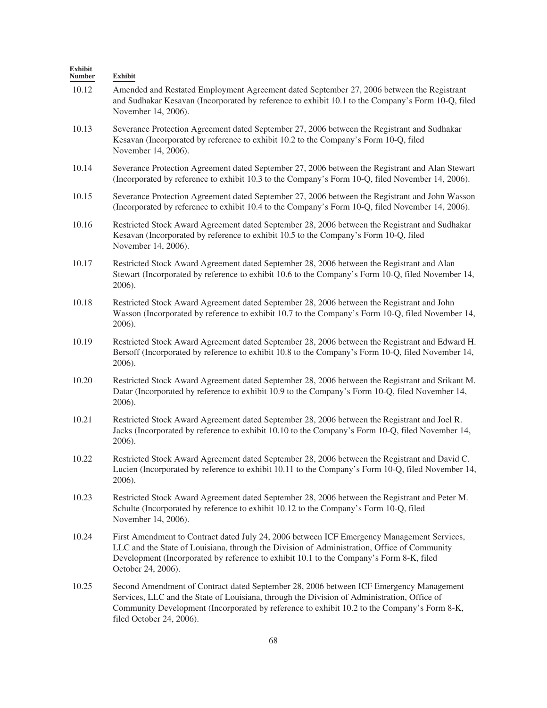| <b>Exhibit</b><br><b>Number</b> | <b>Exhibit</b>                                                                                                                                                                                                                                                                                                   |
|---------------------------------|------------------------------------------------------------------------------------------------------------------------------------------------------------------------------------------------------------------------------------------------------------------------------------------------------------------|
| 10.12                           | Amended and Restated Employment Agreement dated September 27, 2006 between the Registrant<br>and Sudhakar Kesavan (Incorporated by reference to exhibit 10.1 to the Company's Form 10-Q, filed<br>November 14, 2006).                                                                                            |
| 10.13                           | Severance Protection Agreement dated September 27, 2006 between the Registrant and Sudhakar<br>Kesavan (Incorporated by reference to exhibit 10.2 to the Company's Form 10-Q, filed<br>November 14, 2006).                                                                                                       |
| 10.14                           | Severance Protection Agreement dated September 27, 2006 between the Registrant and Alan Stewart<br>(Incorporated by reference to exhibit 10.3 to the Company's Form 10-Q, filed November 14, 2006).                                                                                                              |
| 10.15                           | Severance Protection Agreement dated September 27, 2006 between the Registrant and John Wasson<br>(Incorporated by reference to exhibit 10.4 to the Company's Form 10-Q, filed November 14, 2006).                                                                                                               |
| 10.16                           | Restricted Stock Award Agreement dated September 28, 2006 between the Registrant and Sudhakar<br>Kesavan (Incorporated by reference to exhibit 10.5 to the Company's Form 10-Q, filed<br>November 14, 2006).                                                                                                     |
| 10.17                           | Restricted Stock Award Agreement dated September 28, 2006 between the Registrant and Alan<br>Stewart (Incorporated by reference to exhibit 10.6 to the Company's Form 10-Q, filed November 14,<br>2006).                                                                                                         |
| 10.18                           | Restricted Stock Award Agreement dated September 28, 2006 between the Registrant and John<br>Wasson (Incorporated by reference to exhibit 10.7 to the Company's Form 10-Q, filed November 14,<br>2006).                                                                                                          |
| 10.19                           | Restricted Stock Award Agreement dated September 28, 2006 between the Registrant and Edward H.<br>Bersoff (Incorporated by reference to exhibit 10.8 to the Company's Form 10-Q, filed November 14,<br>2006).                                                                                                    |
| 10.20                           | Restricted Stock Award Agreement dated September 28, 2006 between the Registrant and Srikant M.<br>Datar (Incorporated by reference to exhibit 10.9 to the Company's Form 10-Q, filed November 14,<br>2006).                                                                                                     |
| 10.21                           | Restricted Stock Award Agreement dated September 28, 2006 between the Registrant and Joel R.<br>Jacks (Incorporated by reference to exhibit 10.10 to the Company's Form 10-Q, filed November 14,<br>2006).                                                                                                       |
| 10.22                           | Restricted Stock Award Agreement dated September 28, 2006 between the Registrant and David C.<br>Lucien (Incorporated by reference to exhibit 10.11 to the Company's Form 10-Q, filed November 14,<br>2006).                                                                                                     |
| 10.23                           | Restricted Stock Award Agreement dated September 28, 2006 between the Registrant and Peter M.<br>Schulte (Incorporated by reference to exhibit 10.12 to the Company's Form 10-Q, filed<br>November 14, 2006).                                                                                                    |
| 10.24                           | First Amendment to Contract dated July 24, 2006 between ICF Emergency Management Services,<br>LLC and the State of Louisiana, through the Division of Administration, Office of Community<br>Development (Incorporated by reference to exhibit 10.1 to the Company's Form 8-K, filed<br>October 24, 2006).       |
| 10.25                           | Second Amendment of Contract dated September 28, 2006 between ICF Emergency Management<br>Services, LLC and the State of Louisiana, through the Division of Administration, Office of<br>Community Development (Incorporated by reference to exhibit 10.2 to the Company's Form 8-K,<br>filed October 24, 2006). |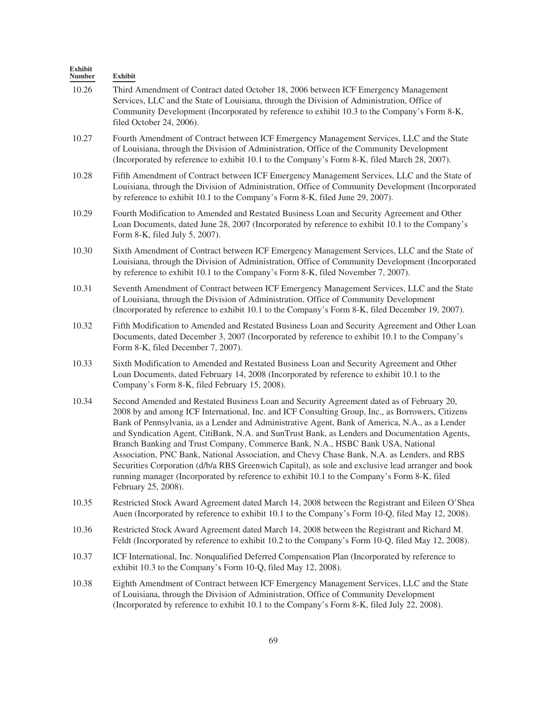| <b>Exhibit</b><br><b>Number</b> | <b>Exhibit</b>                                                                                                                                                                                                                                                                                                                                                                                                                                                                                                                                                                                                                                                                                                                                                                                                |
|---------------------------------|---------------------------------------------------------------------------------------------------------------------------------------------------------------------------------------------------------------------------------------------------------------------------------------------------------------------------------------------------------------------------------------------------------------------------------------------------------------------------------------------------------------------------------------------------------------------------------------------------------------------------------------------------------------------------------------------------------------------------------------------------------------------------------------------------------------|
| 10.26                           | Third Amendment of Contract dated October 18, 2006 between ICF Emergency Management<br>Services, LLC and the State of Louisiana, through the Division of Administration, Office of<br>Community Development (Incorporated by reference to exhibit 10.3 to the Company's Form 8-K,<br>filed October 24, 2006).                                                                                                                                                                                                                                                                                                                                                                                                                                                                                                 |
| 10.27                           | Fourth Amendment of Contract between ICF Emergency Management Services, LLC and the State<br>of Louisiana, through the Division of Administration, Office of the Community Development<br>(Incorporated by reference to exhibit 10.1 to the Company's Form 8-K, filed March 28, 2007).                                                                                                                                                                                                                                                                                                                                                                                                                                                                                                                        |
| 10.28                           | Fifth Amendment of Contract between ICF Emergency Management Services, LLC and the State of<br>Louisiana, through the Division of Administration, Office of Community Development (Incorporated<br>by reference to exhibit 10.1 to the Company's Form 8-K, filed June 29, 2007).                                                                                                                                                                                                                                                                                                                                                                                                                                                                                                                              |
| 10.29                           | Fourth Modification to Amended and Restated Business Loan and Security Agreement and Other<br>Loan Documents, dated June 28, 2007 (Incorporated by reference to exhibit 10.1 to the Company's<br>Form 8-K, filed July 5, 2007).                                                                                                                                                                                                                                                                                                                                                                                                                                                                                                                                                                               |
| 10.30                           | Sixth Amendment of Contract between ICF Emergency Management Services, LLC and the State of<br>Louisiana, through the Division of Administration, Office of Community Development (Incorporated<br>by reference to exhibit 10.1 to the Company's Form 8-K, filed November 7, 2007).                                                                                                                                                                                                                                                                                                                                                                                                                                                                                                                           |
| 10.31                           | Seventh Amendment of Contract between ICF Emergency Management Services, LLC and the State<br>of Louisiana, through the Division of Administration, Office of Community Development<br>(Incorporated by reference to exhibit 10.1 to the Company's Form 8-K, filed December 19, 2007).                                                                                                                                                                                                                                                                                                                                                                                                                                                                                                                        |
| 10.32                           | Fifth Modification to Amended and Restated Business Loan and Security Agreement and Other Loan<br>Documents, dated December 3, 2007 (Incorporated by reference to exhibit 10.1 to the Company's<br>Form 8-K, filed December 7, 2007).                                                                                                                                                                                                                                                                                                                                                                                                                                                                                                                                                                         |
| 10.33                           | Sixth Modification to Amended and Restated Business Loan and Security Agreement and Other<br>Loan Documents, dated February 14, 2008 (Incorporated by reference to exhibit 10.1 to the<br>Company's Form 8-K, filed February 15, 2008).                                                                                                                                                                                                                                                                                                                                                                                                                                                                                                                                                                       |
| 10.34                           | Second Amended and Restated Business Loan and Security Agreement dated as of February 20,<br>2008 by and among ICF International, Inc. and ICF Consulting Group, Inc., as Borrowers, Citizens<br>Bank of Pennsylvania, as a Lender and Administrative Agent, Bank of America, N.A., as a Lender<br>and Syndication Agent, CitiBank, N.A. and SunTrust Bank, as Lenders and Documentation Agents,<br>Branch Banking and Trust Company, Commerce Bank, N.A., HSBC Bank USA, National<br>Association, PNC Bank, National Association, and Chevy Chase Bank, N.A. as Lenders, and RBS<br>Securities Corporation (d/b/a RBS Greenwich Capital), as sole and exclusive lead arranger and book<br>running manager (Incorporated by reference to exhibit 10.1 to the Company's Form 8-K, filed<br>February 25, 2008). |
| 10.35                           | Restricted Stock Award Agreement dated March 14, 2008 between the Registrant and Eileen O'Shea<br>Auen (Incorporated by reference to exhibit 10.1 to the Company's Form 10-Q, filed May 12, 2008).                                                                                                                                                                                                                                                                                                                                                                                                                                                                                                                                                                                                            |
| 10.36                           | Restricted Stock Award Agreement dated March 14, 2008 between the Registrant and Richard M.<br>Feldt (Incorporated by reference to exhibit 10.2 to the Company's Form 10-Q, filed May 12, 2008).                                                                                                                                                                                                                                                                                                                                                                                                                                                                                                                                                                                                              |
| 10.37                           | ICF International, Inc. Nonqualified Deferred Compensation Plan (Incorporated by reference to<br>exhibit 10.3 to the Company's Form 10-Q, filed May 12, 2008).                                                                                                                                                                                                                                                                                                                                                                                                                                                                                                                                                                                                                                                |
| 10.38                           | Eighth Amendment of Contract between ICF Emergency Management Services, LLC and the State<br>of Louisiana, through the Division of Administration, Office of Community Development<br>(Incorporated by reference to exhibit 10.1 to the Company's Form 8-K, filed July 22, 2008).                                                                                                                                                                                                                                                                                                                                                                                                                                                                                                                             |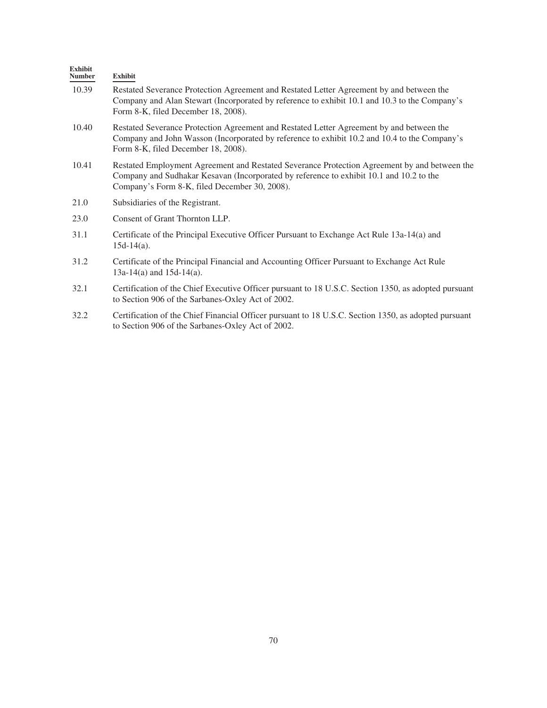| <b>Exhibit</b><br><b>Number</b> | Exhibit                                                                                                                                                                                                                                  |
|---------------------------------|------------------------------------------------------------------------------------------------------------------------------------------------------------------------------------------------------------------------------------------|
| 10.39                           | Restated Severance Protection Agreement and Restated Letter Agreement by and between the<br>Company and Alan Stewart (Incorporated by reference to exhibit 10.1 and 10.3 to the Company's<br>Form 8-K, filed December 18, 2008).         |
| 10.40                           | Restated Severance Protection Agreement and Restated Letter Agreement by and between the<br>Company and John Wasson (Incorporated by reference to exhibit 10.2 and 10.4 to the Company's<br>Form 8-K, filed December 18, 2008).          |
| 10.41                           | Restated Employment Agreement and Restated Severance Protection Agreement by and between the<br>Company and Sudhakar Kesavan (Incorporated by reference to exhibit 10.1 and 10.2 to the<br>Company's Form 8-K, filed December 30, 2008). |
| 21.0                            | Subsidiaries of the Registrant.                                                                                                                                                                                                          |
| 23.0                            | Consent of Grant Thornton LLP.                                                                                                                                                                                                           |
| 31.1                            | Certificate of the Principal Executive Officer Pursuant to Exchange Act Rule 13a-14(a) and<br>$15d-14(a)$ .                                                                                                                              |
| 31.2                            | Certificate of the Principal Financial and Accounting Officer Pursuant to Exchange Act Rule<br>$13a-14(a)$ and $15d-14(a)$ .                                                                                                             |
| 32.1                            | Certification of the Chief Executive Officer pursuant to 18 U.S.C. Section 1350, as adopted pursuant<br>to Section 906 of the Sarbanes-Oxley Act of 2002.                                                                                |
| 32.2                            | Certification of the Chief Financial Officer pursuant to 18 U.S.C. Section 1350, as adopted pursuant<br>to Section 906 of the Sarbanes-Oxley Act of 2002.                                                                                |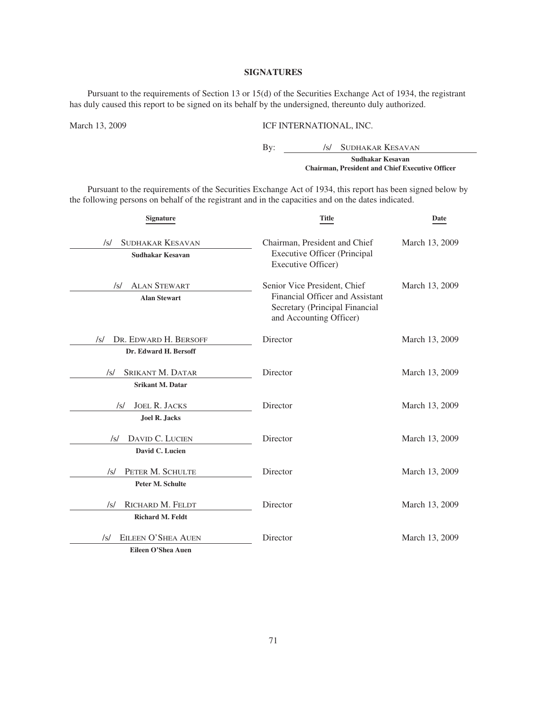## **SIGNATURES**

Pursuant to the requirements of Section 13 or 15(d) of the Securities Exchange Act of 1934, the registrant has duly caused this report to be signed on its behalf by the undersigned, thereunto duly authorized.

March 13, 2009 **ICF INTERNATIONAL, INC.** 

By: /s/ SUDHAKAR KESAVAN **Sudhakar Kesavan Chairman, President and Chief Executive Officer**

Pursuant to the requirements of the Securities Exchange Act of 1934, this report has been signed below by the following persons on behalf of the registrant and in the capacities and on the dates indicated.

| <b>Signature</b>                                             | <b>Title</b>                                                                                                                 | Date           |
|--------------------------------------------------------------|------------------------------------------------------------------------------------------------------------------------------|----------------|
| <b>SUDHAKAR KESAVAN</b><br>/s/<br><b>Sudhakar Kesavan</b>    | Chairman, President and Chief<br><b>Executive Officer (Principal</b><br>Executive Officer)                                   | March 13, 2009 |
| <b>ALAN STEWART</b><br>$\sqrt{s}$<br><b>Alan Stewart</b>     | Senior Vice President, Chief<br>Financial Officer and Assistant<br>Secretary (Principal Financial<br>and Accounting Officer) | March 13, 2009 |
| DR. EDWARD H. BERSOFF<br>$\sqrt{s}$<br>Dr. Edward H. Bersoff | Director                                                                                                                     | March 13, 2009 |
| <b>SRIKANT M. DATAR</b><br>/s/<br><b>Srikant M. Datar</b>    | Director                                                                                                                     | March 13, 2009 |
| <b>JOEL R. JACKS</b><br>/s/<br>Joel R. Jacks                 | Director                                                                                                                     | March 13, 2009 |
| DAVID C. LUCIEN<br>/s/<br>David C. Lucien                    | Director                                                                                                                     | March 13, 2009 |
| PETER M. SCHULTE<br>$\sqrt{s}$<br>Peter M. Schulte           | Director                                                                                                                     | March 13, 2009 |
| RICHARD M. FELDT<br>$\sqrt{s}$<br><b>Richard M. Feldt</b>    | Director                                                                                                                     | March 13, 2009 |
| EILEEN O'SHEA AUEN<br>$\sqrt{s}$<br>Eileen O'Shea Auen       | Director                                                                                                                     | March 13, 2009 |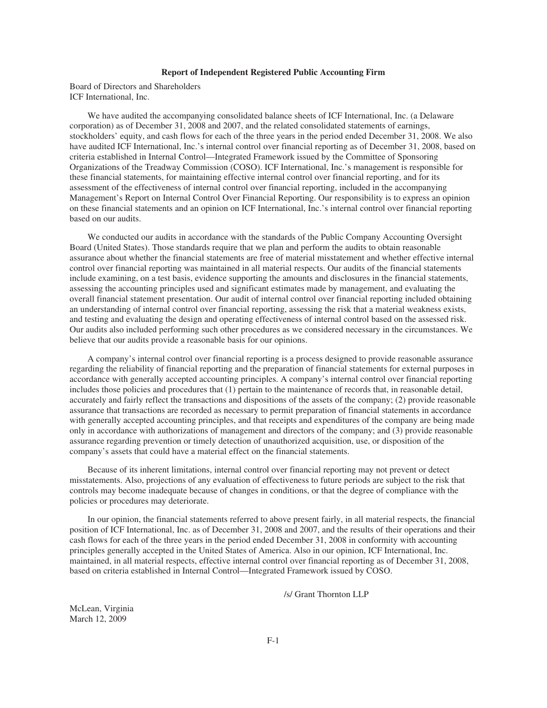## **Report of Independent Registered Public Accounting Firm**

Board of Directors and Shareholders ICF International, Inc.

We have audited the accompanying consolidated balance sheets of ICF International, Inc. (a Delaware corporation) as of December 31, 2008 and 2007, and the related consolidated statements of earnings, stockholders' equity, and cash flows for each of the three years in the period ended December 31, 2008. We also have audited ICF International, Inc.'s internal control over financial reporting as of December 31, 2008, based on criteria established in Internal Control—Integrated Framework issued by the Committee of Sponsoring Organizations of the Treadway Commission (COSO). ICF International, Inc.'s management is responsible for these financial statements, for maintaining effective internal control over financial reporting, and for its assessment of the effectiveness of internal control over financial reporting, included in the accompanying Management's Report on Internal Control Over Financial Reporting. Our responsibility is to express an opinion on these financial statements and an opinion on ICF International, Inc.'s internal control over financial reporting based on our audits.

We conducted our audits in accordance with the standards of the Public Company Accounting Oversight Board (United States). Those standards require that we plan and perform the audits to obtain reasonable assurance about whether the financial statements are free of material misstatement and whether effective internal control over financial reporting was maintained in all material respects. Our audits of the financial statements include examining, on a test basis, evidence supporting the amounts and disclosures in the financial statements, assessing the accounting principles used and significant estimates made by management, and evaluating the overall financial statement presentation. Our audit of internal control over financial reporting included obtaining an understanding of internal control over financial reporting, assessing the risk that a material weakness exists, and testing and evaluating the design and operating effectiveness of internal control based on the assessed risk. Our audits also included performing such other procedures as we considered necessary in the circumstances. We believe that our audits provide a reasonable basis for our opinions.

A company's internal control over financial reporting is a process designed to provide reasonable assurance regarding the reliability of financial reporting and the preparation of financial statements for external purposes in accordance with generally accepted accounting principles. A company's internal control over financial reporting includes those policies and procedures that (1) pertain to the maintenance of records that, in reasonable detail, accurately and fairly reflect the transactions and dispositions of the assets of the company; (2) provide reasonable assurance that transactions are recorded as necessary to permit preparation of financial statements in accordance with generally accepted accounting principles, and that receipts and expenditures of the company are being made only in accordance with authorizations of management and directors of the company; and (3) provide reasonable assurance regarding prevention or timely detection of unauthorized acquisition, use, or disposition of the company's assets that could have a material effect on the financial statements.

Because of its inherent limitations, internal control over financial reporting may not prevent or detect misstatements. Also, projections of any evaluation of effectiveness to future periods are subject to the risk that controls may become inadequate because of changes in conditions, or that the degree of compliance with the policies or procedures may deteriorate.

In our opinion, the financial statements referred to above present fairly, in all material respects, the financial position of ICF International, Inc. as of December 31, 2008 and 2007, and the results of their operations and their cash flows for each of the three years in the period ended December 31, 2008 in conformity with accounting principles generally accepted in the United States of America. Also in our opinion, ICF International, Inc. maintained, in all material respects, effective internal control over financial reporting as of December 31, 2008, based on criteria established in Internal Control—Integrated Framework issued by COSO.

/s/ Grant Thornton LLP

McLean, Virginia March 12, 2009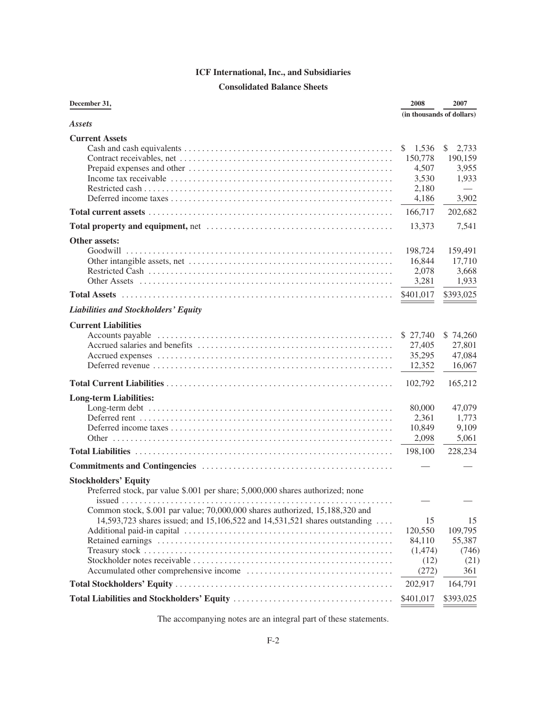# **Consolidated Balance Sheets**

| December 31,                                                                   | 2008                      | 2007        |
|--------------------------------------------------------------------------------|---------------------------|-------------|
|                                                                                | (in thousands of dollars) |             |
| <b>Assets</b>                                                                  |                           |             |
| <b>Current Assets</b>                                                          |                           |             |
|                                                                                | S.<br>1,536               | 2,733<br>\$ |
|                                                                                | 150,778                   | 190,159     |
|                                                                                | 4,507                     | 3,955       |
|                                                                                | 3,530                     | 1,933       |
|                                                                                | 2,180                     |             |
|                                                                                | 4,186                     | 3,902       |
|                                                                                | 166,717                   | 202,682     |
|                                                                                | 13,373                    | 7,541       |
| Other assets:                                                                  |                           |             |
| Goodwill                                                                       | 198,724                   | 159,491     |
|                                                                                | 16,844                    | 17,710      |
|                                                                                | 2,078                     | 3,668       |
|                                                                                | 3,281                     | 1,933       |
|                                                                                | \$401,017                 | \$393,025   |
| <b>Liabilities and Stockholders' Equity</b>                                    |                           |             |
| <b>Current Liabilities</b>                                                     |                           |             |
|                                                                                | \$27,740                  | \$74,260    |
|                                                                                | 27,405                    | 27,801      |
|                                                                                | 35,295                    | 47,084      |
|                                                                                | 12,352                    | 16,067      |
|                                                                                | 102,792                   | 165,212     |
| <b>Long-term Liabilities:</b>                                                  |                           |             |
|                                                                                | 80,000                    | 47,079      |
|                                                                                | 2,361                     | 1,773       |
|                                                                                | 10,849                    | 9,109       |
|                                                                                | 2,098                     | 5,061       |
|                                                                                | 198,100                   | 228,234     |
|                                                                                |                           |             |
| <b>Stockholders' Equity</b>                                                    |                           |             |
| Preferred stock, par value \$.001 per share; 5,000,000 shares authorized; none |                           |             |
|                                                                                |                           |             |
| Common stock, \$.001 par value; 70,000,000 shares authorized, 15,188,320 and   |                           |             |
| 14,593,723 shares issued; and 15,106,522 and 14,531,521 shares outstanding     | 15                        | 15          |
|                                                                                | 120,550                   | 109,795     |
|                                                                                | 84,110                    | 55,387      |
|                                                                                | (1, 474)                  | (746)       |
|                                                                                | (12)                      | (21)        |
|                                                                                | (272)                     | 361         |
|                                                                                | 202,917                   | 164,791     |
|                                                                                | \$401,017                 | \$393,025   |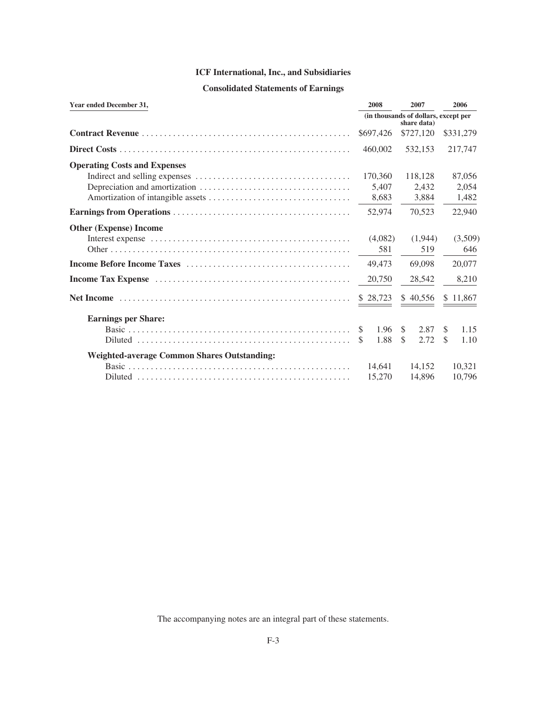# **Consolidated Statements of Earnings**

| Year ended December 31,                                                                                | 2008                                 | 2007                  | 2006                  |
|--------------------------------------------------------------------------------------------------------|--------------------------------------|-----------------------|-----------------------|
|                                                                                                        | (in thousands of dollars, except per |                       |                       |
|                                                                                                        | \$697,426                            | \$727,120             | \$331,279             |
|                                                                                                        | 460,002                              | 532.153               | 217,747               |
| <b>Operating Costs and Expenses</b>                                                                    |                                      |                       |                       |
|                                                                                                        | 170,360                              | 118,128               | 87,056                |
|                                                                                                        | 5,407                                | 2,432                 | 2,054                 |
|                                                                                                        | 8,683                                | 3,884                 | 1,482                 |
|                                                                                                        | 52,974                               | 70,523                | 22,940                |
| <b>Other (Expense) Income</b>                                                                          |                                      |                       |                       |
| Interest expense $\dots \dots \dots \dots \dots \dots \dots \dots \dots \dots \dots \dots \dots \dots$ | (4,082)                              | (1,944)               | (3,509)               |
|                                                                                                        | 581                                  | 519                   | 646                   |
|                                                                                                        | 49.473                               | 69.098                | 20,077                |
|                                                                                                        | 20,750                               | 28,542                | 8,210                 |
|                                                                                                        | \$28,723                             | \$40,556              | \$11,867              |
| <b>Earnings per Share:</b>                                                                             |                                      |                       |                       |
|                                                                                                        | 1.96<br>- S                          | <sup>\$</sup><br>2.87 | <sup>\$</sup><br>1.15 |
|                                                                                                        | 1.88<br>S.                           | $\mathcal{S}$<br>2.72 | 1.10<br><sup>\$</sup> |
| <b>Weighted-average Common Shares Outstanding:</b>                                                     |                                      |                       |                       |
|                                                                                                        | 14.641                               | 14,152                | 10,321                |
|                                                                                                        | 15,270                               | 14,896                | 10,796                |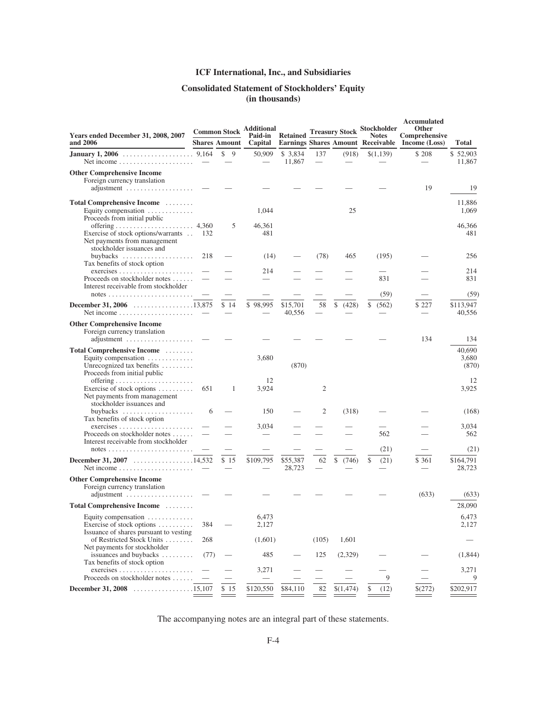# **Consolidated Statement of Stockholders' Equity (in thousands)**

| Years ended December 31, 2008, 2007                                                                                             |      | <b>Common Stock</b>  | <b>Additional</b><br>Paid-in | <b>Retained</b>    |       | <b>Treasury Stock</b> | Stockholder<br>Notes                     | <b>Accumulated</b><br><b>Other</b><br>Comprehensive |                          |
|---------------------------------------------------------------------------------------------------------------------------------|------|----------------------|------------------------------|--------------------|-------|-----------------------|------------------------------------------|-----------------------------------------------------|--------------------------|
| and 2006                                                                                                                        |      | <b>Shares Amount</b> | Capital                      |                    |       |                       | <b>Earnings Shares Amount Receivable</b> | Income (Loss)                                       | Total                    |
| Net income $\dots\dots\dots\dots\dots\dots\dots\dots$                                                                           |      | \$9                  | 50,909                       | \$3,834<br>11,867  | 137   | (918)                 | \$(1,139)                                | \$208                                               | \$52,903<br>11,867       |
| <b>Other Comprehensive Income</b><br>Foreign currency translation                                                               |      |                      |                              |                    |       |                       |                                          |                                                     |                          |
| adjustment                                                                                                                      |      |                      |                              |                    |       |                       |                                          | 19                                                  | 19                       |
| Total Comprehensive Income<br>Equity compensation $\dots\dots\dots\dots$<br>Proceeds from initial public                        |      |                      | 1,044                        |                    |       | 25                    |                                          |                                                     | 11,886<br>1,069          |
| Exercise of stock options/warrants                                                                                              | 132  | 5                    | 46,361<br>481                |                    |       |                       |                                          |                                                     | 46,366<br>481            |
| Net payments from management<br>stockholder issuances and<br>buybacks                                                           | 218  |                      | (14)                         |                    | (78)  | 465                   | (195)                                    |                                                     | 256                      |
| Tax benefits of stock option                                                                                                    |      |                      |                              |                    |       |                       |                                          |                                                     |                          |
| $exercises \dots \dots \dots \dots \dots \dots \dots \dots$<br>Proceeds on stockholder notes                                    |      |                      | 214                          |                    |       |                       | 831                                      |                                                     | 214<br>831               |
| Interest receivable from stockholder                                                                                            |      |                      |                              |                    |       |                       | (59)                                     |                                                     | (59)                     |
| December 31, 2006 13,875<br>Net income $\dots\dots\dots\dots\dots\dots\dots\dots$                                               |      | \$14                 | \$98,995                     | \$15,701<br>40,556 | 58    | \$<br>(428)           | $\mathbb{S}$<br>(562)                    | \$ 227                                              | \$113.947<br>40,556      |
| <b>Other Comprehensive Income</b>                                                                                               |      |                      |                              |                    |       |                       |                                          |                                                     |                          |
| Foreign currency translation<br>adjustment                                                                                      |      |                      |                              |                    |       |                       |                                          | 134                                                 | 134                      |
| Total Comprehensive Income<br>Equity compensation<br>Unrecognized tax benefits $\dots\dots\dots$                                |      |                      | 3,680                        | (870)              |       |                       |                                          |                                                     | 40.690<br>3,680<br>(870) |
| Proceeds from initial public<br>$offering \ldots \ldots \ldots \ldots \ldots \ldots$<br>Exercise of stock options $\dots \dots$ | 651  | 1                    | 12<br>3,924                  |                    | 2     |                       |                                          |                                                     | 12<br>3,925              |
| Net payments from management<br>stockholder issuances and                                                                       |      |                      |                              |                    |       |                       |                                          |                                                     |                          |
| buybacks $\dots\dots\dots\dots\dots\dots\dots$<br>Tax benefits of stock option                                                  | 6    |                      | 150                          |                    | 2     | (318)                 |                                          |                                                     | (168)                    |
| $exercises \ldots \ldots \ldots \ldots \ldots \ldots$<br>Proceeds on stockholder notes                                          |      |                      | 3,034                        |                    |       |                       | 562                                      |                                                     | 3,034<br>562             |
| Interest receivable from stockholder                                                                                            |      |                      |                              |                    |       |                       | (21)                                     |                                                     | (21)                     |
| December 31, 2007 14,532                                                                                                        |      | \$15                 | \$109,795                    | \$55,387           | 62    | \$<br>(746)           | \$                                       | \$ 361                                              | \$164,791                |
| Net income                                                                                                                      |      |                      |                              | 28,723             |       |                       | (21)                                     |                                                     | 28,723                   |
| <b>Other Comprehensive Income</b>                                                                                               |      |                      |                              |                    |       |                       |                                          |                                                     |                          |
| Foreign currency translation<br>$adjustment \dots \dots \dots \dots \dots \dots$                                                |      |                      |                              |                    |       |                       |                                          | (633)                                               | (633)                    |
| Total Comprehensive Income                                                                                                      |      |                      |                              |                    |       |                       |                                          |                                                     | 28,090                   |
| Equity compensation $\dots\dots\dots\dots$<br>Exercise of stock options<br>Issuance of shares pursuant to vesting               | 384  |                      | 6,473<br>2,127               |                    |       |                       |                                          |                                                     | 6,473<br>2,127           |
| of Restricted Stock Units                                                                                                       | 268  |                      | (1,601)                      |                    | (105) | 1,601                 |                                          |                                                     |                          |
| Net payments for stockholder<br>issuances and buybacks<br>Tax benefits of stock option                                          | (77) |                      | 485                          |                    | 125   | (2,329)               |                                          |                                                     | (1,844)                  |
| $exercises \dots \dots \dots \dots \dots \dots \dots \dots$<br>Proceeds on stockholder notes                                    |      |                      | 3,271                        |                    |       |                       | 9                                        |                                                     | 3,271<br>9               |
| December 31, 2008 15,107                                                                                                        |      | \$15                 | \$120,550                    | \$84,110           | 82    | \$(1,474)             | \$<br>(12)                               | \$(272)                                             | \$202,917                |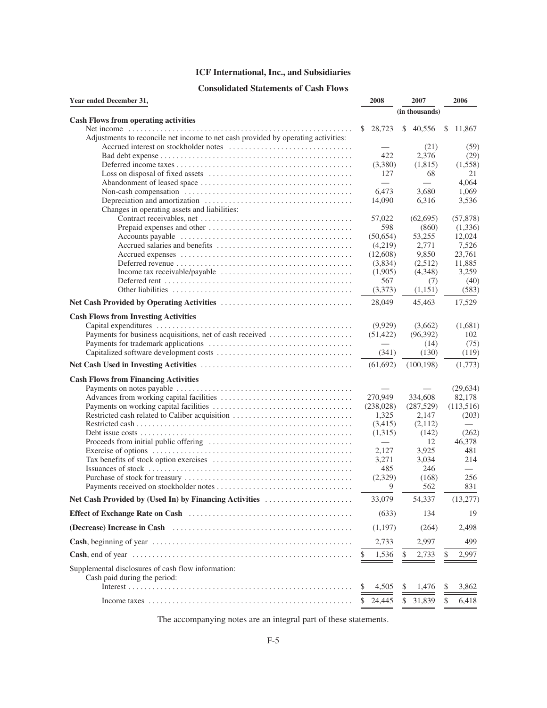# **Consolidated Statements of Cash Flows**

| Year ended December 31,                                                                                                  |    | 2008       | 2007                   |    | 2006      |
|--------------------------------------------------------------------------------------------------------------------------|----|------------|------------------------|----|-----------|
|                                                                                                                          |    |            | (in thousands)         |    |           |
| <b>Cash Flows from operating activities</b>                                                                              |    |            |                        |    |           |
|                                                                                                                          | \$ | 28,723     | $\mathbb{S}$<br>40,556 | \$ | 11,867    |
| Adjustments to reconcile net income to net cash provided by operating activities:                                        |    |            |                        |    |           |
|                                                                                                                          |    |            | (21)                   |    | (59)      |
| Bad debt expense $\dots \dots \dots \dots \dots \dots \dots \dots \dots \dots \dots \dots \dots \dots \dots \dots \dots$ |    | 422        | 2,376                  |    | (29)      |
|                                                                                                                          |    | (3,380)    | (1, 815)               |    | (1,558)   |
|                                                                                                                          |    | 127        | 68                     |    | 21        |
|                                                                                                                          |    |            |                        |    | 4,064     |
|                                                                                                                          |    | 6,473      | 3,680                  |    | 1,069     |
|                                                                                                                          |    | 14,090     | 6,316                  |    | 3,536     |
| Changes in operating assets and liabilities:                                                                             |    |            |                        |    |           |
|                                                                                                                          |    | 57,022     | (62, 695)              |    | (57, 878) |
|                                                                                                                          |    | 598        | (860)                  |    | (1,336)   |
|                                                                                                                          |    | (50,654)   | 53,255                 |    | 12,024    |
|                                                                                                                          |    | (4,219)    | 2,771                  |    | 7,526     |
|                                                                                                                          |    | (12,608)   | 9,850                  |    | 23,761    |
|                                                                                                                          |    | (3,834)    | (2,512)                |    | 11,885    |
|                                                                                                                          |    | (1,905)    | (4,348)                |    | 3,259     |
|                                                                                                                          |    | 567        | (7)                    |    | (40)      |
|                                                                                                                          |    | (3,373)    | (1,151)                |    | (583)     |
|                                                                                                                          |    | 28,049     | 45,463                 |    | 17,529    |
|                                                                                                                          |    |            |                        |    |           |
| <b>Cash Flows from Investing Activities</b>                                                                              |    |            |                        |    |           |
|                                                                                                                          |    | (9,929)    | (3,662)                |    | (1,681)   |
| Payments for business acquisitions, net of cash received                                                                 |    | (51, 422)  | (96, 392)              |    | 102       |
|                                                                                                                          |    |            | (14)                   |    | (75)      |
|                                                                                                                          |    | (341)      | (130)                  |    | (119)     |
|                                                                                                                          |    | (61, 692)  | (100, 198)             |    | (1,773)   |
| <b>Cash Flows from Financing Activities</b>                                                                              |    |            |                        |    |           |
|                                                                                                                          |    |            |                        |    |           |
|                                                                                                                          |    |            |                        |    | (29, 634) |
|                                                                                                                          |    | 270,949    | 334,608                |    | 82,178    |
|                                                                                                                          |    | (238, 028) | (287, 529)             |    | (113,516) |
|                                                                                                                          |    | 1,325      | 2,147                  |    | (203)     |
|                                                                                                                          |    | (3,415)    | (2,112)                |    |           |
|                                                                                                                          |    | (1,315)    | (142)                  |    | (262)     |
|                                                                                                                          |    |            | 12                     |    | 46,378    |
|                                                                                                                          |    | 2,127      | 3,925                  |    | 481       |
|                                                                                                                          |    | 3,271      | 3,034                  |    | 214       |
|                                                                                                                          |    | 485        | 246                    |    |           |
|                                                                                                                          |    | (2,329)    | (168)                  |    | 256       |
|                                                                                                                          |    | 9          | 562                    |    | 831       |
| Net Cash Provided by (Used In) by Financing Activities                                                                   |    | 33,079     | 54,337                 |    | (13, 277) |
|                                                                                                                          |    | (633)      | 134                    |    | 19        |
|                                                                                                                          |    | (1,197)    | (264)                  |    | 2,498     |
|                                                                                                                          |    | 2,733      | 2,997                  |    | 499       |
|                                                                                                                          | \$ | 1,536      | \$<br>2,733            | \$ | 2,997     |
| Supplemental disclosures of cash flow information:                                                                       |    |            |                        |    |           |
| Cash paid during the period:                                                                                             |    |            |                        |    |           |
|                                                                                                                          | S  | 4,505      | 1,476<br>S.            | S  | 3,862     |
|                                                                                                                          |    |            |                        |    |           |
|                                                                                                                          | \$ | 24,445     | \$<br>31,839           | \$ | 6,418     |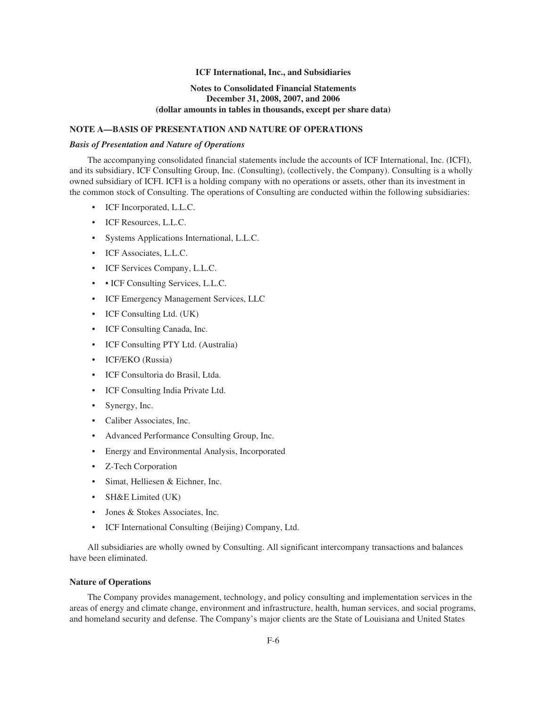# **Notes to Consolidated Financial Statements December 31, 2008, 2007, and 2006 (dollar amounts in tables in thousands, except per share data)**

## **NOTE A—BASIS OF PRESENTATION AND NATURE OF OPERATIONS**

## *Basis of Presentation and Nature of Operations*

The accompanying consolidated financial statements include the accounts of ICF International, Inc. (ICFI), and its subsidiary, ICF Consulting Group, Inc. (Consulting), (collectively, the Company). Consulting is a wholly owned subsidiary of ICFI. ICFI is a holding company with no operations or assets, other than its investment in the common stock of Consulting. The operations of Consulting are conducted within the following subsidiaries:

- ICF Incorporated, L.L.C.
- ICF Resources, L.L.C.
- Systems Applications International, L.L.C.
- ICF Associates, L.L.C.
- ICF Services Company, L.L.C.
- ICF Consulting Services, L.L.C.
- ICF Emergency Management Services, LLC
- ICF Consulting Ltd. (UK)
- ICF Consulting Canada, Inc.
- ICF Consulting PTY Ltd. (Australia)
- ICF/EKO (Russia)
- ICF Consultoria do Brasil, Ltda.
- ICF Consulting India Private Ltd.
- Synergy, Inc.
- Caliber Associates, Inc.
- Advanced Performance Consulting Group, Inc.
- Energy and Environmental Analysis, Incorporated
- Z-Tech Corporation
- Simat, Helliesen & Eichner, Inc.
- SH&E Limited (UK)
- Jones & Stokes Associates, Inc.
- ICF International Consulting (Beijing) Company, Ltd.

All subsidiaries are wholly owned by Consulting. All significant intercompany transactions and balances have been eliminated.

## **Nature of Operations**

The Company provides management, technology, and policy consulting and implementation services in the areas of energy and climate change, environment and infrastructure, health, human services, and social programs, and homeland security and defense. The Company's major clients are the State of Louisiana and United States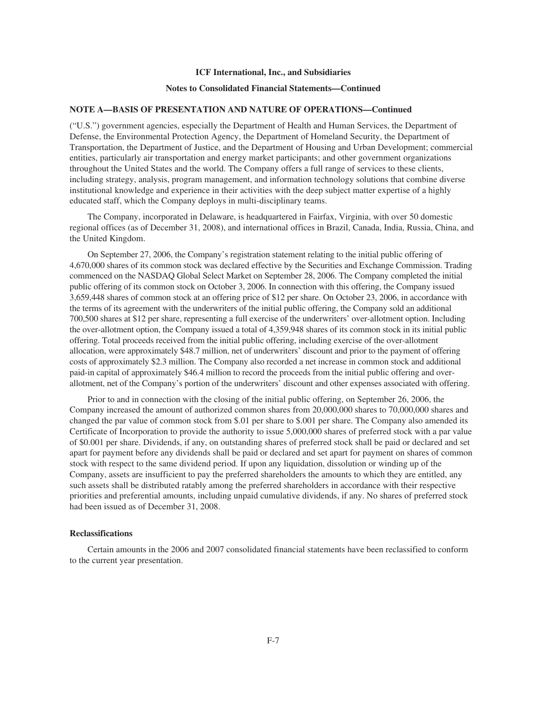## **Notes to Consolidated Financial Statements—Continued**

## **NOTE A—BASIS OF PRESENTATION AND NATURE OF OPERATIONS—Continued**

("U.S.") government agencies, especially the Department of Health and Human Services, the Department of Defense, the Environmental Protection Agency, the Department of Homeland Security, the Department of Transportation, the Department of Justice, and the Department of Housing and Urban Development; commercial entities, particularly air transportation and energy market participants; and other government organizations throughout the United States and the world. The Company offers a full range of services to these clients, including strategy, analysis, program management, and information technology solutions that combine diverse institutional knowledge and experience in their activities with the deep subject matter expertise of a highly educated staff, which the Company deploys in multi-disciplinary teams.

The Company, incorporated in Delaware, is headquartered in Fairfax, Virginia, with over 50 domestic regional offices (as of December 31, 2008), and international offices in Brazil, Canada, India, Russia, China, and the United Kingdom.

On September 27, 2006, the Company's registration statement relating to the initial public offering of 4,670,000 shares of its common stock was declared effective by the Securities and Exchange Commission. Trading commenced on the NASDAQ Global Select Market on September 28, 2006. The Company completed the initial public offering of its common stock on October 3, 2006. In connection with this offering, the Company issued 3,659,448 shares of common stock at an offering price of \$12 per share. On October 23, 2006, in accordance with the terms of its agreement with the underwriters of the initial public offering, the Company sold an additional 700,500 shares at \$12 per share, representing a full exercise of the underwriters' over-allotment option. Including the over-allotment option, the Company issued a total of 4,359,948 shares of its common stock in its initial public offering. Total proceeds received from the initial public offering, including exercise of the over-allotment allocation, were approximately \$48.7 million, net of underwriters' discount and prior to the payment of offering costs of approximately \$2.3 million. The Company also recorded a net increase in common stock and additional paid-in capital of approximately \$46.4 million to record the proceeds from the initial public offering and overallotment, net of the Company's portion of the underwriters' discount and other expenses associated with offering.

Prior to and in connection with the closing of the initial public offering, on September 26, 2006, the Company increased the amount of authorized common shares from 20,000,000 shares to 70,000,000 shares and changed the par value of common stock from \$.01 per share to \$.001 per share. The Company also amended its Certificate of Incorporation to provide the authority to issue 5,000,000 shares of preferred stock with a par value of \$0.001 per share. Dividends, if any, on outstanding shares of preferred stock shall be paid or declared and set apart for payment before any dividends shall be paid or declared and set apart for payment on shares of common stock with respect to the same dividend period. If upon any liquidation, dissolution or winding up of the Company, assets are insufficient to pay the preferred shareholders the amounts to which they are entitled, any such assets shall be distributed ratably among the preferred shareholders in accordance with their respective priorities and preferential amounts, including unpaid cumulative dividends, if any. No shares of preferred stock had been issued as of December 31, 2008.

#### **Reclassifications**

Certain amounts in the 2006 and 2007 consolidated financial statements have been reclassified to conform to the current year presentation.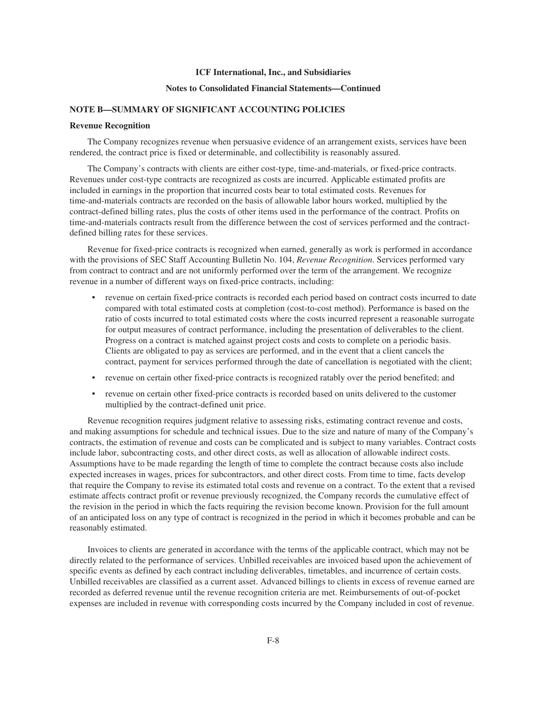## **Notes to Consolidated Financial Statements—Continued**

## **NOTE B—SUMMARY OF SIGNIFICANT ACCOUNTING POLICIES**

#### **Revenue Recognition**

The Company recognizes revenue when persuasive evidence of an arrangement exists, services have been rendered, the contract price is fixed or determinable, and collectibility is reasonably assured.

The Company's contracts with clients are either cost-type, time-and-materials, or fixed-price contracts. Revenues under cost-type contracts are recognized as costs are incurred. Applicable estimated profits are included in earnings in the proportion that incurred costs bear to total estimated costs. Revenues for time-and-materials contracts are recorded on the basis of allowable labor hours worked, multiplied by the contract-defined billing rates, plus the costs of other items used in the performance of the contract. Profits on time-and-materials contracts result from the difference between the cost of services performed and the contractdefined billing rates for these services.

Revenue for fixed-price contracts is recognized when earned, generally as work is performed in accordance with the provisions of SEC Staff Accounting Bulletin No. 104, *Revenue Recognition*. Services performed vary from contract to contract and are not uniformly performed over the term of the arrangement. We recognize revenue in a number of different ways on fixed-price contracts, including:

- revenue on certain fixed-price contracts is recorded each period based on contract costs incurred to date compared with total estimated costs at completion (cost-to-cost method). Performance is based on the ratio of costs incurred to total estimated costs where the costs incurred represent a reasonable surrogate for output measures of contract performance, including the presentation of deliverables to the client. Progress on a contract is matched against project costs and costs to complete on a periodic basis. Clients are obligated to pay as services are performed, and in the event that a client cancels the contract, payment for services performed through the date of cancellation is negotiated with the client;
- revenue on certain other fixed-price contracts is recognized ratably over the period benefited; and
- revenue on certain other fixed-price contracts is recorded based on units delivered to the customer multiplied by the contract-defined unit price.

Revenue recognition requires judgment relative to assessing risks, estimating contract revenue and costs, and making assumptions for schedule and technical issues. Due to the size and nature of many of the Company's contracts, the estimation of revenue and costs can be complicated and is subject to many variables. Contract costs include labor, subcontracting costs, and other direct costs, as well as allocation of allowable indirect costs. Assumptions have to be made regarding the length of time to complete the contract because costs also include expected increases in wages, prices for subcontractors, and other direct costs. From time to time, facts develop that require the Company to revise its estimated total costs and revenue on a contract. To the extent that a revised estimate affects contract profit or revenue previously recognized, the Company records the cumulative effect of the revision in the period in which the facts requiring the revision become known. Provision for the full amount of an anticipated loss on any type of contract is recognized in the period in which it becomes probable and can be reasonably estimated.

Invoices to clients are generated in accordance with the terms of the applicable contract, which may not be directly related to the performance of services. Unbilled receivables are invoiced based upon the achievement of specific events as defined by each contract including deliverables, timetables, and incurrence of certain costs. Unbilled receivables are classified as a current asset. Advanced billings to clients in excess of revenue earned are recorded as deferred revenue until the revenue recognition criteria are met. Reimbursements of out-of-pocket expenses are included in revenue with corresponding costs incurred by the Company included in cost of revenue.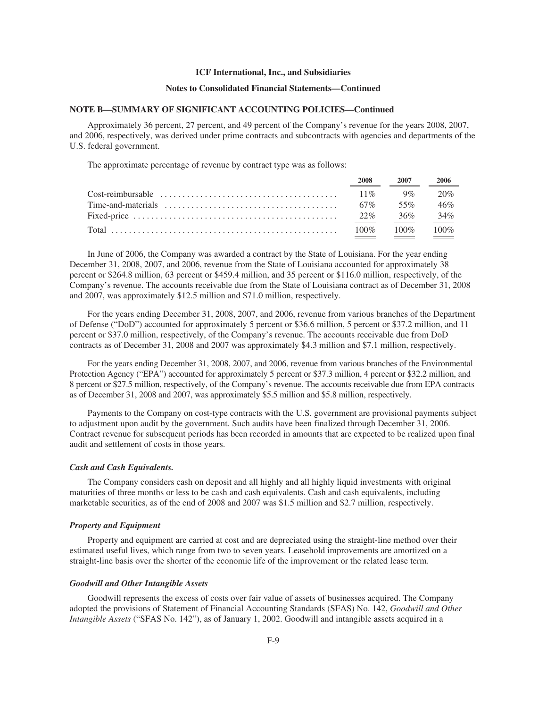## **Notes to Consolidated Financial Statements—Continued**

## **NOTE B—SUMMARY OF SIGNIFICANT ACCOUNTING POLICIES—Continued**

Approximately 36 percent, 27 percent, and 49 percent of the Company's revenue for the years 2008, 2007, and 2006, respectively, was derived under prime contracts and subcontracts with agencies and departments of the U.S. federal government.

The approximate percentage of revenue by contract type was as follows:

| 2008 | 2007                    | 2006 |
|------|-------------------------|------|
|      | $11\%$ 9% 20%           |      |
|      | $67\%$ 55%              | 46%  |
|      |                         |      |
|      | $100\%$ $100\%$ $100\%$ |      |

In June of 2006, the Company was awarded a contract by the State of Louisiana. For the year ending December 31, 2008, 2007, and 2006, revenue from the State of Louisiana accounted for approximately 38 percent or \$264.8 million, 63 percent or \$459.4 million, and 35 percent or \$116.0 million, respectively, of the Company's revenue. The accounts receivable due from the State of Louisiana contract as of December 31, 2008 and 2007, was approximately \$12.5 million and \$71.0 million, respectively.

For the years ending December 31, 2008, 2007, and 2006, revenue from various branches of the Department of Defense ("DoD") accounted for approximately 5 percent or \$36.6 million, 5 percent or \$37.2 million, and 11 percent or \$37.0 million, respectively, of the Company's revenue. The accounts receivable due from DoD contracts as of December 31, 2008 and 2007 was approximately \$4.3 million and \$7.1 million, respectively.

For the years ending December 31, 2008, 2007, and 2006, revenue from various branches of the Environmental Protection Agency ("EPA") accounted for approximately 5 percent or \$37.3 million, 4 percent or \$32.2 million, and 8 percent or \$27.5 million, respectively, of the Company's revenue. The accounts receivable due from EPA contracts as of December 31, 2008 and 2007, was approximately \$5.5 million and \$5.8 million, respectively.

Payments to the Company on cost-type contracts with the U.S. government are provisional payments subject to adjustment upon audit by the government. Such audits have been finalized through December 31, 2006. Contract revenue for subsequent periods has been recorded in amounts that are expected to be realized upon final audit and settlement of costs in those years.

#### *Cash and Cash Equivalents.*

The Company considers cash on deposit and all highly and all highly liquid investments with original maturities of three months or less to be cash and cash equivalents. Cash and cash equivalents, including marketable securities, as of the end of 2008 and 2007 was \$1.5 million and \$2.7 million, respectively.

#### *Property and Equipment*

Property and equipment are carried at cost and are depreciated using the straight-line method over their estimated useful lives, which range from two to seven years. Leasehold improvements are amortized on a straight-line basis over the shorter of the economic life of the improvement or the related lease term.

#### *Goodwill and Other Intangible Assets*

Goodwill represents the excess of costs over fair value of assets of businesses acquired. The Company adopted the provisions of Statement of Financial Accounting Standards (SFAS) No. 142, *Goodwill and Other Intangible Assets* ("SFAS No. 142"), as of January 1, 2002. Goodwill and intangible assets acquired in a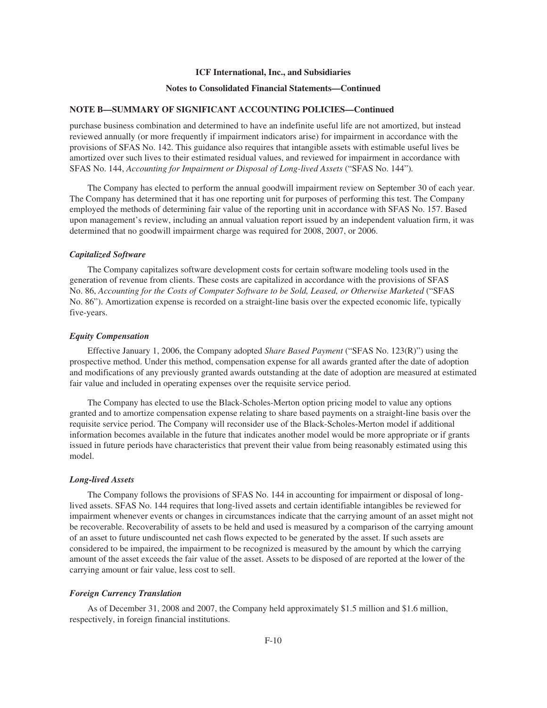## **Notes to Consolidated Financial Statements—Continued**

## **NOTE B—SUMMARY OF SIGNIFICANT ACCOUNTING POLICIES—Continued**

purchase business combination and determined to have an indefinite useful life are not amortized, but instead reviewed annually (or more frequently if impairment indicators arise) for impairment in accordance with the provisions of SFAS No. 142. This guidance also requires that intangible assets with estimable useful lives be amortized over such lives to their estimated residual values, and reviewed for impairment in accordance with SFAS No. 144, *Accounting for Impairment or Disposal of Long-lived Assets* ("SFAS No. 144")*.*

The Company has elected to perform the annual goodwill impairment review on September 30 of each year. The Company has determined that it has one reporting unit for purposes of performing this test. The Company employed the methods of determining fair value of the reporting unit in accordance with SFAS No. 157. Based upon management's review, including an annual valuation report issued by an independent valuation firm, it was determined that no goodwill impairment charge was required for 2008, 2007, or 2006.

#### *Capitalized Software*

The Company capitalizes software development costs for certain software modeling tools used in the generation of revenue from clients. These costs are capitalized in accordance with the provisions of SFAS No. 86, *Accounting for the Costs of Computer Software to be Sold, Leased, or Otherwise Marketed* ("SFAS No. 86"). Amortization expense is recorded on a straight-line basis over the expected economic life, typically five-years.

## *Equity Compensation*

Effective January 1, 2006, the Company adopted *Share Based Payment* ("SFAS No. 123(R)") using the prospective method. Under this method, compensation expense for all awards granted after the date of adoption and modifications of any previously granted awards outstanding at the date of adoption are measured at estimated fair value and included in operating expenses over the requisite service period.

The Company has elected to use the Black-Scholes-Merton option pricing model to value any options granted and to amortize compensation expense relating to share based payments on a straight-line basis over the requisite service period. The Company will reconsider use of the Black-Scholes-Merton model if additional information becomes available in the future that indicates another model would be more appropriate or if grants issued in future periods have characteristics that prevent their value from being reasonably estimated using this model.

#### *Long-lived Assets*

The Company follows the provisions of SFAS No. 144 in accounting for impairment or disposal of longlived assets. SFAS No. 144 requires that long-lived assets and certain identifiable intangibles be reviewed for impairment whenever events or changes in circumstances indicate that the carrying amount of an asset might not be recoverable. Recoverability of assets to be held and used is measured by a comparison of the carrying amount of an asset to future undiscounted net cash flows expected to be generated by the asset. If such assets are considered to be impaired, the impairment to be recognized is measured by the amount by which the carrying amount of the asset exceeds the fair value of the asset. Assets to be disposed of are reported at the lower of the carrying amount or fair value, less cost to sell.

## *Foreign Currency Translation*

As of December 31, 2008 and 2007, the Company held approximately \$1.5 million and \$1.6 million, respectively, in foreign financial institutions.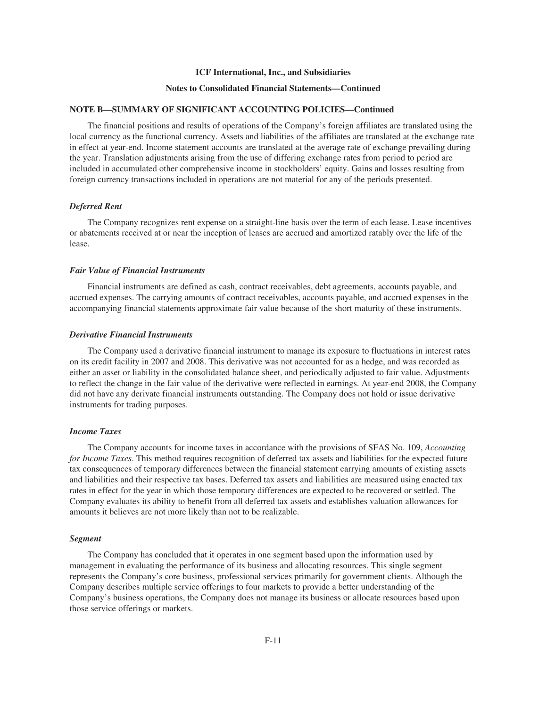## **Notes to Consolidated Financial Statements—Continued**

## **NOTE B—SUMMARY OF SIGNIFICANT ACCOUNTING POLICIES—Continued**

The financial positions and results of operations of the Company's foreign affiliates are translated using the local currency as the functional currency. Assets and liabilities of the affiliates are translated at the exchange rate in effect at year-end. Income statement accounts are translated at the average rate of exchange prevailing during the year. Translation adjustments arising from the use of differing exchange rates from period to period are included in accumulated other comprehensive income in stockholders' equity. Gains and losses resulting from foreign currency transactions included in operations are not material for any of the periods presented.

## *Deferred Rent*

The Company recognizes rent expense on a straight-line basis over the term of each lease. Lease incentives or abatements received at or near the inception of leases are accrued and amortized ratably over the life of the lease.

#### *Fair Value of Financial Instruments*

Financial instruments are defined as cash, contract receivables, debt agreements, accounts payable, and accrued expenses. The carrying amounts of contract receivables, accounts payable, and accrued expenses in the accompanying financial statements approximate fair value because of the short maturity of these instruments.

#### *Derivative Financial Instruments*

The Company used a derivative financial instrument to manage its exposure to fluctuations in interest rates on its credit facility in 2007 and 2008. This derivative was not accounted for as a hedge, and was recorded as either an asset or liability in the consolidated balance sheet, and periodically adjusted to fair value. Adjustments to reflect the change in the fair value of the derivative were reflected in earnings. At year-end 2008, the Company did not have any derivate financial instruments outstanding. The Company does not hold or issue derivative instruments for trading purposes.

## *Income Taxes*

The Company accounts for income taxes in accordance with the provisions of SFAS No. 109, *Accounting for Income Taxes*. This method requires recognition of deferred tax assets and liabilities for the expected future tax consequences of temporary differences between the financial statement carrying amounts of existing assets and liabilities and their respective tax bases. Deferred tax assets and liabilities are measured using enacted tax rates in effect for the year in which those temporary differences are expected to be recovered or settled. The Company evaluates its ability to benefit from all deferred tax assets and establishes valuation allowances for amounts it believes are not more likely than not to be realizable.

## *Segment*

The Company has concluded that it operates in one segment based upon the information used by management in evaluating the performance of its business and allocating resources. This single segment represents the Company's core business, professional services primarily for government clients. Although the Company describes multiple service offerings to four markets to provide a better understanding of the Company's business operations, the Company does not manage its business or allocate resources based upon those service offerings or markets.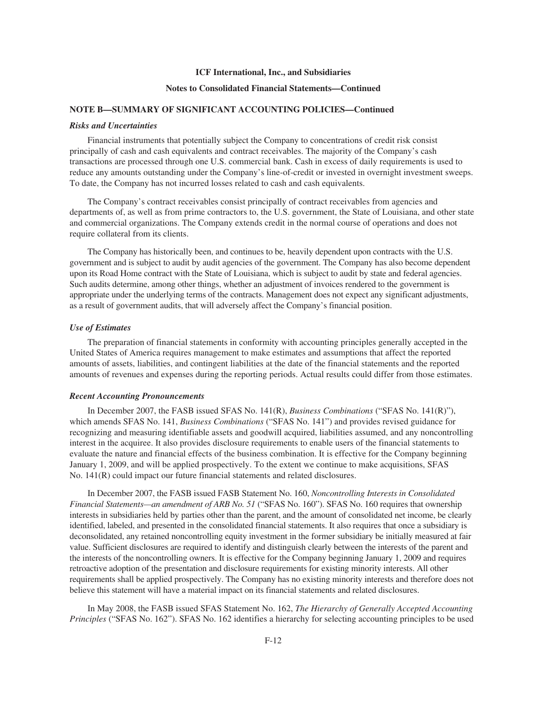## **Notes to Consolidated Financial Statements—Continued**

## **NOTE B—SUMMARY OF SIGNIFICANT ACCOUNTING POLICIES—Continued**

#### *Risks and Uncertainties*

Financial instruments that potentially subject the Company to concentrations of credit risk consist principally of cash and cash equivalents and contract receivables. The majority of the Company's cash transactions are processed through one U.S. commercial bank. Cash in excess of daily requirements is used to reduce any amounts outstanding under the Company's line-of-credit or invested in overnight investment sweeps. To date, the Company has not incurred losses related to cash and cash equivalents.

The Company's contract receivables consist principally of contract receivables from agencies and departments of, as well as from prime contractors to, the U.S. government, the State of Louisiana, and other state and commercial organizations. The Company extends credit in the normal course of operations and does not require collateral from its clients.

The Company has historically been, and continues to be, heavily dependent upon contracts with the U.S. government and is subject to audit by audit agencies of the government. The Company has also become dependent upon its Road Home contract with the State of Louisiana, which is subject to audit by state and federal agencies. Such audits determine, among other things, whether an adjustment of invoices rendered to the government is appropriate under the underlying terms of the contracts. Management does not expect any significant adjustments, as a result of government audits, that will adversely affect the Company's financial position.

#### *Use of Estimates*

The preparation of financial statements in conformity with accounting principles generally accepted in the United States of America requires management to make estimates and assumptions that affect the reported amounts of assets, liabilities, and contingent liabilities at the date of the financial statements and the reported amounts of revenues and expenses during the reporting periods. Actual results could differ from those estimates.

## *Recent Accounting Pronouncements*

In December 2007, the FASB issued SFAS No. 141(R), *Business Combinations* ("SFAS No. 141(R)"), which amends SFAS No. 141, *Business Combinations* ("SFAS No. 141") and provides revised guidance for recognizing and measuring identifiable assets and goodwill acquired, liabilities assumed, and any noncontrolling interest in the acquiree. It also provides disclosure requirements to enable users of the financial statements to evaluate the nature and financial effects of the business combination. It is effective for the Company beginning January 1, 2009, and will be applied prospectively. To the extent we continue to make acquisitions, SFAS No. 141(R) could impact our future financial statements and related disclosures.

In December 2007, the FASB issued FASB Statement No. 160, *Noncontrolling Interests in Consolidated Financial Statements—an amendment of ARB No. 51* ("SFAS No. 160"). SFAS No. 160 requires that ownership interests in subsidiaries held by parties other than the parent, and the amount of consolidated net income, be clearly identified, labeled, and presented in the consolidated financial statements. It also requires that once a subsidiary is deconsolidated, any retained noncontrolling equity investment in the former subsidiary be initially measured at fair value. Sufficient disclosures are required to identify and distinguish clearly between the interests of the parent and the interests of the noncontrolling owners. It is effective for the Company beginning January 1, 2009 and requires retroactive adoption of the presentation and disclosure requirements for existing minority interests. All other requirements shall be applied prospectively. The Company has no existing minority interests and therefore does not believe this statement will have a material impact on its financial statements and related disclosures.

In May 2008, the FASB issued SFAS Statement No. 162, *The Hierarchy of Generally Accepted Accounting Principles* ("SFAS No. 162"). SFAS No. 162 identifies a hierarchy for selecting accounting principles to be used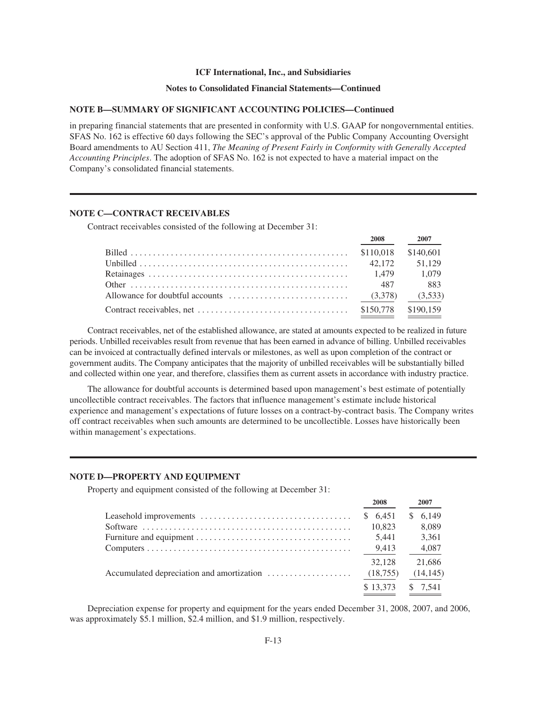## **Notes to Consolidated Financial Statements—Continued**

## **NOTE B—SUMMARY OF SIGNIFICANT ACCOUNTING POLICIES—Continued**

in preparing financial statements that are presented in conformity with U.S. GAAP for nongovernmental entities. SFAS No. 162 is effective 60 days following the SEC's approval of the Public Company Accounting Oversight Board amendments to AU Section 411, *The Meaning of Present Fairly in Conformity with Generally Accepted Accounting Principles*. The adoption of SFAS No. 162 is not expected to have a material impact on the Company's consolidated financial statements.

## **NOTE C—CONTRACT RECEIVABLES**

Contract receivables consisted of the following at December 31:

| 2008 | 2007      |
|------|-----------|
|      | \$140,601 |
|      | 51,129    |
|      | 1.079     |
|      | 883       |
|      | (3,533)   |
|      | \$190,159 |

Contract receivables, net of the established allowance, are stated at amounts expected to be realized in future periods. Unbilled receivables result from revenue that has been earned in advance of billing. Unbilled receivables can be invoiced at contractually defined intervals or milestones, as well as upon completion of the contract or government audits. The Company anticipates that the majority of unbilled receivables will be substantially billed and collected within one year, and therefore, classifies them as current assets in accordance with industry practice.

The allowance for doubtful accounts is determined based upon management's best estimate of potentially uncollectible contract receivables. The factors that influence management's estimate include historical experience and management's expectations of future losses on a contract-by-contract basis. The Company writes off contract receivables when such amounts are determined to be uncollectible. Losses have historically been within management's expectations.

## **NOTE D—PROPERTY AND EQUIPMENT**

Property and equipment consisted of the following at December 31:

| 2008     | 2007      |
|----------|-----------|
| \$6,451  | \$6.149   |
| 10.823   | 8.089     |
| 5.441    | 3,361     |
| 9,413    | 4,087     |
| 32.128   | 21,686    |
| (18,755) | (14, 145) |
| \$13,373 | \$7,541   |

Depreciation expense for property and equipment for the years ended December 31, 2008, 2007, and 2006, was approximately \$5.1 million, \$2.4 million, and \$1.9 million, respectively.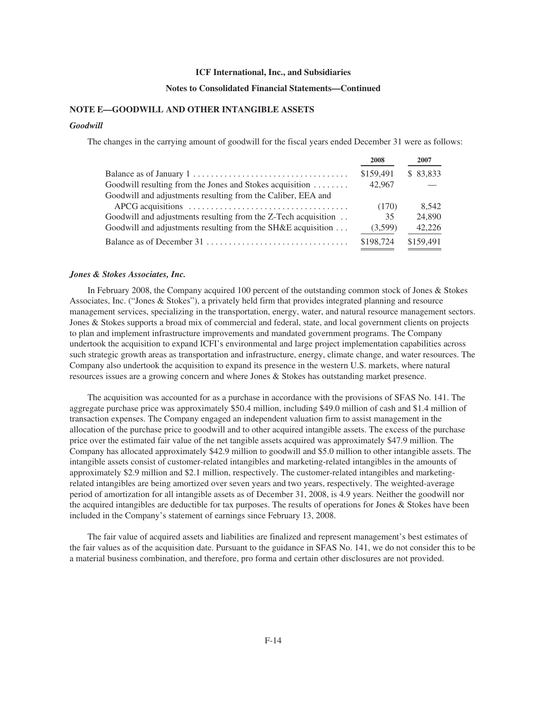## **Notes to Consolidated Financial Statements—Continued**

## **NOTE E—GOODWILL AND OTHER INTANGIBLE ASSETS**

#### *Goodwill*

The changes in the carrying amount of goodwill for the fiscal years ended December 31 were as follows:

|                                                                | 2008      | 2007      |
|----------------------------------------------------------------|-----------|-----------|
|                                                                | \$159,491 | \$83,833  |
| Goodwill resulting from the Jones and Stokes acquisition       | 42,967    |           |
| Goodwill and adjustments resulting from the Caliber, EEA and   |           |           |
|                                                                | (170)     | 8.542     |
| Goodwill and adjustments resulting from the Z-Tech acquisition | 35        | 24,890    |
| Goodwill and adjustments resulting from the SH&E acquisition   | (3,599)   | 42,226    |
|                                                                | \$198,724 | \$159.491 |

## *Jones & Stokes Associates, Inc.*

In February 2008, the Company acquired 100 percent of the outstanding common stock of Jones & Stokes Associates, Inc. ("Jones & Stokes"), a privately held firm that provides integrated planning and resource management services, specializing in the transportation, energy, water, and natural resource management sectors. Jones & Stokes supports a broad mix of commercial and federal, state, and local government clients on projects to plan and implement infrastructure improvements and mandated government programs. The Company undertook the acquisition to expand ICFI's environmental and large project implementation capabilities across such strategic growth areas as transportation and infrastructure, energy, climate change, and water resources. The Company also undertook the acquisition to expand its presence in the western U.S. markets, where natural resources issues are a growing concern and where Jones & Stokes has outstanding market presence.

The acquisition was accounted for as a purchase in accordance with the provisions of SFAS No. 141. The aggregate purchase price was approximately \$50.4 million, including \$49.0 million of cash and \$1.4 million of transaction expenses. The Company engaged an independent valuation firm to assist management in the allocation of the purchase price to goodwill and to other acquired intangible assets. The excess of the purchase price over the estimated fair value of the net tangible assets acquired was approximately \$47.9 million. The Company has allocated approximately \$42.9 million to goodwill and \$5.0 million to other intangible assets. The intangible assets consist of customer-related intangibles and marketing-related intangibles in the amounts of approximately \$2.9 million and \$2.1 million, respectively. The customer-related intangibles and marketingrelated intangibles are being amortized over seven years and two years, respectively. The weighted-average period of amortization for all intangible assets as of December 31, 2008, is 4.9 years. Neither the goodwill nor the acquired intangibles are deductible for tax purposes. The results of operations for Jones & Stokes have been included in the Company's statement of earnings since February 13, 2008.

The fair value of acquired assets and liabilities are finalized and represent management's best estimates of the fair values as of the acquisition date. Pursuant to the guidance in SFAS No. 141, we do not consider this to be a material business combination, and therefore, pro forma and certain other disclosures are not provided.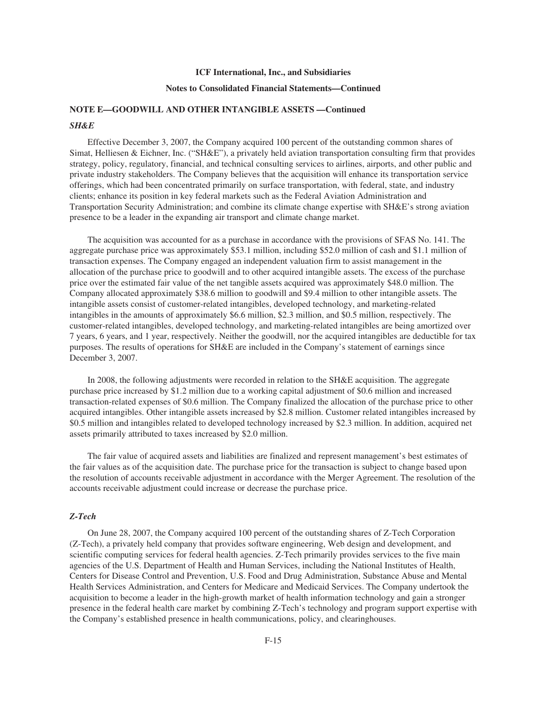## **Notes to Consolidated Financial Statements—Continued**

# **NOTE E—GOODWILL AND OTHER INTANGIBLE ASSETS —Continued**

## *SH&E*

Effective December 3, 2007, the Company acquired 100 percent of the outstanding common shares of Simat, Helliesen & Eichner, Inc. ("SH&E"), a privately held aviation transportation consulting firm that provides strategy, policy, regulatory, financial, and technical consulting services to airlines, airports, and other public and private industry stakeholders. The Company believes that the acquisition will enhance its transportation service offerings, which had been concentrated primarily on surface transportation, with federal, state, and industry clients; enhance its position in key federal markets such as the Federal Aviation Administration and Transportation Security Administration; and combine its climate change expertise with SH&E's strong aviation presence to be a leader in the expanding air transport and climate change market.

The acquisition was accounted for as a purchase in accordance with the provisions of SFAS No. 141. The aggregate purchase price was approximately \$53.1 million, including \$52.0 million of cash and \$1.1 million of transaction expenses. The Company engaged an independent valuation firm to assist management in the allocation of the purchase price to goodwill and to other acquired intangible assets. The excess of the purchase price over the estimated fair value of the net tangible assets acquired was approximately \$48.0 million. The Company allocated approximately \$38.6 million to goodwill and \$9.4 million to other intangible assets. The intangible assets consist of customer-related intangibles, developed technology, and marketing-related intangibles in the amounts of approximately \$6.6 million, \$2.3 million, and \$0.5 million, respectively. The customer-related intangibles, developed technology, and marketing-related intangibles are being amortized over 7 years, 6 years, and 1 year, respectively. Neither the goodwill, nor the acquired intangibles are deductible for tax purposes. The results of operations for SH&E are included in the Company's statement of earnings since December 3, 2007.

In 2008, the following adjustments were recorded in relation to the SH&E acquisition. The aggregate purchase price increased by \$1.2 million due to a working capital adjustment of \$0.6 million and increased transaction-related expenses of \$0.6 million. The Company finalized the allocation of the purchase price to other acquired intangibles. Other intangible assets increased by \$2.8 million. Customer related intangibles increased by \$0.5 million and intangibles related to developed technology increased by \$2.3 million. In addition, acquired net assets primarily attributed to taxes increased by \$2.0 million.

The fair value of acquired assets and liabilities are finalized and represent management's best estimates of the fair values as of the acquisition date. The purchase price for the transaction is subject to change based upon the resolution of accounts receivable adjustment in accordance with the Merger Agreement. The resolution of the accounts receivable adjustment could increase or decrease the purchase price.

## *Z-Tech*

On June 28, 2007, the Company acquired 100 percent of the outstanding shares of Z-Tech Corporation (Z-Tech), a privately held company that provides software engineering, Web design and development, and scientific computing services for federal health agencies. Z-Tech primarily provides services to the five main agencies of the U.S. Department of Health and Human Services, including the National Institutes of Health, Centers for Disease Control and Prevention, U.S. Food and Drug Administration, Substance Abuse and Mental Health Services Administration, and Centers for Medicare and Medicaid Services. The Company undertook the acquisition to become a leader in the high-growth market of health information technology and gain a stronger presence in the federal health care market by combining Z-Tech's technology and program support expertise with the Company's established presence in health communications, policy, and clearinghouses.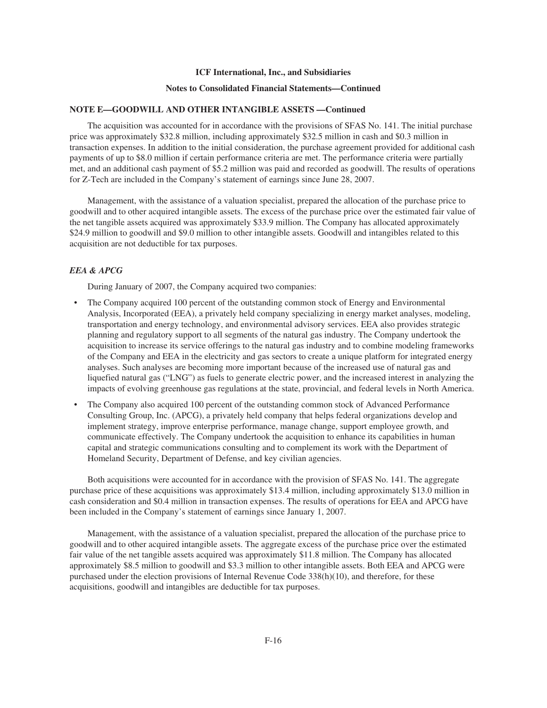## **Notes to Consolidated Financial Statements—Continued**

## **NOTE E—GOODWILL AND OTHER INTANGIBLE ASSETS —Continued**

The acquisition was accounted for in accordance with the provisions of SFAS No. 141. The initial purchase price was approximately \$32.8 million, including approximately \$32.5 million in cash and \$0.3 million in transaction expenses. In addition to the initial consideration, the purchase agreement provided for additional cash payments of up to \$8.0 million if certain performance criteria are met. The performance criteria were partially met, and an additional cash payment of \$5.2 million was paid and recorded as goodwill. The results of operations for Z-Tech are included in the Company's statement of earnings since June 28, 2007.

Management, with the assistance of a valuation specialist, prepared the allocation of the purchase price to goodwill and to other acquired intangible assets. The excess of the purchase price over the estimated fair value of the net tangible assets acquired was approximately \$33.9 million. The Company has allocated approximately \$24.9 million to goodwill and \$9.0 million to other intangible assets. Goodwill and intangibles related to this acquisition are not deductible for tax purposes.

## *EEA & APCG*

During January of 2007, the Company acquired two companies:

- The Company acquired 100 percent of the outstanding common stock of Energy and Environmental Analysis, Incorporated (EEA), a privately held company specializing in energy market analyses, modeling, transportation and energy technology, and environmental advisory services. EEA also provides strategic planning and regulatory support to all segments of the natural gas industry. The Company undertook the acquisition to increase its service offerings to the natural gas industry and to combine modeling frameworks of the Company and EEA in the electricity and gas sectors to create a unique platform for integrated energy analyses. Such analyses are becoming more important because of the increased use of natural gas and liquefied natural gas ("LNG") as fuels to generate electric power, and the increased interest in analyzing the impacts of evolving greenhouse gas regulations at the state, provincial, and federal levels in North America.
- The Company also acquired 100 percent of the outstanding common stock of Advanced Performance Consulting Group, Inc. (APCG), a privately held company that helps federal organizations develop and implement strategy, improve enterprise performance, manage change, support employee growth, and communicate effectively. The Company undertook the acquisition to enhance its capabilities in human capital and strategic communications consulting and to complement its work with the Department of Homeland Security, Department of Defense, and key civilian agencies.

Both acquisitions were accounted for in accordance with the provision of SFAS No. 141. The aggregate purchase price of these acquisitions was approximately \$13.4 million, including approximately \$13.0 million in cash consideration and \$0.4 million in transaction expenses. The results of operations for EEA and APCG have been included in the Company's statement of earnings since January 1, 2007.

Management, with the assistance of a valuation specialist, prepared the allocation of the purchase price to goodwill and to other acquired intangible assets. The aggregate excess of the purchase price over the estimated fair value of the net tangible assets acquired was approximately \$11.8 million. The Company has allocated approximately \$8.5 million to goodwill and \$3.3 million to other intangible assets. Both EEA and APCG were purchased under the election provisions of Internal Revenue Code 338(h)(10), and therefore, for these acquisitions, goodwill and intangibles are deductible for tax purposes.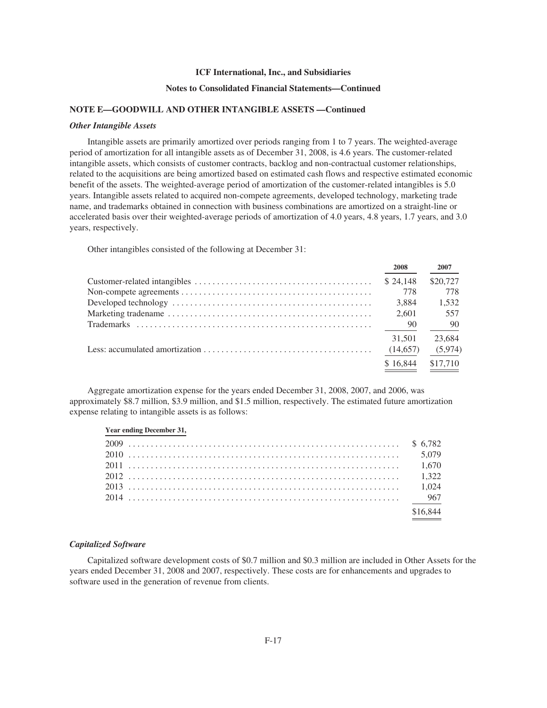## **Notes to Consolidated Financial Statements—Continued**

## **NOTE E—GOODWILL AND OTHER INTANGIBLE ASSETS —Continued**

#### *Other Intangible Assets*

Intangible assets are primarily amortized over periods ranging from 1 to 7 years. The weighted-average period of amortization for all intangible assets as of December 31, 2008, is 4.6 years. The customer-related intangible assets, which consists of customer contracts, backlog and non-contractual customer relationships, related to the acquisitions are being amortized based on estimated cash flows and respective estimated economic benefit of the assets. The weighted-average period of amortization of the customer-related intangibles is 5.0 years. Intangible assets related to acquired non-compete agreements, developed technology, marketing trade name, and trademarks obtained in connection with business combinations are amortized on a straight-line or accelerated basis over their weighted-average periods of amortization of 4.0 years, 4.8 years, 1.7 years, and 3.0 years, respectively.

Other intangibles consisted of the following at December 31:

| 2008     | 2007     |
|----------|----------|
|          | \$20,727 |
| 778      | 778      |
| 3.884    | 1.532    |
| 2.601    | 557      |
| -90      | 90       |
| 31.501   | 23.684   |
| (14,657) | (5,974)  |
| \$16,844 | \$17,710 |
|          |          |

Aggregate amortization expense for the years ended December 31, 2008, 2007, and 2006, was approximately \$8.7 million, \$3.9 million, and \$1.5 million, respectively. The estimated future amortization expense relating to intangible assets is as follows:

## **Year ending December 31,**

|  |  |  |  |  |  |  |  |  |  |  |  |  |  |  |  |  |  |  |  |  |  |  |  |  |  |  | \$16,844 |  |
|--|--|--|--|--|--|--|--|--|--|--|--|--|--|--|--|--|--|--|--|--|--|--|--|--|--|--|----------|--|

## *Capitalized Software*

Capitalized software development costs of \$0.7 million and \$0.3 million are included in Other Assets for the years ended December 31, 2008 and 2007, respectively. These costs are for enhancements and upgrades to software used in the generation of revenue from clients.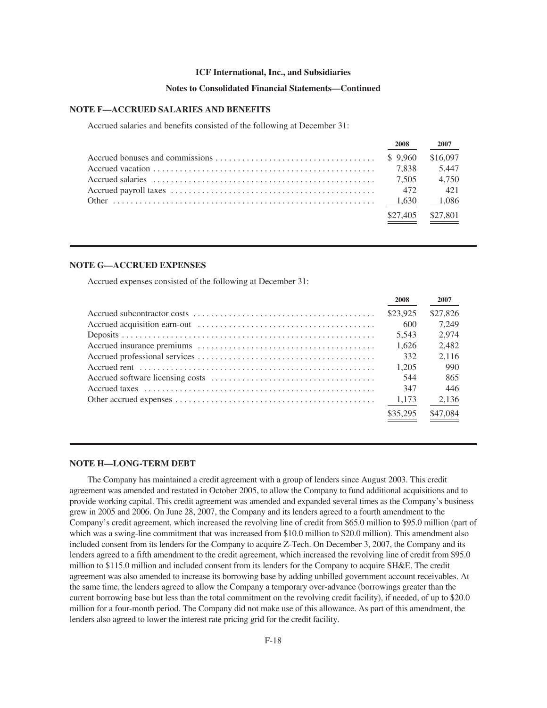## **Notes to Consolidated Financial Statements—Continued**

## **NOTE F—ACCRUED SALARIES AND BENEFITS**

Accrued salaries and benefits consisted of the following at December 31:

| 2008     | 2007     |
|----------|----------|
|          | \$16,097 |
| 7.838    | 5.447    |
| 7.505    | 4.750    |
| 472      | 421      |
| 1,630    | 1,086    |
| \$27,405 | \$27,801 |

## **NOTE G—ACCRUED EXPENSES**

Accrued expenses consisted of the following at December 31:

| 2008     | 2007     |
|----------|----------|
| \$23,925 | \$27,826 |
| 600      | 7.249    |
| 5.543    | 2.974    |
| 1.626    | 2.482    |
| 332      | 2.116    |
| 1.205    | 990      |
| 544      | 865      |
| 347      | 446      |
| 1,173    | 2,136    |
| \$35,295 | \$47,084 |

## **NOTE H—LONG-TERM DEBT**

The Company has maintained a credit agreement with a group of lenders since August 2003. This credit agreement was amended and restated in October 2005, to allow the Company to fund additional acquisitions and to provide working capital. This credit agreement was amended and expanded several times as the Company's business grew in 2005 and 2006. On June 28, 2007, the Company and its lenders agreed to a fourth amendment to the Company's credit agreement, which increased the revolving line of credit from \$65.0 million to \$95.0 million (part of which was a swing-line commitment that was increased from \$10.0 million to \$20.0 million). This amendment also included consent from its lenders for the Company to acquire Z-Tech. On December 3, 2007, the Company and its lenders agreed to a fifth amendment to the credit agreement, which increased the revolving line of credit from \$95.0 million to \$115.0 million and included consent from its lenders for the Company to acquire SH&E. The credit agreement was also amended to increase its borrowing base by adding unbilled government account receivables. At the same time, the lenders agreed to allow the Company a temporary over-advance (borrowings greater than the current borrowing base but less than the total commitment on the revolving credit facility), if needed, of up to \$20.0 million for a four-month period. The Company did not make use of this allowance. As part of this amendment, the lenders also agreed to lower the interest rate pricing grid for the credit facility.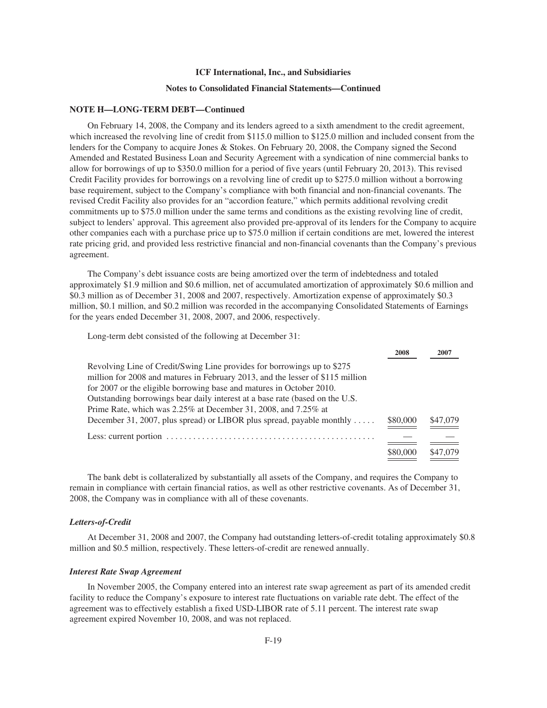## **Notes to Consolidated Financial Statements—Continued**

## **NOTE H—LONG-TERM DEBT—Continued**

On February 14, 2008, the Company and its lenders agreed to a sixth amendment to the credit agreement, which increased the revolving line of credit from \$115.0 million to \$125.0 million and included consent from the lenders for the Company to acquire Jones & Stokes. On February 20, 2008, the Company signed the Second Amended and Restated Business Loan and Security Agreement with a syndication of nine commercial banks to allow for borrowings of up to \$350.0 million for a period of five years (until February 20, 2013). This revised Credit Facility provides for borrowings on a revolving line of credit up to \$275.0 million without a borrowing base requirement, subject to the Company's compliance with both financial and non-financial covenants. The revised Credit Facility also provides for an "accordion feature," which permits additional revolving credit commitments up to \$75.0 million under the same terms and conditions as the existing revolving line of credit, subject to lenders' approval. This agreement also provided pre-approval of its lenders for the Company to acquire other companies each with a purchase price up to \$75.0 million if certain conditions are met, lowered the interest rate pricing grid, and provided less restrictive financial and non-financial covenants than the Company's previous agreement.

The Company's debt issuance costs are being amortized over the term of indebtedness and totaled approximately \$1.9 million and \$0.6 million, net of accumulated amortization of approximately \$0.6 million and \$0.3 million as of December 31, 2008 and 2007, respectively. Amortization expense of approximately \$0.3 million, \$0.1 million, and \$0.2 million was recorded in the accompanying Consolidated Statements of Earnings for the years ended December 31, 2008, 2007, and 2006, respectively.

Long-term debt consisted of the following at December 31:

|                                                                                 | 2008     | 2007     |
|---------------------------------------------------------------------------------|----------|----------|
| Revolving Line of Credit/Swing Line provides for borrowings up to \$275         |          |          |
| million for 2008 and matures in February 2013, and the lesser of \$115 million  |          |          |
| for 2007 or the eligible borrowing base and matures in October 2010.            |          |          |
| Outstanding borrowings bear daily interest at a base rate (based on the U.S.    |          |          |
| Prime Rate, which was 2.25% at December 31, 2008, and 7.25% at                  |          |          |
| December 31, 2007, plus spread) or LIBOR plus spread, payable monthly $\dots$ . | \$80,000 | \$47,079 |
|                                                                                 |          |          |
|                                                                                 |          |          |
|                                                                                 | \$80,000 | \$47,079 |
|                                                                                 |          |          |

The bank debt is collateralized by substantially all assets of the Company, and requires the Company to remain in compliance with certain financial ratios, as well as other restrictive covenants. As of December 31, 2008, the Company was in compliance with all of these covenants.

## *Letters-of-Credit*

At December 31, 2008 and 2007, the Company had outstanding letters-of-credit totaling approximately \$0.8 million and \$0.5 million, respectively. These letters-of-credit are renewed annually.

## *Interest Rate Swap Agreement*

In November 2005, the Company entered into an interest rate swap agreement as part of its amended credit facility to reduce the Company's exposure to interest rate fluctuations on variable rate debt. The effect of the agreement was to effectively establish a fixed USD-LIBOR rate of 5.11 percent. The interest rate swap agreement expired November 10, 2008, and was not replaced.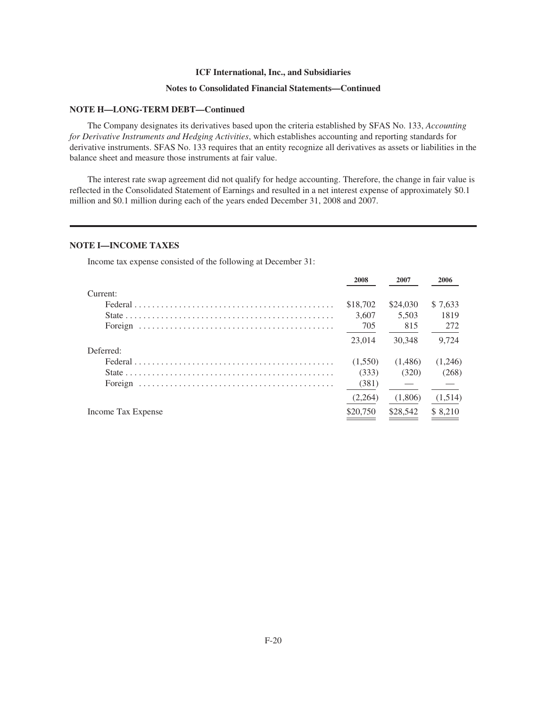## **Notes to Consolidated Financial Statements—Continued**

## **NOTE H—LONG-TERM DEBT—Continued**

The Company designates its derivatives based upon the criteria established by SFAS No. 133, *Accounting for Derivative Instruments and Hedging Activities*, which establishes accounting and reporting standards for derivative instruments. SFAS No. 133 requires that an entity recognize all derivatives as assets or liabilities in the balance sheet and measure those instruments at fair value.

The interest rate swap agreement did not qualify for hedge accounting. Therefore, the change in fair value is reflected in the Consolidated Statement of Earnings and resulted in a net interest expense of approximately \$0.1 million and \$0.1 million during each of the years ended December 31, 2008 and 2007.

## **NOTE I—INCOME TAXES**

Income tax expense consisted of the following at December 31:

|                    | 2008     | 2007     | 2006    |
|--------------------|----------|----------|---------|
| Current:           |          |          |         |
|                    | \$18,702 | \$24,030 | \$7.633 |
|                    | 3.607    | 5.503    | 1819    |
|                    | 705      | 815      | 272     |
|                    | 23,014   | 30.348   | 9,724   |
| Deferred:          |          |          |         |
|                    | (1.550)  | (1.486)  | (1,246) |
|                    | (333)    | (320)    | (268)   |
|                    | (381)    |          |         |
|                    | (2,264)  | (1.806)  | (1,514) |
| Income Tax Expense | \$20,750 | \$28,542 | \$8,210 |
|                    |          |          |         |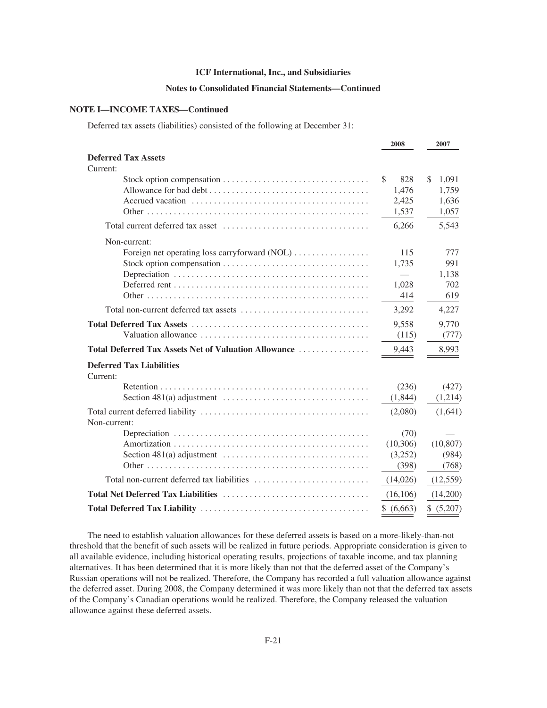## **Notes to Consolidated Financial Statements—Continued**

## **NOTE I—INCOME TAXES—Continued**

Deferred tax assets (liabilities) consisted of the following at December 31:

|                                                      | 2008             | 2007        |
|------------------------------------------------------|------------------|-------------|
| <b>Deferred Tax Assets</b>                           |                  |             |
| Current:                                             |                  |             |
|                                                      | \$<br>828        | \$<br>1,091 |
|                                                      | 1,476            | 1,759       |
|                                                      | 2,425            | 1,636       |
|                                                      | 1,537            | 1,057       |
|                                                      | 6,266            | 5,543       |
| Non-current:                                         |                  |             |
| Foreign net operating loss carryforward (NOL)        | 115              | 777         |
|                                                      | 1,735            | 991         |
|                                                      |                  | 1,138       |
|                                                      | 1,028            | 702         |
|                                                      | 414              | 619         |
|                                                      | 3,292            | 4,227       |
|                                                      | 9,558            | 9,770       |
|                                                      | (115)            | (777)       |
| Total Deferred Tax Assets Net of Valuation Allowance | 9,443            | 8,993       |
| <b>Deferred Tax Liabilities</b>                      |                  |             |
| Current:                                             |                  |             |
|                                                      | (236)            | (427)       |
|                                                      | (1,844)          | (1,214)     |
|                                                      | (2,080)          | (1,641)     |
| Non-current:                                         |                  |             |
|                                                      | (70)<br>(10,306) | (10, 807)   |
|                                                      | (3,252)          | (984)       |
|                                                      | (398)            | (768)       |
|                                                      |                  |             |
|                                                      | (14,026)         | (12, 559)   |
|                                                      | (16, 106)        | (14,200)    |
|                                                      | \$ (6,663)       | \$ (5,207)  |

The need to establish valuation allowances for these deferred assets is based on a more-likely-than-not threshold that the benefit of such assets will be realized in future periods. Appropriate consideration is given to all available evidence, including historical operating results, projections of taxable income, and tax planning alternatives. It has been determined that it is more likely than not that the deferred asset of the Company's Russian operations will not be realized. Therefore, the Company has recorded a full valuation allowance against the deferred asset. During 2008, the Company determined it was more likely than not that the deferred tax assets of the Company's Canadian operations would be realized. Therefore, the Company released the valuation allowance against these deferred assets.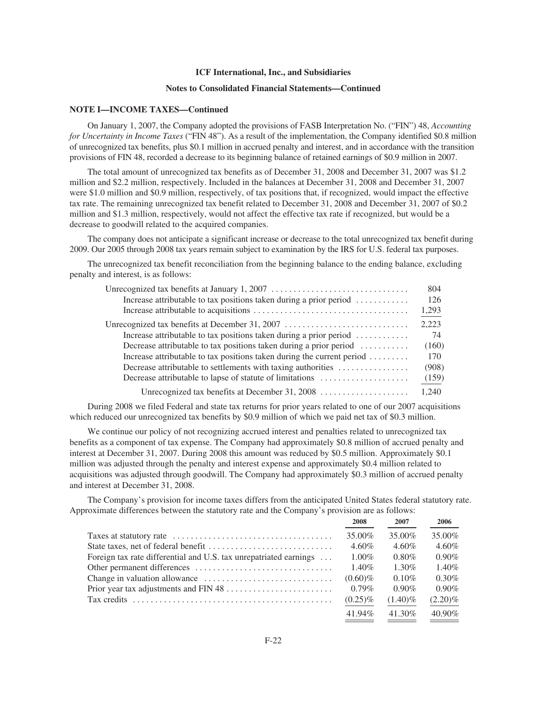## **Notes to Consolidated Financial Statements—Continued**

#### **NOTE I—INCOME TAXES—Continued**

On January 1, 2007, the Company adopted the provisions of FASB Interpretation No. ("FIN") 48, *Accounting for Uncertainty in Income Taxes* ("FIN 48"). As a result of the implementation, the Company identified \$0.8 million of unrecognized tax benefits, plus \$0.1 million in accrued penalty and interest, and in accordance with the transition provisions of FIN 48, recorded a decrease to its beginning balance of retained earnings of \$0.9 million in 2007.

The total amount of unrecognized tax benefits as of December 31, 2008 and December 31, 2007 was \$1.2 million and \$2.2 million, respectively. Included in the balances at December 31, 2008 and December 31, 2007 were \$1.0 million and \$0.9 million, respectively, of tax positions that, if recognized, would impact the effective tax rate. The remaining unrecognized tax benefit related to December 31, 2008 and December 31, 2007 of \$0.2 million and \$1.3 million, respectively, would not affect the effective tax rate if recognized, but would be a decrease to goodwill related to the acquired companies.

The company does not anticipate a significant increase or decrease to the total unrecognized tax benefit during 2009. Our 2005 through 2008 tax years remain subject to examination by the IRS for U.S. federal tax purposes.

The unrecognized tax benefit reconciliation from the beginning balance to the ending balance, excluding penalty and interest, is as follows:

|                                                                                          | 804   |
|------------------------------------------------------------------------------------------|-------|
| Increase attributable to tax positions taken during a prior period                       | 126   |
|                                                                                          | 1,293 |
|                                                                                          | 2,223 |
| Increase attributable to tax positions taken during a prior period                       | 74    |
| Decrease attributable to tax positions taken during a prior period                       | (160) |
| Increase attributable to tax positions taken during the current period $\dots\dots\dots$ | 170   |
| Decrease attributable to settlements with taxing authorities                             | (908) |
| Decrease attributable to lapse of statute of limitations                                 | (159) |
|                                                                                          | 1.240 |

During 2008 we filed Federal and state tax returns for prior years related to one of our 2007 acquisitions which reduced our unrecognized tax benefits by \$0.9 million of which we paid net tax of \$0.3 million.

We continue our policy of not recognizing accrued interest and penalties related to unrecognized tax benefits as a component of tax expense. The Company had approximately \$0.8 million of accrued penalty and interest at December 31, 2007. During 2008 this amount was reduced by \$0.5 million. Approximately \$0.1 million was adjusted through the penalty and interest expense and approximately \$0.4 million related to acquisitions was adjusted through goodwill. The Company had approximately \$0.3 million of accrued penalty and interest at December 31, 2008.

The Company's provision for income taxes differs from the anticipated United States federal statutory rate. Approximate differences between the statutory rate and the Company's provision are as follows:

|                                                                   | 2008       | 2007       | 2006       |
|-------------------------------------------------------------------|------------|------------|------------|
|                                                                   | 35.00%     | 35.00%     | 35.00%     |
|                                                                   | $4.60\%$   | $4.60\%$   | $4.60\%$   |
| Foreign tax rate differential and U.S. tax unrepatriated earnings | $1.00\%$   | $0.80\%$   | $0.90\%$   |
|                                                                   | $1.40\%$   | $1.30\%$   | $1.40\%$   |
|                                                                   | $(0.60)\%$ | $0.10\%$   | $0.30\%$   |
|                                                                   | $0.79\%$   | $0.90\%$   | $0.90\%$   |
|                                                                   | $(0.25)\%$ | $(1.40)\%$ | $(2.20)\%$ |
|                                                                   | 41.94%     | 41.30%     | $40.90\%$  |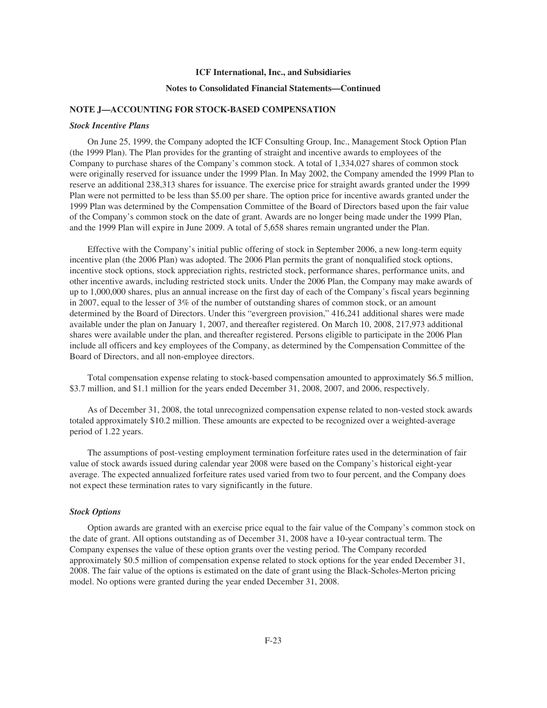## **Notes to Consolidated Financial Statements—Continued**

## **NOTE J—ACCOUNTING FOR STOCK-BASED COMPENSATION**

#### *Stock Incentive Plans*

On June 25, 1999, the Company adopted the ICF Consulting Group, Inc., Management Stock Option Plan (the 1999 Plan). The Plan provides for the granting of straight and incentive awards to employees of the Company to purchase shares of the Company's common stock. A total of 1,334,027 shares of common stock were originally reserved for issuance under the 1999 Plan. In May 2002, the Company amended the 1999 Plan to reserve an additional 238,313 shares for issuance. The exercise price for straight awards granted under the 1999 Plan were not permitted to be less than \$5.00 per share. The option price for incentive awards granted under the 1999 Plan was determined by the Compensation Committee of the Board of Directors based upon the fair value of the Company's common stock on the date of grant. Awards are no longer being made under the 1999 Plan, and the 1999 Plan will expire in June 2009. A total of 5,658 shares remain ungranted under the Plan.

Effective with the Company's initial public offering of stock in September 2006, a new long-term equity incentive plan (the 2006 Plan) was adopted. The 2006 Plan permits the grant of nonqualified stock options, incentive stock options, stock appreciation rights, restricted stock, performance shares, performance units, and other incentive awards, including restricted stock units. Under the 2006 Plan, the Company may make awards of up to 1,000,000 shares, plus an annual increase on the first day of each of the Company's fiscal years beginning in 2007, equal to the lesser of 3% of the number of outstanding shares of common stock, or an amount determined by the Board of Directors. Under this "evergreen provision," 416,241 additional shares were made available under the plan on January 1, 2007, and thereafter registered. On March 10, 2008, 217,973 additional shares were available under the plan, and thereafter registered. Persons eligible to participate in the 2006 Plan include all officers and key employees of the Company, as determined by the Compensation Committee of the Board of Directors, and all non-employee directors.

Total compensation expense relating to stock-based compensation amounted to approximately \$6.5 million, \$3.7 million, and \$1.1 million for the years ended December 31, 2008, 2007, and 2006, respectively.

As of December 31, 2008, the total unrecognized compensation expense related to non-vested stock awards totaled approximately \$10.2 million. These amounts are expected to be recognized over a weighted-average period of 1.22 years.

The assumptions of post-vesting employment termination forfeiture rates used in the determination of fair value of stock awards issued during calendar year 2008 were based on the Company's historical eight-year average. The expected annualized forfeiture rates used varied from two to four percent, and the Company does not expect these termination rates to vary significantly in the future.

## *Stock Options*

Option awards are granted with an exercise price equal to the fair value of the Company's common stock on the date of grant. All options outstanding as of December 31, 2008 have a 10-year contractual term. The Company expenses the value of these option grants over the vesting period. The Company recorded approximately \$0.5 million of compensation expense related to stock options for the year ended December 31, 2008. The fair value of the options is estimated on the date of grant using the Black-Scholes-Merton pricing model. No options were granted during the year ended December 31, 2008.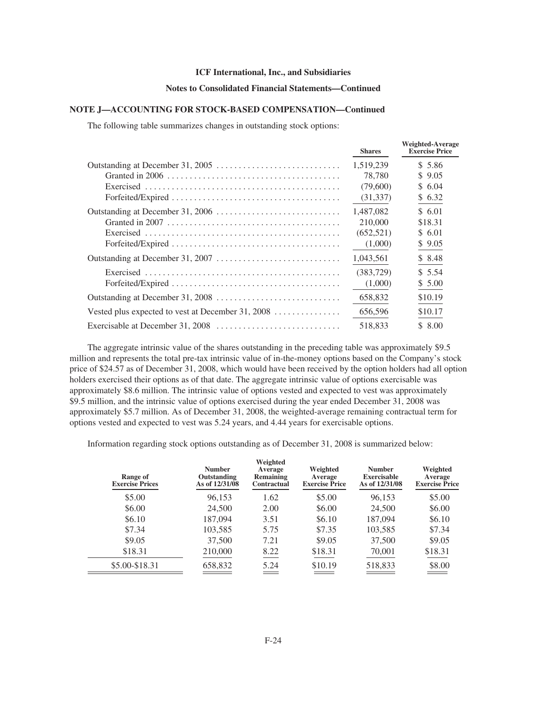# **Notes to Consolidated Financial Statements—Continued**

## **NOTE J—ACCOUNTING FOR STOCK-BASED COMPENSATION—Continued**

The following table summarizes changes in outstanding stock options:

|                                                                               | <b>Shares</b> | Weighted-Average<br><b>Exercise Price</b> |
|-------------------------------------------------------------------------------|---------------|-------------------------------------------|
|                                                                               | 1.519.239     | \$5.86                                    |
|                                                                               | 78,780        | \$9.05                                    |
|                                                                               | (79,600)      | \$6.04                                    |
|                                                                               | (31, 337)     | \$6.32                                    |
|                                                                               | 1.487.082     | \$6.01                                    |
|                                                                               | 210,000       | \$18.31                                   |
|                                                                               | (652, 521)    | \$ 6.01                                   |
|                                                                               | (1,000)       | \$9.05                                    |
|                                                                               | 1,043,561     | \$8.48                                    |
|                                                                               | (383, 729)    | \$5.54                                    |
|                                                                               | (1,000)       | \$ 5.00                                   |
|                                                                               | 658,832       | \$10.19                                   |
| Vested plus expected to vest at December 31, 2008 $\dots\dots\dots\dots\dots$ | 656,596       | \$10.17                                   |
|                                                                               | 518.833       | \$8.00                                    |

The aggregate intrinsic value of the shares outstanding in the preceding table was approximately \$9.5 million and represents the total pre-tax intrinsic value of in-the-money options based on the Company's stock price of \$24.57 as of December 31, 2008, which would have been received by the option holders had all option holders exercised their options as of that date. The aggregate intrinsic value of options exercisable was approximately \$8.6 million. The intrinsic value of options vested and expected to vest was approximately \$9.5 million, and the intrinsic value of options exercised during the year ended December 31, 2008 was approximately \$5.7 million. As of December 31, 2008, the weighted-average remaining contractual term for options vested and expected to vest was 5.24 years, and 4.44 years for exercisable options.

Information regarding stock options outstanding as of December 31, 2008 is summarized below:

| \$5.00<br>1.62<br>\$5.00<br>96,153<br>96,153<br>\$6.00<br>\$6.00<br>24,500<br>2.00<br>24,500<br>\$6.10<br>187,094<br>\$6.10<br>187,094<br>3.51<br>\$7.34<br>103,585<br>\$7.35<br>103,585<br>5.75<br>\$9.05<br>\$9.05<br>37,500<br>37,500<br>7.21<br>210,000<br>\$18.31<br>\$18.31<br>8.22<br>70,001<br>5.24 | Range of<br><b>Exercise Prices</b> | <b>Number</b><br>Outstanding<br>As of 12/31/08 | Weighted<br>Average<br>Remaining<br><b>Contractual</b> | Weighted<br>Average<br><b>Exercise Price</b> | <b>Number</b><br><b>Exercisable</b><br>As of 12/31/08 | Weighted<br>Average<br><b>Exercise Price</b> |
|-------------------------------------------------------------------------------------------------------------------------------------------------------------------------------------------------------------------------------------------------------------------------------------------------------------|------------------------------------|------------------------------------------------|--------------------------------------------------------|----------------------------------------------|-------------------------------------------------------|----------------------------------------------|
|                                                                                                                                                                                                                                                                                                             |                                    |                                                |                                                        |                                              |                                                       | \$5.00                                       |
|                                                                                                                                                                                                                                                                                                             |                                    |                                                |                                                        |                                              |                                                       | \$6.00                                       |
|                                                                                                                                                                                                                                                                                                             |                                    |                                                |                                                        |                                              |                                                       | \$6.10                                       |
|                                                                                                                                                                                                                                                                                                             |                                    |                                                |                                                        |                                              |                                                       | \$7.34                                       |
|                                                                                                                                                                                                                                                                                                             |                                    |                                                |                                                        |                                              |                                                       | \$9.05                                       |
|                                                                                                                                                                                                                                                                                                             |                                    |                                                |                                                        |                                              |                                                       | \$18.31                                      |
| $\sim$                                                                                                                                                                                                                                                                                                      | \$5.00-\$18.31                     | 658,832                                        |                                                        | \$10.19                                      | 518,833                                               | \$8.00                                       |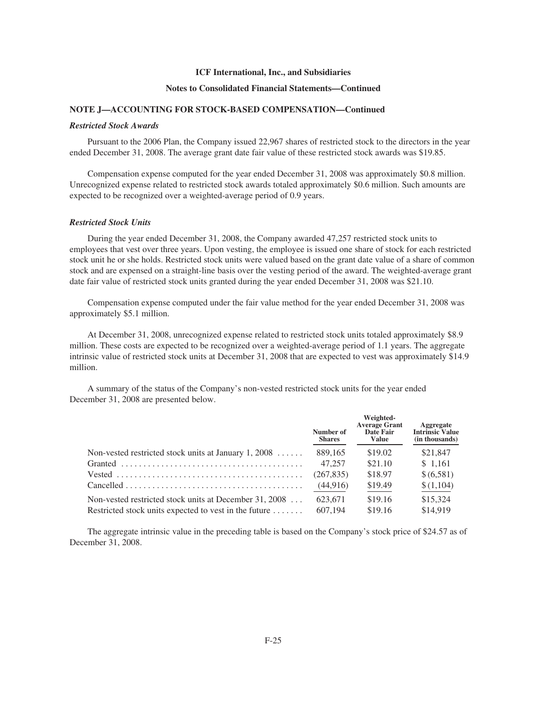## **Notes to Consolidated Financial Statements—Continued**

## **NOTE J—ACCOUNTING FOR STOCK-BASED COMPENSATION—Continued**

#### *Restricted Stock Awards*

Pursuant to the 2006 Plan, the Company issued 22,967 shares of restricted stock to the directors in the year ended December 31, 2008. The average grant date fair value of these restricted stock awards was \$19.85.

Compensation expense computed for the year ended December 31, 2008 was approximately \$0.8 million. Unrecognized expense related to restricted stock awards totaled approximately \$0.6 million. Such amounts are expected to be recognized over a weighted-average period of 0.9 years.

## *Restricted Stock Units*

During the year ended December 31, 2008, the Company awarded 47,257 restricted stock units to employees that vest over three years. Upon vesting, the employee is issued one share of stock for each restricted stock unit he or she holds. Restricted stock units were valued based on the grant date value of a share of common stock and are expensed on a straight-line basis over the vesting period of the award. The weighted-average grant date fair value of restricted stock units granted during the year ended December 31, 2008 was \$21.10.

Compensation expense computed under the fair value method for the year ended December 31, 2008 was approximately \$5.1 million.

At December 31, 2008, unrecognized expense related to restricted stock units totaled approximately \$8.9 million. These costs are expected to be recognized over a weighted-average period of 1.1 years. The aggregate intrinsic value of restricted stock units at December 31, 2008 that are expected to vest was approximately \$14.9 million.

A summary of the status of the Company's non-vested restricted stock units for the year ended December 31, 2008 are presented below.

|                                                        | Number of<br><b>Shares</b> | Weighted-<br><b>Average Grant</b><br>Date Fair<br>Value | Aggregate<br><b>Intrinsic Value</b><br>(in thousands) |
|--------------------------------------------------------|----------------------------|---------------------------------------------------------|-------------------------------------------------------|
| Non-vested restricted stock units at January $1,2008$  | 889.165                    | \$19.02                                                 | \$21,847                                              |
|                                                        | 47.257                     | \$21.10                                                 | \$1.161                                               |
|                                                        | (267, 835)                 | \$18.97                                                 | \$ (6,581)                                            |
|                                                        | (44, 916)                  | \$19.49                                                 | \$(1,104)                                             |
| Non-vested restricted stock units at December 31, 2008 | 623.671                    | \$19.16                                                 | \$15,324                                              |
| Restricted stock units expected to vest in the future  | 607.194                    | \$19.16                                                 | \$14,919                                              |

The aggregate intrinsic value in the preceding table is based on the Company's stock price of \$24.57 as of December 31, 2008.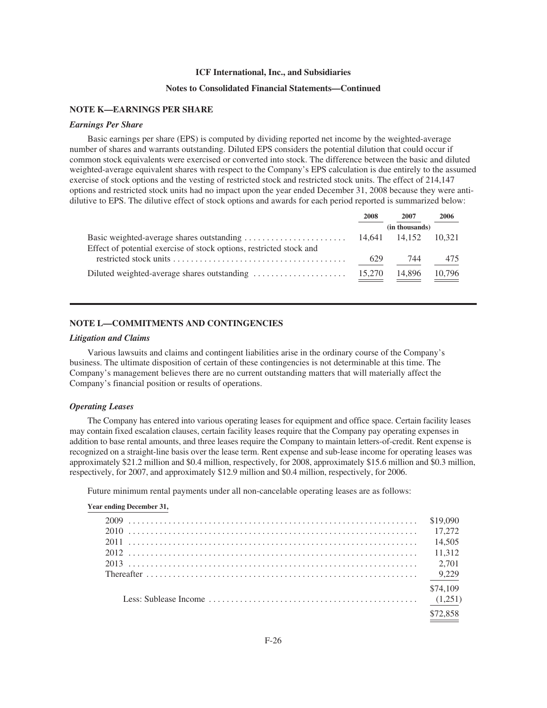## **Notes to Consolidated Financial Statements—Continued**

## **NOTE K—EARNINGS PER SHARE**

#### *Earnings Per Share*

Basic earnings per share (EPS) is computed by dividing reported net income by the weighted-average number of shares and warrants outstanding. Diluted EPS considers the potential dilution that could occur if common stock equivalents were exercised or converted into stock. The difference between the basic and diluted weighted-average equivalent shares with respect to the Company's EPS calculation is due entirely to the assumed exercise of stock options and the vesting of restricted stock and restricted stock units. The effect of 214,147 options and restricted stock units had no impact upon the year ended December 31, 2008 because they were antidilutive to EPS. The dilutive effect of stock options and awards for each period reported is summarized below:

|                                                                     | 2008   | 2007           | 2006   |
|---------------------------------------------------------------------|--------|----------------|--------|
|                                                                     |        | (in thousands) |        |
| Effect of potential exercise of stock options, restricted stock and |        |                | 10.321 |
|                                                                     | 629    | 744            | 475    |
|                                                                     | 15,270 | 14.896         | 10,796 |

## **NOTE L—COMMITMENTS AND CONTINGENCIES**

## *Litigation and Claims*

Various lawsuits and claims and contingent liabilities arise in the ordinary course of the Company's business. The ultimate disposition of certain of these contingencies is not determinable at this time. The Company's management believes there are no current outstanding matters that will materially affect the Company's financial position or results of operations.

## *Operating Leases*

The Company has entered into various operating leases for equipment and office space. Certain facility leases may contain fixed escalation clauses, certain facility leases require that the Company pay operating expenses in addition to base rental amounts, and three leases require the Company to maintain letters-of-credit. Rent expense is recognized on a straight-line basis over the lease term. Rent expense and sub-lease income for operating leases was approximately \$21.2 million and \$0.4 million, respectively, for 2008, approximately \$15.6 million and \$0.3 million, respectively, for 2007, and approximately \$12.9 million and \$0.4 million, respectively, for 2006.

Future minimum rental payments under all non-cancelable operating leases are as follows:

#### **Year ending December 31,**

| \$74,109 |
|----------|
|          |
|          |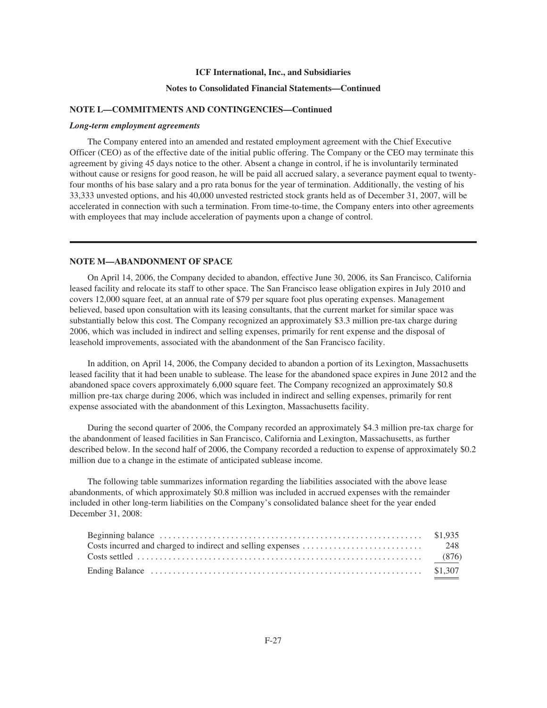## **Notes to Consolidated Financial Statements—Continued**

#### **NOTE L—COMMITMENTS AND CONTINGENCIES—Continued**

#### *Long-term employment agreements*

The Company entered into an amended and restated employment agreement with the Chief Executive Officer (CEO) as of the effective date of the initial public offering. The Company or the CEO may terminate this agreement by giving 45 days notice to the other. Absent a change in control, if he is involuntarily terminated without cause or resigns for good reason, he will be paid all accrued salary, a severance payment equal to twentyfour months of his base salary and a pro rata bonus for the year of termination. Additionally, the vesting of his 33,333 unvested options, and his 40,000 unvested restricted stock grants held as of December 31, 2007, will be accelerated in connection with such a termination. From time-to-time, the Company enters into other agreements with employees that may include acceleration of payments upon a change of control.

#### **NOTE M—ABANDONMENT OF SPACE**

On April 14, 2006, the Company decided to abandon, effective June 30, 2006, its San Francisco, California leased facility and relocate its staff to other space. The San Francisco lease obligation expires in July 2010 and covers 12,000 square feet, at an annual rate of \$79 per square foot plus operating expenses. Management believed, based upon consultation with its leasing consultants, that the current market for similar space was substantially below this cost. The Company recognized an approximately \$3.3 million pre-tax charge during 2006, which was included in indirect and selling expenses, primarily for rent expense and the disposal of leasehold improvements, associated with the abandonment of the San Francisco facility.

In addition, on April 14, 2006, the Company decided to abandon a portion of its Lexington, Massachusetts leased facility that it had been unable to sublease. The lease for the abandoned space expires in June 2012 and the abandoned space covers approximately 6,000 square feet. The Company recognized an approximately \$0.8 million pre-tax charge during 2006, which was included in indirect and selling expenses, primarily for rent expense associated with the abandonment of this Lexington, Massachusetts facility.

During the second quarter of 2006, the Company recorded an approximately \$4.3 million pre-tax charge for the abandonment of leased facilities in San Francisco, California and Lexington, Massachusetts, as further described below. In the second half of 2006, the Company recorded a reduction to expense of approximately \$0.2 million due to a change in the estimate of anticipated sublease income.

The following table summarizes information regarding the liabilities associated with the above lease abandonments, of which approximately \$0.8 million was included in accrued expenses with the remainder included in other long-term liabilities on the Company's consolidated balance sheet for the year ended December 31, 2008:

| Ending Balance $\dots \dots \dots \dots \dots \dots \dots \dots \dots \dots \dots \dots \dots \dots \dots \dots \dots \$ \$1,307 | ______ |
|----------------------------------------------------------------------------------------------------------------------------------|--------|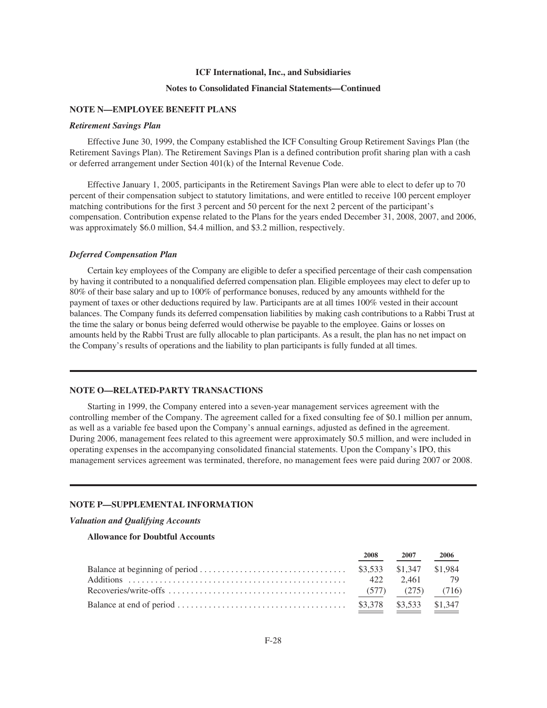### **Notes to Consolidated Financial Statements—Continued**

## **NOTE N—EMPLOYEE BENEFIT PLANS**

#### *Retirement Savings Plan*

Effective June 30, 1999, the Company established the ICF Consulting Group Retirement Savings Plan (the Retirement Savings Plan). The Retirement Savings Plan is a defined contribution profit sharing plan with a cash or deferred arrangement under Section 401(k) of the Internal Revenue Code.

Effective January 1, 2005, participants in the Retirement Savings Plan were able to elect to defer up to 70 percent of their compensation subject to statutory limitations, and were entitled to receive 100 percent employer matching contributions for the first 3 percent and 50 percent for the next 2 percent of the participant's compensation. Contribution expense related to the Plans for the years ended December 31, 2008, 2007, and 2006, was approximately \$6.0 million, \$4.4 million, and \$3.2 million, respectively.

#### *Deferred Compensation Plan*

Certain key employees of the Company are eligible to defer a specified percentage of their cash compensation by having it contributed to a nonqualified deferred compensation plan. Eligible employees may elect to defer up to 80% of their base salary and up to 100% of performance bonuses, reduced by any amounts withheld for the payment of taxes or other deductions required by law. Participants are at all times 100% vested in their account balances. The Company funds its deferred compensation liabilities by making cash contributions to a Rabbi Trust at the time the salary or bonus being deferred would otherwise be payable to the employee. Gains or losses on amounts held by the Rabbi Trust are fully allocable to plan participants. As a result, the plan has no net impact on the Company's results of operations and the liability to plan participants is fully funded at all times.

## **NOTE O—RELATED-PARTY TRANSACTIONS**

Starting in 1999, the Company entered into a seven-year management services agreement with the controlling member of the Company. The agreement called for a fixed consulting fee of \$0.1 million per annum, as well as a variable fee based upon the Company's annual earnings, adjusted as defined in the agreement. During 2006, management fees related to this agreement were approximately \$0.5 million, and were included in operating expenses in the accompanying consolidated financial statements. Upon the Company's IPO, this management services agreement was terminated, therefore, no management fees were paid during 2007 or 2008.

#### **NOTE P—SUPPLEMENTAL INFORMATION**

*Valuation and Qualifying Accounts*

## **Allowance for Doubtful Accounts**

| 2008 | 2007     | 2006 |
|------|----------|------|
|      |          |      |
| 422  | 2.461 79 |      |
|      |          |      |
|      |          |      |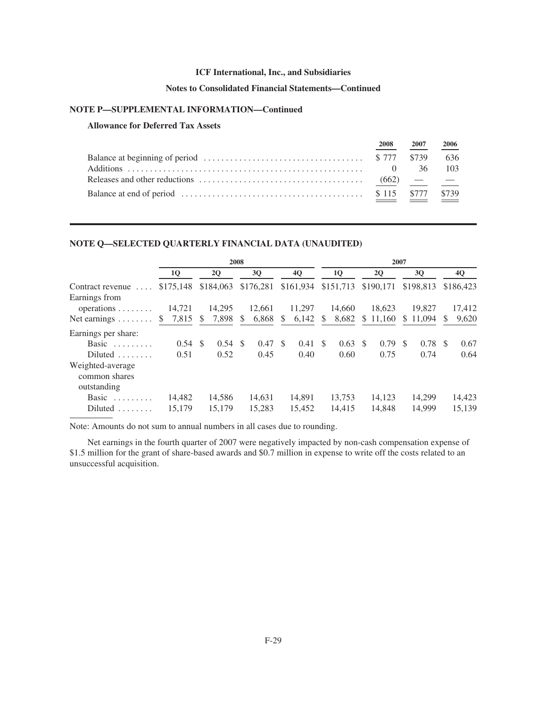# **Notes to Consolidated Financial Statements—Continued**

# **NOTE P—SUPPLEMENTAL INFORMATION—Continued**

## **Allowance for Deferred Tax Assets**

| 2008 | 2007 | 2006 |
|------|------|------|
|      |      |      |
|      |      |      |
|      |      |      |
|      |      |      |

## **NOTE Q—SELECTED QUARTERLY FINANCIAL DATA (UNAUDITED)**

|                                   | 2008               |              |                    |              |           |    |           | 2007          |           |    |           |    |           |              |           |  |
|-----------------------------------|--------------------|--------------|--------------------|--------------|-----------|----|-----------|---------------|-----------|----|-----------|----|-----------|--------------|-----------|--|
|                                   | <b>1Q</b>          |              | 2Q                 |              | 3Q        |    | <b>4Q</b> |               | 1Q        |    | 2Q        |    | 3Q        |              | 4Q        |  |
| Contract revenue<br>Earnings from | \$175,148          |              | \$184,063          |              | \$176,281 |    | \$161,934 |               | \$151,713 |    | \$190.171 |    | \$198.813 |              | \$186,423 |  |
| operations $\dots \dots$          | 14,721             |              | 14,295             |              | 12.661    |    | 11.297    |               | 14.660    |    | 18.623    |    | 19.827    |              | 17,412    |  |
| Net earnings $\dots \dots$        | 7,815<br>S.        | <sup>S</sup> | 7,898              | <sup>S</sup> | 6,868     | S  | 6,142     | <sup>\$</sup> | 8,682     |    | \$11,160  |    | \$11,094  | <sup>S</sup> | 9,620     |  |
| Earnings per share:               |                    |              |                    |              |           |    |           |               |           |    |           |    |           |              |           |  |
| Basic $\ldots$                    | $0.54 \text{ }$ \$ |              | $0.54 \text{ }$ \$ |              | 0.47      | £. | 0.41      | -S            | 0.63      | -S | 0.79      | -S | $0.78$ \$ |              | 0.67      |  |
| $Diluted \dots \dots$             | 0.51               |              | 0.52               |              | 0.45      |    | 0.40      |               | 0.60      |    | 0.75      |    | 0.74      |              | 0.64      |  |
| Weighted-average                  |                    |              |                    |              |           |    |           |               |           |    |           |    |           |              |           |  |
| common shares<br>outstanding      |                    |              |                    |              |           |    |           |               |           |    |           |    |           |              |           |  |
| Basic<br>1.1.1.1.1.1.1.1          | 14.482             |              | 14,586             |              | 14,631    |    | 14,891    |               | 13,753    |    | 14,123    |    | 14.299    |              | 14,423    |  |
| $Diluted \dots \dots$             | 15.179             |              | 15.179             |              | 15.283    |    | 15,452    |               | 14.415    |    | 14.848    |    | 14.999    |              | 15.139    |  |

Note: Amounts do not sum to annual numbers in all cases due to rounding.

Net earnings in the fourth quarter of 2007 were negatively impacted by non-cash compensation expense of \$1.5 million for the grant of share-based awards and \$0.7 million in expense to write off the costs related to an unsuccessful acquisition.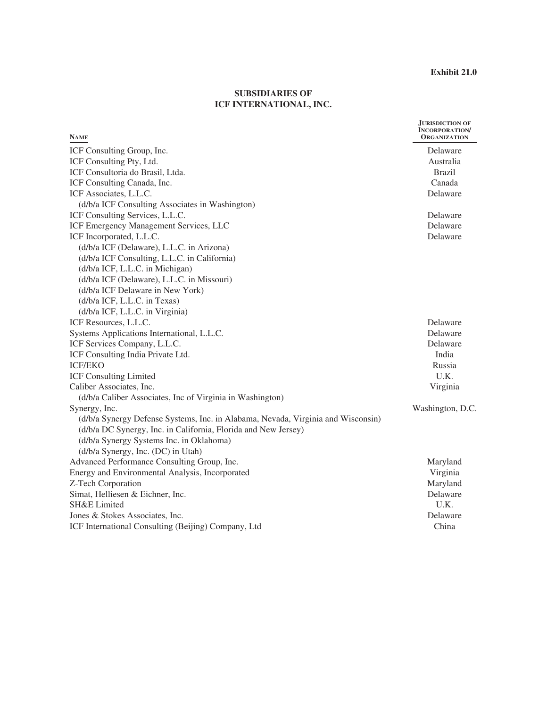## **Exhibit 21.0**

# **SUBSIDIARIES OF ICF INTERNATIONAL, INC.**

| NAME                                                                             | <b>JURISDICTION OF</b><br><b>INCORPORATION</b><br><b>ORGANIZATION</b> |
|----------------------------------------------------------------------------------|-----------------------------------------------------------------------|
| ICF Consulting Group, Inc.                                                       | Delaware                                                              |
| ICF Consulting Pty, Ltd.                                                         | Australia                                                             |
| ICF Consultoria do Brasil, Ltda.                                                 | <b>Brazil</b>                                                         |
| ICF Consulting Canada, Inc.                                                      | Canada                                                                |
| ICF Associates, L.L.C.                                                           | Delaware                                                              |
| (d/b/a ICF Consulting Associates in Washington)                                  |                                                                       |
| ICF Consulting Services, L.L.C.                                                  | Delaware                                                              |
| ICF Emergency Management Services, LLC                                           | Delaware                                                              |
| ICF Incorporated, L.L.C.                                                         | Delaware                                                              |
| (d/b/a ICF (Delaware), L.L.C. in Arizona)                                        |                                                                       |
| (d/b/a ICF Consulting, L.L.C. in California)                                     |                                                                       |
| (d/b/a ICF, L.L.C. in Michigan)                                                  |                                                                       |
| (d/b/a ICF (Delaware), L.L.C. in Missouri)                                       |                                                                       |
| (d/b/a ICF Delaware in New York)                                                 |                                                                       |
| (d/b/a ICF, L.L.C. in Texas)                                                     |                                                                       |
| (d/b/a ICF, L.L.C. in Virginia)                                                  |                                                                       |
| ICF Resources, L.L.C.                                                            | Delaware                                                              |
| Systems Applications International, L.L.C.                                       | Delaware                                                              |
| ICF Services Company, L.L.C.                                                     | Delaware                                                              |
| ICF Consulting India Private Ltd.                                                | India                                                                 |
| <b>ICF/EKO</b>                                                                   | Russia                                                                |
| <b>ICF Consulting Limited</b>                                                    | U.K.                                                                  |
| Caliber Associates, Inc.                                                         | Virginia                                                              |
| (d/b/a Caliber Associates, Inc of Virginia in Washington)                        |                                                                       |
| Synergy, Inc.                                                                    | Washington, D.C.                                                      |
| (d/b/a Synergy Defense Systems, Inc. in Alabama, Nevada, Virginia and Wisconsin) |                                                                       |
| (d/b/a DC Synergy, Inc. in California, Florida and New Jersey)                   |                                                                       |
| (d/b/a Synergy Systems Inc. in Oklahoma)                                         |                                                                       |
| (d/b/a Synergy, Inc. (DC) in Utah)                                               |                                                                       |
| Advanced Performance Consulting Group, Inc.                                      | Maryland                                                              |
| Energy and Environmental Analysis, Incorporated                                  | Virginia                                                              |
| Z-Tech Corporation                                                               | Maryland                                                              |
| Simat, Helliesen & Eichner, Inc.                                                 | Delaware                                                              |
| SH&E Limited                                                                     | U.K.                                                                  |
| Jones & Stokes Associates, Inc.                                                  | Delaware                                                              |
| ICF International Consulting (Beijing) Company, Ltd                              | China                                                                 |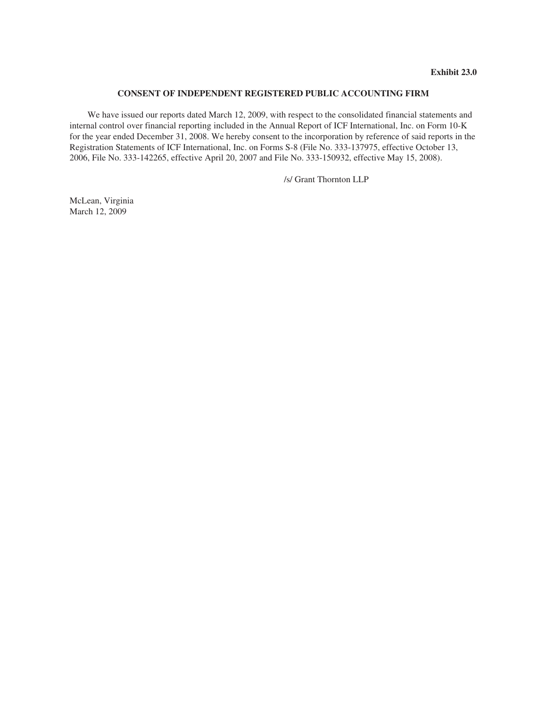# **CONSENT OF INDEPENDENT REGISTERED PUBLIC ACCOUNTING FIRM**

We have issued our reports dated March 12, 2009, with respect to the consolidated financial statements and internal control over financial reporting included in the Annual Report of ICF International, Inc. on Form 10-K for the year ended December 31, 2008. We hereby consent to the incorporation by reference of said reports in the Registration Statements of ICF International, Inc. on Forms S-8 (File No. 333-137975, effective October 13, 2006, File No. 333-142265, effective April 20, 2007 and File No. 333-150932, effective May 15, 2008).

/s/ Grant Thornton LLP

McLean, Virginia March 12, 2009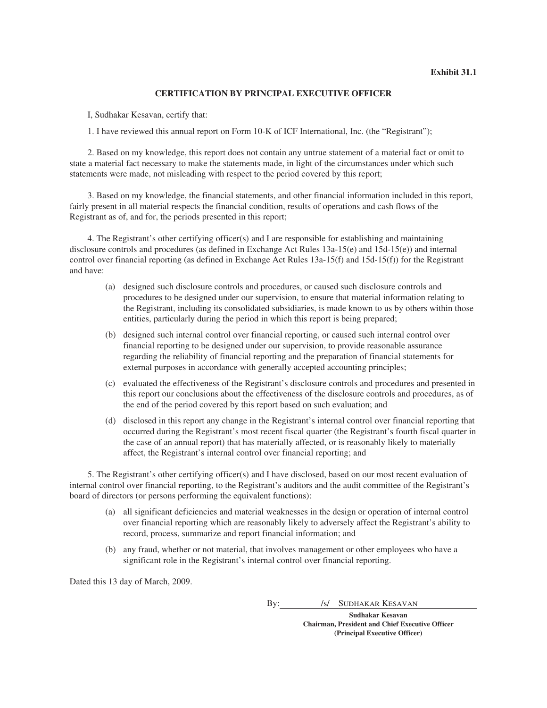## **CERTIFICATION BY PRINCIPAL EXECUTIVE OFFICER**

I, Sudhakar Kesavan, certify that:

1. I have reviewed this annual report on Form 10-K of ICF International, Inc. (the "Registrant");

2. Based on my knowledge, this report does not contain any untrue statement of a material fact or omit to state a material fact necessary to make the statements made, in light of the circumstances under which such statements were made, not misleading with respect to the period covered by this report;

3. Based on my knowledge, the financial statements, and other financial information included in this report, fairly present in all material respects the financial condition, results of operations and cash flows of the Registrant as of, and for, the periods presented in this report;

4. The Registrant's other certifying officer(s) and I are responsible for establishing and maintaining disclosure controls and procedures (as defined in Exchange Act Rules 13a-15(e) and 15d-15(e)) and internal control over financial reporting (as defined in Exchange Act Rules 13a-15(f) and 15d-15(f)) for the Registrant and have:

- (a) designed such disclosure controls and procedures, or caused such disclosure controls and procedures to be designed under our supervision, to ensure that material information relating to the Registrant, including its consolidated subsidiaries, is made known to us by others within those entities, particularly during the period in which this report is being prepared;
- (b) designed such internal control over financial reporting, or caused such internal control over financial reporting to be designed under our supervision, to provide reasonable assurance regarding the reliability of financial reporting and the preparation of financial statements for external purposes in accordance with generally accepted accounting principles;
- (c) evaluated the effectiveness of the Registrant's disclosure controls and procedures and presented in this report our conclusions about the effectiveness of the disclosure controls and procedures, as of the end of the period covered by this report based on such evaluation; and
- (d) disclosed in this report any change in the Registrant's internal control over financial reporting that occurred during the Registrant's most recent fiscal quarter (the Registrant's fourth fiscal quarter in the case of an annual report) that has materially affected, or is reasonably likely to materially affect, the Registrant's internal control over financial reporting; and

5. The Registrant's other certifying officer(s) and I have disclosed, based on our most recent evaluation of internal control over financial reporting, to the Registrant's auditors and the audit committee of the Registrant's board of directors (or persons performing the equivalent functions):

- (a) all significant deficiencies and material weaknesses in the design or operation of internal control over financial reporting which are reasonably likely to adversely affect the Registrant's ability to record, process, summarize and report financial information; and
- (b) any fraud, whether or not material, that involves management or other employees who have a significant role in the Registrant's internal control over financial reporting.

Dated this 13 day of March, 2009.

By: /s/ SUDHAKAR KESAVAN

**Sudhakar Kesavan Chairman, President and Chief Executive Officer (Principal Executive Officer)**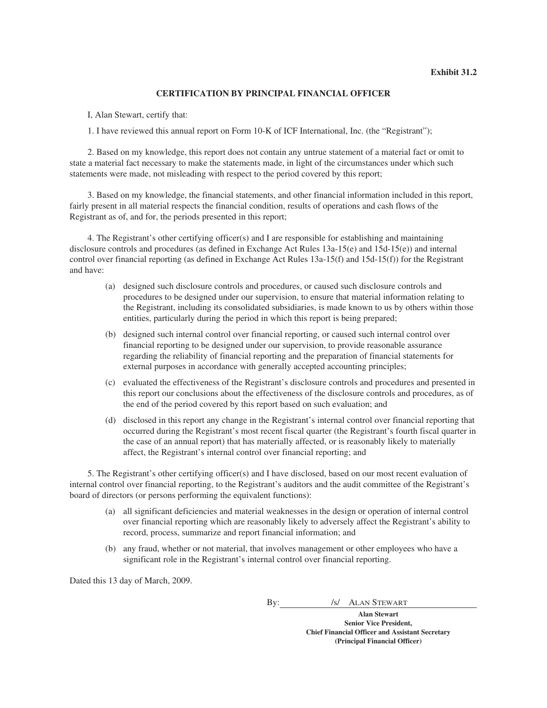## **CERTIFICATION BY PRINCIPAL FINANCIAL OFFICER**

I, Alan Stewart, certify that:

1. I have reviewed this annual report on Form 10-K of ICF International, Inc. (the "Registrant");

2. Based on my knowledge, this report does not contain any untrue statement of a material fact or omit to state a material fact necessary to make the statements made, in light of the circumstances under which such statements were made, not misleading with respect to the period covered by this report;

3. Based on my knowledge, the financial statements, and other financial information included in this report, fairly present in all material respects the financial condition, results of operations and cash flows of the Registrant as of, and for, the periods presented in this report;

4. The Registrant's other certifying officer(s) and I are responsible for establishing and maintaining disclosure controls and procedures (as defined in Exchange Act Rules 13a-15(e) and 15d-15(e)) and internal control over financial reporting (as defined in Exchange Act Rules 13a-15(f) and 15d-15(f)) for the Registrant and have:

- (a) designed such disclosure controls and procedures, or caused such disclosure controls and procedures to be designed under our supervision, to ensure that material information relating to the Registrant, including its consolidated subsidiaries, is made known to us by others within those entities, particularly during the period in which this report is being prepared;
- (b) designed such internal control over financial reporting, or caused such internal control over financial reporting to be designed under our supervision, to provide reasonable assurance regarding the reliability of financial reporting and the preparation of financial statements for external purposes in accordance with generally accepted accounting principles;
- (c) evaluated the effectiveness of the Registrant's disclosure controls and procedures and presented in this report our conclusions about the effectiveness of the disclosure controls and procedures, as of the end of the period covered by this report based on such evaluation; and
- (d) disclosed in this report any change in the Registrant's internal control over financial reporting that occurred during the Registrant's most recent fiscal quarter (the Registrant's fourth fiscal quarter in the case of an annual report) that has materially affected, or is reasonably likely to materially affect, the Registrant's internal control over financial reporting; and

5. The Registrant's other certifying officer(s) and I have disclosed, based on our most recent evaluation of internal control over financial reporting, to the Registrant's auditors and the audit committee of the Registrant's board of directors (or persons performing the equivalent functions):

- (a) all significant deficiencies and material weaknesses in the design or operation of internal control over financial reporting which are reasonably likely to adversely affect the Registrant's ability to record, process, summarize and report financial information; and
- (b) any fraud, whether or not material, that involves management or other employees who have a significant role in the Registrant's internal control over financial reporting.

Dated this 13 day of March, 2009.

By: /s/ ALAN STEWART

**Alan Stewart Senior Vice President, Chief Financial Officer and Assistant Secretary (Principal Financial Officer)**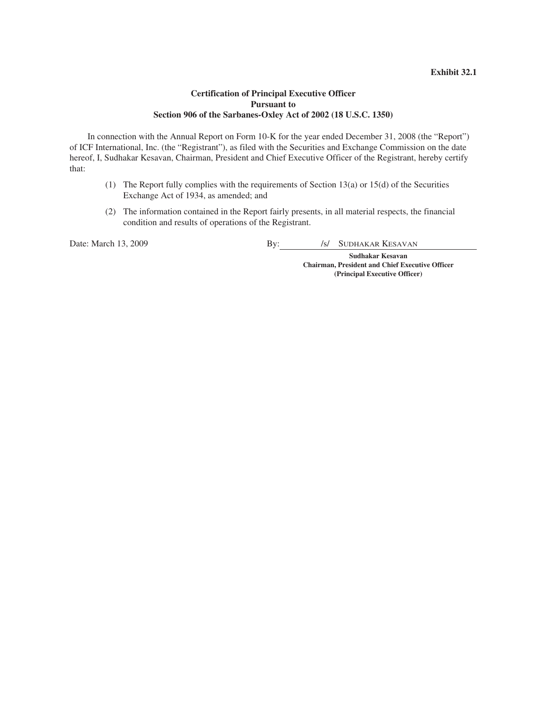#### **Exhibit 32.1**

## **Certification of Principal Executive Officer Pursuant to Section 906 of the Sarbanes-Oxley Act of 2002 (18 U.S.C. 1350)**

In connection with the Annual Report on Form 10-K for the year ended December 31, 2008 (the "Report") of ICF International, Inc. (the "Registrant"), as filed with the Securities and Exchange Commission on the date hereof, I, Sudhakar Kesavan, Chairman, President and Chief Executive Officer of the Registrant, hereby certify that:

- (1) The Report fully complies with the requirements of Section 13(a) or 15(d) of the Securities Exchange Act of 1934, as amended; and
- (2) The information contained in the Report fairly presents, in all material respects, the financial condition and results of operations of the Registrant.

Date: March 13, 2009 By: /s/ SUDHAKAR KESAVAN

**Sudhakar Kesavan Chairman, President and Chief Executive Officer (Principal Executive Officer)**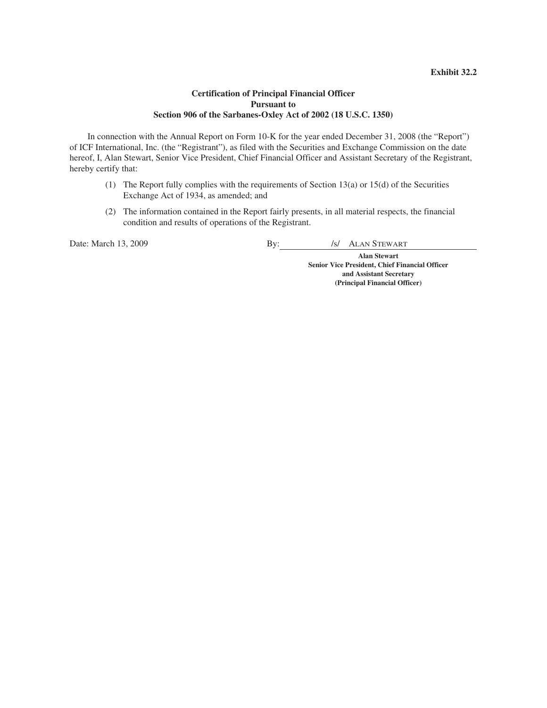#### **Exhibit 32.2**

## **Certification of Principal Financial Officer Pursuant to Section 906 of the Sarbanes-Oxley Act of 2002 (18 U.S.C. 1350)**

In connection with the Annual Report on Form 10-K for the year ended December 31, 2008 (the "Report") of ICF International, Inc. (the "Registrant"), as filed with the Securities and Exchange Commission on the date hereof, I, Alan Stewart, Senior Vice President, Chief Financial Officer and Assistant Secretary of the Registrant, hereby certify that:

- (1) The Report fully complies with the requirements of Section 13(a) or 15(d) of the Securities Exchange Act of 1934, as amended; and
- (2) The information contained in the Report fairly presents, in all material respects, the financial condition and results of operations of the Registrant.

Date: March 13, 2009 By: /s/ ALAN STEWART

**Alan Stewart Senior Vice President, Chief Financial Officer and Assistant Secretary (Principal Financial Officer)**